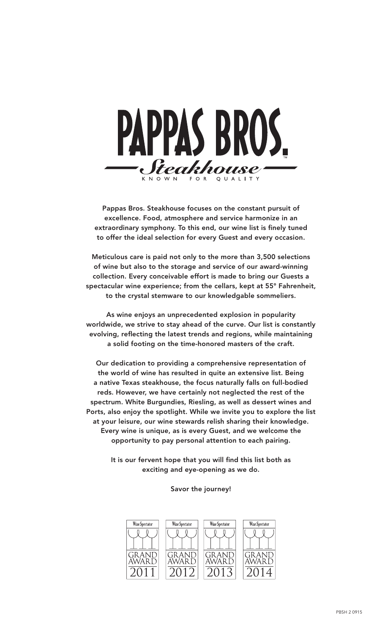

Pappas Bros. Steakhouse focuses on the constant pursuit of excellence. Food, atmosphere and service harmonize in an extraordinary symphony. To this end, our wine list is finely tuned to offer the ideal selection for every Guest and every occasion.

Meticulous care is paid not only to the more than 3,500 selections of wine but also to the storage and service of our award-winning collection. Every conceivable effort is made to bring our Guests a spectacular wine experience; from the cellars, kept at 55° Fahrenheit, to the crystal stemware to our knowledgable sommeliers.

As wine enjoys an unprecedented explosion in popularity worldwide, we strive to stay ahead of the curve. Our list is constantly evolving, reflecting the latest trends and regions, while maintaining a solid footing on the time-honored masters of the craft.

Our dedication to providing a comprehensive representation of the world of wine has resulted in quite an extensive list. Being a native Texas steakhouse, the focus naturally falls on full-bodied reds. However, we have certainly not neglected the rest of the spectrum. White Burgundies, Riesling, as well as dessert wines and Ports, also enjoy the spotlight. While we invite you to explore the list at your leisure, our wine stewards relish sharing their knowledge. Every wine is unique, as is every Guest, and we welcome the opportunity to pay personal attention to each pairing.

> It is our fervent hope that you will find this list both as exciting and eye-opening as we do.

#### Savor the journey!

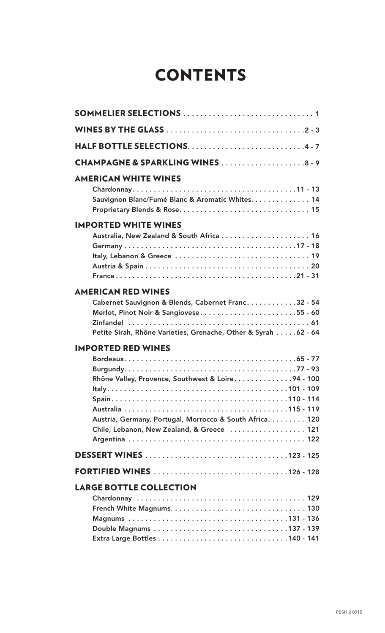### **CONTENTS**

| WINES BY THE GLASS $\ldots$ $\ldots$ $\ldots$ $\ldots$ $\ldots$ $\ldots$ $\ldots$ $\ldots$ $\ldots$ $\ldots$ $\ldots$ $\ldots$ $\ldots$ $\ldots$                 |
|------------------------------------------------------------------------------------------------------------------------------------------------------------------|
| HALF BOTTLE SELECTIONS4-7                                                                                                                                        |
| <b>CHAMPAGNE &amp; SPARKLING WINES</b> 8-9                                                                                                                       |
| <b>AMERICAN WHITE WINES</b><br>Sauvignon Blanc/Fumé Blanc & Aromatic Whites. 14                                                                                  |
| <b>IMPORTED WHITE WINES</b>                                                                                                                                      |
|                                                                                                                                                                  |
| <b>AMERICAN RED WINES</b>                                                                                                                                        |
| Cabernet Sauvignon & Blends, Cabernet Franc. 32 - 54<br>Merlot, Pinot Noir & Sangiovese55 - 60<br>Petite Sirah, Rhône Varieties, Grenache, Other & Syrah 62 - 64 |
| <b>IMPORTED RED WINES</b>                                                                                                                                        |
| Rhône Valley, Provence, Southwest & Loire94 - 100<br>Austria, Germany, Portugal, Morrocco & South Africa. 120<br>Chile, Lebanon, New Zealand, & Greece  121      |
|                                                                                                                                                                  |
| <b>FORTIFIED WINES</b> 126 - 128                                                                                                                                 |
| <b>LARGE BOTTLE COLLECTION</b><br>Double Magnums 137 - 139                                                                                                       |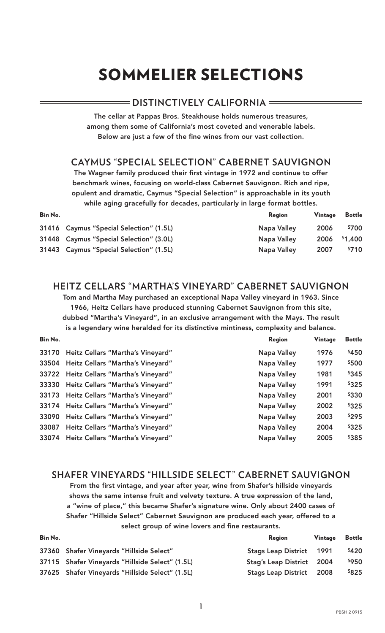# SOMMELIER SELECTIONS

#### **DISTINCTIVELY CALIFORNIA**

The cellar at Pappas Bros. Steakhouse holds numerous treasures, among them some of California's most coveted and venerable labels. Below are just a few of the fine wines from our vast collection.

#### **CAYMUS "SPECIAL SELECTION" CABERNET SAUVIGNON**

The Wagner family produced their first vintage in 1972 and continue to offer benchmark wines, focusing on world-class Cabernet Sauvignon. Rich and ripe, opulent and dramatic, Caymus "Special Selection" is approachable in its youth while aging gracefully for decades, particularly in large format bottles.

| Bin No. |                                         | <b>Region</b> | Vintage | <b>Bottle</b> |
|---------|-----------------------------------------|---------------|---------|---------------|
|         | 31416 Caymus "Special Selection" (1.5L) | Napa Valley   | 2006    | \$700         |
|         | 31448 Caymus "Special Selection" (3.0L) | Napa Valley   |         | 2006 \$1,400  |
|         | 31443 Caymus "Special Selection" (1.5L) | Napa Valley   | 2007    | \$710         |

#### **HEITZ CELLARS "MARTHA'S VINEYARD" CABERNET SAUVIGNON**

Tom and Martha May purchased an exceptional Napa Valley vineyard in 1963. Since 1966, Heitz Cellars have produced stunning Cabernet Sauvignon from this site, dubbed "Martha's Vineyard", in an exclusive arrangement with the Mays. The result is a legendary wine heralded for its distinctive mintiness, complexity and balance.

| Bin No. |                                          | Region             | <b>Vintage</b> | <b>Bottle</b> |
|---------|------------------------------------------|--------------------|----------------|---------------|
| 33170   | <b>Heitz Cellars "Martha's Vineyard"</b> | Napa Valley        | 1976           | \$450         |
|         | 33504 Heitz Cellars "Martha's Vineyard"  | Napa Valley        | 1977           | \$500         |
|         | 33722 Heitz Cellars "Martha's Vineyard"  | <b>Napa Valley</b> | 1981           | \$345         |
| 33330   | Heitz Cellars "Martha's Vineyard"        | Napa Valley        | 1991           | \$325         |
|         | 33173 Heitz Cellars "Martha's Vineyard"  | Napa Valley        | 2001           | \$330         |
|         | 33174 Heitz Cellars "Martha's Vineyard"  | Napa Valley        | 2002           | \$325         |
| 33090   | <b>Heitz Cellars "Martha's Vineyard"</b> | Napa Valley        | 2003           | \$295         |
| 33087   | Heitz Cellars "Martha's Vineyard"        | Napa Valley        | 2004           | \$325         |
| 33074   | Heitz Cellars "Martha's Vineyard"        | Napa Valley        | 2005           | \$385         |

#### **SHAFER VINEYARDS "HILLSIDE SELECT" CABERNET SAUVIGNON**

From the first vintage, and year after year, wine from Shafer's hillside vineyards shows the same intense fruit and velvety texture. A true expression of the land, a "wine of place," this became Shafer's signature wine. Only about 2400 cases of Shafer "Hillside Select" Cabernet Sauvignon are produced each year, offered to a select group of wine lovers and fine restaurants.

| Reaion                                                                                                                                         | Vintage | <b>Bottle</b>                                                                                          |
|------------------------------------------------------------------------------------------------------------------------------------------------|---------|--------------------------------------------------------------------------------------------------------|
|                                                                                                                                                |         | \$420                                                                                                  |
|                                                                                                                                                |         | \$950                                                                                                  |
|                                                                                                                                                |         | \$825                                                                                                  |
| 37360 Shafer Vineyards "Hillside Select"<br>37115 Shafer Vineyards "Hillside Select" (1.5L)<br>37625 Shafer Vineyards "Hillside Select" (1.5L) |         | <b>Stags Leap District</b> 1991<br><b>Stag's Leap District</b> 2004<br><b>Stags Leap District</b> 2008 |

1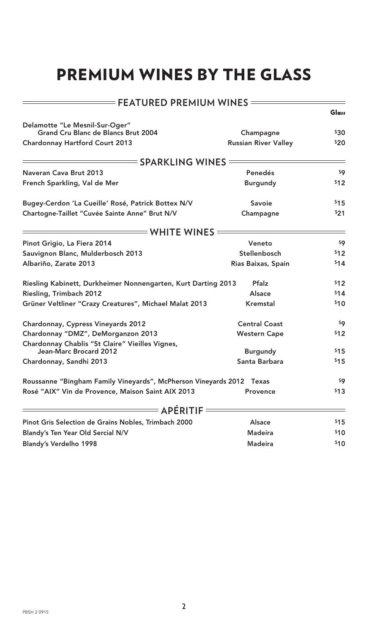### PREMIUM WINES BY THE GLASS

| <b>FEATURED PREMIUM WINES =</b>                                      |                             |       |  |
|----------------------------------------------------------------------|-----------------------------|-------|--|
|                                                                      |                             | Glass |  |
| Delamotte "Le Mesnil-Sur-Oger"                                       |                             |       |  |
| <b>Grand Cru Blanc de Blancs Brut 2004</b>                           | Champagne                   | \$30  |  |
| <b>Chardonnay Hartford Court 2013</b>                                | <b>Russian River Valley</b> | \$20  |  |
| <b>SPARKLING WINES</b>                                               |                             |       |  |
| <b>Naveran Cava Brut 2013</b>                                        | Penedés                     | \$9   |  |
| French Sparkling, Val de Mer                                         | <b>Burgundy</b>             | \$12  |  |
| Bugey-Cerdon 'La Cueille' Rosé, Patrick Bottex N/V                   | <b>Savoie</b>               | \$15  |  |
| Chartogne-Taillet "Cuvée Sainte Anne" Brut N/V                       | Champagne                   | \$21  |  |
| <b>WHITE WINES</b>                                                   |                             |       |  |
| Pinot Grigio, La Fiera 2014                                          | Veneto                      | \$9   |  |
| Sauvignon Blanc, Mulderbosch 2013                                    | Stellenbosch                | \$12  |  |
| Albariño, Zarate 2013                                                | Rias Baixas, Spain          | \$14  |  |
| Riesling Kabinett, Durkheimer Nonnengarten, Kurt Darting 2013        | Pfalz                       | \$12  |  |
| <b>Riesling, Trimbach 2012</b>                                       | <b>Alsace</b>               | \$14  |  |
| Grüner Veltliner "Crazy Creatures", Michael Malat 2013               | <b>Kremstal</b>             | \$10  |  |
| <b>Chardonnay, Cypress Vineyards 2012</b>                            | <b>Central Coast</b>        | \$9   |  |
| Chardonnay "DMZ", DeMorganzon 2013                                   | <b>Western Cape</b>         | \$12  |  |
| Chardonnay Chablis "St Claire" Vieilles Vignes,                      |                             |       |  |
| Jean-Marc Brocard 2012                                               | <b>Burgundy</b>             | \$15  |  |
| Chardonnay, Sandhi 2013                                              | Santa Barbara               | \$15  |  |
| Roussanne "Bingham Family Vineyards", McPherson Vineyards 2012 Texas |                             | \$9   |  |
| Rosé "AIX" Vin de Provence, Maison Saint AIX 2013                    | <b>Provence</b>             | \$13  |  |
| = APÉRITIF =                                                         |                             |       |  |
| Pinot Gris Selection de Grains Nobles, Trimbach 2000                 | Alsace                      | \$15  |  |
| <b>Blandy's Ten Year Old Sercial N/V</b>                             | <b>Madeira</b>              | \$10  |  |
| Blandy's Verdelho 1998                                               | <b>Madeira</b>              | \$10  |  |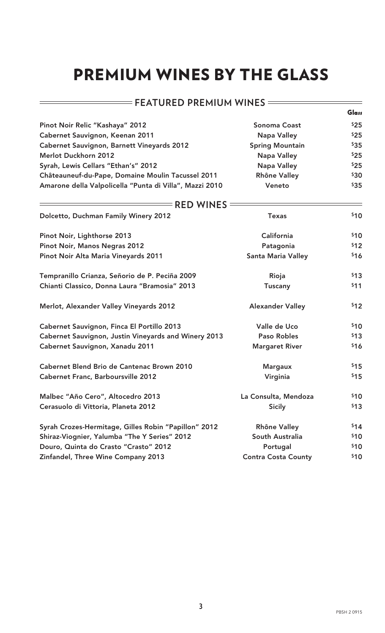### PREMIUM WINES BY THE GLASS

| $\overline{\phantom{a}}$ FEATURED PREMIUM WINES $\overline{\phantom{a}}$ |                            |       |
|--------------------------------------------------------------------------|----------------------------|-------|
|                                                                          |                            | Glass |
| Pinot Noir Relic "Kashaya" 2012                                          | <b>Sonoma Coast</b>        | \$25  |
| Cabernet Sauvignon, Keenan 2011                                          | <b>Napa Valley</b>         | \$25  |
| <b>Cabernet Sauvignon, Barnett Vineyards 2012</b>                        | <b>Spring Mountain</b>     | \$35  |
| Merlot Duckhorn 2012                                                     | <b>Napa Valley</b>         | \$25  |
| Syrah, Lewis Cellars "Ethan's" 2012                                      | Napa Valley                | \$25  |
| Châteauneuf-du-Pape, Domaine Moulin Tacussel 2011                        | Rhône Valley               | \$30  |
| Amarone della Valpolicella "Punta di Villa", Mazzi 2010                  | Veneto                     | \$35  |
| <b>RED WINES</b>                                                         |                            |       |
| Dolcetto, Duchman Family Winery 2012                                     | <b>Texas</b>               | \$10  |
| Pinot Noir, Lighthorse 2013                                              | California                 | \$10  |
| Pinot Noir, Manos Negras 2012                                            | Patagonia                  | \$12  |
| Pinot Noir Alta Maria Vineyards 2011                                     | Santa Maria Valley         | \$16  |
| Tempranillo Crianza, Señorio de P. Peciña 2009                           | Rioja                      | \$13  |
| Chianti Classico, Donna Laura "Bramosia" 2013                            | <b>Tuscany</b>             | \$11  |
| Merlot, Alexander Valley Vineyards 2012                                  | <b>Alexander Valley</b>    | \$12  |
| Cabernet Sauvignon, Finca El Portillo 2013                               | Valle de Uco               | \$10  |
| <b>Cabernet Sauvignon, Justin Vineyards and Winery 2013</b>              | <b>Paso Robles</b>         | \$13  |
| Cabernet Sauvignon, Xanadu 2011                                          | <b>Margaret River</b>      | \$16  |
| <b>Cabernet Blend Brio de Cantenac Brown 2010</b>                        | <b>Margaux</b>             | \$15  |
| <b>Cabernet Franc, Barboursville 2012</b>                                | Virginia                   | \$15  |
| Malbec "Año Cero", Altocedro 2013                                        | La Consulta, Mendoza       | \$10  |
| Cerasuolo di Vittoria, Planeta 2012                                      | <b>Sicily</b>              | \$13  |
| Syrah Crozes-Hermitage, Gilles Robin "Papillon" 2012                     | <b>Rhône Valley</b>        | \$14  |
| Shiraz-Viognier, Yalumba "The Y Series" 2012                             | South Australia            | \$10  |
| Douro, Quinta do Crasto "Crasto" 2012                                    | Portugal                   | \$10  |
| Zinfandel, Three Wine Company 2013                                       | <b>Contra Costa County</b> | \$10  |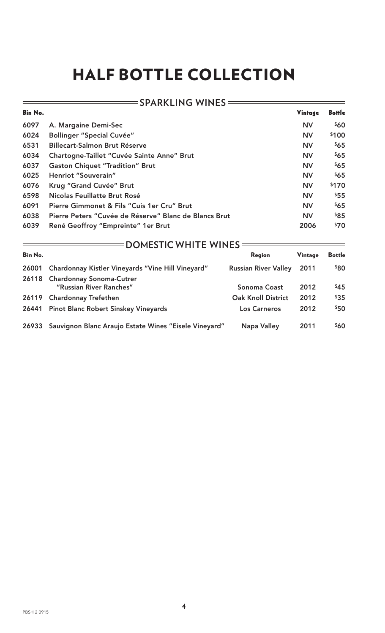|                | $SPARKLING$ WINES $=$                                 |           |               |  |  |
|----------------|-------------------------------------------------------|-----------|---------------|--|--|
| <b>Bin No.</b> |                                                       | Vintage   | <b>Bottle</b> |  |  |
| 6097           | A. Margaine Demi-Sec                                  | <b>NV</b> | \$60          |  |  |
| 6024           | <b>Bollinger "Special Cuvée"</b>                      | <b>NV</b> | \$100         |  |  |
| 6531           | <b>Billecart-Salmon Brut Réserve</b>                  | <b>NV</b> | \$65          |  |  |
| 6034           | Chartogne-Taillet "Cuvée Sainte Anne" Brut            | <b>NV</b> | \$65          |  |  |
| 6037           | <b>Gaston Chiquet "Tradition" Brut</b>                | <b>NV</b> | \$65          |  |  |
| 6025           | Henriot "Souverain"                                   | <b>NV</b> | \$65          |  |  |
| 6076           | Krug "Grand Cuvée" Brut                               | <b>NV</b> | \$170         |  |  |
| 6598           | Nicolas Feuillatte Brut Rosé                          | <b>NV</b> | \$55          |  |  |
| 6091           | Pierre Gimmonet & Fils "Cuis 1er Cru" Brut            | <b>NV</b> | \$65          |  |  |
| 6038           | Pierre Peters "Cuvée de Réserve" Blanc de Blancs Brut | <b>NV</b> | \$85          |  |  |
| 6039           | René Geoffroy "Empreinte" 1er Brut                    | 2006      | \$70          |  |  |

| <b>DOMESTIC WHITE WINES</b> |                                                            |                             |         |               |
|-----------------------------|------------------------------------------------------------|-----------------------------|---------|---------------|
| Bin No.                     |                                                            | Region                      | Vintage | <b>Bottle</b> |
| 26001                       | Chardonnay Kistler Vineyards "Vine Hill Vineyard"          | <b>Russian River Valley</b> | 2011    | \$80          |
| 26118                       | <b>Chardonnay Sonoma-Cutrer</b><br>"Russian River Ranches" | Sonoma Coast                | 2012    | \$45          |
| 26119                       | <b>Chardonnay Trefethen</b>                                | <b>Oak Knoll District</b>   | 2012    | \$35          |
| 26441                       | <b>Pinot Blanc Robert Sinskey Vineyards</b>                | <b>Los Carneros</b>         | 2012    | \$50          |
| 26933                       | Sauvignon Blanc Araujo Estate Wines "Eisele Vineyard"      | Napa Valley                 | 2011    | <b>S60</b>    |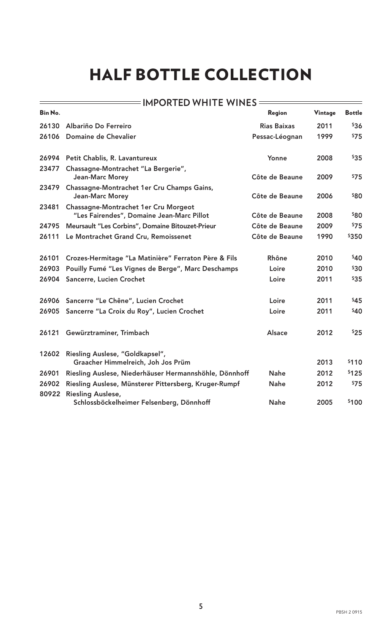#### $=$  IMPORTED WHITE WINES  $=$ Bin No. Region Vintage Bottle 26130 Albariño Do Ferreiro **Albariño Expedito Albaria e Albaria e Albar** <sup>\$36</sup> 26106 Domaine de Chevalier et a marial de Chevalier et al. et al. et al. et al. et al. et al. et al. et al. et a 26994 Petit Chablis, R. Lavantureux Yonne 2008 \$35 23477 Chassagne-Montrachet "La Bergerie", Jean-Marc Morey **Côte de Beaune** 2009 575 23479 Chassagne-Montrachet 1er Cru Champs Gains, Jean-Marc Morey **Côte de Beaune** 2006 \$80 23481 Chassagne-Montrachet 1er Cru Morgeot "Les Fairendes", Domaine Jean-Marc Pillot Côte de Beaune 2008 580 24795 Meursault "Les Corbins", Domaine Bitouzet-Prieur Côte de Beaune 2009 575 26111 Le Montrachet Grand Cru, Remoissenet Côte de Beaune 1990 \$350 26101 Crozes-Hermitage "La Matinière" Ferraton Père & Fils Rhône 2010 <sup>\$40</sup> 26903 Pouilly Fumé "Les Vignes de Berge", Marc Deschamps Loire 2010 530 26904 Sancerre, Lucien Crochet **Loire** 2011 535 26906 Sancerre "Le Chêne", Lucien Crochet Loire Loire 2011 545 26905 Sancerre "La Croix du Roy", Lucien Crochet Loire Loire 2011 540 26121 Gewürztraminer, Trimbach **Alsace** 2012 <sup>\$25</sup> 12602 Riesling Auslese, "Goldkapsel", Graacher Himmelreich, Joh Jos Prüm 2013 \$110 26901 Riesling Auslese, Niederhäuser Hermannshöhle, Dönnhoff Nahe 2012 \$125 26902 Riesling Auslese, Münsterer Pittersberg, Kruger-Rumpf Nahe 2012 <sup>\$75</sup> 80922 Riesling Auslese, Schlossböckelheimer Felsenberg, Dönnhoff Mahe 2005 \$100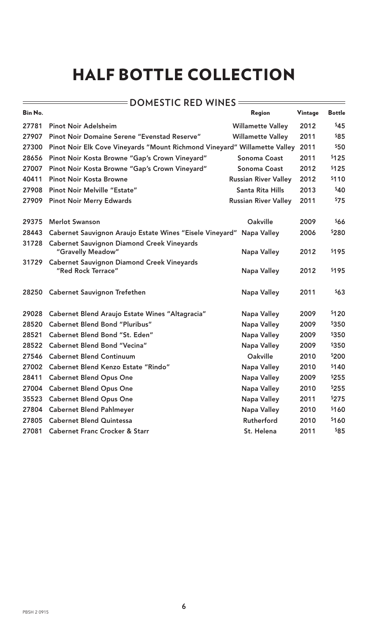### **DOMESTIC RED WINES DOMESTIC RED**

| Bin No. |                                                                           | Region                      | Vintage | <b>Bottle</b> |
|---------|---------------------------------------------------------------------------|-----------------------------|---------|---------------|
| 27781   | <b>Pinot Noir Adelsheim</b>                                               | <b>Willamette Valley</b>    | 2012    | \$45          |
| 27907   | Pinot Noir Domaine Serene "Evenstad Reserve"                              | <b>Willamette Valley</b>    | 2011    | \$85          |
| 27300   | Pinot Noir Elk Cove Vineyards "Mount Richmond Vineyard" Willamette Valley |                             | 2011    | \$50          |
| 28656   | Pinot Noir Kosta Browne "Gap's Crown Vineyard"                            | <b>Sonoma Coast</b>         | 2011    | \$125         |
| 27007   | Pinot Noir Kosta Browne "Gap's Crown Vineyard"                            | <b>Sonoma Coast</b>         | 2012    | \$125         |
| 40411   | <b>Pinot Noir Kosta Browne</b>                                            | <b>Russian River Valley</b> | 2012    | \$110         |
| 27908   | <b>Pinot Noir Melville "Estate"</b>                                       | Santa Rita Hills            | 2013    | \$40          |
| 27909   | <b>Pinot Noir Merry Edwards</b>                                           | <b>Russian River Valley</b> | 2011    | \$75          |
| 29375   | <b>Merlot Swanson</b>                                                     | <b>Oakville</b>             | 2009    | \$66          |
| 28443   | Cabernet Sauvignon Araujo Estate Wines "Eisele Vineyard" Napa Valley      |                             | 2006    | \$280         |
| 31728   | <b>Cabernet Sauvignon Diamond Creek Vineyards</b><br>"Gravelly Meadow"    | <b>Napa Valley</b>          | 2012    | \$195         |
| 31729   | <b>Cabernet Sauvignon Diamond Creek Vineyards</b><br>"Red Rock Terrace"   | <b>Napa Valley</b>          | 2012    | \$195         |
|         | 28250 Cabernet Sauvignon Trefethen                                        | Napa Valley                 | 2011    | \$63          |
| 29028   | <b>Cabernet Blend Araujo Estate Wines "Altagracia"</b>                    | Napa Valley                 | 2009    | \$120         |
| 28520   | <b>Cabernet Blend Bond "Pluribus"</b>                                     | <b>Napa Valley</b>          | 2009    | \$350         |
| 28521   | <b>Cabernet Blend Bond "St. Eden"</b>                                     | <b>Napa Valley</b>          | 2009    | \$350         |
| 28522   | <b>Cabernet Blend Bond "Vecina"</b>                                       | Napa Valley                 | 2009    | \$350         |
| 27546   | <b>Cabernet Blend Continuum</b>                                           | <b>Oakville</b>             | 2010    | \$200         |
| 27002   | <b>Cabernet Blend Kenzo Estate "Rindo"</b>                                | Napa Valley                 | 2010    | \$140         |
| 28411   | <b>Cabernet Blend Opus One</b>                                            | <b>Napa Valley</b>          | 2009    | \$255         |
| 27004   | <b>Cabernet Blend Opus One</b>                                            | <b>Napa Valley</b>          | 2010    | \$255         |
| 35523   | <b>Cabernet Blend Opus One</b>                                            | <b>Napa Valley</b>          | 2011    | \$275         |
| 27804   | <b>Cabernet Blend Pahlmeyer</b>                                           | <b>Napa Valley</b>          | 2010    | \$160         |
| 27805   | <b>Cabernet Blend Quintessa</b>                                           | Rutherford                  | 2010    | \$160         |
| 27081   | <b>Cabernet Franc Crocker &amp; Starr</b>                                 | St. Helena                  | 2011    | \$85          |

 $\equiv$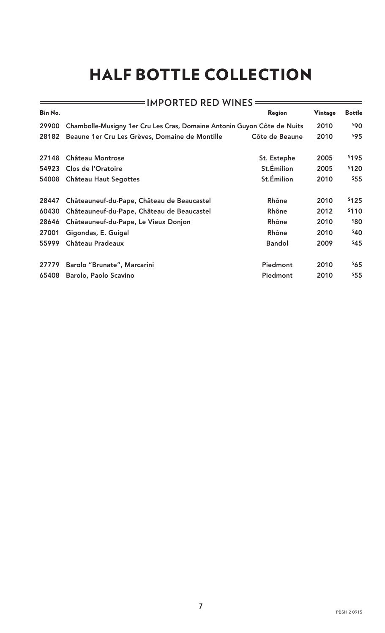| Bin No. |                                                                         | Region         | Vintage | <b>Bottle</b> |
|---------|-------------------------------------------------------------------------|----------------|---------|---------------|
| 29900   | Chambolle-Musigny 1er Cru Les Cras, Domaine Antonin Guyon Côte de Nuits |                | 2010    | \$90          |
| 28182   | Beaune 1er Cru Les Grèves, Domaine de Montille                          | Côte de Beaune | 2010    | \$95          |
| 27148   | <b>Château Montrose</b>                                                 | St. Estephe    | 2005    | \$195         |
| 54923   | Clos de l'Oratoire                                                      | St.Émilion     | 2005    | \$120         |
| 54008   | <b>Château Haut Segottes</b>                                            | St.Émilion     | 2010    | \$55          |
| 28447   | Châteauneuf-du-Pape, Château de Beaucastel                              | Rhône          | 2010    | \$125         |
| 60430   | Châteauneuf-du-Pape, Château de Beaucastel                              | Rhône          | 2012    | \$110         |
| 28646   | Châteauneuf-du-Pape, Le Vieux Donjon                                    | Rhône          | 2010    | \$80          |
| 27001   | Gigondas, E. Guigal                                                     | Rhône          | 2010    | \$40          |
| 55999   | Château Pradeaux                                                        | <b>Bandol</b>  | 2009    | \$45          |
| 27779   | Barolo "Brunate", Marcarini                                             | Piedmont       | 2010    | \$65          |
| 65408   | Barolo, Paolo Scavino                                                   | Piedmont       | 2010    | \$55          |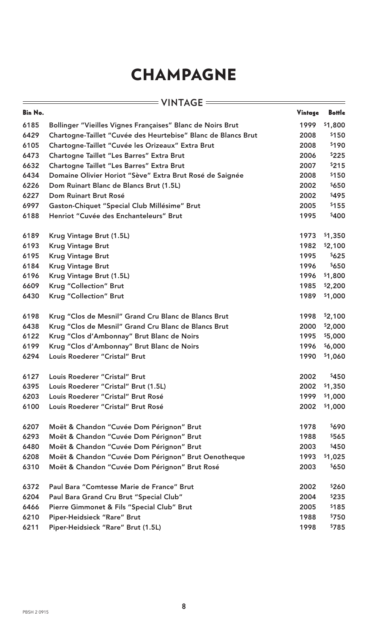### CHAMPAGNE

|                | $=$ VINTAGE $=$                                               |         |               |
|----------------|---------------------------------------------------------------|---------|---------------|
| <b>Bin No.</b> |                                                               | Vintage | <b>Bottle</b> |
| 6185           | Bollinger "Vieilles Vignes Françaises" Blanc de Noirs Brut    | 1999    | \$1,800       |
| 6429           | Chartogne-Taillet "Cuvée des Heurtebise" Blanc de Blancs Brut | 2008    | \$150         |
| 6105           | Chartogne-Taillet "Cuvée les Orizeaux" Extra Brut             | 2008    | \$190         |
| 6473           | Chartogne Taillet "Les Barres" Extra Brut                     | 2006    | \$225         |
| 6632           | Chartogne Taillet "Les Barres" Extra Brut                     | 2007    | \$215         |
| 6434           | Domaine Olivier Horiot "Sève" Extra Brut Rosé de Saignée      | 2008    | \$150         |
| 6226           | Dom Ruinart Blanc de Blancs Brut (1.5L)                       | 2002    | \$650         |
| 6227           | Dom Ruinart Brut Rosé                                         | 2002    | \$495         |
| 6997           | Gaston-Chiquet "Special Club Millésime" Brut                  | 2005    | \$155         |
| 6188           | Henriot "Cuvée des Enchanteleurs" Brut                        | 1995    | \$400         |
| 6189           | Krug Vintage Brut (1.5L)                                      | 1973    | \$1,350       |
| 6193           | <b>Krug Vintage Brut</b>                                      | 1982    | \$2,100       |
| 6195           | <b>Krug Vintage Brut</b>                                      | 1995    | \$625         |
| 6184           | <b>Krug Vintage Brut</b>                                      | 1996    | \$650         |
| 6196           | Krug Vintage Brut (1.5L)                                      | 1996    | \$1,800       |
| 6609           | Krug "Collection" Brut                                        | 1985    | \$2,200       |
| 6430           | Krug "Collection" Brut                                        | 1989    | \$1,000       |
| 6198           | Krug "Clos de Mesnil" Grand Cru Blanc de Blancs Brut          | 1998    | \$2,100       |
| 6438           | Krug "Clos de Mesnil" Grand Cru Blanc de Blancs Brut          | 2000    | \$2,000       |
| 6122           | Krug "Clos d'Ambonnay" Brut Blanc de Noirs                    | 1995    | \$5,000       |
| 6199           | Krug "Clos d'Ambonnay" Brut Blanc de Noirs                    | 1996    | \$6,000       |
| 6294           | Louis Roederer "Cristal" Brut                                 | 1990    | \$1,060       |
| 6127           | Louis Roederer "Cristal" Brut                                 | 2002    | \$450         |
| 6395           | Louis Roederer "Cristal" Brut (1.5L)                          | 2002    | \$1,350       |
| 6203           | Louis Roederer "Cristal" Brut Rosé                            | 1999    | \$1,000       |
| 6100           | Louis Roederer "Cristal" Brut Rosé                            | 2002    | \$1,000       |
| 6207           | Moët & Chandon "Cuvée Dom Pérignon" Brut                      | 1978    | \$690         |
| 6293           | Moët & Chandon "Cuvée Dom Pérignon" Brut                      | 1988    | \$565         |
| 6480           | Moët & Chandon "Cuvée Dom Pérignon" Brut                      | 2003    | \$450         |
| 6208           | Moët & Chandon "Cuvée Dom Pérignon" Brut Oenotheque           | 1993    | \$1,025       |
| 6310           | Moët & Chandon "Cuvée Dom Pérignon" Brut Rosé                 | 2003    | \$650         |
| 6372           | Paul Bara "Comtesse Marie de France" Brut                     | 2002    | \$260         |
| 6204           | Paul Bara Grand Cru Brut "Special Club"                       | 2004    | \$235         |
| 6466           | Pierre Gimmonet & Fils "Special Club" Brut                    | 2005    | \$185         |
| 6210           | Piper-Heidsieck "Rare" Brut                                   | 1988    | \$750         |
| 6211           | Piper-Heidsieck "Rare" Brut (1.5L)                            | 1998    | \$785         |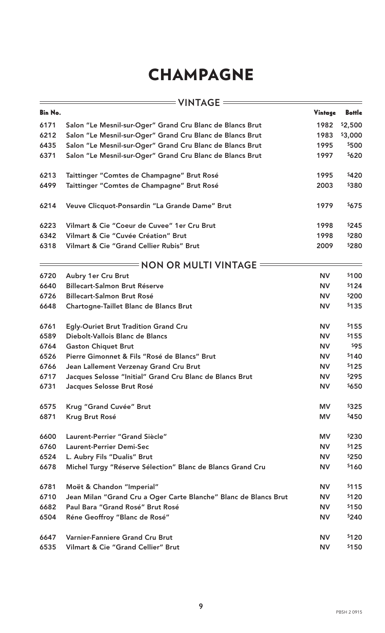### CHAMPAGNE

|         | $=$ <code>VINTAGE</code> $=$                                     |           |               |
|---------|------------------------------------------------------------------|-----------|---------------|
| Bin No. |                                                                  | Vintage   | <b>Bottle</b> |
| 6171    | Salon "Le Mesnil-sur-Oger" Grand Cru Blanc de Blancs Brut        | 1982      | \$2,500       |
| 6212    | Salon "Le Mesnil-sur-Oger" Grand Cru Blanc de Blancs Brut        | 1983      | \$3,000       |
| 6435    | Salon "Le Mesnil-sur-Oger" Grand Cru Blanc de Blancs Brut        | 1995      | \$500         |
| 6371    | Salon "Le Mesnil-sur-Oger" Grand Cru Blanc de Blancs Brut        | 1997      | \$620         |
| 6213    | Taittinger "Comtes de Champagne" Brut Rosé                       | 1995      | \$420         |
| 6499    | Taittinger "Comtes de Champagne" Brut Rosé                       | 2003      | \$380         |
| 6214    | Veuve Clicquot-Ponsardin "La Grande Dame" Brut                   | 1979      | \$675         |
| 6223    | Vilmart & Cie "Coeur de Cuvee" 1er Cru Brut                      | 1998      | \$245         |
| 6342    | Vilmart & Cie "Cuvée Création" Brut                              | 1998      | \$280         |
| 6318    | Vilmart & Cie "Grand Cellier Rubis" Brut                         | 2009      | \$280         |
|         | $=$ NON OR MULTI VINTAGE $\overline{\phantom{a}}$                |           |               |
| 6720    | Aubry 1er Cru Brut                                               | <b>NV</b> | \$100         |
| 6640    | <b>Billecart-Salmon Brut Réserve</b>                             | <b>NV</b> | \$124         |
| 6726    | <b>Billecart-Salmon Brut Rosé</b>                                | <b>NV</b> | \$200         |
| 6648    | Chartogne-Taillet Blanc de Blancs Brut                           | <b>NV</b> | \$135         |
| 6761    | <b>Egly-Ouriet Brut Tradition Grand Cru</b>                      | <b>NV</b> | \$155         |
| 6589    | Diebolt-Vallois Blanc de Blancs                                  | <b>NV</b> | \$155         |
| 6764    | <b>Gaston Chiquet Brut</b>                                       | <b>NV</b> | \$95          |
| 6526    | Pierre Gimonnet & Fils "Rosé de Blancs" Brut                     | <b>NV</b> | \$140         |
| 6766    | Jean Lallement Verzenay Grand Cru Brut                           | <b>NV</b> | \$125         |
| 6717    | Jacques Selosse "Initial" Grand Cru Blanc de Blancs Brut         | <b>NV</b> | \$295         |
| 6731    | Jacques Selosse Brut Rosé                                        | <b>NV</b> | \$650         |
| 6575    | Krug "Grand Cuvée" Brut                                          | <b>MV</b> | \$325         |
| 6871    | Krug Brut Rosé                                                   | <b>MV</b> | \$450         |
| 6600    | Laurent-Perrier "Grand Siècle"                                   | <b>MV</b> | \$230         |
| 6760    | <b>Laurent-Perrier Demi-Sec</b>                                  | <b>NV</b> | \$125         |
| 6524    | L. Aubry Fils "Dualis" Brut                                      | <b>NV</b> | \$250         |
| 6678    | Michel Turgy "Réserve Sélection" Blanc de Blancs Grand Cru       | <b>NV</b> | \$160         |
| 6781    | Moët & Chandon "Imperial"                                        | <b>NV</b> | \$115         |
| 6710    | Jean Milan "Grand Cru a Oger Carte Blanche" Blanc de Blancs Brut | <b>NV</b> | \$120         |
| 6682    | Paul Bara "Grand Rosé" Brut Rosé                                 | <b>NV</b> | \$150         |
| 6504    | Réne Geoffroy "Blanc de Rosé"                                    | <b>NV</b> | \$240         |
| 6647    | Varnier-Fanniere Grand Cru Brut                                  | <b>NV</b> | \$120         |
| 6535    | Vilmart & Cie "Grand Cellier" Brut                               | <b>NV</b> | \$150         |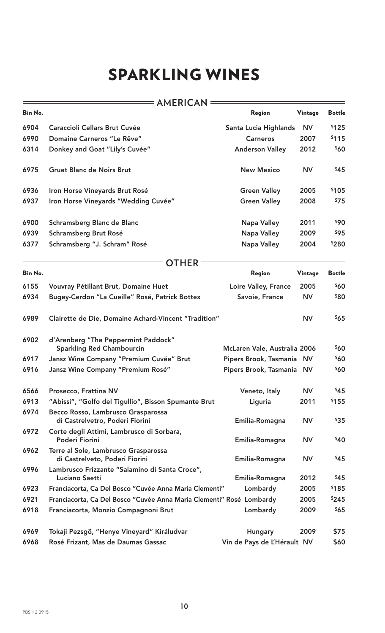## SPARKLING WINES

|         | <b>AMERICAN</b>                                                         |                              |           |               |
|---------|-------------------------------------------------------------------------|------------------------------|-----------|---------------|
| Bin No. |                                                                         | Region                       | Vintage   | <b>Bottle</b> |
| 6904    | <b>Caraccioli Cellars Brut Cuvée</b>                                    | Santa Lucia Highlands        | <b>NV</b> | \$125         |
| 6990    | Domaine Carneros "Le Rêve"                                              | <b>Carneros</b>              | 2007      | \$115         |
| 6314    | Donkey and Goat "Lily's Cuvée"                                          | <b>Anderson Valley</b>       | 2012      | \$60          |
| 6975    | <b>Gruet Blanc de Noirs Brut</b>                                        | <b>New Mexico</b>            | <b>NV</b> | \$45          |
| 6936    | Iron Horse Vineyards Brut Rosé                                          | <b>Green Valley</b>          | 2005      | \$105         |
| 6937    | Iron Horse Vineyards "Wedding Cuvée"                                    | <b>Green Valley</b>          | 2008      | \$75          |
| 6900    | Schramsberg Blanc de Blanc                                              | Napa Valley                  | 2011      | \$90          |
| 6939    | Schramsberg Brut Rosé                                                   | <b>Napa Valley</b>           | 2009      | \$95          |
| 6377    | Schramsberg "J. Schram" Rosé                                            | Napa Valley                  | 2004      | \$280         |
|         | <b>OTHER :</b>                                                          |                              |           |               |
| Bin No. |                                                                         | Region                       | Vintage   | <b>Bottle</b> |
| 6155    | Vouvray Pétillant Brut, Domaine Huet                                    | Loire Valley, France         | 2005      | \$60          |
| 6934    | Bugey-Cerdon "La Cueille" Rosé, Patrick Bottex                          | Savoie, France               | <b>NV</b> | \$80          |
| 6989    | Clairette de Die, Domaine Achard-Vincent "Tradition"                    |                              | <b>NV</b> | \$65          |
| 6902    | d'Arenberg "The Peppermint Paddock"<br><b>Sparkling Red Chambourcin</b> | McLaren Vale, Australia 2006 |           | \$60          |
| 6917    | Jansz Wine Company "Premium Cuvée" Brut                                 | Pipers Brook, Tasmania       | <b>NV</b> | \$60          |
| 6916    | Jansz Wine Company "Premium Rosé"                                       | Pipers Brook, Tasmania       | <b>NV</b> | <b>\$60</b>   |
| 6566    | Prosecco, Frattina NV                                                   | Veneto, Italy                | <b>NV</b> | \$45          |
| 6913    | "Abissi", "Golfo del Tigullio", Bisson Spumante Brut                    | Liguria                      | 2011      | \$155         |
| 6974    | Becco Rosso, Lambrusco Grasparossa<br>di Castrelvetro, Poderi Fiorini   | Emilia-Romagna               | <b>NV</b> | \$35          |
| 6972    | Corte degli Attimi, Lambrusco di Sorbara,<br>Poderi Fiorini             | Emilia-Romagna               | <b>NV</b> | \$40          |
| 6962    | Terre al Sole, Lambrusco Grasparossa<br>di Castrelveto, Poderi Fiorini  | Emilia-Romagna               | <b>NV</b> | \$45          |
| 6996    | Lambrusco Frizzante "Salamino di Santa Croce",<br>Luciano Saetti        | Emilia-Romagna               | 2012      | \$45          |
| 6923    | Franciacorta, Ca Del Bosco "Cuvée Anna Maria Clementi"                  | Lombardy                     | 2005      | \$185         |
| 6921    | Franciacorta, Ca Del Bosco "Cuvée Anna Maria Clementi" Rosé Lombardy    |                              | 2005      | \$245         |
| 6918    | Franciacorta, Monzio Compagnoni Brut                                    | Lombardy                     | 2009      | \$65          |
| 6969    | Tokaji Pezsgö, "Henye Vineyard" Királudvar                              | Hungary                      | 2009      | \$75          |
| 6968    | Rosé Frizant, Mas de Daumas Gassac                                      | Vin de Pays de L'Hérault NV  |           | \$60          |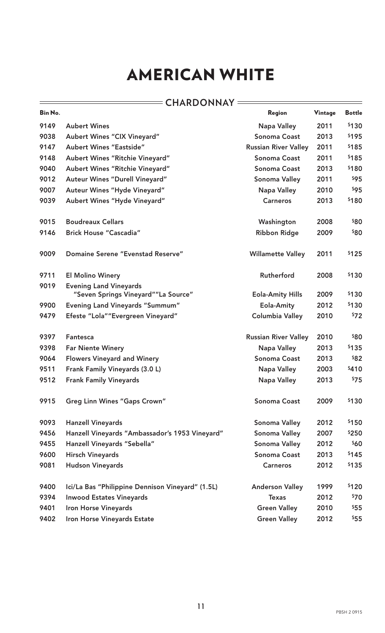### **CHARDONNAY**  $\qquad$

 $\frac{1}{\sqrt{1-\frac{1}{2}}}\left( \frac{1}{\sqrt{1-\frac{1}{2}}}\right) ^{2}$ 

| Bin No. |                                                                      | Region                      | Vintage | <b>Bottle</b>   |
|---------|----------------------------------------------------------------------|-----------------------------|---------|-----------------|
| 9149    | <b>Aubert Wines</b>                                                  | Napa Valley                 | 2011    | \$130           |
| 9038    | <b>Aubert Wines "CIX Vineyard"</b>                                   | Sonoma Coast                | 2013    | \$195           |
| 9147    | <b>Aubert Wines "Eastside"</b>                                       | <b>Russian River Valley</b> | 2011    | \$185           |
| 9148    | Aubert Wines "Ritchie Vineyard"                                      | <b>Sonoma Coast</b>         | 2011    | \$185           |
| 9040    | Aubert Wines "Ritchie Vineyard"                                      | <b>Sonoma Coast</b>         | 2013    | \$180           |
| 9012    | <b>Auteur Wines "Durell Vineyard"</b>                                | Sonoma Valley               | 2011    | \$95            |
| 9007    | Auteur Wines "Hyde Vineyard"                                         | Napa Valley                 | 2010    | \$95            |
| 9039    | Aubert Wines "Hyde Vineyard"                                         | <b>Carneros</b>             | 2013    | \$180           |
| 9015    | <b>Boudreaux Cellars</b>                                             | Washington                  | 2008    | \$80            |
| 9146    | <b>Brick House "Cascadia"</b>                                        | <b>Ribbon Ridge</b>         | 2009    | <b>\$80</b>     |
| 9009    | Domaine Serene "Evenstad Reserve"                                    | <b>Willamette Valley</b>    | 2011    | \$125           |
| 9711    | <b>El Molino Winery</b>                                              | Rutherford                  | 2008    | \$130           |
| 9019    | <b>Evening Land Vineyards</b><br>"Seven Springs Vineyard""La Source" | <b>Eola-Amity Hills</b>     | 2009    | \$130           |
| 9900    | <b>Evening Land Vineyards "Summum"</b>                               | Eola-Amity                  | 2012    | \$130           |
| 9479    | Efeste "Lola""Evergreen Vineyard"                                    | <b>Columbia Valley</b>      | 2010    | 572             |
| 9397    | Fantesca                                                             | <b>Russian River Valley</b> | 2010    | \$80            |
| 9398    | <b>Far Niente Winery</b>                                             | <b>Napa Valley</b>          | 2013    | \$135           |
| 9064    | <b>Flowers Vineyard and Winery</b>                                   | <b>Sonoma Coast</b>         | 2013    | \$82            |
| 9511    | <b>Frank Family Vineyards (3.0 L)</b>                                | Napa Valley                 | 2003    | \$410           |
| 9512    | <b>Frank Family Vineyards</b>                                        | <b>Napa Valley</b>          | 2013    | \$75            |
| 9915    | <b>Greg Linn Wines "Gaps Crown"</b>                                  | Sonoma Coast                | 2009    | \$130           |
| 9093    | <b>Hanzell Vineyards</b>                                             | Sonoma Valley               | 2012    | \$150           |
| 9456    | Hanzell Vineyards "Ambassador's 1953 Vineyard"                       | Sonoma Valley               | 2007    | \$250           |
| 9455    | Hanzell Vineyards "Sebella"                                          | Sonoma Valley               | 2012    | \$60            |
| 9600    | <b>Hirsch Vineyards</b>                                              | <b>Sonoma Coast</b>         | 2013    | \$145           |
| 9081    | <b>Hudson Vineyards</b>                                              | <b>Carneros</b>             | 2012    | \$135           |
| 9400    | Ici/La Bas "Philippine Dennison Vineyard" (1.5L)                     | <b>Anderson Valley</b>      | 1999    | \$120           |
| 9394    | <b>Inwood Estates Vineyards</b>                                      | <b>Texas</b>                | 2012    | <sup>\$70</sup> |
| 9401    | <b>Iron Horse Vineyards</b>                                          | <b>Green Valley</b>         | 2010    | \$55            |
| 9402    | Iron Horse Vineyards Estate                                          | <b>Green Valley</b>         | 2012    | \$55            |

 $=$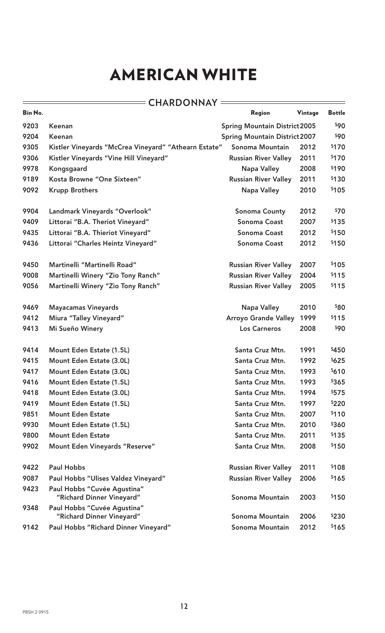| Bin No. | <b>CHARDONNAY =</b>                                      | Region                               | Vintage | <b>Bottle</b> |
|---------|----------------------------------------------------------|--------------------------------------|---------|---------------|
| 9203    | Keenan                                                   | <b>Spring Mountain District 2005</b> |         | \$90          |
| 9204    | Keenan                                                   | <b>Spring Mountain District 2007</b> |         | \$90          |
| 9305    | Kistler Vineyards "McCrea Vineyard" "Athearn Estate"     | Sonoma Mountain                      | 2012    | \$170         |
| 9306    | Kistler Vineyards "Vine Hill Vineyard"                   | <b>Russian River Valley</b>          | 2011    | \$170         |
| 9978    | Kongsgaard                                               | <b>Napa Valley</b>                   | 2008    | \$190         |
| 9189    | Kosta Browne "One Sixteen"                               | <b>Russian River Valley</b>          | 2011    | \$130         |
| 9092    | <b>Krupp Brothers</b>                                    | <b>Napa Valley</b>                   | 2010    | \$105         |
| 9904    | Landmark Vineyards "Overlook"                            | <b>Sonoma County</b>                 | 2012    | \$70          |
| 9409    | Littorai "B.A. Theriot Vineyard"                         | Sonoma Coast                         | 2007    | \$135         |
| 9435    | Littorai "B.A. Thieriot Vineyard"                        | Sonoma Coast                         | 2012    | \$150         |
| 9436    | Littorai "Charles Heintz Vineyard"                       | Sonoma Coast                         | 2012    | \$150         |
| 9450    | Martinelli "Martinelli Road"                             | <b>Russian River Valley</b>          | 2007    | \$105         |
| 9008    | Martinelli Winery "Zio Tony Ranch"                       | <b>Russian River Valley</b>          | 2004    | \$115         |
| 9056    | Martinelli Winery "Zio Tony Ranch"                       | <b>Russian River Valley</b>          | 2005    | \$115         |
| 9469    | <b>Mayacamas Vineyards</b>                               | <b>Napa Valley</b>                   | 2010    | \$80          |
| 9412    | Miura "Talley Vineyard"                                  | <b>Arroyo Grande Valley</b>          | 1999    | \$115         |
| 9413    | Mi Sueño Winery                                          | <b>Los Carneros</b>                  | 2008    | \$90          |
| 9414    | Mount Eden Estate (1.5L)                                 | Santa Cruz Mtn.                      | 1991    | \$450         |
| 9415    | Mount Eden Estate (3.0L)                                 | Santa Cruz Mtn.                      | 1992    | \$625         |
| 9417    | Mount Eden Estate (3.0L)                                 | Santa Cruz Mtn.                      | 1993    | \$610         |
| 9416    | Mount Eden Estate (1.5L)                                 | Santa Cruz Mtn.                      | 1993    | \$365         |
| 9418    | Mount Eden Estate (3.0L)                                 | Santa Cruz Mtn.                      | 1994    | \$575         |
| 9419    | Mount Eden Estate (1.5L)                                 | Santa Cruz Mtn.                      | 1997    | <b>\$220</b>  |
| 9851    | <b>Mount Eden Estate</b>                                 | Santa Cruz Mtn.                      | 2007    | \$110         |
| 9930    | Mount Eden Estate (1.5L)                                 | Santa Cruz Mtn.                      | 2010    | \$360         |
| 9800    | <b>Mount Eden Estate</b>                                 | Santa Cruz Mtn.                      | 2011    | \$135         |
| 9902    | Mount Eden Vineyards "Reserve"                           | Santa Cruz Mtn.                      | 2008    | \$150         |
| 9422    | <b>Paul Hobbs</b>                                        | <b>Russian River Valley</b>          | 2011    | \$108         |
| 9087    | Paul Hobbs "Ulises Valdez Vineyard"                      | <b>Russian River Valley</b>          | 2006    | \$165         |
| 9423    | Paul Hobbs "Cuvée Agustina"<br>"Richard Dinner Vineyard" | Sonoma Mountain                      | 2003    | \$150         |
| 9348    | Paul Hobbs "Cuvée Agustina"<br>"Richard Dinner Vineyard" | Sonoma Mountain                      | 2006    | \$230         |
| 9142    | Paul Hobbs "Richard Dinner Vineyard"                     | Sonoma Mountain                      | 2012    | \$165         |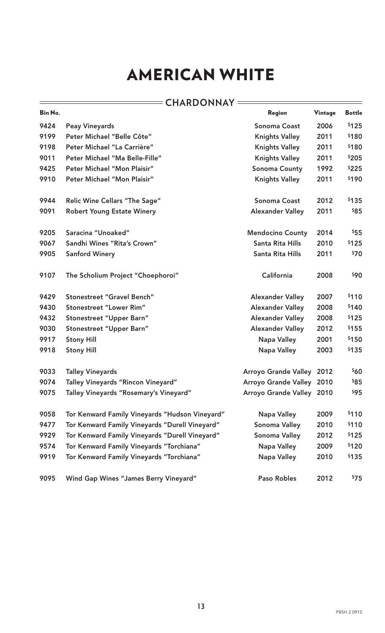#### **CHARDONNAY**  $\qquad$

 $\frac{1}{\sqrt{1-\frac{1}{2}}}\left( \frac{1}{\sqrt{1-\frac{1}{2}}}\right) ^{2}$ 

| Bin No. |                                                | Region                           | Vintage | <b>Bottle</b>   |
|---------|------------------------------------------------|----------------------------------|---------|-----------------|
| 9424    | <b>Peay Vineyards</b>                          | <b>Sonoma Coast</b>              | 2006    | \$125           |
| 9199    | Peter Michael "Belle Côte"                     | <b>Knights Valley</b>            | 2011    | \$180           |
| 9198    | Peter Michael "La Carrière"                    | <b>Knights Valley</b>            | 2011    | \$180           |
| 9011    | Peter Michael "Ma Belle-Fille"                 | <b>Knights Valley</b>            | 2011    | \$205           |
| 9425    | Peter Michael "Mon Plaisir"                    | <b>Sonoma County</b>             | 1992    | \$225           |
| 9910    | Peter Michael "Mon Plaisir"                    | <b>Knights Valley</b>            | 2011    | \$190           |
| 9944    | <b>Relic Wine Cellars "The Sage"</b>           | <b>Sonoma Coast</b>              | 2012    | \$135           |
| 9091    | <b>Robert Young Estate Winery</b>              | <b>Alexander Valley</b>          | 2011    | <b>\$85</b>     |
| 9205    | Saracina "Unoaked"                             | <b>Mendocino County</b>          | 2014    | \$55            |
| 9067    | Sandhi Wines "Rita's Crown"                    | Santa Rita Hills                 | 2010    | \$125           |
| 9905    | <b>Sanford Winery</b>                          | Santa Rita Hills                 | 2011    | <sup>\$70</sup> |
| 9107    | The Scholium Project "Choephoroi"              | California                       | 2008    | \$90            |
| 9429    | <b>Stonestreet "Gravel Bench"</b>              | <b>Alexander Valley</b>          | 2007    | \$110           |
| 9430    | Stonestreet "Lower Rim"                        | <b>Alexander Valley</b>          | 2008    | \$140           |
| 9432    | <b>Stonestreet "Upper Barn"</b>                | <b>Alexander Valley</b>          | 2008    | \$125           |
| 9030    | <b>Stonestreet "Upper Barn"</b>                | <b>Alexander Valley</b>          | 2012    | \$155           |
| 9917    | <b>Stony Hill</b>                              | <b>Napa Valley</b>               | 2001    | \$150           |
| 9918    | <b>Stony Hill</b>                              | <b>Napa Valley</b>               | 2003    | \$135           |
| 9033    | <b>Talley Vineyards</b>                        | <b>Arroyo Grande Valley 2012</b> |         | <b>\$60</b>     |
| 9074    | Talley Vineyards "Rincon Vineyard"             | Arroyo Grande Valley 2010        |         | \$85            |
| 9075    | Talley Vineyards "Rosemary's Vineyard"         | Arroyo Grande Valley 2010        |         | \$95            |
| 9058    | Tor Kenward Family Vineyards "Hudson Vineyard" | <b>Napa Valley</b>               | 2009    | \$110           |
| 9477    | Tor Kenward Family Vineyards "Durell Vineyard" | Sonoma Valley                    | 2010    | \$110           |
| 9929    | Tor Kenward Family Vineyards "Durell Vineyard" | <b>Sonoma Valley</b>             | 2012    | \$125           |
| 9574    | Tor Kenward Family Vineyards "Torchiana"       | <b>Napa Valley</b>               | 2009    | \$120           |
| 9919    | Tor Kenward Family Vineyards "Torchiana"       | Napa Valley                      | 2010    | \$135           |
| 9095    | Wind Gap Wines "James Berry Vineyard"          | Paso Robles                      | 2012    | \$75            |

 $=$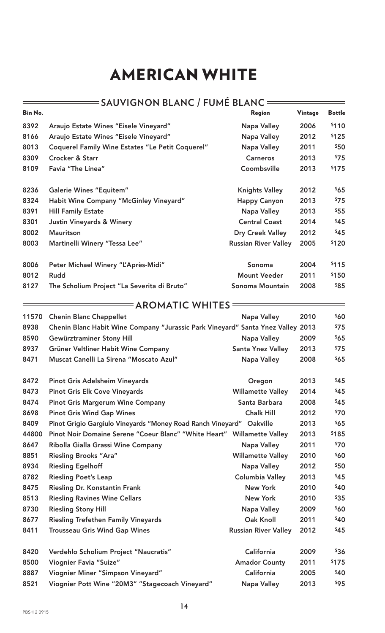### **SAUVIGNON BLANC / FUMÉ BLANC**

| Bin No. |                                                                                 | Region                      | Vintage | <b>Bottle</b>   |
|---------|---------------------------------------------------------------------------------|-----------------------------|---------|-----------------|
| 8392    | Araujo Estate Wines "Eisele Vineyard"                                           | Napa Valley                 | 2006    | \$110           |
| 8166    | Araujo Estate Wines "Eisele Vineyard"                                           | Napa Valley                 | 2012    | \$125           |
| 8013    | <b>Coquerel Family Wine Estates "Le Petit Coquerel"</b>                         | <b>Napa Valley</b>          | 2011    | \$50            |
| 8309    | <b>Crocker &amp; Starr</b>                                                      | <b>Carneros</b>             | 2013    | \$75            |
| 8109    | Favia "The Línea"                                                               | Coombsville                 | 2013    | \$175           |
| 8236    | <b>Galerie Wines "Equitem"</b>                                                  | <b>Knights Valley</b>       | 2012    | \$65            |
| 8324    | Habit Wine Company "McGinley Vineyard"                                          | <b>Happy Canyon</b>         | 2013    | 575             |
| 8391    | <b>Hill Family Estate</b>                                                       | Napa Valley                 | 2013    | \$55            |
| 8301    | <b>Justin Vineyards &amp; Winery</b>                                            | <b>Central Coast</b>        | 2014    | \$45            |
| 8002    | <b>Mauritson</b>                                                                | <b>Dry Creek Valley</b>     | 2012    | \$45            |
| 8003    | Martinelli Winery "Tessa Lee"                                                   | <b>Russian River Valley</b> | 2005    | \$120           |
| 8006    | Peter Michael Winery "L'Après-Midi"                                             | Sonoma                      | 2004    | \$115           |
| 8012    | <b>Rudd</b>                                                                     | <b>Mount Veeder</b>         | 2011    | \$150           |
| 8127    | The Scholium Project "La Severita di Bruto"                                     | Sonoma Mountain             | 2008    | \$85            |
|         | <b>= AROMATIC WHITES =</b>                                                      |                             |         |                 |
| 11570   | <b>Chenin Blanc Chappellet</b>                                                  | Napa Valley                 | 2010    | <b>\$60</b>     |
| 8938    | Chenin Blanc Habit Wine Company "Jurassic Park Vineyard" Santa Ynez Valley 2013 |                             |         | \$75            |
| 8590    | Gewürztraminer Stony Hill                                                       | <b>Napa Valley</b>          | 2009    | \$65            |
| 8937    | Grüner Veltliner Habit Wine Company                                             | <b>Santa Ynez Valley</b>    | 2013    | \$75            |
| 8471    | Muscat Canelli La Sirena "Moscato Azul"                                         | <b>Napa Valley</b>          | 2008    | \$65            |
| 8472    | <b>Pinot Gris Adelsheim Vineyards</b>                                           | Oregon                      | 2013    | \$45            |
| 8473    | <b>Pinot Gris Elk Cove Vineyards</b>                                            | <b>Willamette Valley</b>    | 2014    | \$45            |
| 8474    | <b>Pinot Gris Margerum Wine Company</b>                                         | Santa Barbara               | 2008    | \$45            |
| 8698    | <b>Pinot Gris Wind Gap Wines</b>                                                | <b>Chalk Hill</b>           | 2012    | <sup>\$70</sup> |
| 8409    | Pinot Grigio Gargiulo Vineyards "Money Road Ranch Vineyard" Oakville            |                             | 2013    | \$65            |
| 44800   | Pinot Noir Domaine Serene "Coeur Blanc" "White Heart" Willamette Valley         |                             | 2013    | \$185           |
| 8647    | Ribolla Gialla Grassi Wine Company                                              | Napa Valley                 | 2011    | \$70            |
| 8851    | <b>Riesling Brooks "Ara"</b>                                                    | <b>Willamette Valley</b>    | 2010    | <b>\$60</b>     |
| 8934    | <b>Riesling Egelhoff</b>                                                        | <b>Napa Valley</b>          | 2012    | \$50            |
| 8782    | <b>Riesling Poet's Leap</b>                                                     | <b>Columbia Valley</b>      | 2013    | \$45            |
| 8475    | <b>Riesling Dr. Konstantin Frank</b>                                            | <b>New York</b>             | 2010    | \$40            |
| 8513    | <b>Riesling Ravines Wine Cellars</b>                                            | <b>New York</b>             | 2010    | \$35            |
| 8730    | <b>Riesling Stony Hill</b>                                                      | Napa Valley                 | 2009    | \$60            |
| 8677    | <b>Riesling Trefethen Family Vineyards</b>                                      | Oak Knoll                   | 2011    | \$40            |
| 8411    | <b>Trousseau Gris Wind Gap Wines</b>                                            | <b>Russian River Valley</b> | 2012    | \$45            |
| 8420    | Verdehlo Scholium Project "Naucratis"                                           | California                  | 2009    | \$36            |
| 8500    | <b>Viognier Favia "Suize"</b>                                                   | <b>Amador County</b>        | 2011    | \$175           |
| 8887    | Viognier Miner "Simpson Vineyard"                                               | California                  | 2005    | \$40            |
| 8521    | Viognier Pott Wine "20M3" "Stagecoach Vineyard"                                 | Napa Valley                 | 2013    | \$95            |

 $\equiv$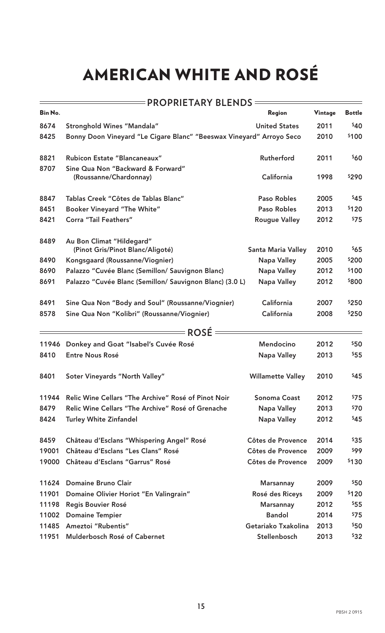# AMERICAN WHITE AND ROSÉ

| = PROPRIETARY BLENDS = |                                                                      |                          |         |                 |
|------------------------|----------------------------------------------------------------------|--------------------------|---------|-----------------|
| Bin No.                |                                                                      | Region                   | Vintage | <b>Bottle</b>   |
| 8674                   | <b>Stronghold Wines "Mandala"</b>                                    | <b>United States</b>     | 2011    | \$40            |
| 8425                   | Bonny Doon Vineyard "Le Cigare Blanc" "Beeswax Vineyard" Arroyo Seco |                          | 2010    | \$100           |
| 8821                   | Rubicon Estate "Blancaneaux"                                         | Rutherford               | 2011    | \$60            |
| 8707                   | Sine Qua Non "Backward & Forward"                                    |                          |         |                 |
|                        | (Roussanne/Chardonnay)                                               | California               | 1998    | \$290           |
| 8847                   | Tablas Creek "Côtes de Tablas Blanc"                                 | <b>Paso Robles</b>       | 2005    | \$45            |
| 8451                   | <b>Booker Vineyard "The White"</b>                                   | <b>Paso Robles</b>       | 2013    | \$120           |
| 8421                   | <b>Corra "Tail Feathers"</b>                                         | <b>Rougue Valley</b>     | 2012    | \$75            |
| 8489                   | Au Bon Climat "Hildegard"                                            |                          |         |                 |
|                        | (Pinot Gris/Pinot Blanc/Aligoté)                                     | Santa Maria Valley       | 2010    | \$65            |
| 8490                   | Kongsgaard (Roussanne/Viognier)                                      | Napa Valley              | 2005    | \$200           |
| 8690                   | Palazzo "Cuvée Blanc (Semillon/ Sauvignon Blanc)                     | <b>Napa Valley</b>       | 2012    | \$100           |
| 8691                   | Palazzo "Cuvée Blanc (Semillon/ Sauvignon Blanc) (3.0 L)             | <b>Napa Valley</b>       | 2012    | \$800           |
| 8491                   | Sine Qua Non "Body and Soul" (Roussanne/Viognier)                    | California               | 2007    | \$250           |
| 8578                   | Sine Qua Non "Kolibri" (Roussanne/Viognier)                          | California               | 2008    | \$250           |
|                        | $ROSE =$                                                             |                          |         |                 |
| 11946                  | Donkey and Goat "Isabel's Cuvée Rosé                                 | Mendocino                | 2012    | \$50            |
| 8410                   | <b>Entre Nous Rosé</b>                                               | <b>Napa Valley</b>       | 2013    | \$55            |
| 8401                   | Soter Vineyards "North Valley"                                       | <b>Willamette Valley</b> | 2010    | \$45            |
| 11944                  | Relic Wine Cellars "The Archive" Rosé of Pinot Noir                  | <b>Sonoma Coast</b>      | 2012    | \$75            |
| 8479                   | Relic Wine Cellars "The Archive" Rosé of Grenache                    | <b>Napa Valley</b>       | 2013    | <sup>\$70</sup> |
| 8424                   | <b>Turley White Zinfandel</b>                                        | Napa Valley              | 2012    | \$45            |
| 8459                   | Château d'Esclans "Whispering Angel" Rosé                            | Côtes de Provence        | 2014    | \$35            |
| 19001                  | Château d'Esclans "Les Clans" Rosé                                   | Côtes de Provence        | 2009    | \$99            |
| 19000                  | Château d'Esclans "Garrus" Rosé                                      | Côtes de Provence        | 2009    | \$130           |
| 11624                  | <b>Domaine Bruno Clair</b>                                           | <b>Marsannay</b>         | 2009    | \$50            |
| 11901                  | Domaine Olivier Horiot "En Valingrain"                               | Rosé des Riceys          | 2009    | \$120           |
| 11198                  | <b>Regis Bouvier Rosé</b>                                            | <b>Marsannay</b>         | 2012    | \$55            |
| 11002                  | <b>Domaine Tempier</b>                                               | <b>Bandol</b>            | 2014    | \$75            |
| 11485                  | Ameztoi "Rubentis"                                                   | Getariako Txakolina      | 2013    | \$50            |
| 11951                  | Mulderbosch Rosé of Cabernet                                         | Stellenbosch             | 2013    | \$32            |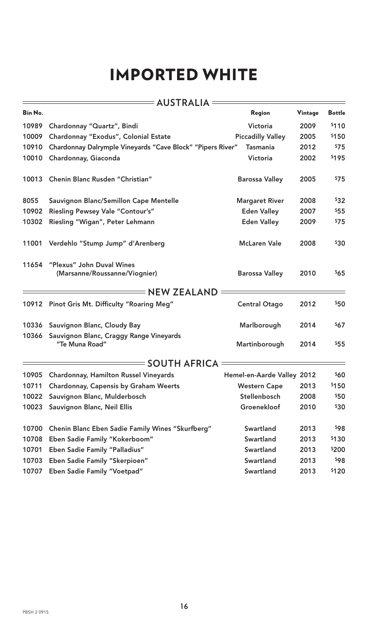### IMPORTED WHITE

|         | <b>= AUSTRALIA =</b>                                       |                            |         |               |
|---------|------------------------------------------------------------|----------------------------|---------|---------------|
| Bin No. |                                                            | Region                     | Vintage | <b>Bottle</b> |
| 10989   | Chardonnay "Quartz", Bindi                                 | Victoria                   | 2009    | \$110         |
| 10009   | Chardonnay "Exodus", Colonial Estate                       | <b>Piccadilly Valley</b>   | 2005    | \$150         |
| 10910   | Chardonnay Dalrymple Vineyards "Cave Block" "Pipers River" | <b>Tasmania</b>            | 2012    | \$75          |
| 10010   | Chardonnay, Giaconda                                       | Victoria                   | 2002    | \$195         |
| 10013   | Chenin Blanc Rusden "Christian"                            | <b>Barossa Valley</b>      | 2005    | 575           |
| 8055    | Sauvignon Blanc/Semillon Cape Mentelle                     | <b>Margaret River</b>      | 2008    | \$32          |
| 10902   | Riesling Pewsey Vale "Contour's"                           | <b>Eden Valley</b>         | 2007    | \$55          |
| 10302   | Riesling "Wigan", Peter Lehmann                            | <b>Eden Valley</b>         | 2009    | 575           |
| 11001   | Verdehlo "Stump Jump" d'Arenberg                           | <b>McLaren Vale</b>        | 2008    | \$30          |
| 11654   | "Plexus" John Duval Wines<br>(Marsanne/Roussanne/Viognier) | <b>Barossa Valley</b>      | 2010    | \$65          |
|         | <b>NEW ZEALAND</b>                                         |                            |         |               |
|         | 10912 Pinot Gris Mt. Difficulty "Roaring Meg"              | <b>Central Otago</b>       | 2012    | \$50          |
|         | 10336 Sauvignon Blanc, Cloudy Bay                          | Marlborough                | 2014    | \$67          |
| 10366   | Sauvignon Blanc, Craggy Range Vineyards<br>"Te Muna Road"  | Martinborough              | 2014    | \$55          |
|         | = SOUTH AFRICA                                             |                            |         |               |
| 10905   | <b>Chardonnay, Hamilton Russel Vineyards</b>               | Hemel-en-Aarde Valley 2012 |         | \$60          |
| 10711   | <b>Chardonnay, Capensis by Graham Weerts</b>               | <b>Western Cape</b>        | 2013    | \$150         |
| 10022   | Sauvignon Blanc, Mulderbosch                               | Stellenbosch               | 2008    | \$50          |
| 10023   | Sauvignon Blanc, Neil Ellis                                | Groenekloof                | 2010    | \$30          |
| 10700   | Chenin Blanc Eben Sadie Family Wines "Skurfberg"           | Swartland                  | 2013    | \$98          |
| 10708   | Eben Sadie Family "Kokerboom"                              | Swartland                  | 2013    | \$130         |
| 10701   | Eben Sadie Family "Palladius"                              | Swartland                  | 2013    | \$200         |
| 10703   | Eben Sadie Family "Skerpioen"                              | Swartland                  | 2013    | \$98          |
| 10707   | <b>Eben Sadie Family "Voetpad"</b>                         | Swartland                  | 2013    | \$120         |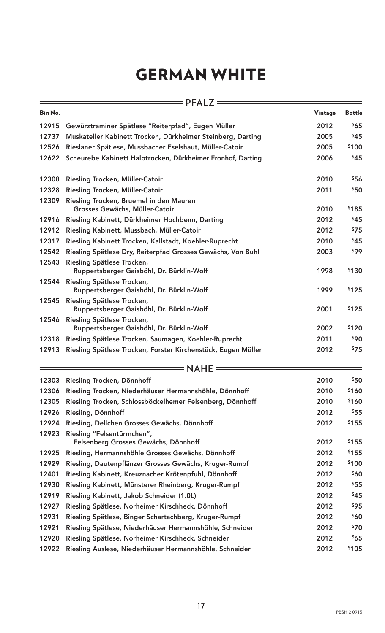### GERMAN WHITE

|         | $=$ PFALZ $=$                                                             |         |               |
|---------|---------------------------------------------------------------------------|---------|---------------|
| Bin No. |                                                                           | Vintage | <b>Bottle</b> |
| 12915   | Gewürztraminer Spätlese "Reiterpfad", Eugen Müller                        | 2012    | \$65          |
| 12737   | Muskateller Kabinett Trocken, Dürkheimer Steinberg, Darting               | 2005    | \$45          |
| 12526   | Rieslaner Spätlese, Mussbacher Eselshaut, Müller-Catoir                   | 2005    | \$100         |
| 12622   | Scheurebe Kabinett Halbtrocken, Dürkheimer Fronhof, Darting               | 2006    | \$45          |
| 12308   | Riesling Trocken, Müller-Catoir                                           | 2010    | \$56          |
| 12328   | Riesling Trocken, Müller-Catoir                                           | 2011    | \$50          |
| 12309   | Riesling Trocken, Bruemel in den Mauren<br>Grosses Gewächs, Müller-Catoir | 2010    | \$185         |
| 12916   | Riesling Kabinett, Dürkheimer Hochbenn, Darting                           | 2012    | \$45          |
| 12912   | Riesling Kabinett, Mussbach, Müller-Catoir                                | 2012    | \$75          |
| 12317   | Riesling Kabinett Trocken, Kallstadt, Koehler-Ruprecht                    | 2010    | \$45          |
| 12542   | Riesling Spätlese Dry, Reiterpfad Grosses Gewächs, Von Buhl               | 2003    | \$99          |
| 12543   | Riesling Spätlese Trocken,<br>Ruppertsberger Gaisböhl, Dr. Bürklin-Wolf   | 1998    | \$130         |
| 12544   | Riesling Spätlese Trocken,<br>Ruppertsberger Gaisböhl, Dr. Bürklin-Wolf   | 1999    | \$125         |
| 12545   | Riesling Spätlese Trocken,<br>Ruppertsberger Gaisböhl, Dr. Bürklin-Wolf   | 2001    | \$125         |
| 12546   | Riesling Spätlese Trocken,                                                |         |               |
|         | Ruppertsberger Gaisböhl, Dr. Bürklin-Wolf                                 | 2002    | \$120         |
| 12318   | Riesling Spätlese Trocken, Saumagen, Koehler-Ruprecht                     | 2011    | \$90          |
| 12913   | Riesling Spätlese Trocken, Forster Kirchenstück, Eugen Müller             | 2012    | \$75          |
|         | NAHE                                                                      |         |               |
|         | 12303 Riesling Trocken, Dönnhoff                                          | 2010    | \$50          |
| 12306   | Riesling Trocken, Niederhäuser Hermannshöhle, Dönnhoff                    | 2010    | \$160         |
| 12305   | Riesling Trocken, Schlossböckelhemer Felsenberg, Dönnhoff                 | 2010    | \$160         |
| 12926   | Riesling, Dönnhoff                                                        | 2012    | \$55          |
| 12924   | Riesling, Dellchen Grosses Gewächs, Dönnhoff                              | 2012    | \$155         |
| 12923   | Riesling "Felsentürmchen",<br>Felsenberg Grosses Gewächs, Dönnhoff        | 2012    | \$155         |
| 12925   | Riesling, Hermannshöhle Grosses Gewächs, Dönnhoff                         | 2012    | \$155         |
| 12929   | Riesling, Dautenpflänzer Grosses Gewächs, Kruger-Rumpf                    | 2012    | \$100         |
| 12401   | Riesling Kabinett, Kreuznacher Krötenpfuhl, Dönnhoff                      | 2012    | \$60          |
| 12930   | Riesling Kabinett, Münsterer Rheinberg, Kruger-Rumpf                      | 2012    | \$55          |
| 12919   | Riesling Kabinett, Jakob Schneider (1.0L)                                 | 2012    | \$45          |
| 12927   | Riesling Spätlese, Norheimer Kirschheck, Dönnhoff                         | 2012    | \$95          |
| 12931   | Riesling Spätlese, Binger Schartachberg, Kruger-Rumpf                     | 2012    | \$60          |
| 12921   | Riesling Spätlese, Niederhäuser Hermannshöhle, Schneider                  | 2012    | \$70          |
| 12920   | Riesling Spätlese, Norheimer Kirschheck, Schneider                        | 2012    | \$65          |
| 12922   | Riesling Auslese, Niederhäuser Hermannshöhle, Schneider                   | 2012    | \$105         |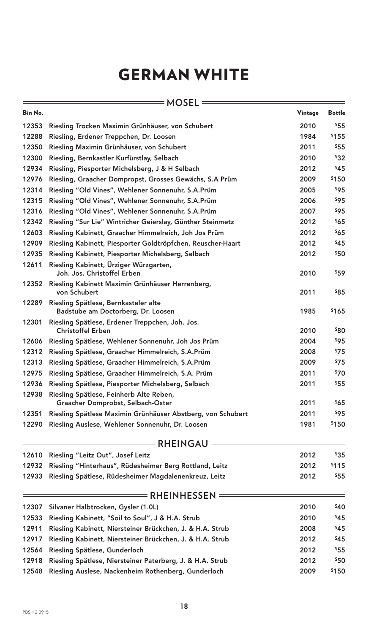### GERMAN WHITE

|         | <b>MOSEL</b>                                                                 |         |               |
|---------|------------------------------------------------------------------------------|---------|---------------|
| Bin No. |                                                                              | Vintage | <b>Bottle</b> |
| 12353   | Riesling Trocken Maximin Grünhäuser, von Schubert                            | 2010    | \$55          |
| 12288   | Riesling, Erdener Treppchen, Dr. Loosen                                      | 1984    | \$155         |
| 12350   | Riesling Maximin Grünhäuser, von Schubert                                    | 2011    | \$55          |
| 12300   | Riesling, Bernkastler Kurfürstlay, Selbach                                   | 2010    | \$32          |
| 12934   | Riesling, Piesporter Michelsberg, J & H Selbach                              | 2012    | \$45          |
| 12976   | Riesling, Graacher Dompropst, Grosses Gewächs, S.A Prüm                      | 2009    | \$150         |
| 12314   | Riesling "Old Vines", Wehlener Sonnenuhr, S.A.Prüm                           | 2005    | \$95          |
| 12315   | Riesling "Old Vines", Wehlener Sonnenuhr, S.A.Prüm                           | 2006    | \$95          |
| 12316   | Riesling "Old Vines", Wehlener Sonnenuhr, S.A.Prüm                           | 2007    | \$95          |
| 12342   | Riesling "Sur Lie" Wintricher Geierslay, Günther Steinmetz                   | 2012    | \$65          |
| 12603   | Riesling Kabinett, Graacher Himmelreich, Joh Jos Prüm                        | 2012    | \$65          |
| 12909   | Riesling Kabinett, Piesporter Goldtröpfchen, Reuscher-Haart                  | 2012    | \$45          |
| 12935   | Riesling Kabinett, Piesporter Michelsberg, Selbach                           | 2012    | \$50          |
| 12611   | Riesling Kabinett, Ürziger Würzgarten,<br>Joh. Jos. Christoffel Erben        | 2010    | \$59          |
| 12352   |                                                                              |         |               |
|         | Riesling Kabinett Maximin Grünhäuser Herrenberg,<br>von Schubert             | 2011    | \$85          |
| 12289   | Riesling Spätlese, Bernkasteler alte<br>Badstube am Doctorberg, Dr. Loosen   | 1985    | \$165         |
| 12301   | Riesling Spätlese, Erdener Treppchen, Joh. Jos.<br><b>Christoffel Erben</b>  | 2010    | \$80          |
| 12606   | Riesling Spätlese, Wehlener Sonnenuhr, Joh Jos Prüm                          | 2004    | \$95          |
| 12312   |                                                                              | 2008    | \$75          |
| 12313   | Riesling Spätlese, Graacher Himmelreich, S.A.Prüm                            | 2009    | \$75          |
| 12975   | Riesling Spätlese, Graacher Himmelreich, S.A.Prüm                            | 2011    | \$70          |
|         | Riesling Spätlese, Graacher Himmelreich, S.A. Prüm                           |         |               |
| 12936   | Riesling Spätlese, Piesporter Michelsberg, Selbach                           | 2011    | \$55          |
| 12938   | Riesling Spätlese, Feinherb Alte Reben,<br>Graacher Domprobst, Selbach-Oster | 2011    | \$65          |
| 12351   | Riesling Spätlese Maximin Grünhäuser Abstberg, von Schubert                  | 2011    | \$95          |
| 12290   | Riesling Auslese, Wehlener Sonnenuhr, Dr. Loosen                             | 1981    | \$150         |
|         | <b>RHEINGAU</b>                                                              |         |               |
| 12610   | Riesling "Leitz Out", Josef Leitz                                            | 2012    | \$35          |
| 12932   | Riesling "Hinterhaus", Rüdesheimer Berg Rottland, Leitz                      | 2012    | \$115         |
| 12933   | Riesling Spätlese, Rüdesheimer Magdalenenkreuz, Leitz                        | 2012    | \$55          |
|         | <b>RHEINHESSEN:</b>                                                          |         |               |
| 12307   | Silvaner Halbtrocken, Gysler (1.0L)                                          | 2010    | \$40          |
| 12533   | Riesling Kabinett, "Soil to Soul", J & H.A. Strub                            | 2010    | \$45          |
| 12911   | Riesling Kabinett, Niersteiner Brückchen, J. & H.A. Strub                    | 2008    | \$45          |
| 12917   | Riesling Kabinett, Niersteiner Brückchen, J. & H.A. Strub                    | 2012    | \$45          |
| 12564   | Riesling Spätlese, Gunderloch                                                | 2012    | \$55          |
| 12918   | Riesling Spätlese, Niersteiner Paterberg, J. & H.A. Strub                    | 2012    | \$50          |
| 12548   | Riesling Auslese, Nackenheim Rothenberg, Gunderloch                          | 2009    | \$150         |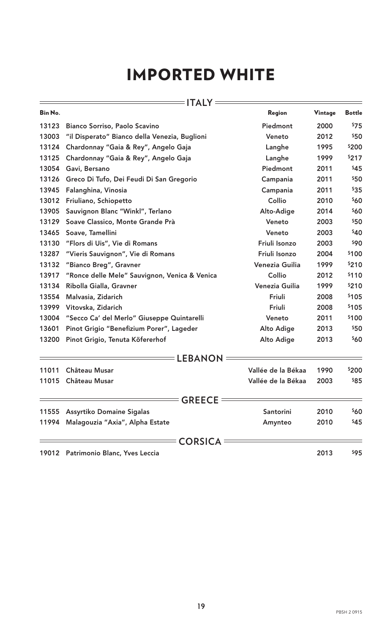# IMPORTED WHITE

|         | ITALY =                                       |                    |         |               |
|---------|-----------------------------------------------|--------------------|---------|---------------|
| Bin No. |                                               | Region             | Vintage | <b>Bottle</b> |
| 13123   | Bianco Sorriso, Paolo Scavino                 | Piedmont           | 2000    | 575           |
| 13003   | "il Disperato" Bianco della Venezia, Buglioni | Veneto             | 2012    | \$50          |
| 13124   | Chardonnay "Gaia & Rey", Angelo Gaja          | Langhe             | 1995    | \$200         |
| 13125   | Chardonnay "Gaia & Rey", Angelo Gaja          | Langhe             | 1999    | \$217         |
| 13054   | Gavi, Bersano                                 | Piedmont           | 2011    | \$45          |
| 13126   | Greco Di Tufo, Dei Feudi Di San Gregorio      | Campania           | 2011    | \$50          |
| 13945   | Falanghina, Vinosia                           | Campania           | 2011    | \$35          |
| 13012   | Friuliano, Schiopetto                         | Collio             | 2010    | <b>\$60</b>   |
| 13905   | Sauvignon Blanc "Winkl", Terlano              | Alto-Adige         | 2014    | <b>\$60</b>   |
| 13129   | Soave Classico, Monte Grande Prà              | Veneto             | 2003    | \$50          |
| 13465   | Soave, Tamellini                              | Veneto             | 2003    | \$40          |
| 13130   | "Flors di Uis", Vie di Romans                 | Friuli Isonzo      | 2003    | \$90          |
| 13287   | "Vieris Sauvignon", Vie di Romans             | Friuli Isonzo      | 2004    | \$100         |
| 13132   | "Bianco Breg", Gravner                        | Venezia Guilia     | 1999    | \$210         |
| 13917   | "Ronce delle Mele" Sauvignon, Venica & Venica | Collio             | 2012    | \$110         |
| 13134   | Ribolla Gialla, Gravner                       | Venezia Guilia     | 1999    | \$210         |
| 13554   | Malvasia, Zidarich                            | Friuli             | 2008    | \$105         |
| 13999   | Vitovska, Zidarich                            | Friuli             | 2008    | \$105         |
| 13004   | "Secco Ca' del Merlo" Giuseppe Quintarelli    | Veneto             | 2011    | \$100         |
| 13601   | Pinot Grigio "Benefizium Porer", Lageder      | <b>Alto Adige</b>  | 2013    | \$50          |
| 13200   | Pinot Grigio, Tenuta Köfererhof               | <b>Alto Adige</b>  | 2013    | \$60          |
|         | <b>LEBANON</b>                                |                    |         |               |
| 11011   | Château Musar                                 | Vallée de la Békaa | 1990    | \$200         |
| 11015   | Château Musar                                 | Vallée de la Békaa | 2003    | \$85          |
|         | <b>GREECE =</b>                               |                    |         |               |
| 11555   | <b>Assyrtiko Domaine Sigalas</b>              | Santorini          | 2010    | <b>\$60</b>   |
| 11994   | Malagouzia "Axia", Alpha Estate               | Amynteo            | 2010    | \$45          |
|         | <b>CORSICA=</b>                               |                    |         |               |
|         | 19012 Patrimonio Blanc, Yves Leccia           |                    | 2013    | \$95          |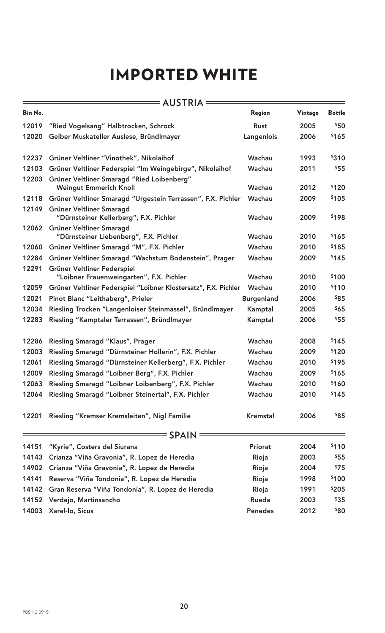# IMPORTED WHITE

| <b>EAUSTRIA</b> |                                                                             |                   |         |               |
|-----------------|-----------------------------------------------------------------------------|-------------------|---------|---------------|
| Bin No.         |                                                                             | Region            | Vintage | <b>Bottle</b> |
| 12019           | "Ried Vogelsang" Halbtrocken, Schrock                                       | <b>Rust</b>       | 2005    | \$50          |
| 12020           | Gelber Muskateller Auslese, Bründlmayer                                     | Langenlois        | 2006    | \$165         |
| 12237           | Grüner Veltliner "Vinothek", Nikolaihof                                     | Wachau            | 1993    | \$310         |
| 12103           | Grüner Veltliner Federspiel "Im Weingebirge", Nikolaihof                    | Wachau            | 2011    | \$55          |
| 12203           | Grüner Veltliner Smaragd "Ried Loibenberg"<br><b>Weingut Emmerich Knoll</b> | Wachau            | 2012    | \$120         |
| 12118           | Grüner Veltliner Smaragd "Urgestein Terrassen", F.X. Pichler                | Wachau            | 2009    | \$105         |
| 12149           | Grüner Veltliner Smaragd<br>"Dürnsteiner Kellerberg", F.X. Pichler          | Wachau            | 2009    | \$198         |
| 12062           | Grüner Veltliner Smaragd<br>"Dürnsteiner Liebenberg", F.X. Pichler          | Wachau            | 2010    | \$165         |
| 12060           | Grüner Veltliner Smaragd "M", F.X. Pichler                                  | Wachau            | 2010    | \$185         |
| 12284           | Grüner Veltliner Smaragd "Wachstum Bodenstein", Prager                      | Wachau            | 2009    | \$145         |
| 12291           | Grüner Veltliner Federspiel<br>"Loibner Frauenweingarten", F.X. Pichler     | Wachau            | 2010    | \$100         |
| 12059           | Grüner Veltliner Federspiel "Loibner Klostersatz", F.X. Pichler             | Wachau            | 2010    | \$110         |
| 12021           | Pinot Blanc "Leithaberg", Prieler                                           | <b>Burgenland</b> | 2006    | \$85          |
| 12034           | Riesling Trocken "Langenloiser Steinmassel", Bründlmayer                    | Kamptal           | 2005    | \$65          |
| 12283           | Riesling "Kamptaler Terrassen", Bründlmayer                                 | Kamptal           | 2006    | \$55          |
| 12286           | Riesling Smaragd "Klaus", Prager                                            | Wachau            | 2008    | \$145         |
| 12003           | Riesling Smaragd "Dürnsteiner Hollerin", F.X. Pichler                       | Wachau            | 2009    | \$120         |
| 12061           | Riesling Smaragd "Dürnsteiner Kellerberg", F.X. Pichler                     | Wachau            | 2010    | \$195         |
| 12009           | Riesling Smaragd "Loibner Berg", F.X. Pichler                               | Wachau            | 2009    | \$165         |
| 12063           | Riesling Smaragd "Loibner Loibenberg", F.X. Pichler                         | Wachau            | 2010    | \$160         |
| 12064           | Riesling Smaragd "Loibner Steinertal", F.X. Pichler                         | Wachau            | 2010    | \$145         |
| 12201           | Riesling "Kremser Kremsleiten", Nigl Familie                                | Kremstal          | 2006    | \$85          |
|                 | = SPAIN =                                                                   |                   |         |               |
| 14151           | "Kyrie", Costers del Siurana                                                | Priorat           | 2004    | \$110         |
| 14143           | Crianza "Viña Gravonia", R. Lopez de Heredia                                | Rioja             | 2003    | \$55          |
| 14902           | Crianza "Viña Gravonia", R. Lopez de Heredia                                | Rioja             | 2004    | \$75          |
| 14141           | Reserva "Viña Tondonia", R. Lopez de Heredia                                | Rioja             | 1998    | \$100         |
| 14142           | Gran Reserva "Viña Tondonia", R. Lopez de Heredia                           | Rioja             | 1991    | \$205         |
| 14152           | Verdejo, Martinsancho                                                       | Rueda             | 2003    | \$35          |
| 14003           | Xarel-lo, Sicus                                                             | <b>Penedes</b>    | 2012    | <b>\$80</b>   |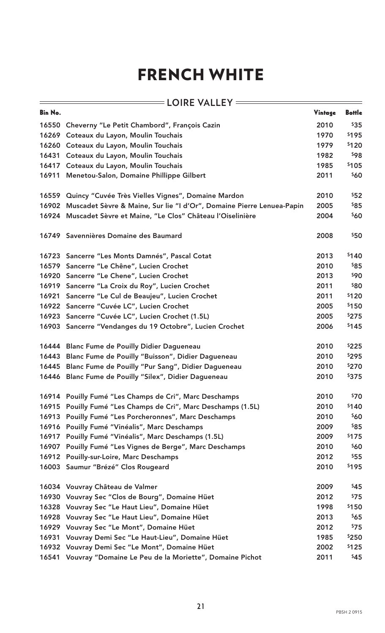# FRENCH WHITE

| <b>Bin No.</b> | $=$ LOIRE VALLEY =                                                          | Vintage | <b>Bottle</b> |
|----------------|-----------------------------------------------------------------------------|---------|---------------|
|                | 16550 Cheverny "Le Petit Chambord", François Cazin                          | 2010    | \$35          |
|                | 16269 Coteaux du Layon, Moulin Touchais                                     | 1970    | \$195         |
|                | 16260 Coteaux du Layon, Moulin Touchais                                     | 1979    | \$120         |
|                | 16431 Coteaux du Layon, Moulin Touchais                                     | 1982    | \$98          |
|                | 16417 Coteaux du Layon, Moulin Touchais                                     | 1985    | \$105         |
|                | 16911 Menetou-Salon, Domaine Phillippe Gilbert                              | 2011    | \$60          |
|                | 16559 Quincy "Cuvée Très Vielles Vignes", Domaine Mardon                    | 2010    | \$52          |
|                | 16902 Muscadet Sèvre & Maine, Sur lie "I d'Or", Domaine Pierre Lenuea-Papin | 2005    | \$85          |
|                | 16924 Muscadet Sèvre et Maine, "Le Clos" Château l'Oiselinière              | 2004    | \$60          |
|                | 16749 Savennières Domaine des Baumard                                       | 2008    | \$50          |
|                | 16723 Sancerre "Les Monts Damnés", Pascal Cotat                             | 2013    | \$140         |
|                | 16579 Sancerre "Le Chêne", Lucien Crochet                                   | 2010    | \$85          |
|                | 16920 Sancerre "Le Chene", Lucien Crochet                                   | 2013    | \$90          |
|                | 16919 Sancerre "La Croix du Roy", Lucien Crochet                            | 2011    | \$80          |
|                | 16921 Sancerre "Le Cul de Beaujeu", Lucien Crochet                          | 2011    | \$120         |
|                | 16922 Sancerre "Cuvée LC", Lucien Crochet                                   | 2005    | \$150         |
|                | 16923 Sancerre "Cuvée LC", Lucien Crochet (1.5L)                            | 2005    | \$275         |
|                | 16903 Sancerre "Vendanges du 19 Octobre", Lucien Crochet                    | 2006    | \$145         |
|                | 16444 Blanc Fume de Pouilly Didier Dagueneau                                | 2010    | \$225         |
| 16443          | Blanc Fume de Pouilly "Buisson", Didier Dagueneau                           | 2010    | \$295         |
| 16445          | Blanc Fume de Pouilly "Pur Sang", Didier Dagueneau                          | 2010    | \$270         |
|                | 16446 Blanc Fume de Pouilly "Silex", Didier Dagueneau                       | 2010    | \$375         |
| 16914          | Pouilly Fumé "Les Champs de Cri", Marc Deschamps                            | 2010    | 570           |
|                | 16915 Pouilly Fumé "Les Champs de Cri", Marc Deschamps (1.5L)               | 2010    | \$140         |
| 16913          | Pouilly Fumé "Les Porcheronnes", Marc Deschamps                             | 2010    | \$60          |
|                | 16916 Pouilly Fumé "Vinéalis", Marc Deschamps                               | 2009    | \$85          |
|                | 16917 Pouilly Fumé "Vinéalis", Marc Deschamps (1.5L)                        | 2009    | \$175         |
| 16907          | Pouilly Fumé "Les Vignes de Berge", Marc Deschamps                          | 2010    | \$60          |
|                | 16912 Pouilly-sur-Loire, Marc Deschamps                                     | 2012    | \$55          |
|                | 16003 Saumur "Brézé" Clos Rougeard                                          | 2010    | \$195         |
|                | 16034 Vouvray Château de Valmer                                             | 2009    | \$45          |
|                | 16930 Vouvray Sec "Clos de Bourg", Domaine Hüet                             | 2012    | \$75          |
|                | 16328 Vouvray Sec "Le Haut Lieu", Domaine Hüet                              | 1998    | \$150         |
|                | 16928 Vouvray Sec "Le Haut Lieu", Domaine Hüet                              | 2013    | \$65          |
|                | 16929 Vouvray Sec "Le Mont", Domaine Hüet                                   | 2012    | \$75          |
|                | 16931 Vouvray Demi Sec "Le Haut-Lieu", Domaine Hüet                         | 1985    | \$250         |
|                | 16932 Vouvray Demi Sec "Le Mont", Domaine Hüet                              | 2002    | \$125         |
|                | 16541 Vouvray "Domaine Le Peu de la Moriette", Domaine Pichot               | 2011    | \$45          |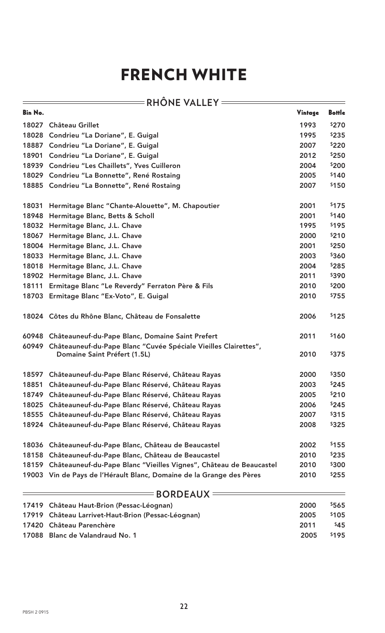### FRENCH WHITE

### **RHÔNE VALLEY**

 $=$ 

| Bin No. |                                                                                                 | Vintage | <b>Bottle</b> |
|---------|-------------------------------------------------------------------------------------------------|---------|---------------|
|         | 18027 Château Grillet                                                                           | 1993    | \$270         |
|         | 18028 Condrieu "La Doriane", E. Guigal                                                          | 1995    | \$235         |
|         | 18887 Condrieu "La Doriane", E. Guigal                                                          | 2007    | \$220         |
|         | 18901 Condrieu "La Doriane", E. Guigal                                                          | 2012    | \$250         |
|         | 18939 Condrieu "Les Chaillets", Yves Cuilleron                                                  | 2004    | \$200         |
|         | 18029 Condrieu "La Bonnette", René Rostaing                                                     | 2005    | \$140         |
|         | 18885 Condrieu "La Bonnette", René Rostaing                                                     | 2007    | \$150         |
| 18031   | Hermitage Blanc "Chante-Alouette", M. Chapoutier                                                | 2001    | \$175         |
| 18948   | Hermitage Blanc, Betts & Scholl                                                                 | 2001    | \$140         |
|         | 18032 Hermitage Blanc, J.L. Chave                                                               | 1995    | \$195         |
|         | 18067 Hermitage Blanc, J.L. Chave                                                               | 2000    | \$210         |
|         | 18004 Hermitage Blanc, J.L. Chave                                                               | 2001    | \$250         |
| 18033   | Hermitage Blanc, J.L. Chave                                                                     | 2003    | \$360         |
| 18018   | Hermitage Blanc, J.L. Chave                                                                     | 2004    | \$285         |
|         | 18902 Hermitage Blanc, J.L. Chave                                                               | 2011    | \$390         |
| 18111   | Ermitage Blanc "Le Reverdy" Ferraton Père & Fils                                                | 2010    | \$200         |
| 18703   | Ermitage Blanc "Ex-Voto", E. Guigal                                                             | 2010    | \$755         |
|         | 18024 Côtes du Rhône Blanc, Château de Fonsalette                                               | 2006    | \$125         |
|         | 60948 Châteauneuf-du-Pape Blanc, Domaine Saint Prefert                                          | 2011    | \$160         |
| 60949   | Châteauneuf-du-Pape Blanc "Cuvée Spéciale Vieilles Clairettes",<br>Domaine Saint Préfert (1.5L) | 2010    | \$375         |
|         | 18597 Châteauneuf-du-Pape Blanc Réservé, Château Rayas                                          | 2000    | \$350         |
| 18851   | Châteauneuf-du-Pape Blanc Réservé, Château Rayas                                                | 2003    | \$245         |
| 18749   | Châteauneuf-du-Pape Blanc Réservé, Château Rayas                                                | 2005    | \$210         |
| 18025   | Châteauneuf-du-Pape Blanc Réservé, Château Rayas                                                | 2006    | \$245         |
| 18555   | Châteauneuf-du-Pape Blanc Réservé, Château Rayas                                                | 2007    | \$315         |
| 18924   | Châteauneuf-du-Pape Blanc Réservé, Château Rayas                                                | 2008    | \$325         |
| 18036   | Châteauneuf-du-Pape Blanc, Château de Beaucastel                                                | 2002    | \$155         |
| 18158   | Châteauneuf-du-Pape Blanc, Château de Beaucastel                                                | 2010    | \$235         |
|         | 18159 Châteauneuf-du-Pape Blanc "Vieilles Vignes", Château de Beaucastel                        | 2010    | \$300         |
|         | 19003 Vin de Pays de l'Hérault Blanc, Domaine de la Grange des Pères                            | 2010    | \$255         |
|         | <b>BORDEAUX =</b>                                                                               |         |               |
| 17419   | Château Haut-Brion (Pessac-Léognan)                                                             | 2000    | \$565         |
| 17919   | Château Larrivet-Haut-Brion (Pessac-Léognan)                                                    | 2005    | \$105         |
|         | 17420 Château Parenchère                                                                        | 2011    | \$45          |
|         | 17088 Blanc de Valandraud No. 1                                                                 | 2005    | \$195         |

 $\equiv$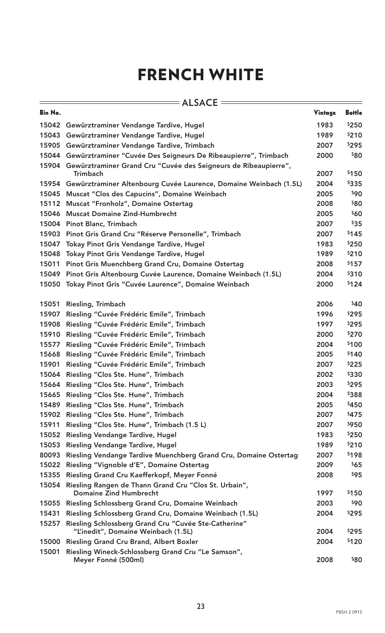## FRENCH WHITE

| $=$ ALSACE $=$ |                                                                                          |         |               |
|----------------|------------------------------------------------------------------------------------------|---------|---------------|
| <b>Bin No.</b> |                                                                                          | Vintage | <b>Bottle</b> |
|                | 15042 Gewürztraminer Vendange Tardive, Hugel                                             | 1983    | \$250         |
|                | 15043 Gewürztraminer Vendange Tardive, Hugel                                             | 1989    | \$210         |
|                | 15905 Gewürztraminer Vendange Tardive, Trimbach                                          | 2007    | \$295         |
|                | 15044 Gewürztraminer "Cuvée Des Seigneurs De Ribeaupierre", Trimbach                     | 2000    | \$80          |
|                | 15904 Gewürztraminer Grand Cru "Cuvée des Seigneurs de Ribeaupierre",<br><b>Trimbach</b> | 2007    | \$150         |
|                | 15954 Gewürztraminer Altenbourg Cuvée Laurence, Domaine Weinbach (1.5L)                  | 2004    | \$335         |
|                | 15045 Muscat "Clos des Capucins", Domaine Weinbach                                       | 2005    | \$90          |
|                | 15112 Muscat "Fronholz", Domaine Ostertag                                                | 2008    | \$80          |
|                | 15046 Muscat Domaine Zind-Humbrecht                                                      | 2005    | \$60          |
|                | 15004 Pinot Blanc, Trimbach                                                              | 2007    | \$35          |
|                | 15903 Pinot Gris Grand Cru "Réserve Personelle", Trimbach                                | 2007    | \$145         |
|                | 15047 Tokay Pinot Gris Vendange Tardive, Hugel                                           | 1983    | \$250         |
|                | 15048 Tokay Pinot Gris Vendange Tardive, Hugel                                           | 1989    | \$210         |
| 15011          | Pinot Gris Muenchberg Grand Cru, Domaine Ostertag                                        | 2008    | \$157         |
|                | 15049 Pinot Gris Altenbourg Cuvée Laurence, Domaine Weinbach (1.5L)                      | 2004    | \$310         |
|                | 15050 Tokay Pinot Gris "Cuvée Laurence", Domaine Weinbach                                | 2000    | \$124         |
|                |                                                                                          |         |               |
| 15051          | <b>Riesling, Trimbach</b>                                                                | 2006    | \$40          |
| 15907          | Riesling "Cuvée Frédéric Emile", Trimbach                                                | 1996    | \$295         |
| 15908          | Riesling "Cuvée Frédéric Emile", Trimbach                                                | 1997    | \$295         |
| 15910          | Riesling "Cuvée Frédéric Emile", Trimbach                                                | 2000    | \$270         |
| 15577          | Riesling "Cuvée Frédéric Emile", Trimbach                                                | 2004    | \$100         |
| 15668          | Riesling "Cuvée Frédéric Emile", Trimbach                                                | 2005    | \$140         |
| 15901          | Riesling "Cuvée Frédéric Emile", Trimbach                                                | 2007    | \$225         |
| 15064          | Riesling "Clos Ste. Hune", Trimbach                                                      | 2002    | \$330         |
|                | 15664 Riesling "Clos Ste. Hune", Trimbach                                                | 2003    | \$295         |
| 15665          | Riesling "Clos Ste. Hune", Trimbach                                                      | 2004    | \$388         |
| 15489          | Riesling "Clos Ste. Hune", Trimbach                                                      | 2005    | \$450         |
| 15902          | Riesling "Clos Ste. Hune", Trimbach                                                      | 2007    | \$475         |
| 15911          | Riesling "Clos Ste. Hune", Trimbach (1.5 L)                                              | 2007    | \$950         |
| 15052          | Riesling Vendange Tardive, Hugel                                                         | 1983    | \$250         |
| 15053          | Riesling Vendange Tardive, Hugel                                                         | 1989    | \$210         |
| 80093          | Riesling Vendange Tardive Muenchberg Grand Cru, Domaine Ostertag                         | 2007    | \$198         |
| 15022          | Riesling "Vignoble d'E", Domaine Ostertag                                                | 2009    | \$65          |
| 15355          | Riesling Grand Cru Kaefferkopf, Meyer Fonné                                              | 2008    | \$95          |
| 15054          | Riesling Rangen de Thann Grand Cru "Clos St. Urbain",<br><b>Domaine Zind Humbrecht</b>   | 1997    | \$150         |
| 15055          | Riesling Schlossberg Grand Cru, Domaine Weinbach                                         | 2003    | \$90          |
| 15431          | Riesling Schlossberg Grand Cru, Domaine Weinbach (1.5L)                                  | 2004    | \$295         |
| 15257          | Riesling Schlossberg Grand Cru "Cuvée Ste-Catherine"                                     |         |               |
|                | "L'inedit", Domaine Weinbach (1.5L)                                                      | 2004    | \$295         |
| 15000          | <b>Riesling Grand Cru Brand, Albert Boxler</b>                                           | 2004    | \$120         |
| 15001          | Riesling Wineck-Schlossberg Grand Cru "Le Samson",<br>Meyer Fonné (500ml)                | 2008    | \$80          |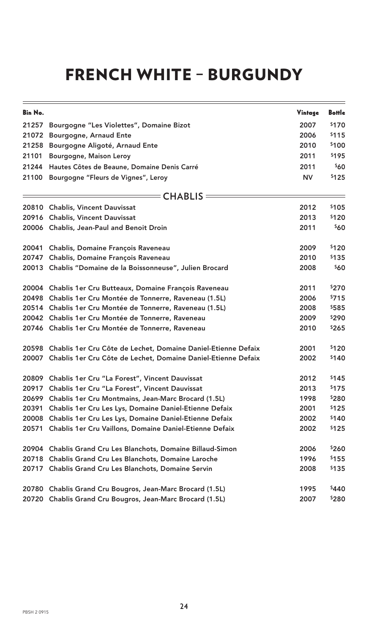| <b>Bin No.</b> |                                                                     | Vintage   | <b>Bottle</b> |
|----------------|---------------------------------------------------------------------|-----------|---------------|
| 21257          | Bourgogne "Les Violettes", Domaine Bizot                            | 2007      | \$170         |
| 21072          | Bourgogne, Arnaud Ente                                              | 2006      | \$115         |
| 21258          | Bourgogne Aligoté, Arnaud Ente                                      | 2010      | \$100         |
| 21101          | <b>Bourgogne, Maison Leroy</b>                                      | 2011      | \$195         |
| 21244          | Hautes Côtes de Beaune, Domaine Denis Carré                         | 2011      | \$60          |
| 21100          | Bourgogne "Fleurs de Vignes", Leroy                                 | <b>NV</b> | \$125         |
|                | = CHABLIS =                                                         |           |               |
|                | 20810 Chablis, Vincent Dauvissat                                    | 2012      | \$105         |
| 20916          | <b>Chablis, Vincent Dauvissat</b>                                   | 2013      | \$120         |
|                | 20006 Chablis, Jean-Paul and Benoit Droin                           | 2011      | \$60          |
| 20041          | Chablis, Domaine François Raveneau                                  | 2009      | \$120         |
|                | 20747 Chablis, Domaine François Raveneau                            | 2010      | \$135         |
|                | 20013 Chablis "Domaine de la Boissonneuse", Julien Brocard          | 2008      | \$60          |
|                | 20004 Chablis 1er Cru Butteaux, Domaine François Raveneau           | 2011      | \$270         |
|                | 20498 Chablis 1er Cru Montée de Tonnerre, Raveneau (1.5L)           | 2006      | \$715         |
|                | 20514 Chablis 1er Cru Montée de Tonnerre, Raveneau (1.5L)           | 2008      | \$585         |
|                | 20042 Chablis 1er Cru Montée de Tonnerre, Raveneau                  | 2009      | \$290         |
|                | 20746 Chablis 1er Cru Montée de Tonnerre, Raveneau                  | 2010      | \$265         |
|                | 20598 Chablis 1er Cru Côte de Lechet, Domaine Daniel-Etienne Defaix | 2001      | \$120         |
| 20007          | Chablis 1er Cru Côte de Lechet, Domaine Daniel-Etienne Defaix       | 2002      | \$140         |
|                | 20809 Chablis 1er Cru "La Forest", Vincent Dauvissat                | 2012      | \$145         |
| 20917          | Chablis 1er Cru "La Forest", Vincent Dauvissat                      | 2013      | \$175         |
| 20699          | Chablis 1er Cru Montmains, Jean-Marc Brocard (1.5L)                 | 1998      | \$280         |
| 20391          | Chablis 1er Cru Les Lys, Domaine Daniel-Etienne Defaix              | 2001      | \$125         |
| 20008          | Chablis 1er Cru Les Lys, Domaine Daniel-Etienne Defaix              | 2002      | \$140         |
| 20571          | Chablis 1er Cru Vaillons, Domaine Daniel-Etienne Defaix             | 2002      | \$125         |
| 20904          | Chablis Grand Cru Les Blanchots, Domaine Billaud-Simon              | 2006      | \$260         |
|                | 20718 Chablis Grand Cru Les Blanchots, Domaine Laroche              | 1996      | \$155         |
|                | 20717 Chablis Grand Cru Les Blanchots, Domaine Servin               | 2008      | \$135         |
|                | 20780 Chablis Grand Cru Bougros, Jean-Marc Brocard (1.5L)           | 1995      | \$440         |
| 20720          | <b>Chablis Grand Cru Bougros, Jean-Marc Brocard (1.5L)</b>          | 2007      | \$280         |

 $\overline{a}$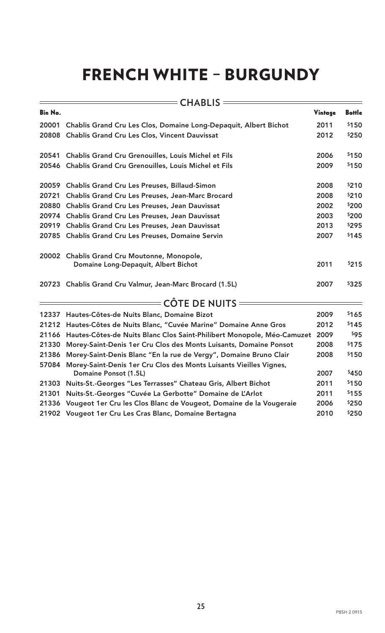|                | $=$ CHABLIS $=$                                                                                   |         |               |  |  |
|----------------|---------------------------------------------------------------------------------------------------|---------|---------------|--|--|
| <b>Bin No.</b> |                                                                                                   | Vintage | <b>Bottle</b> |  |  |
| 20001          | Chablis Grand Cru Les Clos, Domaine Long-Depaquit, Albert Bichot                                  | 2011    | \$150         |  |  |
|                | 20808 Chablis Grand Cru Les Clos, Vincent Dauvissat                                               | 2012    | \$250         |  |  |
|                | 20541 Chablis Grand Cru Grenouilles, Louis Michel et Fils                                         | 2006    | \$150         |  |  |
|                | 20546 Chablis Grand Cru Grenouilles, Louis Michel et Fils                                         | 2009    | \$150         |  |  |
| 20059          | <b>Chablis Grand Cru Les Preuses, Billaud-Simon</b>                                               | 2008    | \$210         |  |  |
| 20721          | Chablis Grand Cru Les Preuses, Jean-Marc Brocard                                                  | 2008    | \$210         |  |  |
|                | 20880 Chablis Grand Cru Les Preuses, Jean Dauvissat                                               | 2002    | \$200         |  |  |
|                | 20974 Chablis Grand Cru Les Preuses, Jean Dauvissat                                               | 2003    | \$200         |  |  |
|                | 20919 Chablis Grand Cru Les Preuses, Jean Dauvissat                                               | 2013    | \$295         |  |  |
| 20785          | Chablis Grand Cru Les Preuses, Domaine Servin                                                     | 2007    | \$145         |  |  |
|                | 20002 Chablis Grand Cru Moutonne, Monopole,<br>Domaine Long-Depaquit, Albert Bichot               | 2011    | \$215         |  |  |
|                | 20723 Chablis Grand Cru Valmur, Jean-Marc Brocard (1.5L)                                          | 2007    | \$325         |  |  |
|                | $=$ CÔTE DE NUITS $=$                                                                             |         |               |  |  |
|                | 12337 Hautes-Côtes-de Nuits Blanc, Domaine Bizot                                                  | 2009    | \$165         |  |  |
|                | 21212 Hautes-Côtes de Nuits Blanc, "Cuvée Marine" Domaine Anne Gros                               | 2012    | \$145         |  |  |
|                | 21166 Hautes-Côtes-de Nuits Blanc Clos Saint-Philibert Monopole, Méo-Camuzet                      | 2009    | \$95          |  |  |
|                | 21330 Morey-Saint-Denis 1er Cru Clos des Monts Luisants, Domaine Ponsot                           | 2008    | \$175         |  |  |
| 21386          | Morey-Saint-Denis Blanc "En la rue de Vergy", Domaine Bruno Clair                                 | 2008    | \$150         |  |  |
|                | 57084 Morey-Saint-Denis 1er Cru Clos des Monts Luisants Vieilles Vignes,<br>Domaine Ponsot (1.5L) | 2007    | \$450         |  |  |
|                | 21303 Nuits-St.-Georges "Les Terrasses" Chateau Gris, Albert Bichot                               | 2011    | \$150         |  |  |
| 21301          | Nuits-St.-Georges "Cuvée La Gerbotte" Domaine de L'Arlot                                          | 2011    | \$155         |  |  |
|                | 21336 Vougeot 1er Cru les Clos Blanc de Vougeot, Domaine de la Vougeraie                          | 2006    | \$250         |  |  |
|                | 21902 Vougeot 1er Cru Les Cras Blanc, Domaine Bertagna                                            | 2010    | \$250         |  |  |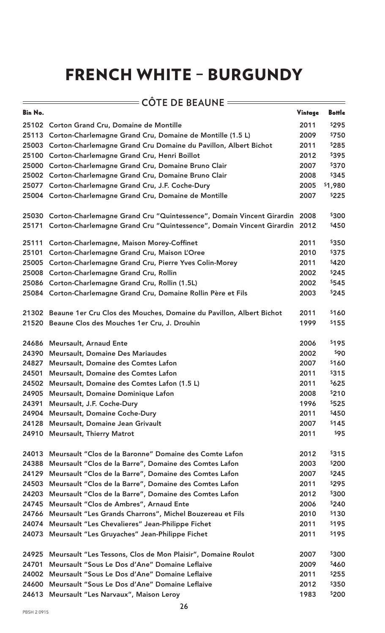|                | <code>=CÔTE</code> DE BEAUNE $=$                                                |         |               |
|----------------|---------------------------------------------------------------------------------|---------|---------------|
| <b>Bin No.</b> |                                                                                 | Vintage | <b>Bottle</b> |
|                | 25102 Corton Grand Cru, Domaine de Montille                                     | 2011    | \$295         |
|                | 25113 Corton-Charlemagne Grand Cru, Domaine de Montille (1.5 L)                 | 2009    | \$750         |
|                | 25003 Corton-Charlemagne Grand Cru Domaine du Pavillon, Albert Bichot           | 2011    | \$285         |
|                | 25100 Corton-Charlemagne Grand Cru, Henri Boillot                               | 2012    | \$395         |
|                | 25000 Corton-Charlemagne Grand Cru, Domaine Bruno Clair                         | 2007    | \$370         |
|                | 25002 Corton-Charlemagne Grand Cru, Domaine Bruno Clair                         | 2008    | \$345         |
|                | 25077 Corton-Charlemagne Grand Cru, J.F. Coche-Dury                             | 2005    | \$1,980       |
|                | 25004 Corton-Charlemagne Grand Cru, Domaine de Montille                         | 2007    | \$225         |
|                | 25030 Corton-Charlemagne Grand Cru "Quintessence", Domain Vincent Girardin 2008 |         | \$300         |
| 25171          | Corton-Charlemagne Grand Cru "Quintessence", Domain Vincent Girardin 2012       |         | \$450         |
| 25111          | <b>Corton-Charlemagne, Maison Morey-Coffinet</b>                                | 2011    | \$350         |
| 25101          | Corton-Charlemagne Grand Cru, Maison L'Oree                                     | 2010    | \$375         |
| 25005          | Corton-Charlemagne Grand Cru, Pierre Yves Colin-Morey                           | 2011    | \$420         |
|                | 25008 Corton-Charlemagne Grand Cru, Rollin                                      | 2002    | \$245         |
|                | 25086 Corton-Charlemagne Grand Cru, Rollin (1.5L)                               | 2002    | \$545         |
|                | 25084 Corton-Charlemagne Grand Cru, Domaine Rollin Père et Fils                 | 2003    | \$245         |
|                | 21302 Beaune 1er Cru Clos des Mouches, Domaine du Pavillon, Albert Bichot       | 2011    | \$160         |
|                | 21520 Beaune Clos des Mouches 1er Cru, J. Drouhin                               | 1999    | \$155         |
|                | 24686 Meursault, Arnaud Ente                                                    | 2006    | \$195         |
| 24390          | <b>Meursault, Domaine Des Mariaudes</b>                                         | 2002    | \$90          |
| 24827          | Meursault, Domaine des Comtes Lafon                                             | 2007    | \$160         |
| 24501          | Meursault, Domaine des Comtes Lafon                                             | 2011    | \$315         |
|                | 24502 Meursault, Domaine des Comtes Lafon (1.5 L)                               | 2011    | \$625         |
| 24905          | Meursault, Domaine Dominique Lafon                                              | 2008    | \$210         |
| 24391          | Meursault, J.F. Coche-Dury                                                      | 1996    | \$525         |
|                | 24904 Meursault, Domaine Coche-Dury                                             | 2011    | \$450         |
| 24128          | Meursault, Domaine Jean Grivault                                                | 2007    | \$145         |
| 24910          | <b>Meursault, Thierry Matrot</b>                                                | 2011    | \$95          |
| 24013          | Meursault "Clos de la Baronne" Domaine des Comte Lafon                          | 2012    | \$315         |
| 24388          | Meursault "Clos de la Barre", Domaine des Comtes Lafon                          | 2003    | \$200         |
|                | 24129 Meursault "Clos de la Barre", Domaine des Comtes Lafon                    | 2007    | \$245         |
|                | 24503 Meursault "Clos de la Barre", Domaine des Comtes Lafon                    | 2011    | \$295         |
|                | 24203 Meursault "Clos de la Barre", Domaine des Comtes Lafon                    | 2012    | \$300         |
|                | 24745 Meursault "Clos de Ambres", Arnaud Ente                                   | 2006    | \$240         |
|                | 24766 Meursault "Les Grands Charrons", Michel Bouzereau et Fils                 | 2010    | \$130         |
|                | 24074 Meursault "Les Chevalieres" Jean-Philippe Fichet                          | 2011    | \$195         |
|                | 24073 Meursault "Les Gruyaches" Jean-Philippe Fichet                            | 2011    | \$195         |
| 24925          | Meursault "Les Tessons, Clos de Mon Plaisir", Domaine Roulot                    | 2007    | \$300         |
| 24701          | Meursault "Sous Le Dos d'Ane" Domaine Leflaive                                  | 2009    | \$460         |
|                | 24002 Meursault "Sous Le Dos d'Ane" Domaine Leflaive                            | 2011    | \$255         |
|                | 24600 Meursault "Sous Le Dos d'Ane" Domaine Leflaive                            | 2012    | \$350         |
|                | 24613 Meursault "Les Narvaux", Maison Leroy                                     | 1983    | \$200         |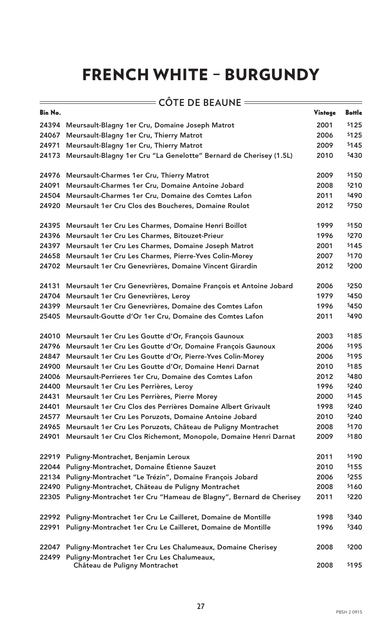|         | $C\hat{O}$ TE DE BEAUNE =                                                   |         |               |
|---------|-----------------------------------------------------------------------------|---------|---------------|
| Bin No. |                                                                             | Vintage | <b>Bottle</b> |
| 24394   | Meursault-Blagny 1er Cru, Domaine Joseph Matrot                             | 2001    | \$125         |
| 24067   | Meursault-Blagny 1er Cru, Thierry Matrot                                    | 2006    | \$125         |
| 24971   | Meursault-Blagny 1er Cru, Thierry Matrot                                    | 2009    | \$145         |
| 24173   | Meursault-Blagny 1er Cru "La Genelotte" Bernard de Cherisey (1.5L)          | 2010    | \$430         |
| 24976   | Meursault-Charmes 1er Cru, Thierry Matrot                                   | 2009    | \$150         |
| 24091   | Meursault-Charmes 1er Cru, Domaine Antoine Jobard                           | 2008    | \$210         |
| 24504   | Meursault-Charmes 1er Cru, Domaine des Comtes Lafon                         | 2011    | \$490         |
| 24920   | Meursault 1er Cru Clos des Boucheres, Domaine Roulot                        | 2012    | \$750         |
| 24395   | Meursault 1er Cru Les Charmes, Domaine Henri Boillot                        | 1999    | \$150         |
| 24396   | Meursault 1er Cru Les Charmes, Bitouzet-Prieur                              | 1996    | \$270         |
| 24397   | Meursault 1er Cru Les Charmes, Domaine Joseph Matrot                        | 2001    | \$145         |
| 24658   | Meursault 1er Cru Les Charmes, Pierre-Yves Colin-Morey                      | 2007    | \$170         |
| 24702   | Meursault 1er Cru Genevrières, Domaine Vincent Girardin                     | 2012    | \$200         |
| 24131   | Meursault 1er Cru Genevrières, Domaine François et Antoine Jobard           | 2006    | \$250         |
| 24704   | Meursault 1er Cru Genevrières, Leroy                                        | 1979    | \$450         |
| 24399   | Meursault 1er Cru Genevrières, Domaine des Comtes Lafon                     | 1996    | \$450         |
| 25405   | Meursault-Goutte d'Or 1er Cru, Domaine des Comtes Lafon                     | 2011    | \$490         |
|         | 24010 Meursault 1er Cru Les Goutte d'Or, François Gaunoux                   | 2003    | \$185         |
| 24796   | Meursault 1er Cru Les Goutte d'Or, Domaine François Gaunoux                 | 2006    | \$195         |
| 24847   | Meursault 1er Cru Les Goutte d'Or, Pierre-Yves Colin-Morey                  | 2006    | \$195         |
| 24900   | Meursault 1er Cru Les Goutte d'Or, Domaine Henri Darnat                     | 2010    | \$185         |
| 24006   | Meursault-Perrieres 1er Cru, Domaine des Comtes Lafon                       | 2012    | \$480         |
|         | 24400 Meursault 1er Cru Les Perrières, Leroy                                | 1996    | \$240         |
| 24431   | Meursault 1er Cru Les Perrières, Pierre Morey                               | 2000    | \$145         |
| 24401   | Meursault 1er Cru Clos des Perrières Domaine Albert Grivault                | 1998    | \$240         |
| 24577   | Meursault 1er Cru Les Poruzots, Domaine Antoine Jobard                      | 2010    | \$240         |
| 24965   | Meursault 1er Cru Les Poruzots, Château de Puligny Montrachet               | 2008    | \$170         |
| 24901   | Meursault 1er Cru Clos Richemont, Monopole, Domaine Henri Darnat            | 2009    | \$180         |
| 22919   | Puligny-Montrachet, Benjamin Leroux                                         | 2011    | \$190         |
| 22044   | Puligny-Montrachet, Domaine Étienne Sauzet                                  | 2010    | \$155         |
| 22134   | Puligny-Montrachet "Le Trézin", Domaine François Jobard                     | 2006    | \$255         |
| 22490   | Puligny-Montrachet, Château de Puligny Montrachet                           | 2008    | \$160         |
| 22305   | Puligny-Montrachet 1er Cru "Hameau de Blagny", Bernard de Cherisey          | 2011    | \$220         |
| 22992   | Puligny-Montrachet 1er Cru Le Cailleret, Domaine de Montille                | 1998    | \$340         |
| 22991   | Puligny-Montrachet 1er Cru Le Cailleret, Domaine de Montille                | 1996    | \$340         |
| 22047   | Puligny-Montrachet 1er Cru Les Chalumeaux, Domaine Cherisey                 | 2008    | \$200         |
| 22499   | Puligny-Montrachet 1er Cru Les Chalumeaux,<br>Château de Puligny Montrachet | 2008    | \$195         |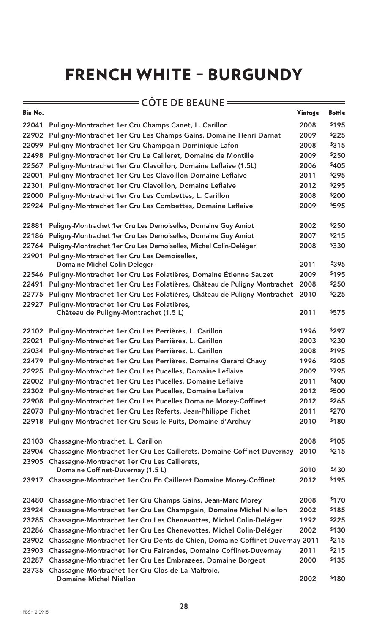|                | <b>CÔTE DE BEAUNE =</b>                                                             |         |               |
|----------------|-------------------------------------------------------------------------------------|---------|---------------|
| <b>Bin No.</b> |                                                                                     | Vintage | <b>Bottle</b> |
| 22041          | Puligny-Montrachet 1er Cru Champs Canet, L. Carillon                                | 2008    | \$195         |
| 22902          | Puligny-Montrachet 1er Cru Les Champs Gains, Domaine Henri Darnat                   | 2009    | \$225         |
| 22099          | Puligny-Montrachet 1er Cru Champgain Dominique Lafon                                | 2008    | \$315         |
| 22498          | Puligny-Montrachet 1er Cru Le Cailleret, Domaine de Montille                        | 2009    | \$250         |
| 22567          | Puligny-Montrachet 1er Cru Clavoillon, Domaine Leflaive (1.5L)                      | 2006    | \$405         |
| 22001          | Puligny-Montrachet 1er Cru Les Clavoillon Domaine Leflaive                          | 2011    | \$295         |
| 22301          | Puligny-Montrachet 1er Cru Clavoillon, Domaine Leflaive                             | 2012    | \$295         |
| 22000          | Puligny-Montrachet 1er Cru Les Combettes, L. Carillon                               | 2008    | \$200         |
| 22924          | Puligny-Montrachet 1er Cru Les Combettes, Domaine Leflaive                          | 2009    | \$595         |
| 22881          | Puligny-Montrachet 1er Cru Les Demoiselles, Domaine Guy Amiot                       | 2002    | \$250         |
| 22186          | Puligny-Montrachet 1er Cru Les Demoiselles, Domaine Guy Amiot                       | 2007    | \$215         |
| 22764          | Puligny-Montrachet 1er Cru Les Demoiselles, Michel Colin-Deléger                    | 2008    | \$330         |
| 22901          | Puligny-Montrachet 1er Cru Les Demoiselles,                                         |         |               |
|                | <b>Domaine Michel Colin-Deleger</b>                                                 | 2011    | \$395         |
| 22546          | Puligny-Montrachet 1er Cru Les Folatières, Domaine Étienne Sauzet                   | 2009    | \$195         |
| 22491          | Puligny-Montrachet 1er Cru Les Folatières, Château de Puligny Montrachet            | 2008    | \$250         |
| 22775          | Puligny-Montrachet 1er Cru Les Folatières, Château de Puligny Montrachet            | 2010    | \$225         |
| 22927          | Puligny-Montrachet 1er Cru Les Folatières,<br>Château de Puligny-Montrachet (1.5 L) | 2011    | \$575         |
| 22102          | Puligny-Montrachet 1er Cru Les Perrières, L. Carillon                               | 1996    | \$297         |
| 22021          | Puligny-Montrachet 1er Cru Les Perrières, L. Carillon                               | 2003    | \$230         |
| 22034          | Puligny-Montrachet 1er Cru Les Perrières, L. Carillon                               | 2008    | \$195         |
| 22479          | Puligny-Montrachet 1er Cru Les Perrières, Domaine Gerard Chavy                      | 1996    | \$205         |
| 22925          | Puligny-Montrachet 1er Cru Les Pucelles, Domaine Leflaive                           | 2009    | \$795         |
| 22002          | Puligny-Montrachet 1er Cru Les Pucelles, Domaine Leflaive                           | 2011    | \$400         |
| 22302          | Puligny-Montrachet 1er Cru Les Pucelles, Domaine Leflaive                           | 2012    | \$500         |
| 22908          | Puligny-Montrachet 1er Cru Les Pucelles Domaine Morey-Coffinet                      | 2012    | \$265         |
| 22073          | Puligny-Montrachet 1er Cru Les Referts, Jean-Philippe Fichet                        | 2011    | \$270         |
| 22918          | Puligny-Montrachet 1er Cru Sous le Puits, Domaine d'Ardhuy                          | 2010    | \$180         |
| 23103          | Chassagne-Montrachet, L. Carillon                                                   | 2008    | \$105         |
| 23904          | Chassagne-Montrachet 1er Cru Les Caillerets, Domaine Coffinet-Duvernay              | 2010    | \$215         |
| 23905          | Chassagne-Montrachet 1er Cru Les Caillerets,<br>Domaine Coffinet-Duvernay (1.5 L)   | 2010    | \$430         |
|                | 23917 Chassagne-Montrachet 1er Cru En Cailleret Domaine Morey-Coffinet              | 2012    | \$195         |
| 23480          | Chassagne-Montrachet 1er Cru Champs Gains, Jean-Marc Morey                          | 2008    | \$170         |
| 23924          | Chassagne-Montrachet 1er Cru Les Champgain, Domaine Michel Niellon                  | 2002    | \$185         |
| 23285          | Chassagne-Montrachet 1er Cru Les Chenevottes, Michel Colin-Deléger                  | 1992    | \$225         |
| 23286          | Chassagne-Montrachet 1er Cru Les Chenevottes, Michel Colin-Deléger                  | 2002    | \$130         |
| 23902          | Chassagne-Montrachet 1er Cru Dents de Chien, Domaine Coffinet-Duvernay 2011         |         | \$215         |
| 23903          | Chassagne-Montrachet 1er Cru Fairendes, Domaine Coffinet-Duvernay                   | 2011    | \$215         |
| 23287          | Chassagne-Montrachet 1er Cru Les Embrazees, Domaine Borgeot                         | 2000    | \$135         |
| 23735          | Chassagne-Montrachet 1er Cru Clos de La Maltroie,                                   |         |               |
|                | <b>Domaine Michel Niellon</b>                                                       | 2002    | \$180         |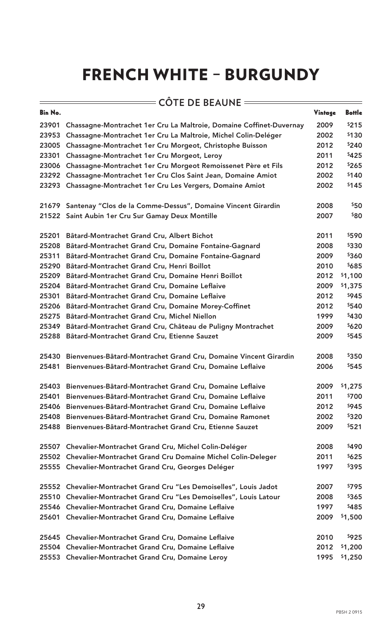| $\overline{\phantom{a}}$ = CÔTE DE BEAUNE $\overline{\phantom{a}}$ |                                                                     |         |               |
|--------------------------------------------------------------------|---------------------------------------------------------------------|---------|---------------|
| <b>Bin No.</b>                                                     |                                                                     | Vintage | <b>Bottle</b> |
| 23901                                                              | Chassagne-Montrachet 1er Cru La Maltroie, Domaine Coffinet-Duvernay | 2009    | \$215         |
| 23953                                                              | Chassagne-Montrachet 1er Cru La Maltroie, Michel Colin-Deléger      | 2002    | \$130         |
| 23005                                                              | Chassagne-Montrachet 1er Cru Morgeot, Christophe Buisson            | 2012    | \$240         |
| 23301                                                              | Chassagne-Montrachet 1er Cru Morgeot, Leroy                         | 2011    | \$425         |
| 23006                                                              | Chassagne-Montrachet 1er Cru Morgeot Remoissenet Père et Fils       | 2012    | \$265         |
| 23292                                                              | Chassagne-Montrachet 1er Cru Clos Saint Jean, Domaine Amiot         | 2002    | \$140         |
| 23293                                                              | Chassagne-Montrachet 1er Cru Les Vergers, Domaine Amiot             | 2002    | \$145         |
|                                                                    | 21679 Santenay "Clos de la Comme-Dessus", Domaine Vincent Girardin  | 2008    | \$50          |
|                                                                    | 21522 Saint Aubin 1er Cru Sur Gamay Deux Montille                   | 2007    | \$80          |
| 25201                                                              | Bâtard-Montrachet Grand Cru, Albert Bichot                          | 2011    | \$590         |
| 25208                                                              | Bâtard-Montrachet Grand Cru, Domaine Fontaine-Gagnard               | 2008    | \$330         |
| 25311                                                              | Bâtard-Montrachet Grand Cru, Domaine Fontaine-Gagnard               | 2009    | \$360         |
| 25290                                                              | Bâtard-Montrachet Grand Cru, Henri Boillot                          | 2010    | \$685         |
| 25209                                                              | Bâtard-Montrachet Grand Cru, Domaine Henri Boillot                  | 2012    | \$1,100       |
| 25204                                                              | Bâtard-Montrachet Grand Cru, Domaine Leflaive                       | 2009    | \$1,375       |
| 25301                                                              | Bâtard-Montrachet Grand Cru, Domaine Leflaive                       | 2012    | \$945         |
| 25206                                                              | Bâtard-Montrachet Grand Cru, Domaine Morey-Coffinet                 | 2012    | \$540         |
| 25275                                                              | Bâtard-Montrachet Grand Cru, Michel Niellon                         | 1999    | \$430         |
| 25349                                                              | Bâtard-Montrachet Grand Cru, Château de Puligny Montrachet          | 2009    | \$620         |
| 25288                                                              | Bâtard-Montrachet Grand Cru, Etienne Sauzet                         | 2009    | \$545         |
| 25430                                                              | Bienvenues-Bâtard-Montrachet Grand Cru, Domaine Vincent Girardin    | 2008    | \$350         |
| 25481                                                              | Bienvenues-Bâtard-Montrachet Grand Cru, Domaine Leflaive            | 2006    | \$545         |
| 25403                                                              | Bienvenues-Bâtard-Montrachet Grand Cru, Domaine Leflaive            | 2009    | \$1,275       |
| 25401                                                              | Bienvenues-Bâtard-Montrachet Grand Cru, Domaine Leflaive            | 2011    | \$700         |
| 25406                                                              | Bienvenues-Bâtard-Montrachet Grand Cru, Domaine Leflaive            | 2012    | \$945         |
| 25408                                                              | Bienvenues-Bâtard-Montrachet Grand Cru, Domaine Ramonet             | 2002    | \$320         |
| 25488                                                              | Bienvenues-Bâtard-Montrachet Grand Cru, Etienne Sauzet              | 2009    | \$521         |
| 25507                                                              | Chevalier-Montrachet Grand Cru, Michel Colin-Deléger                | 2008    | \$490         |
| 25502                                                              | Chevalier-Montrachet Grand Cru Domaine Michel Colin-Deleger         | 2011    | \$625         |
| 25555                                                              | Chevalier-Montrachet Grand Cru, Georges Deléger                     | 1997    | \$395         |
| 25552                                                              | Chevalier-Montrachet Grand Cru "Les Demoiselles", Louis Jadot       | 2007    | \$795         |
| 25510                                                              | Chevalier-Montrachet Grand Cru "Les Demoiselles", Louis Latour      | 2008    | \$365         |
| 25546                                                              | Chevalier-Montrachet Grand Cru, Domaine Leflaive                    | 1997    | \$485         |
| 25601                                                              | Chevalier-Montrachet Grand Cru, Domaine Leflaive                    | 2009    | \$1,500       |
| 25645                                                              | <b>Chevalier-Montrachet Grand Cru, Domaine Leflaive</b>             | 2010    | \$925         |
| 25504                                                              | <b>Chevalier-Montrachet Grand Cru, Domaine Leflaive</b>             | 2012    | \$1,200       |
|                                                                    | 25553 Chevalier-Montrachet Grand Cru, Domaine Leroy                 | 1995    | \$1,250       |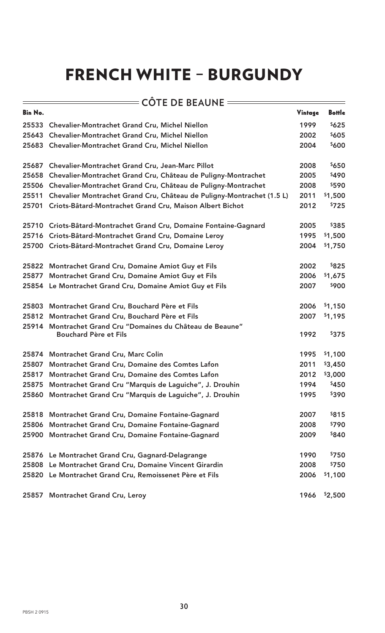|                | <b>CÔTE DE BEAUNE =</b>                                                                    |         |                   |
|----------------|--------------------------------------------------------------------------------------------|---------|-------------------|
| <b>Bin No.</b> |                                                                                            | Vintage | <b>Bottle</b>     |
|                | 25533 Chevalier-Montrachet Grand Cru, Michel Niellon                                       | 1999    | \$625             |
|                | 25643 Chevalier-Montrachet Grand Cru, Michel Niellon                                       | 2002    | \$605             |
|                | 25683 Chevalier-Montrachet Grand Cru, Michel Niellon                                       | 2004    | \$600             |
|                | 25687 Chevalier-Montrachet Grand Cru, Jean-Marc Pillot                                     | 2008    | \$650             |
| 25658          | Chevalier-Montrachet Grand Cru, Château de Puligny-Montrachet                              | 2005    | \$490             |
| 25506          | Chevalier-Montrachet Grand Cru, Château de Puligny-Montrachet                              | 2008    | \$590             |
| 25511          | Chevalier Montrachet Grand Cru, Château de Puligny-Montrachet (1.5 L)                      | 2011    | \$1,500           |
| 25701          | Criots-Bâtard-Montrachet Grand Cru, Maison Albert Bichot                                   | 2012    | \$725             |
|                | 25710 Criots-Bâtard-Montrachet Grand Cru, Domaine Fontaine-Gagnard                         | 2005    | \$385             |
|                | 25716 Criots-Bâtard-Montrachet Grand Cru, Domaine Leroy                                    | 1995    | \$1,500           |
|                | 25700 Criots-Bâtard-Montrachet Grand Cru, Domaine Leroy                                    | 2004    | \$1,750           |
|                | 25822 Montrachet Grand Cru, Domaine Amiot Guy et Fils                                      | 2002    | \$825             |
| 25877          | Montrachet Grand Cru, Domaine Amiot Guy et Fils                                            | 2006    | \$1,675           |
|                | 25854 Le Montrachet Grand Cru, Domaine Amiot Guy et Fils                                   | 2007    | \$900             |
| 25803          | Montrachet Grand Cru, Bouchard Père et Fils                                                | 2006    | \$1,150           |
|                | 25812 Montrachet Grand Cru, Bouchard Père et Fils                                          | 2007    | \$1,195           |
|                | 25914 Montrachet Grand Cru "Domaines du Château de Beaune"<br><b>Bouchard Père et Fils</b> | 1992    | \$375             |
|                | 25874 Montrachet Grand Cru, Marc Colin                                                     | 1995    | \$1,100           |
| 25807          | Montrachet Grand Cru, Domaine des Comtes Lafon                                             | 2011    | \$3,450           |
|                | 25817 Montrachet Grand Cru, Domaine des Comtes Lafon                                       | 2012    | \$3,000           |
| 25875          | Montrachet Grand Cru "Marquis de Laguiche", J. Drouhin                                     | 1994    | \$450             |
|                | 25860 Montrachet Grand Cru "Marquis de Laguiche", J. Drouhin                               | 1995    | \$390             |
| 25818          | Montrachet Grand Cru, Domaine Fontaine-Gagnard                                             | 2007    | \$815             |
|                | 25806 Montrachet Grand Cru, Domaine Fontaine-Gagnard                                       | 2008    | \$790             |
|                | 25900 Montrachet Grand Cru, Domaine Fontaine-Gagnard                                       | 2009    | \$840             |
|                | 25876 Le Montrachet Grand Cru, Gagnard-Delagrange                                          | 1990    | \$750             |
|                | 25808 Le Montrachet Grand Cru, Domaine Vincent Girardin                                    | 2008    | <sup>\$</sup> 750 |
|                | 25820 Le Montrachet Grand Cru, Remoissenet Père et Fils                                    | 2006    | \$1,100           |
| 25857          | <b>Montrachet Grand Cru, Leroy</b>                                                         | 1966    | \$2,500           |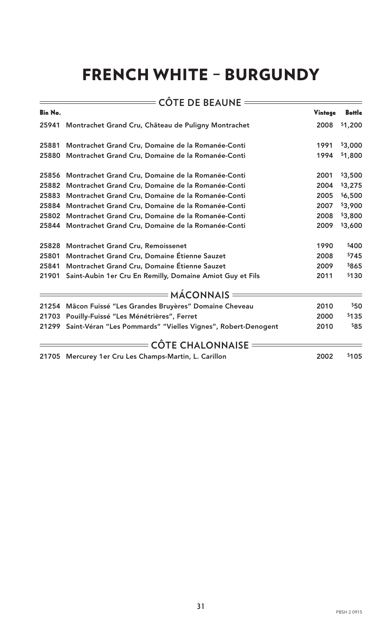|                | = CÔTE DE BEAUNE =                                                 |         |               |
|----------------|--------------------------------------------------------------------|---------|---------------|
| <b>Bin No.</b> |                                                                    | Vintage | <b>Bottle</b> |
| 25941          | Montrachet Grand Cru, Château de Puligny Montrachet                | 2008    | \$1,200       |
| 25881          | Montrachet Grand Cru, Domaine de la Romanée-Conti                  | 1991    | \$3,000       |
| 25880          | Montrachet Grand Cru, Domaine de la Romanée-Conti                  | 1994    | \$1,800       |
| 25856          | Montrachet Grand Cru, Domaine de la Romanée-Conti                  | 2001    | \$3,500       |
| 25882          | Montrachet Grand Cru, Domaine de la Romanée-Conti                  | 2004    | \$3,275       |
| 25883          | Montrachet Grand Cru, Domaine de la Romanée-Conti                  | 2005    | \$6,500       |
| 25884          | Montrachet Grand Cru, Domaine de la Romanée-Conti                  | 2007    | \$3,900       |
| 25802          | Montrachet Grand Cru, Domaine de la Romanée-Conti                  | 2008    | \$3,800       |
| 25844          | Montrachet Grand Cru, Domaine de la Romanée-Conti                  | 2009    | \$3,600       |
| 25828          | <b>Montrachet Grand Cru, Remoissenet</b>                           | 1990    | \$400         |
| 25801          | Montrachet Grand Cru, Domaine Étienne Sauzet                       | 2008    | \$745         |
| 25841          | Montrachet Grand Cru, Domaine Étienne Sauzet                       | 2009    | \$865         |
| 21901          | Saint-Aubin 1er Cru En Remilly, Domaine Amiot Guy et Fils          | 2011    | \$130         |
|                | $=$ MÁCONNAIS =                                                    |         |               |
| 21254          | Mâcon Fuissé "Les Grandes Bruyères" Domaine Cheveau                | 2010    | \$50          |
| 21703          | Pouilly-Fuissé "Les Ménétrières", Ferret                           | 2000    | \$135         |
|                | 21299 Saint-Véran "Les Pommards" "Vielles Vignes", Robert-Denogent | 2010    | \$85          |
|                | <b>ECÔTE CHALONNAISE</b>                                           |         |               |
|                | 21705 Mercurey 1er Cru Les Champs-Martin, L. Carillon              | 2002    | \$105         |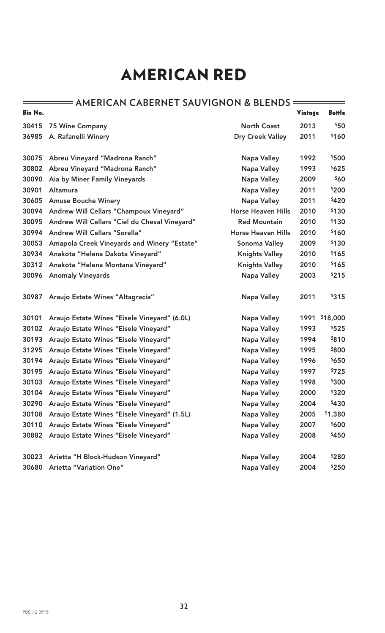### AMERICAN RED

### **ENSING AMERICAN CABERNET SAUVIGNON & BLENDS**

| <b>Bin No.</b> |                                               |                           | Vintage | <b>Bottle</b> |
|----------------|-----------------------------------------------|---------------------------|---------|---------------|
| 30415          | <b>75 Wine Company</b>                        | <b>North Coast</b>        | 2013    | \$50          |
| 36985          | A. Rafanelli Winery                           | <b>Dry Creek Valley</b>   | 2011    | \$160         |
|                |                                               |                           |         | \$500         |
| 30075          | Abreu Vineyard "Madrona Ranch"                | Napa Valley               | 1992    |               |
| 30802          | Abreu Vineyard "Madrona Ranch"                | Napa Valley               | 1993    | \$625         |
| 30090          | Aia by Miner Family Vineyards                 | <b>Napa Valley</b>        | 2009    | \$60          |
| 30901          | Altamura                                      | Napa Valley               | 2011    | \$200         |
| 30605          | <b>Amuse Bouche Winery</b>                    | Napa Valley               | 2011    | \$420         |
| 30094          | Andrew Will Cellars "Champoux Vineyard"       | <b>Horse Heaven Hills</b> | 2010    | \$130         |
| 30095          | Andrew Will Cellars "Ciel du Cheval Vineyard" | <b>Red Mountain</b>       | 2010    | \$130         |
| 30994          | Andrew Will Cellars "Sorella"                 | <b>Horse Heaven Hills</b> | 2010    | \$160         |
| 30053          | Amapola Creek Vineyards and Winery "Estate"   | Sonoma Valley             | 2009    | \$130         |
| 30934          | Anakota "Helena Dakota Vineyard"              | <b>Knights Valley</b>     | 2010    | \$165         |
| 30312          | Anakota "Helena Montana Vineyard"             | <b>Knights Valley</b>     | 2010    | \$165         |
| 30096          | <b>Anomaly Vineyards</b>                      | Napa Valley               | 2003    | \$215         |
| 30987          | Araujo Estate Wines "Altagracia"              | Napa Valley               | 2011    | \$315         |
| 30101          | Araujo Estate Wines "Eisele Vineyard" (6.0L)  | Napa Valley               | 1991    | \$18,000      |
| 30102          | Araujo Estate Wines "Eisele Vineyard"         | <b>Napa Valley</b>        | 1993    | \$525         |
| 30193          | Araujo Estate Wines "Eisele Vineyard"         | <b>Napa Valley</b>        | 1994    | \$810         |
| 31295          | Araujo Estate Wines "Eisele Vineyard"         | <b>Napa Valley</b>        | 1995    | \$800         |
| 30194          | Araujo Estate Wines "Eisele Vineyard"         | <b>Napa Valley</b>        | 1996    | \$650         |
| 30195          | Araujo Estate Wines "Eisele Vineyard"         | <b>Napa Valley</b>        | 1997    | \$725         |
| 30103          | Araujo Estate Wines "Eisele Vineyard"         | Napa Valley               | 1998    | \$300         |
| 30104          | Araujo Estate Wines "Eisele Vineyard"         | <b>Napa Valley</b>        | 2000    | \$320         |
| 30290          | Araujo Estate Wines "Eisele Vineyard"         | <b>Napa Valley</b>        | 2004    | \$430         |
| 30108          | Araujo Estate Wines "Eisele Vineyard" (1.5L)  | <b>Napa Valley</b>        | 2005    | \$1,380       |
| 30110          | Araujo Estate Wines "Eisele Vineyard"         | Napa Valley               | 2007    | \$600         |
| 30882          | Araujo Estate Wines "Eisele Vineyard"         | Napa Valley               | 2008    | \$450         |
|                |                                               |                           |         |               |
| 30023          | Arietta "H Block-Hudson Vineyard"             | <b>Napa Valley</b>        | 2004    | \$280         |
| 30680          | Arietta "Variation One"                       | <b>Napa Valley</b>        | 2004    | \$250         |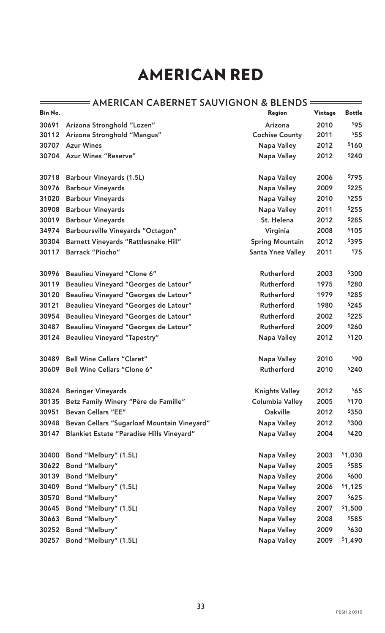### **ENSING AMERICAN CABERNET SAUVIGNON & BLENDS**

| Bin No. |                                                  | <b>Region</b>            | Vintage | <b>Bottle</b> |
|---------|--------------------------------------------------|--------------------------|---------|---------------|
| 30691   | Arizona Stronghold "Lozen"                       | Arizona                  | 2010    | \$95          |
| 30112   | Arizona Stronghold "Mangus"                      | <b>Cochise County</b>    | 2011    | \$55          |
| 30707   | <b>Azur Wines</b>                                | <b>Napa Valley</b>       | 2012    | \$160         |
| 30704   | <b>Azur Wines "Reserve"</b>                      | <b>Napa Valley</b>       | 2012    | \$240         |
| 30718   | <b>Barbour Vineyards (1.5L)</b>                  | Napa Valley              | 2006    | \$795         |
| 30976   | <b>Barbour Vineyards</b>                         | <b>Napa Valley</b>       | 2009    | \$225         |
| 31020   | <b>Barbour Vineyards</b>                         | <b>Napa Valley</b>       | 2010    | \$255         |
| 30908   | <b>Barbour Vineyards</b>                         | <b>Napa Valley</b>       | 2011    | \$255         |
| 30019   | <b>Barbour Vineyards</b>                         | St. Helena               | 2012    | \$285         |
| 34974   | <b>Barboursville Vineyards "Octagon"</b>         | Virginia                 | 2008    | \$105         |
| 30304   | Barnett Vineyards "Rattlesnake Hill"             | <b>Spring Mountain</b>   | 2012    | \$395         |
| 30117   | Barrack "Piocho"                                 | <b>Santa Ynez Valley</b> | 2011    | \$75          |
| 30996   | <b>Beaulieu Vineyard "Clone 6"</b>               | Rutherford               | 2003    | \$300         |
| 30119   | Beaulieu Vineyard "Georges de Latour"            | <b>Rutherford</b>        | 1975    | \$280         |
| 30120   | Beaulieu Vineyard "Georges de Latour"            | Rutherford               | 1979    | \$285         |
| 30121   | Beaulieu Vineyard "Georges de Latour"            | Rutherford               | 1980    | \$245         |
| 30954   | Beaulieu Vineyard "Georges de Latour"            | Rutherford               | 2002    | \$225         |
| 30487   | Beaulieu Vineyard "Georges de Latour"            | Rutherford               | 2009    | \$260         |
| 30124   | <b>Beaulieu Vineyard "Tapestry"</b>              | <b>Napa Valley</b>       | 2012    | \$120         |
| 30489   | <b>Bell Wine Cellars "Claret"</b>                | <b>Napa Valley</b>       | 2010    | \$90          |
| 30609   | <b>Bell Wine Cellars "Clone 6"</b>               | Rutherford               | 2010    | \$240         |
| 30824   | <b>Beringer Vineyards</b>                        | <b>Knights Valley</b>    | 2012    | \$65          |
| 30135   | Betz Family Winery "Père de Famille"             | <b>Columbia Valley</b>   | 2005    | \$170         |
| 30951   | <b>Bevan Cellars "EE"</b>                        | Oakville                 | 2012    | \$350         |
| 30948   | Bevan Cellars "Sugarloaf Mountain Vineyard"      | <b>Napa Valley</b>       | 2012    | \$300         |
| 30147   | <b>Blankiet Estate "Paradise Hills Vineyard"</b> | <b>Napa Valley</b>       | 2004    | \$420         |
| 30400   | Bond "Melbury" (1.5L)                            | <b>Napa Valley</b>       | 2003    | \$1,030       |
| 30622   | Bond "Melbury"                                   | <b>Napa Valley</b>       | 2005    | \$585         |
| 30139   | Bond "Melbury"                                   | <b>Napa Valley</b>       | 2006    | \$600         |
| 30409   | Bond "Melbury" (1.5L)                            | <b>Napa Valley</b>       | 2006    | \$1,125       |
| 30570   | Bond "Melbury"                                   | <b>Napa Valley</b>       | 2007    | \$625         |
| 30645   | Bond "Melbury" (1.5L)                            | <b>Napa Valley</b>       | 2007    | \$1,500       |
| 30663   | Bond "Melbury"                                   | <b>Napa Valley</b>       | 2008    | \$585         |
| 30252   | Bond "Melbury"                                   | <b>Napa Valley</b>       | 2009    | \$630         |
| 30257   | Bond "Melbury" (1.5L)                            | <b>Napa Valley</b>       | 2009    | \$1,490       |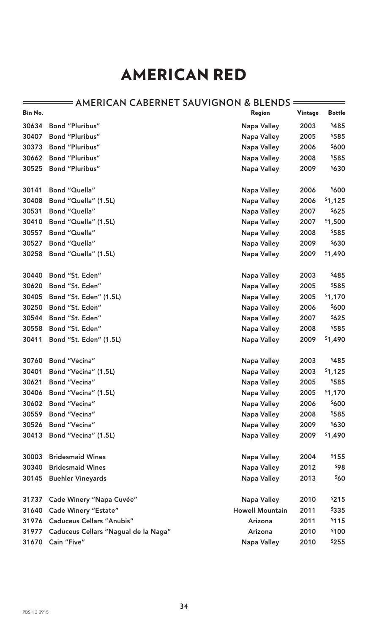| Bin No. |                                      | <b>Region</b>          | Vintage | <b>Bottle</b> |
|---------|--------------------------------------|------------------------|---------|---------------|
| 30634   | <b>Bond "Pluribus"</b>               | Napa Valley            | 2003    | \$485         |
| 30407   | <b>Bond "Pluribus"</b>               | <b>Napa Valley</b>     | 2005    | \$585         |
| 30373   | <b>Bond "Pluribus"</b>               | <b>Napa Valley</b>     | 2006    | \$600         |
| 30662   | Bond "Pluribus"                      | <b>Napa Valley</b>     | 2008    | \$585         |
| 30525   | <b>Bond "Pluribus"</b>               | Napa Valley            | 2009    | \$630         |
|         |                                      |                        |         |               |
| 30141   | Bond "Quella"                        | Napa Valley            | 2006    | \$600         |
| 30408   | Bond "Quella" (1.5L)                 | Napa Valley            | 2006    | \$1,125       |
| 30531   | Bond "Quella"                        | <b>Napa Valley</b>     | 2007    | \$625         |
| 30410   | Bond "Quella" (1.5L)                 | Napa Valley            | 2007    | \$1,500       |
| 30557   | Bond "Quella"                        | <b>Napa Valley</b>     | 2008    | \$585         |
| 30527   | <b>Bond "Quella"</b>                 | <b>Napa Valley</b>     | 2009    | \$630         |
| 30258   | Bond "Quella" (1.5L)                 | Napa Valley            | 2009    | \$1,490       |
| 30440   | Bond "St. Eden"                      | Napa Valley            | 2003    | \$485         |
| 30620   | Bond "St. Eden"                      | <b>Napa Valley</b>     | 2005    | \$585         |
| 30405   | Bond "St. Eden" (1.5L)               | Napa Valley            | 2005    | \$1,170       |
| 30250   | Bond "St. Eden"                      | <b>Napa Valley</b>     | 2006    | \$600         |
| 30544   | Bond "St. Eden"                      | Napa Valley            | 2007    | \$625         |
| 30558   | Bond "St. Eden"                      | <b>Napa Valley</b>     | 2008    | \$585         |
| 30411   | Bond "St. Eden" (1.5L)               | Napa Valley            | 2009    | \$1,490       |
|         |                                      |                        |         |               |
| 30760   | Bond "Vecina"                        | Napa Valley            | 2003    | \$485         |
| 30401   | Bond "Vecina" (1.5L)                 | <b>Napa Valley</b>     | 2003    | \$1,125       |
| 30621   | Bond "Vecina"                        | <b>Napa Valley</b>     | 2005    | \$585         |
| 30406   | Bond "Vecina" (1.5L)                 | Napa Valley            | 2005    | \$1,170       |
| 30602   | Bond "Vecina"                        | <b>Napa Valley</b>     | 2006    | \$600         |
| 30559   | Bond "Vecina"                        | <b>Napa Valley</b>     | 2008    | \$585         |
| 30526   | Bond "Vecina"                        | <b>Napa Valley</b>     | 2009    | \$630         |
| 30413   | Bond "Vecina" (1.5L)                 | <b>Napa Valley</b>     | 2009    | \$1,490       |
| 30003   | <b>Bridesmaid Wines</b>              | Napa Valley            | 2004    | \$155         |
| 30340   | <b>Bridesmaid Wines</b>              | <b>Napa Valley</b>     | 2012    | \$98          |
|         |                                      |                        |         | \$60          |
| 30145   | <b>Buehler Vineyards</b>             | <b>Napa Valley</b>     | 2013    |               |
| 31737   | Cade Winery "Napa Cuvée"             | <b>Napa Valley</b>     | 2010    | \$215         |
| 31640   | <b>Cade Winery "Estate"</b>          | <b>Howell Mountain</b> | 2011    | \$335         |
| 31976   | <b>Caduceus Cellars "Anubis"</b>     | Arizona                | 2011    | \$115         |
| 31977   | Caduceus Cellars "Nagual de la Naga" | Arizona                | 2010    | \$100         |
| 31670   | Cain "Five"                          | <b>Napa Valley</b>     | 2010    | \$255         |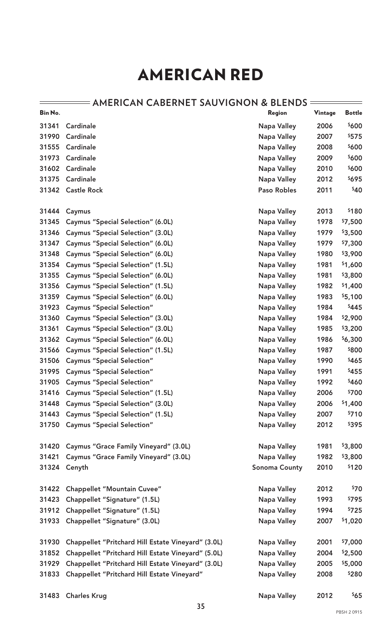| Bin No. |                                                    | Region               | Vintage | <b>Bottle</b> |
|---------|----------------------------------------------------|----------------------|---------|---------------|
| 31341   | Cardinale                                          | Napa Valley          | 2006    | \$600         |
| 31990   | <b>Cardinale</b>                                   | <b>Napa Valley</b>   | 2007    | \$575         |
| 31555   | <b>Cardinale</b>                                   | <b>Napa Valley</b>   | 2008    | \$600         |
| 31973   | Cardinale                                          | <b>Napa Valley</b>   | 2009    | \$600         |
| 31602   | <b>Cardinale</b>                                   | <b>Napa Valley</b>   | 2010    | \$600         |
| 31375   | Cardinale                                          | <b>Napa Valley</b>   | 2012    | \$695         |
| 31342   | <b>Castle Rock</b>                                 | <b>Paso Robles</b>   | 2011    | \$40          |
|         |                                                    |                      |         |               |
| 31444   | Caymus                                             | <b>Napa Valley</b>   | 2013    | \$180         |
| 31345   | <b>Caymus "Special Selection" (6.0L)</b>           | <b>Napa Valley</b>   | 1978    | \$7,500       |
| 31346   | <b>Caymus "Special Selection" (3.0L)</b>           | <b>Napa Valley</b>   | 1979    | \$3,500       |
| 31347   | <b>Caymus "Special Selection" (6.0L)</b>           | <b>Napa Valley</b>   | 1979    | \$7,300       |
| 31348   | <b>Caymus "Special Selection" (6.0L)</b>           | Napa Valley          | 1980    | \$3,900       |
| 31354   | <b>Caymus "Special Selection" (1.5L)</b>           | Napa Valley          | 1981    | \$1,600       |
| 31355   | <b>Caymus "Special Selection" (6.0L)</b>           | <b>Napa Valley</b>   | 1981    | \$3,800       |
| 31356   | <b>Caymus "Special Selection" (1.5L)</b>           | <b>Napa Valley</b>   | 1982    | \$1,400       |
| 31359   | <b>Caymus "Special Selection" (6.0L)</b>           | <b>Napa Valley</b>   | 1983    | \$5,100       |
| 31923   | <b>Caymus "Special Selection"</b>                  | <b>Napa Valley</b>   | 1984    | \$445         |
| 31360   | <b>Caymus "Special Selection" (3.0L)</b>           | Napa Valley          | 1984    | \$2,900       |
| 31361   | <b>Caymus "Special Selection" (3.0L)</b>           | Napa Valley          | 1985    | \$3,200       |
| 31362   | <b>Caymus "Special Selection" (6.0L)</b>           | <b>Napa Valley</b>   | 1986    | \$6,300       |
| 31566   | <b>Caymus "Special Selection" (1.5L)</b>           | Napa Valley          | 1987    | \$800         |
| 31506   | <b>Caymus "Special Selection"</b>                  | <b>Napa Valley</b>   | 1990    | \$465         |
| 31995   | <b>Caymus "Special Selection"</b>                  | <b>Napa Valley</b>   | 1991    | \$455         |
| 31905   | <b>Caymus "Special Selection"</b>                  | Napa Valley          | 1992    | \$460         |
| 31416   | <b>Caymus "Special Selection" (1.5L)</b>           | <b>Napa Valley</b>   | 2006    | \$700         |
| 31448   | Caymus "Special Selection" (3.0L)                  | <b>Napa Valley</b>   | 2006    | \$1,400       |
| 31443   | <b>Caymus "Special Selection" (1.5L)</b>           | <b>Napa Valley</b>   | 2007    | \$710         |
| 31750   | <b>Caymus "Special Selection"</b>                  | <b>Napa Valley</b>   | 2012    | \$395         |
|         |                                                    |                      |         |               |
| 31420   | Caymus "Grace Family Vineyard" (3.0L)              | Napa Valley          | 1981    | \$3,800       |
| 31421   | Caymus "Grace Family Vineyard" (3.0L)              | <b>Napa Valley</b>   | 1982    | \$3,800       |
| 31324   | Cenyth                                             | <b>Sonoma County</b> | 2010    | \$120         |
|         |                                                    |                      |         |               |
| 31422   | <b>Chappellet "Mountain Cuvee"</b>                 | <b>Napa Valley</b>   | 2012    | \$70          |
| 31423   | Chappellet "Signature" (1.5L)                      | <b>Napa Valley</b>   | 1993    | \$795         |
| 31912   | Chappellet "Signature" (1.5L)                      | <b>Napa Valley</b>   | 1994    | \$725         |
| 31933   | Chappellet "Signature" (3.0L)                      | <b>Napa Valley</b>   | 2007    | \$1,020       |
|         |                                                    |                      |         |               |
| 31930   | Chappellet "Pritchard Hill Estate Vineyard" (3.0L) | <b>Napa Valley</b>   | 2001    | \$7,000       |
| 31852   | Chappellet "Pritchard Hill Estate Vineyard" (5.0L) | <b>Napa Valley</b>   | 2004    | \$2,500       |
| 31929   | Chappellet "Pritchard Hill Estate Vineyard" (3.0L) | <b>Napa Valley</b>   | 2005    | \$5,000       |
| 31833   | Chappellet "Pritchard Hill Estate Vineyard"        | <b>Napa Valley</b>   | 2008    | \$280         |
|         |                                                    |                      |         |               |
| 31483   | <b>Charles Krug</b>                                | <b>Napa Valley</b>   | 2012    | \$65          |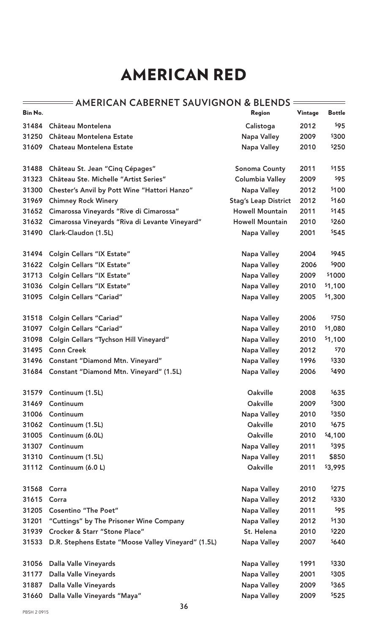| Bin No. |                                                     | Region                      | Vintage | <b>Bottle</b> |
|---------|-----------------------------------------------------|-----------------------------|---------|---------------|
| 31484   | Château Montelena                                   | Calistoga                   | 2012    | \$95          |
| 31250   | Château Montelena Estate                            | <b>Napa Valley</b>          | 2009    | \$300         |
| 31609   | <b>Chateau Montelena Estate</b>                     | <b>Napa Valley</b>          | 2010    | \$250         |
| 31488   | Château St. Jean "Cinq Cépages"                     | <b>Sonoma County</b>        | 2011    | \$155         |
| 31323   | Château Ste. Michelle "Artist Series"               | <b>Columbia Valley</b>      | 2009    | \$95          |
| 31300   | Chester's Anvil by Pott Wine "Hattori Hanzo"        | <b>Napa Valley</b>          | 2012    | \$100         |
| 31969   | <b>Chimney Rock Winery</b>                          | <b>Stag's Leap District</b> | 2012    | \$160         |
| 31652   | Cimarossa Vineyards "Rive di Cimarossa"             | <b>Howell Mountain</b>      | 2011    | \$145         |
| 31632   | Cimarossa Vineyards "Riva di Levante Vineyard"      | <b>Howell Mountain</b>      | 2010    | \$260         |
| 31490   | Clark-Claudon (1.5L)                                | <b>Napa Valley</b>          | 2001    | \$545         |
| 31494   | <b>Colgin Cellars "IX Estate"</b>                   | Napa Valley                 | 2004    | \$945         |
| 31622   | <b>Colgin Cellars "IX Estate"</b>                   | <b>Napa Valley</b>          | 2006    | \$900         |
| 31713   | <b>Colgin Cellars "IX Estate"</b>                   | <b>Napa Valley</b>          | 2009    | \$1000        |
| 31036   | <b>Colgin Cellars "IX Estate"</b>                   | Napa Valley                 | 2010    | \$1,100       |
| 31095   | <b>Colgin Cellars "Cariad"</b>                      | <b>Napa Valley</b>          | 2005    | \$1,300       |
| 31518   | <b>Colgin Cellars "Cariad"</b>                      | Napa Valley                 | 2006    | \$750         |
| 31097   | <b>Colgin Cellars "Cariad"</b>                      | <b>Napa Valley</b>          | 2010    | \$1,080       |
| 31098   | Colgin Cellars "Tychson Hill Vineyard"              | <b>Napa Valley</b>          | 2010    | \$1,100       |
| 31495   | <b>Conn Creek</b>                                   | Napa Valley                 | 2012    | \$70          |
| 31496   | <b>Constant "Diamond Mtn. Vineyard"</b>             | Napa Valley                 | 1996    | \$330         |
| 31684   | Constant "Diamond Mtn. Vineyard" (1.5L)             | Napa Valley                 | 2006    | \$490         |
| 31579   | Continuum (1.5L)                                    | <b>Oakville</b>             | 2008    | \$635         |
| 31469   | Continuum                                           | Oakville                    | 2009    | \$300         |
| 31006   | Continuum                                           | <b>Napa Valley</b>          | 2010    | \$350         |
| 31062   | Continuum (1.5L)                                    | Oakville                    | 2010    | \$675         |
| 31005   | Continuum (6.0L)                                    | Oakville                    | 2010    | \$4,100       |
| 31307   | Continuum                                           | <b>Napa Valley</b>          | 2011    | \$395         |
| 31310   | Continuum (1.5L)                                    | Napa Valley                 | 2011    | \$850         |
|         | 31112 Continuum (6.0 L)                             | <b>Oakville</b>             | 2011    | \$3,995       |
| 31568   | Corra                                               | Napa Valley                 | 2010    | \$275         |
| 31615   | Corra                                               | <b>Napa Valley</b>          | 2012    | \$330         |
| 31205   | <b>Cosentino "The Poet"</b>                         | <b>Napa Valley</b>          | 2011    | \$95          |
| 31201   | "Cuttings" by The Prisoner Wine Company             | <b>Napa Valley</b>          | 2012    | \$130         |
| 31939   | <b>Crocker &amp; Starr "Stone Place"</b>            | St. Helena                  | 2010    | \$220         |
| 31533   | D.R. Stephens Estate "Moose Valley Vineyard" (1.5L) | <b>Napa Valley</b>          | 2007    | \$640         |
| 31056   | Dalla Valle Vineyards                               | <b>Napa Valley</b>          | 1991    | \$330         |
| 31177   | <b>Dalla Valle Vineyards</b>                        | <b>Napa Valley</b>          | 2001    | \$305         |
| 31887   | Dalla Valle Vineyards                               | <b>Napa Valley</b>          | 2009    | \$365         |
| 31660   | Dalla Valle Vineyards "Maya"                        | <b>Napa Valley</b>          | 2009    | \$525         |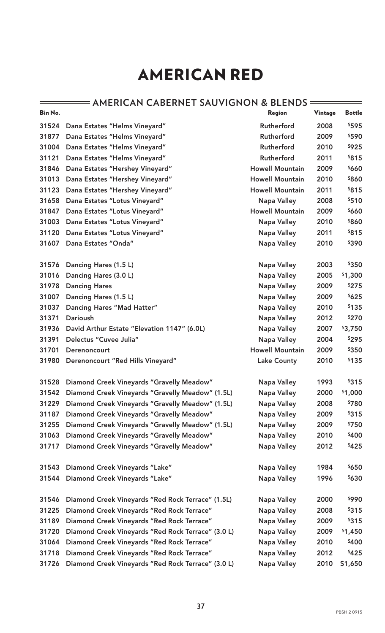#### **ENSING AMERICAN CABERNET SAUVIGNON & BLENDS**

| Bin No. |                                                    | Region                 | Vintage | <b>Bottle</b> |
|---------|----------------------------------------------------|------------------------|---------|---------------|
| 31524   | Dana Estates "Helms Vineyard"                      | Rutherford             | 2008    | \$595         |
| 31877   | Dana Estates "Helms Vineyard"                      | Rutherford             | 2009    | \$590         |
| 31004   | Dana Estates "Helms Vineyard"                      | Rutherford             | 2010    | \$925         |
| 31121   | Dana Estates "Helms Vineyard"                      | Rutherford             | 2011    | \$815         |
| 31846   | Dana Estates "Hershey Vineyard"                    | <b>Howell Mountain</b> | 2009    | \$660         |
| 31013   | Dana Estates "Hershey Vineyard"                    | <b>Howell Mountain</b> | 2010    | \$860         |
| 31123   | Dana Estates "Hershey Vineyard"                    | <b>Howell Mountain</b> | 2011    | \$815         |
| 31658   | Dana Estates "Lotus Vineyard"                      | <b>Napa Valley</b>     | 2008    | \$510         |
| 31847   | Dana Estates "Lotus Vineyard"                      | <b>Howell Mountain</b> | 2009    | \$660         |
| 31003   | Dana Estates "Lotus Vineyard"                      | <b>Napa Valley</b>     | 2010    | \$860         |
| 31120   | Dana Estates "Lotus Vineyard"                      | <b>Napa Valley</b>     | 2011    | \$815         |
| 31607   | Dana Estates "Onda"                                | <b>Napa Valley</b>     | 2010    | \$390         |
|         |                                                    |                        |         |               |
| 31576   | Dancing Hares (1.5 L)                              | Napa Valley            | 2003    | \$350         |
| 31016   | Dancing Hares (3.0 L)                              | <b>Napa Valley</b>     | 2005    | \$1,300       |
| 31978   | <b>Dancing Hares</b>                               | <b>Napa Valley</b>     | 2009    | \$275         |
| 31007   | Dancing Hares (1.5 L)                              | <b>Napa Valley</b>     | 2009    | \$625         |
| 31037   | <b>Dancing Hares "Mad Hatter"</b>                  | <b>Napa Valley</b>     | 2010    | \$135         |
| 31371   | Darioush                                           | Napa Valley            | 2012    | \$270         |
| 31936   | David Arthur Estate "Elevation 1147" (6.0L)        | <b>Napa Valley</b>     | 2007    | \$3,750       |
| 31391   | Delectus "Cuvee Julia"                             | <b>Napa Valley</b>     | 2004    | \$295         |
| 31701   | Derenoncourt                                       | <b>Howell Mountain</b> | 2009    | \$350         |
| 31980   | Derenoncourt "Red Hills Vineyard"                  | <b>Lake County</b>     | 2010    | \$135         |
|         |                                                    |                        |         |               |
| 31528   | Diamond Creek Vineyards "Gravelly Meadow"          | <b>Napa Valley</b>     | 1993    | \$315         |
| 31542   | Diamond Creek Vineyards "Gravelly Meadow" (1.5L)   | <b>Napa Valley</b>     | 2000    | \$1,000       |
| 31229   | Diamond Creek Vineyards "Gravelly Meadow" (1.5L)   | <b>Napa Valley</b>     | 2008    | \$780         |
| 31187   | Diamond Creek Vineyards "Gravelly Meadow"          | <b>Napa Valley</b>     | 2009    | \$315         |
| 31255   | Diamond Creek Vineyards "Gravelly Meadow" (1.5L)   | <b>Napa Valley</b>     | 2009    | \$750         |
| 31063   | Diamond Creek Vineyards "Gravelly Meadow"          | <b>Napa Valley</b>     | 2010    | \$400         |
| 31717   | Diamond Creek Vineyards "Gravelly Meadow"          | Napa Valley            | 2012    | \$425         |
| 31543   | Diamond Creek Vineyards "Lake"                     | <b>Napa Valley</b>     | 1984    | \$650         |
| 31544   | Diamond Creek Vineyards "Lake"                     | <b>Napa Valley</b>     | 1996    | \$630         |
|         |                                                    |                        |         |               |
| 31546   | Diamond Creek Vineyards "Red Rock Terrace" (1.5L)  | <b>Napa Valley</b>     | 2000    | \$990         |
| 31225   | Diamond Creek Vineyards "Red Rock Terrace"         | Napa Valley            | 2008    | \$315         |
| 31189   | Diamond Creek Vineyards "Red Rock Terrace"         | <b>Napa Valley</b>     | 2009    | \$315         |
| 31720   | Diamond Creek Vineyards "Red Rock Terrace" (3.0 L) | <b>Napa Valley</b>     | 2009    | \$1,450       |
| 31064   | Diamond Creek Vineyards "Red Rock Terrace"         | <b>Napa Valley</b>     | 2010    | \$400         |
| 31718   | Diamond Creek Vineyards "Red Rock Terrace"         | <b>Napa Valley</b>     | 2012    | \$425         |
| 31726   | Diamond Creek Vineyards "Red Rock Terrace" (3.0 L) | Napa Valley            | 2010    | \$1,650       |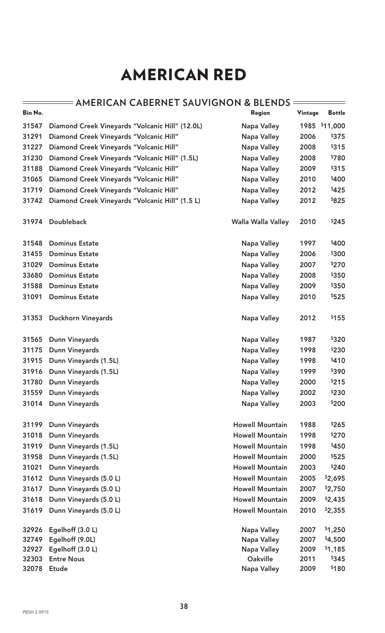|         | = AMERICAN CABERNET SAUVIGNON & BLENDS          |                        |         |               |
|---------|-------------------------------------------------|------------------------|---------|---------------|
| Bin No. |                                                 | Region                 | Vintage | <b>Bottle</b> |
| 31547   | Diamond Creek Vineyards "Volcanic Hill" (12.0L) | Napa Valley            |         | 1985 \$11,000 |
| 31291   | Diamond Creek Vineyards "Volcanic Hill"         | <b>Napa Valley</b>     | 2006    | \$375         |
| 31227   | Diamond Creek Vineyards "Volcanic Hill"         | <b>Napa Valley</b>     | 2008    | \$315         |
| 31230   | Diamond Creek Vineyards "Volcanic Hill" (1.5L)  | <b>Napa Valley</b>     | 2008    | \$780         |
| 31188   | Diamond Creek Vineyards "Volcanic Hill"         | <b>Napa Valley</b>     | 2009    | \$315         |
| 31065   | Diamond Creek Vineyards "Volcanic Hill"         | <b>Napa Valley</b>     | 2010    | \$400         |
| 31719   | Diamond Creek Vineyards "Volcanic Hill"         | <b>Napa Valley</b>     | 2012    | \$425         |
| 31742   | Diamond Creek Vineyards "Volcanic Hill" (1.5 L) | <b>Napa Valley</b>     | 2012    | \$825         |
| 31974   | <b>Doubleback</b>                               | Walla Walla Valley     | 2010    | \$245         |
| 31548   | <b>Dominus Estate</b>                           | <b>Napa Valley</b>     | 1997    | \$400         |
| 31455   | <b>Dominus Estate</b>                           | <b>Napa Valley</b>     | 2006    | \$300         |
| 31029   | <b>Dominus Estate</b>                           | <b>Napa Valley</b>     | 2007    | \$270         |
| 33680   | <b>Dominus Estate</b>                           | <b>Napa Valley</b>     | 2008    | \$350         |
| 31588   | <b>Dominus Estate</b>                           | <b>Napa Valley</b>     | 2009    | \$350         |
| 31091   | <b>Dominus Estate</b>                           | <b>Napa Valley</b>     | 2010    | \$525         |
| 31353   | <b>Duckhorn Vineyards</b>                       | <b>Napa Valley</b>     | 2012    | \$155         |
| 31565   | <b>Dunn Vineyards</b>                           | <b>Napa Valley</b>     | 1987    | \$320         |
| 31175   | <b>Dunn Vineyards</b>                           | Napa Valley            | 1998    | \$230         |
| 31915   | Dunn Vineyards (1.5L)                           | <b>Napa Valley</b>     | 1998    | \$410         |
| 31916   | Dunn Vineyards (1.5L)                           | <b>Napa Valley</b>     | 1999    | \$390         |
| 31780   | <b>Dunn Vineyards</b>                           | <b>Napa Valley</b>     | 2000    | \$215         |
| 31559   | <b>Dunn Vineyards</b>                           | <b>Napa Valley</b>     | 2002    | \$230         |
| 31014   | <b>Dunn Vineyards</b>                           | <b>Napa Valley</b>     | 2003    | \$200         |
| 31199   | Dunn Vineyards                                  | <b>Howell Mountain</b> | 1988    | \$265         |
| 31018   | <b>Dunn Vineyards</b>                           | <b>Howell Mountain</b> | 1998    | \$270         |
| 31919   | Dunn Vineyards (1.5L)                           | <b>Howell Mountain</b> | 1998    | \$450         |
| 31958   | Dunn Vineyards (1.5L)                           | <b>Howell Mountain</b> | 2000    | \$525         |
| 31021   | <b>Dunn Vineyards</b>                           | <b>Howell Mountain</b> | 2003    | \$240         |
| 31612   | Dunn Vineyards (5.0 L)                          | <b>Howell Mountain</b> | 2005    | \$2,695       |
| 31617   | Dunn Vineyards (5.0 L)                          | <b>Howell Mountain</b> | 2007    | \$2,750       |
| 31618   | Dunn Vineyards (5.0 L)                          | <b>Howell Mountain</b> | 2009    | \$2,435       |
| 31619   | Dunn Vineyards (5.0 L)                          | <b>Howell Mountain</b> | 2010    | \$2,355       |
| 32926   | Egelhoff (3.0 L)                                | <b>Napa Valley</b>     | 2007    | \$1,250       |
| 32749   | Egelhoff (9.0L)                                 | <b>Napa Valley</b>     | 2007    | \$4,500       |
| 32927   | Egelhoff (3.0 L)                                | <b>Napa Valley</b>     | 2009    | \$1,185       |
| 32303   | <b>Entre Nous</b>                               | <b>Oakville</b>        | 2011    | \$345         |
| 32078   | <b>Etude</b>                                    | <b>Napa Valley</b>     | 2009    | \$180         |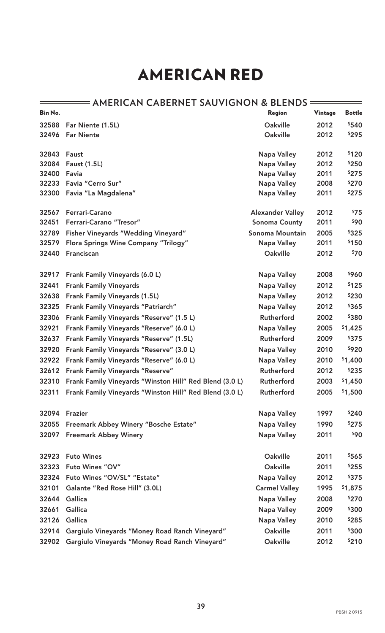| Bin No. |                                                               | Region                  | Vintage | <b>Bottle</b> |
|---------|---------------------------------------------------------------|-------------------------|---------|---------------|
| 32588   | Far Niente (1.5L)                                             | <b>Oakville</b>         | 2012    | \$540         |
| 32496   | <b>Far Niente</b>                                             | Oakville                | 2012    | \$295         |
| 32843   | Faust                                                         | <b>Napa Valley</b>      | 2012    | \$120         |
| 32084   | <b>Faust (1.5L)</b>                                           | <b>Napa Valley</b>      | 2012    | \$250         |
| 32400   | Favia                                                         | <b>Napa Valley</b>      | 2011    | \$275         |
| 32233   | Favia "Cerro Sur"                                             | <b>Napa Valley</b>      | 2008    | \$270         |
| 32300   | Favia "La Magdalena"                                          | Napa Valley             | 2011    | \$275         |
| 32567   | Ferrari-Carano                                                | <b>Alexander Valley</b> | 2012    | \$75          |
| 32451   | Ferrari-Carano "Tresor"                                       | <b>Sonoma County</b>    | 2011    | \$90          |
| 32789   | <b>Fisher Vineyards "Wedding Vineyard"</b>                    | Sonoma Mountain         | 2005    | \$325         |
| 32579   | <b>Flora Springs Wine Company "Trilogy"</b>                   | <b>Napa Valley</b>      | 2011    | \$150         |
| 32440   | Franciscan                                                    | Oakville                | 2012    | \$70          |
| 32917   | <b>Frank Family Vineyards (6.0 L)</b>                         | Napa Valley             | 2008    | \$960         |
| 32441   | <b>Frank Family Vineyards</b>                                 | <b>Napa Valley</b>      | 2012    | \$125         |
| 32638   | <b>Frank Family Vineyards (1.5L)</b>                          | <b>Napa Valley</b>      | 2012    | \$230         |
| 32325   | Frank Family Vineyards "Patriarch"                            | <b>Napa Valley</b>      | 2012    | \$365         |
| 32306   | Frank Family Vineyards "Reserve" (1.5 L)                      | Rutherford              | 2002    | \$380         |
| 32921   | Frank Family Vineyards "Reserve" (6.0 L)                      | <b>Napa Valley</b>      | 2005    | \$1,425       |
| 32637   | <b>Frank Family Vineyards "Reserve" (1.5L)</b>                | Rutherford              | 2009    | \$375         |
| 32920   | Frank Family Vineyards "Reserve" (3.0 L)                      | <b>Napa Valley</b>      | 2010    | \$920         |
| 32922   | Frank Family Vineyards "Reserve" (6.0 L)                      | <b>Napa Valley</b>      | 2010    | \$1,400       |
| 32612   | <b>Frank Family Vineyards "Reserve"</b>                       | Rutherford              | 2012    | \$235         |
| 32310   | Frank Family Vineyards "Winston Hill" Red Blend (3.0 L)       | Rutherford              | 2003    | \$1,450       |
|         | 32311 Frank Family Vineyards "Winston Hill" Red Blend (3.0 L) | Rutherford              | 2005    | \$1,500       |
| 32094   | <b>Frazier</b>                                                | <b>Napa Valley</b>      | 1997    | \$240         |
| 32055   | Freemark Abbey Winery "Bosche Estate"                         | <b>Napa Valley</b>      | 1990    | \$275         |
| 32097   | <b>Freemark Abbey Winery</b>                                  | <b>Napa Valley</b>      | 2011    | \$90          |
| 32923   | <b>Futo Wines</b>                                             | Oakville                | 2011    | \$565         |
| 32323   | Futo Wines "OV"                                               | <b>Oakville</b>         | 2011    | \$255         |
| 32324   | Futo Wines "OV/SL" "Estate"                                   | Napa Valley             | 2012    | \$375         |
| 32101   | Galante "Red Rose Hill" (3.0L)                                | <b>Carmel Valley</b>    | 1995    | \$1,875       |
| 32644   | Gallica                                                       | Napa Valley             | 2008    | <b>\$270</b>  |
| 32661   | Gallica                                                       | <b>Napa Valley</b>      | 2009    | \$300         |
| 32126   | Gallica                                                       | <b>Napa Valley</b>      | 2010    | <b>\$285</b>  |
| 32914   | Gargiulo Vineyards "Money Road Ranch Vineyard"                | Oakville                | 2011    | \$300         |
| 32902   | Gargiulo Vineyards "Money Road Ranch Vineyard"                | Oakville                | 2012    | \$210         |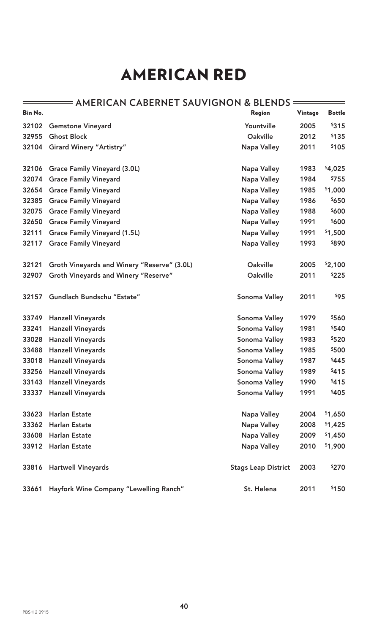| Bin No. |                                             | Region                     | Vintage | <b>Bottle</b> |
|---------|---------------------------------------------|----------------------------|---------|---------------|
| 32102   | <b>Gemstone Vineyard</b>                    | Yountville                 | 2005    | \$315         |
| 32955   | <b>Ghost Block</b>                          | <b>Oakville</b>            | 2012    | \$135         |
| 32104   | <b>Girard Winery "Artistry"</b>             | <b>Napa Valley</b>         | 2011    | \$105         |
| 32106   | <b>Grace Family Vineyard (3.0L)</b>         | Napa Valley                | 1983    | \$4,025       |
| 32074   | <b>Grace Family Vineyard</b>                | Napa Valley                | 1984    | \$755         |
| 32654   | <b>Grace Family Vineyard</b>                | <b>Napa Valley</b>         | 1985    | \$1,000       |
| 32385   | <b>Grace Family Vineyard</b>                | Napa Valley                | 1986    | \$650         |
| 32075   | <b>Grace Family Vineyard</b>                | <b>Napa Valley</b>         | 1988    | \$600         |
| 32650   | <b>Grace Family Vineyard</b>                | <b>Napa Valley</b>         | 1991    | \$600         |
| 32111   | <b>Grace Family Vineyard (1.5L)</b>         | <b>Napa Valley</b>         | 1991    | \$1,500       |
| 32117   | <b>Grace Family Vineyard</b>                | <b>Napa Valley</b>         | 1993    | \$890         |
| 32121   | Groth Vineyards and Winery "Reserve" (3.0L) | Oakville                   | 2005    | \$2,100       |
| 32907   | <b>Groth Vineyards and Winery "Reserve"</b> | Oakville                   | 2011    | \$225         |
| 32157   | Gundlach Bundschu "Estate"                  | Sonoma Valley              | 2011    | \$95          |
| 33749   | <b>Hanzell Vineyards</b>                    | Sonoma Valley              | 1979    | \$560         |
| 33241   | <b>Hanzell Vineyards</b>                    | Sonoma Valley              | 1981    | \$540         |
| 33028   | <b>Hanzell Vineyards</b>                    | Sonoma Valley              | 1983    | \$520         |
| 33488   | <b>Hanzell Vineyards</b>                    | Sonoma Valley              | 1985    | \$500         |
| 33018   | <b>Hanzell Vineyards</b>                    | Sonoma Valley              | 1987    | \$445         |
| 33256   | <b>Hanzell Vineyards</b>                    | Sonoma Valley              | 1989    | \$415         |
| 33143   | <b>Hanzell Vineyards</b>                    | Sonoma Valley              | 1990    | \$415         |
|         | 33337 Hanzell Vineyards                     | Sonoma Valley              | 1991    | \$405         |
| 33623   | <b>Harlan Estate</b>                        | <b>Napa Valley</b>         | 2004    | \$1,650       |
| 33362   | <b>Harlan Estate</b>                        | <b>Napa Valley</b>         | 2008    | \$1,425       |
| 33608   | <b>Harlan Estate</b>                        | <b>Napa Valley</b>         | 2009    | \$1,450       |
| 33912   | <b>Harlan Estate</b>                        | <b>Napa Valley</b>         | 2010    | \$1,900       |
| 33816   | <b>Hartwell Vineyards</b>                   | <b>Stags Leap District</b> | 2003    | \$270         |
| 33661   | Hayfork Wine Company "Lewelling Ranch"      | St. Helena                 | 2011    | \$150         |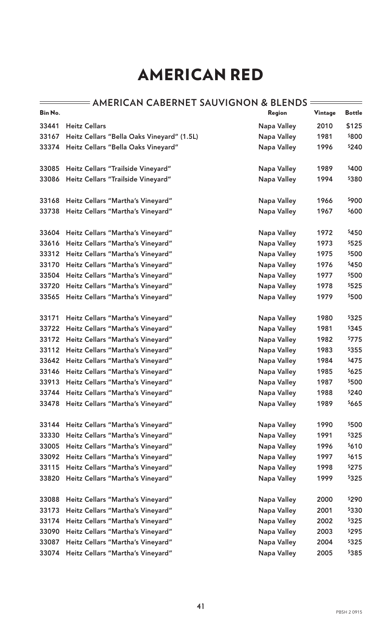### **ENSING AMERICAN CABERNET SAUVIGNON & BLENDS**

| Bin No. |                                            | Region             | Vintage | <b>Bottle</b> |
|---------|--------------------------------------------|--------------------|---------|---------------|
| 33441   | <b>Heitz Cellars</b>                       | Napa Valley        | 2010    | \$125         |
| 33167   | Heitz Cellars "Bella Oaks Vineyard" (1.5L) | <b>Napa Valley</b> | 1981    | \$800         |
| 33374   | Heitz Cellars "Bella Oaks Vineyard"        | Napa Valley        | 1996    | \$240         |
|         |                                            |                    |         |               |
| 33085   | Heitz Cellars "Trailside Vineyard"         | <b>Napa Valley</b> | 1989    | \$400         |
| 33086   | Heitz Cellars "Trailside Vineyard"         | Napa Valley        | 1994    | \$380         |
|         |                                            |                    |         |               |
| 33168   | Heitz Cellars "Martha's Vineyard"          | <b>Napa Valley</b> | 1966    | \$900         |
| 33738   | Heitz Cellars "Martha's Vineyard"          | <b>Napa Valley</b> | 1967    | \$600         |
|         |                                            |                    |         |               |
| 33604   | Heitz Cellars "Martha's Vineyard"          | Napa Valley        | 1972    | \$450         |
| 33616   | Heitz Cellars "Martha's Vineyard"          | Napa Valley        | 1973    | \$525         |
| 33312   | Heitz Cellars "Martha's Vineyard"          | <b>Napa Valley</b> | 1975    | \$500         |
| 33170   | Heitz Cellars "Martha's Vineyard"          | Napa Valley        | 1976    | \$450         |
| 33504   | Heitz Cellars "Martha's Vineyard"          | <b>Napa Valley</b> | 1977    | \$500         |
| 33720   | Heitz Cellars "Martha's Vineyard"          | <b>Napa Valley</b> | 1978    | \$525         |
| 33565   | Heitz Cellars "Martha's Vineyard"          | <b>Napa Valley</b> | 1979    | \$500         |
|         |                                            |                    |         |               |
| 33171   | Heitz Cellars "Martha's Vineyard"          | <b>Napa Valley</b> | 1980    | \$325         |
| 33722   | Heitz Cellars "Martha's Vineyard"          | <b>Napa Valley</b> | 1981    | \$345         |
| 33172   | Heitz Cellars "Martha's Vineyard"          | <b>Napa Valley</b> | 1982    | \$775         |
| 33112   | Heitz Cellars "Martha's Vineyard"          | <b>Napa Valley</b> | 1983    | \$355         |
| 33642   | Heitz Cellars "Martha's Vineyard"          | Napa Valley        | 1984    | \$475         |
| 33146   | Heitz Cellars "Martha's Vineyard"          | Napa Valley        | 1985    | \$625         |
| 33913   | Heitz Cellars "Martha's Vineyard"          | <b>Napa Valley</b> | 1987    | \$500         |
| 33744   | Heitz Cellars "Martha's Vineyard"          | <b>Napa Valley</b> | 1988    | <b>\$240</b>  |
| 33478   | Heitz Cellars "Martha's Vineyard"          | <b>Napa Valley</b> | 1989    | \$665         |
|         |                                            |                    |         |               |
| 33144   | Heitz Cellars "Martha's Vineyard"          | Napa Valley        | 1990    | \$500         |
| 33330   | Heitz Cellars "Martha's Vineyard"          | Napa Valley        | 1991    | \$325         |
| 33005   | Heitz Cellars "Martha's Vineyard"          | <b>Napa Valley</b> | 1996    | \$610         |
| 33092   | Heitz Cellars "Martha's Vineyard"          | <b>Napa Valley</b> | 1997    | \$615         |
| 33115   | Heitz Cellars "Martha's Vineyard"          | <b>Napa Valley</b> | 1998    | \$275         |
| 33820   | Heitz Cellars "Martha's Vineyard"          | <b>Napa Valley</b> | 1999    | \$325         |
|         |                                            |                    |         |               |
| 33088   | Heitz Cellars "Martha's Vineyard"          | <b>Napa Valley</b> | 2000    | \$290         |
| 33173   | Heitz Cellars "Martha's Vineyard"          | <b>Napa Valley</b> | 2001    | \$330         |
| 33174   | Heitz Cellars "Martha's Vineyard"          | <b>Napa Valley</b> | 2002    | \$325         |
| 33090   | Heitz Cellars "Martha's Vineyard"          | <b>Napa Valley</b> | 2003    | \$295         |
| 33087   | Heitz Cellars "Martha's Vineyard"          | <b>Napa Valley</b> | 2004    | \$325         |
| 33074   | Heitz Cellars "Martha's Vineyard"          | <b>Napa Valley</b> | 2005    | \$385         |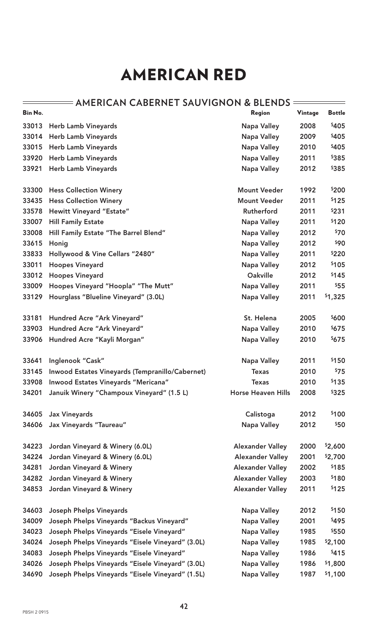### **ENGLEST COMERICAN CABERNET SAUVIGNON & BLENDS**

| \$405<br>33013<br><b>Napa Valley</b><br>2008<br><b>Herb Lamb Vineyards</b><br>\$405<br>33014<br>2009<br><b>Herb Lamb Vineyards</b><br><b>Napa Valley</b><br>33015<br>2010<br>\$405<br><b>Herb Lamb Vineyards</b><br><b>Napa Valley</b><br>33920<br><b>Herb Lamb Vineyards</b><br><b>Napa Valley</b><br>2011<br>\$385<br>2012<br>\$385<br>33921<br><b>Herb Lamb Vineyards</b><br><b>Napa Valley</b><br>\$200<br>33300<br><b>Hess Collection Winery</b><br><b>Mount Veeder</b><br>1992<br>\$125<br>33435<br><b>Hess Collection Winery</b><br><b>Mount Veeder</b><br>2011<br>Rutherford<br>\$231<br>33578<br><b>Hewitt Vineyard "Estate"</b><br>2011<br>\$120<br>33007<br><b>Hill Family Estate</b><br><b>Napa Valley</b><br>2011<br>\$70<br>33008<br>Hill Family Estate "The Barrel Blend"<br><b>Napa Valley</b><br>2012<br>33615<br>\$90<br>Honig<br>Napa Valley<br>2012<br>33833<br>Hollywood & Vine Cellars "2480"<br><b>Napa Valley</b><br>2011<br>\$220<br>33011<br>\$105<br><b>Hoopes Vineyard</b><br>Napa Valley<br>2012<br>Oakville<br>\$145<br>33012<br><b>Hoopes Vineyard</b><br>2012<br>\$55<br>33009<br>Hoopes Vineyard "Hoopla" "The Mutt"<br><b>Napa Valley</b><br>2011<br>2011<br>33129<br>Hourglass "Blueline Vineyard" (3.0L)<br><b>Napa Valley</b><br>\$1,325<br>\$600<br>33181<br>Hundred Acre "Ark Vineyard"<br>St. Helena<br>2005<br>\$675<br>33903<br>Hundred Acre "Ark Vineyard"<br><b>Napa Valley</b><br>2010<br>33906<br>Hundred Acre "Kayli Morgan"<br><b>Napa Valley</b><br>2010<br>\$675<br>2011<br>\$150<br>33641<br>Inglenook "Cask"<br><b>Napa Valley</b><br>\$75<br>Inwood Estates Vineyards (Tempranillo/Cabernet)<br><b>Texas</b><br>2010<br>33145<br>\$135<br>33908<br>Inwood Estates Vineyards "Mericana"<br>2010<br><b>Texas</b><br>\$325<br>Januik Winery "Champoux Vineyard" (1.5 L)<br>34201<br><b>Horse Heaven Hills</b><br>2008<br>\$100<br>34605<br><b>Jax Vineyards</b><br>Calistoga<br>2012<br>Jax Vineyards "Taureau"<br><b>Napa Valley</b><br>\$50<br>2012<br>34606<br>\$2,600<br><b>Alexander Valley</b><br>2000<br>34223<br>Jordan Vineyard & Winery (6.0L)<br><b>Alexander Valley</b><br>2001<br>34224<br>Jordan Vineyard & Winery (6.0L)<br>\$2,700<br>\$185<br><b>Alexander Valley</b><br>2002<br>34281<br>Jordan Vineyard & Winery<br><b>Alexander Valley</b><br>2003<br>\$180<br>34282<br>Jordan Vineyard & Winery<br><b>Alexander Valley</b><br>2011<br>\$125<br>34853<br>Jordan Vineyard & Winery<br>\$150<br><b>Joseph Phelps Vineyards</b><br><b>Napa Valley</b><br>2012<br>34603<br>Napa Valley<br>\$495<br>34009<br>Joseph Phelps Vineyards "Backus Vineyard"<br>2001<br>Joseph Phelps Vineyards "Eisele Vineyard"<br>\$550<br>34023<br><b>Napa Valley</b><br>1985<br>34024<br>Joseph Phelps Vineyards "Eisele Vineyard" (3.0L)<br><b>Napa Valley</b><br>1985<br>\$2,100<br>\$415<br>34083<br>Joseph Phelps Vineyards "Eisele Vineyard"<br><b>Napa Valley</b><br>1986<br>34026<br>Joseph Phelps Vineyards "Eisele Vineyard" (3.0L)<br><b>Napa Valley</b><br>1986<br>\$1,800<br>Joseph Phelps Vineyards "Eisele Vineyard" (1.5L)<br><b>Napa Valley</b><br>\$1,100<br>34690<br>1987 | Bin No. | <b>Region</b> | Vintage | <b>Bottle</b> |
|---------------------------------------------------------------------------------------------------------------------------------------------------------------------------------------------------------------------------------------------------------------------------------------------------------------------------------------------------------------------------------------------------------------------------------------------------------------------------------------------------------------------------------------------------------------------------------------------------------------------------------------------------------------------------------------------------------------------------------------------------------------------------------------------------------------------------------------------------------------------------------------------------------------------------------------------------------------------------------------------------------------------------------------------------------------------------------------------------------------------------------------------------------------------------------------------------------------------------------------------------------------------------------------------------------------------------------------------------------------------------------------------------------------------------------------------------------------------------------------------------------------------------------------------------------------------------------------------------------------------------------------------------------------------------------------------------------------------------------------------------------------------------------------------------------------------------------------------------------------------------------------------------------------------------------------------------------------------------------------------------------------------------------------------------------------------------------------------------------------------------------------------------------------------------------------------------------------------------------------------------------------------------------------------------------------------------------------------------------------------------------------------------------------------------------------------------------------------------------------------------------------------------------------------------------------------------------------------------------------------------------------------------------------------------------------------------------------------------------------------------------------------------------------------------------------------------------------------------------------------------------------------------------------------------------------------------------------------------------------------------------------------------------------------------------------------------------------------------------------------------------------------|---------|---------------|---------|---------------|
|                                                                                                                                                                                                                                                                                                                                                                                                                                                                                                                                                                                                                                                                                                                                                                                                                                                                                                                                                                                                                                                                                                                                                                                                                                                                                                                                                                                                                                                                                                                                                                                                                                                                                                                                                                                                                                                                                                                                                                                                                                                                                                                                                                                                                                                                                                                                                                                                                                                                                                                                                                                                                                                                                                                                                                                                                                                                                                                                                                                                                                                                                                                                             |         |               |         |               |
|                                                                                                                                                                                                                                                                                                                                                                                                                                                                                                                                                                                                                                                                                                                                                                                                                                                                                                                                                                                                                                                                                                                                                                                                                                                                                                                                                                                                                                                                                                                                                                                                                                                                                                                                                                                                                                                                                                                                                                                                                                                                                                                                                                                                                                                                                                                                                                                                                                                                                                                                                                                                                                                                                                                                                                                                                                                                                                                                                                                                                                                                                                                                             |         |               |         |               |
|                                                                                                                                                                                                                                                                                                                                                                                                                                                                                                                                                                                                                                                                                                                                                                                                                                                                                                                                                                                                                                                                                                                                                                                                                                                                                                                                                                                                                                                                                                                                                                                                                                                                                                                                                                                                                                                                                                                                                                                                                                                                                                                                                                                                                                                                                                                                                                                                                                                                                                                                                                                                                                                                                                                                                                                                                                                                                                                                                                                                                                                                                                                                             |         |               |         |               |
|                                                                                                                                                                                                                                                                                                                                                                                                                                                                                                                                                                                                                                                                                                                                                                                                                                                                                                                                                                                                                                                                                                                                                                                                                                                                                                                                                                                                                                                                                                                                                                                                                                                                                                                                                                                                                                                                                                                                                                                                                                                                                                                                                                                                                                                                                                                                                                                                                                                                                                                                                                                                                                                                                                                                                                                                                                                                                                                                                                                                                                                                                                                                             |         |               |         |               |
|                                                                                                                                                                                                                                                                                                                                                                                                                                                                                                                                                                                                                                                                                                                                                                                                                                                                                                                                                                                                                                                                                                                                                                                                                                                                                                                                                                                                                                                                                                                                                                                                                                                                                                                                                                                                                                                                                                                                                                                                                                                                                                                                                                                                                                                                                                                                                                                                                                                                                                                                                                                                                                                                                                                                                                                                                                                                                                                                                                                                                                                                                                                                             |         |               |         |               |
|                                                                                                                                                                                                                                                                                                                                                                                                                                                                                                                                                                                                                                                                                                                                                                                                                                                                                                                                                                                                                                                                                                                                                                                                                                                                                                                                                                                                                                                                                                                                                                                                                                                                                                                                                                                                                                                                                                                                                                                                                                                                                                                                                                                                                                                                                                                                                                                                                                                                                                                                                                                                                                                                                                                                                                                                                                                                                                                                                                                                                                                                                                                                             |         |               |         |               |
|                                                                                                                                                                                                                                                                                                                                                                                                                                                                                                                                                                                                                                                                                                                                                                                                                                                                                                                                                                                                                                                                                                                                                                                                                                                                                                                                                                                                                                                                                                                                                                                                                                                                                                                                                                                                                                                                                                                                                                                                                                                                                                                                                                                                                                                                                                                                                                                                                                                                                                                                                                                                                                                                                                                                                                                                                                                                                                                                                                                                                                                                                                                                             |         |               |         |               |
|                                                                                                                                                                                                                                                                                                                                                                                                                                                                                                                                                                                                                                                                                                                                                                                                                                                                                                                                                                                                                                                                                                                                                                                                                                                                                                                                                                                                                                                                                                                                                                                                                                                                                                                                                                                                                                                                                                                                                                                                                                                                                                                                                                                                                                                                                                                                                                                                                                                                                                                                                                                                                                                                                                                                                                                                                                                                                                                                                                                                                                                                                                                                             |         |               |         |               |
|                                                                                                                                                                                                                                                                                                                                                                                                                                                                                                                                                                                                                                                                                                                                                                                                                                                                                                                                                                                                                                                                                                                                                                                                                                                                                                                                                                                                                                                                                                                                                                                                                                                                                                                                                                                                                                                                                                                                                                                                                                                                                                                                                                                                                                                                                                                                                                                                                                                                                                                                                                                                                                                                                                                                                                                                                                                                                                                                                                                                                                                                                                                                             |         |               |         |               |
|                                                                                                                                                                                                                                                                                                                                                                                                                                                                                                                                                                                                                                                                                                                                                                                                                                                                                                                                                                                                                                                                                                                                                                                                                                                                                                                                                                                                                                                                                                                                                                                                                                                                                                                                                                                                                                                                                                                                                                                                                                                                                                                                                                                                                                                                                                                                                                                                                                                                                                                                                                                                                                                                                                                                                                                                                                                                                                                                                                                                                                                                                                                                             |         |               |         |               |
|                                                                                                                                                                                                                                                                                                                                                                                                                                                                                                                                                                                                                                                                                                                                                                                                                                                                                                                                                                                                                                                                                                                                                                                                                                                                                                                                                                                                                                                                                                                                                                                                                                                                                                                                                                                                                                                                                                                                                                                                                                                                                                                                                                                                                                                                                                                                                                                                                                                                                                                                                                                                                                                                                                                                                                                                                                                                                                                                                                                                                                                                                                                                             |         |               |         |               |
|                                                                                                                                                                                                                                                                                                                                                                                                                                                                                                                                                                                                                                                                                                                                                                                                                                                                                                                                                                                                                                                                                                                                                                                                                                                                                                                                                                                                                                                                                                                                                                                                                                                                                                                                                                                                                                                                                                                                                                                                                                                                                                                                                                                                                                                                                                                                                                                                                                                                                                                                                                                                                                                                                                                                                                                                                                                                                                                                                                                                                                                                                                                                             |         |               |         |               |
|                                                                                                                                                                                                                                                                                                                                                                                                                                                                                                                                                                                                                                                                                                                                                                                                                                                                                                                                                                                                                                                                                                                                                                                                                                                                                                                                                                                                                                                                                                                                                                                                                                                                                                                                                                                                                                                                                                                                                                                                                                                                                                                                                                                                                                                                                                                                                                                                                                                                                                                                                                                                                                                                                                                                                                                                                                                                                                                                                                                                                                                                                                                                             |         |               |         |               |
|                                                                                                                                                                                                                                                                                                                                                                                                                                                                                                                                                                                                                                                                                                                                                                                                                                                                                                                                                                                                                                                                                                                                                                                                                                                                                                                                                                                                                                                                                                                                                                                                                                                                                                                                                                                                                                                                                                                                                                                                                                                                                                                                                                                                                                                                                                                                                                                                                                                                                                                                                                                                                                                                                                                                                                                                                                                                                                                                                                                                                                                                                                                                             |         |               |         |               |
|                                                                                                                                                                                                                                                                                                                                                                                                                                                                                                                                                                                                                                                                                                                                                                                                                                                                                                                                                                                                                                                                                                                                                                                                                                                                                                                                                                                                                                                                                                                                                                                                                                                                                                                                                                                                                                                                                                                                                                                                                                                                                                                                                                                                                                                                                                                                                                                                                                                                                                                                                                                                                                                                                                                                                                                                                                                                                                                                                                                                                                                                                                                                             |         |               |         |               |
|                                                                                                                                                                                                                                                                                                                                                                                                                                                                                                                                                                                                                                                                                                                                                                                                                                                                                                                                                                                                                                                                                                                                                                                                                                                                                                                                                                                                                                                                                                                                                                                                                                                                                                                                                                                                                                                                                                                                                                                                                                                                                                                                                                                                                                                                                                                                                                                                                                                                                                                                                                                                                                                                                                                                                                                                                                                                                                                                                                                                                                                                                                                                             |         |               |         |               |
|                                                                                                                                                                                                                                                                                                                                                                                                                                                                                                                                                                                                                                                                                                                                                                                                                                                                                                                                                                                                                                                                                                                                                                                                                                                                                                                                                                                                                                                                                                                                                                                                                                                                                                                                                                                                                                                                                                                                                                                                                                                                                                                                                                                                                                                                                                                                                                                                                                                                                                                                                                                                                                                                                                                                                                                                                                                                                                                                                                                                                                                                                                                                             |         |               |         |               |
|                                                                                                                                                                                                                                                                                                                                                                                                                                                                                                                                                                                                                                                                                                                                                                                                                                                                                                                                                                                                                                                                                                                                                                                                                                                                                                                                                                                                                                                                                                                                                                                                                                                                                                                                                                                                                                                                                                                                                                                                                                                                                                                                                                                                                                                                                                                                                                                                                                                                                                                                                                                                                                                                                                                                                                                                                                                                                                                                                                                                                                                                                                                                             |         |               |         |               |
|                                                                                                                                                                                                                                                                                                                                                                                                                                                                                                                                                                                                                                                                                                                                                                                                                                                                                                                                                                                                                                                                                                                                                                                                                                                                                                                                                                                                                                                                                                                                                                                                                                                                                                                                                                                                                                                                                                                                                                                                                                                                                                                                                                                                                                                                                                                                                                                                                                                                                                                                                                                                                                                                                                                                                                                                                                                                                                                                                                                                                                                                                                                                             |         |               |         |               |
|                                                                                                                                                                                                                                                                                                                                                                                                                                                                                                                                                                                                                                                                                                                                                                                                                                                                                                                                                                                                                                                                                                                                                                                                                                                                                                                                                                                                                                                                                                                                                                                                                                                                                                                                                                                                                                                                                                                                                                                                                                                                                                                                                                                                                                                                                                                                                                                                                                                                                                                                                                                                                                                                                                                                                                                                                                                                                                                                                                                                                                                                                                                                             |         |               |         |               |
|                                                                                                                                                                                                                                                                                                                                                                                                                                                                                                                                                                                                                                                                                                                                                                                                                                                                                                                                                                                                                                                                                                                                                                                                                                                                                                                                                                                                                                                                                                                                                                                                                                                                                                                                                                                                                                                                                                                                                                                                                                                                                                                                                                                                                                                                                                                                                                                                                                                                                                                                                                                                                                                                                                                                                                                                                                                                                                                                                                                                                                                                                                                                             |         |               |         |               |
|                                                                                                                                                                                                                                                                                                                                                                                                                                                                                                                                                                                                                                                                                                                                                                                                                                                                                                                                                                                                                                                                                                                                                                                                                                                                                                                                                                                                                                                                                                                                                                                                                                                                                                                                                                                                                                                                                                                                                                                                                                                                                                                                                                                                                                                                                                                                                                                                                                                                                                                                                                                                                                                                                                                                                                                                                                                                                                                                                                                                                                                                                                                                             |         |               |         |               |
|                                                                                                                                                                                                                                                                                                                                                                                                                                                                                                                                                                                                                                                                                                                                                                                                                                                                                                                                                                                                                                                                                                                                                                                                                                                                                                                                                                                                                                                                                                                                                                                                                                                                                                                                                                                                                                                                                                                                                                                                                                                                                                                                                                                                                                                                                                                                                                                                                                                                                                                                                                                                                                                                                                                                                                                                                                                                                                                                                                                                                                                                                                                                             |         |               |         |               |
|                                                                                                                                                                                                                                                                                                                                                                                                                                                                                                                                                                                                                                                                                                                                                                                                                                                                                                                                                                                                                                                                                                                                                                                                                                                                                                                                                                                                                                                                                                                                                                                                                                                                                                                                                                                                                                                                                                                                                                                                                                                                                                                                                                                                                                                                                                                                                                                                                                                                                                                                                                                                                                                                                                                                                                                                                                                                                                                                                                                                                                                                                                                                             |         |               |         |               |
|                                                                                                                                                                                                                                                                                                                                                                                                                                                                                                                                                                                                                                                                                                                                                                                                                                                                                                                                                                                                                                                                                                                                                                                                                                                                                                                                                                                                                                                                                                                                                                                                                                                                                                                                                                                                                                                                                                                                                                                                                                                                                                                                                                                                                                                                                                                                                                                                                                                                                                                                                                                                                                                                                                                                                                                                                                                                                                                                                                                                                                                                                                                                             |         |               |         |               |
|                                                                                                                                                                                                                                                                                                                                                                                                                                                                                                                                                                                                                                                                                                                                                                                                                                                                                                                                                                                                                                                                                                                                                                                                                                                                                                                                                                                                                                                                                                                                                                                                                                                                                                                                                                                                                                                                                                                                                                                                                                                                                                                                                                                                                                                                                                                                                                                                                                                                                                                                                                                                                                                                                                                                                                                                                                                                                                                                                                                                                                                                                                                                             |         |               |         |               |
|                                                                                                                                                                                                                                                                                                                                                                                                                                                                                                                                                                                                                                                                                                                                                                                                                                                                                                                                                                                                                                                                                                                                                                                                                                                                                                                                                                                                                                                                                                                                                                                                                                                                                                                                                                                                                                                                                                                                                                                                                                                                                                                                                                                                                                                                                                                                                                                                                                                                                                                                                                                                                                                                                                                                                                                                                                                                                                                                                                                                                                                                                                                                             |         |               |         |               |
|                                                                                                                                                                                                                                                                                                                                                                                                                                                                                                                                                                                                                                                                                                                                                                                                                                                                                                                                                                                                                                                                                                                                                                                                                                                                                                                                                                                                                                                                                                                                                                                                                                                                                                                                                                                                                                                                                                                                                                                                                                                                                                                                                                                                                                                                                                                                                                                                                                                                                                                                                                                                                                                                                                                                                                                                                                                                                                                                                                                                                                                                                                                                             |         |               |         |               |
|                                                                                                                                                                                                                                                                                                                                                                                                                                                                                                                                                                                                                                                                                                                                                                                                                                                                                                                                                                                                                                                                                                                                                                                                                                                                                                                                                                                                                                                                                                                                                                                                                                                                                                                                                                                                                                                                                                                                                                                                                                                                                                                                                                                                                                                                                                                                                                                                                                                                                                                                                                                                                                                                                                                                                                                                                                                                                                                                                                                                                                                                                                                                             |         |               |         |               |
|                                                                                                                                                                                                                                                                                                                                                                                                                                                                                                                                                                                                                                                                                                                                                                                                                                                                                                                                                                                                                                                                                                                                                                                                                                                                                                                                                                                                                                                                                                                                                                                                                                                                                                                                                                                                                                                                                                                                                                                                                                                                                                                                                                                                                                                                                                                                                                                                                                                                                                                                                                                                                                                                                                                                                                                                                                                                                                                                                                                                                                                                                                                                             |         |               |         |               |
|                                                                                                                                                                                                                                                                                                                                                                                                                                                                                                                                                                                                                                                                                                                                                                                                                                                                                                                                                                                                                                                                                                                                                                                                                                                                                                                                                                                                                                                                                                                                                                                                                                                                                                                                                                                                                                                                                                                                                                                                                                                                                                                                                                                                                                                                                                                                                                                                                                                                                                                                                                                                                                                                                                                                                                                                                                                                                                                                                                                                                                                                                                                                             |         |               |         |               |
|                                                                                                                                                                                                                                                                                                                                                                                                                                                                                                                                                                                                                                                                                                                                                                                                                                                                                                                                                                                                                                                                                                                                                                                                                                                                                                                                                                                                                                                                                                                                                                                                                                                                                                                                                                                                                                                                                                                                                                                                                                                                                                                                                                                                                                                                                                                                                                                                                                                                                                                                                                                                                                                                                                                                                                                                                                                                                                                                                                                                                                                                                                                                             |         |               |         |               |
|                                                                                                                                                                                                                                                                                                                                                                                                                                                                                                                                                                                                                                                                                                                                                                                                                                                                                                                                                                                                                                                                                                                                                                                                                                                                                                                                                                                                                                                                                                                                                                                                                                                                                                                                                                                                                                                                                                                                                                                                                                                                                                                                                                                                                                                                                                                                                                                                                                                                                                                                                                                                                                                                                                                                                                                                                                                                                                                                                                                                                                                                                                                                             |         |               |         |               |
|                                                                                                                                                                                                                                                                                                                                                                                                                                                                                                                                                                                                                                                                                                                                                                                                                                                                                                                                                                                                                                                                                                                                                                                                                                                                                                                                                                                                                                                                                                                                                                                                                                                                                                                                                                                                                                                                                                                                                                                                                                                                                                                                                                                                                                                                                                                                                                                                                                                                                                                                                                                                                                                                                                                                                                                                                                                                                                                                                                                                                                                                                                                                             |         |               |         |               |
|                                                                                                                                                                                                                                                                                                                                                                                                                                                                                                                                                                                                                                                                                                                                                                                                                                                                                                                                                                                                                                                                                                                                                                                                                                                                                                                                                                                                                                                                                                                                                                                                                                                                                                                                                                                                                                                                                                                                                                                                                                                                                                                                                                                                                                                                                                                                                                                                                                                                                                                                                                                                                                                                                                                                                                                                                                                                                                                                                                                                                                                                                                                                             |         |               |         |               |
|                                                                                                                                                                                                                                                                                                                                                                                                                                                                                                                                                                                                                                                                                                                                                                                                                                                                                                                                                                                                                                                                                                                                                                                                                                                                                                                                                                                                                                                                                                                                                                                                                                                                                                                                                                                                                                                                                                                                                                                                                                                                                                                                                                                                                                                                                                                                                                                                                                                                                                                                                                                                                                                                                                                                                                                                                                                                                                                                                                                                                                                                                                                                             |         |               |         |               |
|                                                                                                                                                                                                                                                                                                                                                                                                                                                                                                                                                                                                                                                                                                                                                                                                                                                                                                                                                                                                                                                                                                                                                                                                                                                                                                                                                                                                                                                                                                                                                                                                                                                                                                                                                                                                                                                                                                                                                                                                                                                                                                                                                                                                                                                                                                                                                                                                                                                                                                                                                                                                                                                                                                                                                                                                                                                                                                                                                                                                                                                                                                                                             |         |               |         |               |
|                                                                                                                                                                                                                                                                                                                                                                                                                                                                                                                                                                                                                                                                                                                                                                                                                                                                                                                                                                                                                                                                                                                                                                                                                                                                                                                                                                                                                                                                                                                                                                                                                                                                                                                                                                                                                                                                                                                                                                                                                                                                                                                                                                                                                                                                                                                                                                                                                                                                                                                                                                                                                                                                                                                                                                                                                                                                                                                                                                                                                                                                                                                                             |         |               |         |               |
|                                                                                                                                                                                                                                                                                                                                                                                                                                                                                                                                                                                                                                                                                                                                                                                                                                                                                                                                                                                                                                                                                                                                                                                                                                                                                                                                                                                                                                                                                                                                                                                                                                                                                                                                                                                                                                                                                                                                                                                                                                                                                                                                                                                                                                                                                                                                                                                                                                                                                                                                                                                                                                                                                                                                                                                                                                                                                                                                                                                                                                                                                                                                             |         |               |         |               |
|                                                                                                                                                                                                                                                                                                                                                                                                                                                                                                                                                                                                                                                                                                                                                                                                                                                                                                                                                                                                                                                                                                                                                                                                                                                                                                                                                                                                                                                                                                                                                                                                                                                                                                                                                                                                                                                                                                                                                                                                                                                                                                                                                                                                                                                                                                                                                                                                                                                                                                                                                                                                                                                                                                                                                                                                                                                                                                                                                                                                                                                                                                                                             |         |               |         |               |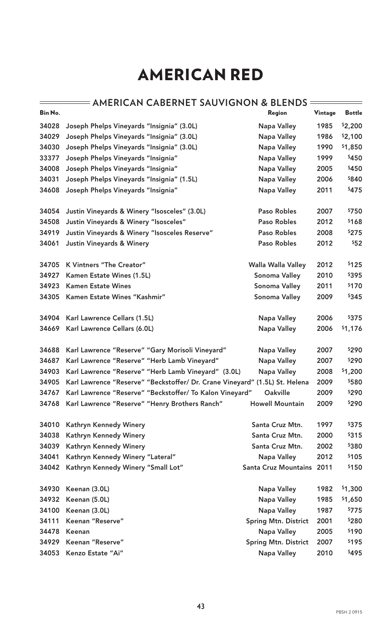|         | <b>- AMERICAN CABERNET SAUVIGNON &amp; BLENDS</b>                           |                             |                |               |
|---------|-----------------------------------------------------------------------------|-----------------------------|----------------|---------------|
| Bin No. |                                                                             | Region                      | <b>Vintage</b> | <b>Bottle</b> |
| 34028   | Joseph Phelps Vineyards "Insignia" (3.0L)                                   | <b>Napa Valley</b>          | 1985           | \$2,200       |
| 34029   | Joseph Phelps Vineyards "Insignia" (3.0L)                                   | <b>Napa Valley</b>          | 1986           | \$2,100       |
| 34030   | Joseph Phelps Vineyards "Insignia" (3.0L)                                   | <b>Napa Valley</b>          | 1990           | \$1,850       |
| 33377   | Joseph Phelps Vineyards "Insignia"                                          | <b>Napa Valley</b>          | 1999           | \$450         |
| 34008   | Joseph Phelps Vineyards "Insignia"                                          | Napa Valley                 | 2005           | \$450         |
| 34031   | Joseph Phelps Vineyards "Insignia" (1.5L)                                   | <b>Napa Valley</b>          | 2006           | \$840         |
| 34608   | Joseph Phelps Vineyards "Insignia"                                          | <b>Napa Valley</b>          | 2011           | \$475         |
| 34054   | Justin Vineyards & Winery "Isosceles" (3.0L)                                | <b>Paso Robles</b>          | 2007           | \$750         |
| 34508   | Justin Vineyards & Winery "Isosceles"                                       | <b>Paso Robles</b>          | 2012           | \$168         |
| 34919   | Justin Vineyards & Winery "Isosceles Reserve"                               | <b>Paso Robles</b>          | 2008           | \$275         |
| 34061   | <b>Justin Vineyards &amp; Winery</b>                                        | <b>Paso Robles</b>          | 2012           | \$52          |
| 34705   | K Vintners "The Creator"                                                    | Walla Walla Valley          | 2012           | \$125         |
| 34927   | Kamen Estate Wines (1.5L)                                                   | Sonoma Valley               | 2010           | \$395         |
| 34923   | <b>Kamen Estate Wines</b>                                                   | Sonoma Valley               | 2011           | \$170         |
| 34305   | Kamen Estate Wines "Kashmir"                                                | Sonoma Valley               | 2009           | \$345         |
| 34904   | Karl Lawrence Cellars (1.5L)                                                | <b>Napa Valley</b>          | 2006           | \$375         |
| 34669   | Karl Lawrence Cellars (6.0L)                                                | <b>Napa Valley</b>          | 2006           | \$1,176       |
| 34688   | Karl Lawrence "Reserve" "Gary Morisoli Vineyard"                            | <b>Napa Valley</b>          | 2007           | \$290         |
| 34687   | Karl Lawrence "Reserve" "Herb Lamb Vineyard"                                | <b>Napa Valley</b>          | 2007           | \$290         |
| 34903   | Karl Lawrence "Reserve" "Herb Lamb Vineyard" (3.0L)                         | <b>Napa Valley</b>          | 2008           | \$1,200       |
| 34905   | Karl Lawrence "Reserve" "Beckstoffer/ Dr. Crane Vineyard" (1.5L) St. Helena |                             | 2009           | \$580         |
| 34767   | Karl Lawrence "Reserve" "Beckstoffer/ To Kalon Vineyard"                    | Oakville                    | 2009           | \$290         |
| 34768   | Karl Lawrence "Reserve" "Henry Brothers Ranch"                              | <b>Howell Mountain</b>      | 2009           | \$290         |
| 34010   | Kathryn Kennedy Winery                                                      | Santa Cruz Mtn.             | 1997           | \$375         |
| 34038   | Kathryn Kennedy Winery                                                      | Santa Cruz Mtn.             | 2000           | \$315         |
| 34039   | Kathryn Kennedy Winery                                                      | Santa Cruz Mtn.             | 2002           | \$380         |
| 34041   | Kathryn Kennedy Winery "Lateral"                                            | <b>Napa Valley</b>          | 2012           | \$105         |
| 34042   | Kathryn Kennedy Winery "Small Lot"                                          | <b>Santa Cruz Mountains</b> | 2011           | \$150         |
| 34930   | Keenan (3.0L)                                                               | <b>Napa Valley</b>          | 1982           | \$1,300       |
| 34932   | Keenan (5.0L)                                                               | <b>Napa Valley</b>          | 1985           | \$1,650       |
| 34100   | Keenan (3.0L)                                                               | <b>Napa Valley</b>          | 1987           | \$775         |
| 34111   | Keenan "Reserve"                                                            | <b>Spring Mtn. District</b> | 2001           | \$280         |
| 34478   | Keenan                                                                      | <b>Napa Valley</b>          | 2005           | \$190         |
| 34929   | Keenan "Reserve"                                                            | <b>Spring Mtn. District</b> | 2007           | \$195         |
| 34053   | Kenzo Estate "Ai"                                                           | Napa Valley                 | 2010           | \$495         |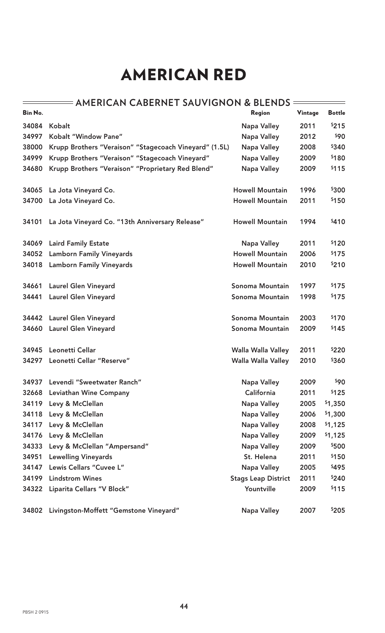| Bin No. |                                                        | Region                     | Vintage | <b>Bottle</b> |
|---------|--------------------------------------------------------|----------------------------|---------|---------------|
| 34084   | <b>Kobalt</b>                                          | Napa Valley                | 2011    | \$215         |
| 34997   | Kobalt "Window Pane"                                   | <b>Napa Valley</b>         | 2012    | \$90          |
| 38000   | Krupp Brothers "Veraison" "Stagecoach Vineyard" (1.5L) | <b>Napa Valley</b>         | 2008    | \$340         |
| 34999   | Krupp Brothers "Veraison" "Stagecoach Vineyard"        | <b>Napa Valley</b>         | 2009    | \$180         |
| 34680   | Krupp Brothers "Veraison" "Proprietary Red Blend"      | <b>Napa Valley</b>         | 2009    | \$115         |
| 34065   | La Jota Vineyard Co.                                   | <b>Howell Mountain</b>     | 1996    | \$300         |
| 34700   | La Jota Vineyard Co.                                   | <b>Howell Mountain</b>     | 2011    | \$150         |
| 34101   | La Jota Vineyard Co. "13th Anniversary Release"        | <b>Howell Mountain</b>     | 1994    | \$410         |
| 34069   | <b>Laird Family Estate</b>                             | <b>Napa Valley</b>         | 2011    | \$120         |
| 34052   | <b>Lamborn Family Vineyards</b>                        | <b>Howell Mountain</b>     | 2006    | \$175         |
| 34018   | <b>Lamborn Family Vineyards</b>                        | <b>Howell Mountain</b>     | 2010    | \$210         |
| 34661   | <b>Laurel Glen Vineyard</b>                            | Sonoma Mountain            | 1997    | \$175         |
| 34441   | <b>Laurel Glen Vineyard</b>                            | Sonoma Mountain            | 1998    | \$175         |
| 34442   | <b>Laurel Glen Vineyard</b>                            | Sonoma Mountain            | 2003    | \$170         |
| 34660   | <b>Laurel Glen Vineyard</b>                            | Sonoma Mountain            | 2009    | \$145         |
| 34945   | Leonetti Cellar                                        | Walla Walla Valley         | 2011    | \$220         |
| 34297   | Leonetti Cellar "Reserve"                              | Walla Walla Valley         | 2010    | \$360         |
| 34937   | Levendi "Sweetwater Ranch"                             | <b>Napa Valley</b>         | 2009    | \$90          |
| 32668   | Leviathan Wine Company                                 | California                 | 2011    | \$125         |
| 34119   | Levy & McClellan                                       | <b>Napa Valley</b>         | 2005    | \$1,350       |
| 34118   | Levy & McClellan                                       | Napa Valley                | 2006    | \$1,300       |
| 34117   | Levy & McClellan                                       | <b>Napa Valley</b>         | 2008    | \$1,125       |
| 34176   | Levy & McClellan                                       | Napa Valley                | 2009    | \$1,125       |
| 34333   | Levy & McClellan "Ampersand"                           | Napa Valley                | 2009    | \$500         |
| 34951   | <b>Lewelling Vineyards</b>                             | St. Helena                 | 2011    | \$150         |
| 34147   | Lewis Cellars "Cuvee L"                                | Napa Valley                | 2005    | \$495         |
| 34199   | <b>Lindstrom Wines</b>                                 | <b>Stags Leap District</b> | 2011    | \$240         |
| 34322   | Liparita Cellars "V Block"                             | Yountville                 | 2009    | \$115         |
| 34802   | Livingston-Moffett "Gemstone Vineyard"                 | <b>Napa Valley</b>         | 2007    | \$205         |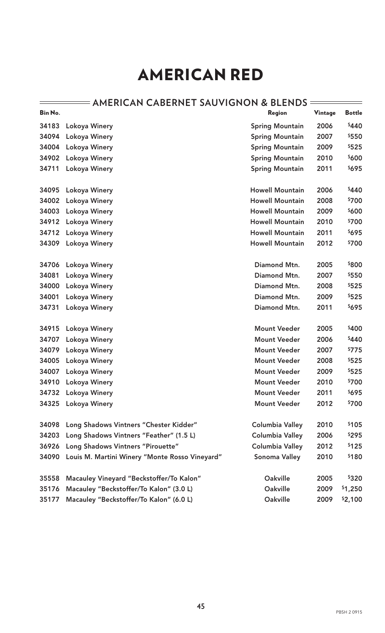| Bin No. |                                                | Region                 | Vintage | <b>Bottle</b> |
|---------|------------------------------------------------|------------------------|---------|---------------|
| 34183   | Lokoya Winery                                  | <b>Spring Mountain</b> | 2006    | \$440         |
| 34094   | Lokoya Winery                                  | <b>Spring Mountain</b> | 2007    | \$550         |
| 34004   | Lokoya Winery                                  | <b>Spring Mountain</b> | 2009    | \$525         |
| 34902   | Lokoya Winery                                  | <b>Spring Mountain</b> | 2010    | \$600         |
| 34711   | Lokoya Winery                                  | <b>Spring Mountain</b> | 2011    | \$695         |
| 34095   | Lokoya Winery                                  | <b>Howell Mountain</b> | 2006    | \$440         |
| 34002   | Lokoya Winery                                  | <b>Howell Mountain</b> | 2008    | \$700         |
| 34003   | Lokoya Winery                                  | <b>Howell Mountain</b> | 2009    | \$600         |
| 34912   | Lokoya Winery                                  | <b>Howell Mountain</b> | 2010    | \$700         |
| 34712   | Lokoya Winery                                  | <b>Howell Mountain</b> | 2011    | \$695         |
| 34309   | Lokoya Winery                                  | <b>Howell Mountain</b> | 2012    | \$700         |
| 34706   | Lokoya Winery                                  | Diamond Mtn.           | 2005    | \$800         |
| 34081   | Lokoya Winery                                  | Diamond Mtn.           | 2007    | \$550         |
| 34000   | Lokoya Winery                                  | Diamond Mtn.           | 2008    | \$525         |
| 34001   | Lokoya Winery                                  | Diamond Mtn.           | 2009    | \$525         |
| 34731   | Lokoya Winery                                  | Diamond Mtn.           | 2011    | \$695         |
| 34915   | Lokoya Winery                                  | <b>Mount Veeder</b>    | 2005    | \$400         |
| 34707   | Lokoya Winery                                  | <b>Mount Veeder</b>    | 2006    | \$440         |
| 34079   | Lokoya Winery                                  | <b>Mount Veeder</b>    | 2007    | \$775         |
| 34005   | Lokoya Winery                                  | <b>Mount Veeder</b>    | 2008    | \$525         |
| 34007   | Lokoya Winery                                  | <b>Mount Veeder</b>    | 2009    | \$525         |
| 34910   | Lokoya Winery                                  | <b>Mount Veeder</b>    | 2010    | \$700         |
| 34732   | Lokoya Winery                                  | <b>Mount Veeder</b>    | 2011    | \$695         |
| 34325   | Lokoya Winery                                  | <b>Mount Veeder</b>    | 2012    | \$700         |
| 34098   | Long Shadows Vintners "Chester Kidder"         | <b>Columbia Valley</b> | 2010    | \$105         |
| 34203   | Long Shadows Vintners "Feather" (1.5 L)        | <b>Columbia Valley</b> | 2006    | \$295         |
| 36926   | Long Shadows Vintners "Pirouette"              | <b>Columbia Valley</b> | 2012    | \$125         |
| 34090   | Louis M. Martini Winery "Monte Rosso Vineyard" | Sonoma Valley          | 2010    | \$180         |
| 35558   | Macauley Vineyard "Beckstoffer/To Kalon"       | <b>Oakville</b>        | 2005    | \$320         |
| 35176   | Macauley "Beckstoffer/To Kalon" (3.0 L)        | Oakville               | 2009    | \$1,250       |
| 35177   | Macauley "Beckstoffer/To Kalon" (6.0 L)        | <b>Oakville</b>        | 2009    | \$2,100       |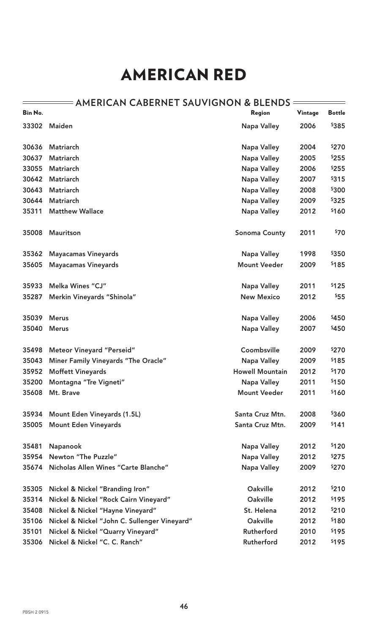### **EXECUTE:** AMERICAN CABERNET SAUVIGNON & BLENDS

| Bin No. |                                              | Region                 | Vintage | <b>Bottle</b> |
|---------|----------------------------------------------|------------------------|---------|---------------|
| 33302   | <b>Maiden</b>                                | <b>Napa Valley</b>     | 2006    | \$385         |
| 30636   | <b>Matriarch</b>                             | <b>Napa Valley</b>     | 2004    | \$270         |
| 30637   | <b>Matriarch</b>                             | <b>Napa Valley</b>     | 2005    | \$255         |
| 33055   | <b>Matriarch</b>                             | <b>Napa Valley</b>     | 2006    | \$255         |
| 30642   | <b>Matriarch</b>                             | <b>Napa Valley</b>     | 2007    | \$315         |
| 30643   | <b>Matriarch</b>                             | <b>Napa Valley</b>     | 2008    | \$300         |
| 30644   | <b>Matriarch</b>                             | <b>Napa Valley</b>     | 2009    | \$325         |
| 35311   | <b>Matthew Wallace</b>                       | <b>Napa Valley</b>     | 2012    | \$160         |
| 35008   | <b>Mauritson</b>                             | <b>Sonoma County</b>   | 2011    | \$70          |
| 35362   | <b>Mayacamas Vineyards</b>                   | <b>Napa Valley</b>     | 1998    | \$350         |
| 35605   | <b>Mayacamas Vineyards</b>                   | <b>Mount Veeder</b>    | 2009    | \$185         |
| 35933   | <b>Melka Wines "CJ"</b>                      | <b>Napa Valley</b>     | 2011    | \$125         |
| 35287   | Merkin Vineyards "Shinola"                   | <b>New Mexico</b>      | 2012    | \$55          |
| 35039   | <b>Merus</b>                                 | <b>Napa Valley</b>     | 2006    | \$450         |
| 35040   | <b>Merus</b>                                 | <b>Napa Valley</b>     | 2007    | \$450         |
| 35498   | <b>Meteor Vineyard "Perseid"</b>             | Coombsville            | 2009    | \$270         |
| 35043   | Miner Family Vineyards "The Oracle"          | <b>Napa Valley</b>     | 2009    | \$185         |
| 35952   | <b>Moffett Vineyards</b>                     | <b>Howell Mountain</b> | 2012    | \$170         |
| 35200   | Montagna "Tre Vigneti"                       | <b>Napa Valley</b>     | 2011    | \$150         |
| 35608   | Mt. Brave                                    | <b>Mount Veeder</b>    | 2011    | \$160         |
| 35934   | Mount Eden Vineyards (1.5L)                  | Santa Cruz Mtn.        | 2008    | \$360         |
| 35005   | <b>Mount Eden Vineyards</b>                  | Santa Cruz Mtn.        | 2009    | \$141         |
| 35481   | Napanook                                     | <b>Napa Valley</b>     | 2012    | \$120         |
| 35954   | Newton "The Puzzle"                          | <b>Napa Valley</b>     | 2012    | \$275         |
| 35674   | Nicholas Allen Wines "Carte Blanche"         | <b>Napa Valley</b>     | 2009    | \$270         |
| 35305   | Nickel & Nickel "Branding Iron"              | <b>Oakville</b>        | 2012    | \$210         |
| 35314   | Nickel & Nickel "Rock Cairn Vineyard"        | <b>Oakville</b>        | 2012    | \$195         |
| 35408   | Nickel & Nickel "Hayne Vineyard"             | St. Helena             | 2012    | <b>\$210</b>  |
| 35106   | Nickel & Nickel "John C. Sullenger Vineyard" | <b>Oakville</b>        | 2012    | \$180         |
| 35101   | Nickel & Nickel "Quarry Vineyard"            | Rutherford             | 2010    | \$195         |
| 35306   | Nickel & Nickel "C. C. Ranch"                | Rutherford             | 2012    | \$195         |

 $\equiv$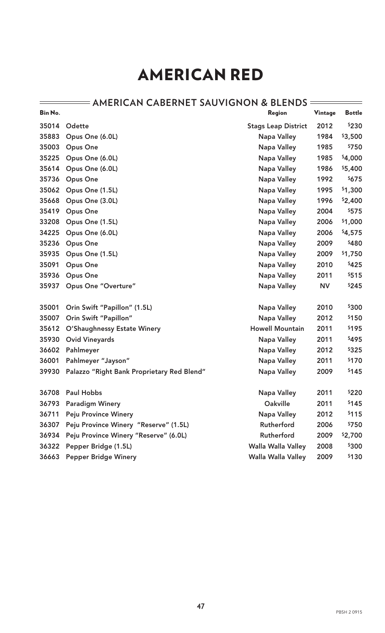| Bin No. |                                            | Region                     | <b>Vintage</b> | <b>Bottle</b> |
|---------|--------------------------------------------|----------------------------|----------------|---------------|
| 35014   | Odette                                     | <b>Stags Leap District</b> | 2012           | \$230         |
| 35883   | Opus One (6.0L)                            | Napa Valley                | 1984           | \$3,500       |
| 35003   | <b>Opus One</b>                            | Napa Valley                | 1985           | \$750         |
| 35225   | Opus One (6.0L)                            | Napa Valley                | 1985           | \$4,000       |
| 35614   | Opus One (6.0L)                            | Napa Valley                | 1986           | \$5,400       |
| 35736   | <b>Opus One</b>                            | Napa Valley                | 1992           | \$675         |
| 35062   | Opus One (1.5L)                            | Napa Valley                | 1995           | \$1,300       |
| 35668   | Opus One (3.0L)                            | <b>Napa Valley</b>         | 1996           | \$2,400       |
| 35419   | <b>Opus One</b>                            | Napa Valley                | 2004           | \$575         |
| 33208   | Opus One (1.5L)                            | Napa Valley                | 2006           | \$1,000       |
| 34225   | Opus One (6.0L)                            | Napa Valley                | 2006           | \$4,575       |
| 35236   | <b>Opus One</b>                            | <b>Napa Valley</b>         | 2009           | \$480         |
| 35935   | Opus One (1.5L)                            | Napa Valley                | 2009           | \$1,750       |
| 35091   | <b>Opus One</b>                            | <b>Napa Valley</b>         | 2010           | \$425         |
| 35936   | <b>Opus One</b>                            | <b>Napa Valley</b>         | 2011           | \$515         |
| 35937   | <b>Opus One "Overture"</b>                 | <b>Napa Valley</b>         | <b>NV</b>      | \$245         |
| 35001   | Orin Swift "Papillon" (1.5L)               | Napa Valley                | 2010           | \$300         |
| 35007   | Orin Swift "Papillon"                      | <b>Napa Valley</b>         | 2012           | \$150         |
| 35612   | <b>O'Shaughnessy Estate Winery</b>         | <b>Howell Mountain</b>     | 2011           | \$195         |
| 35930   | <b>Ovid Vineyards</b>                      | Napa Valley                | 2011           | \$495         |
| 36602   | Pahlmeyer                                  | Napa Valley                | 2012           | \$325         |
| 36001   | Pahlmeyer "Jayson"                         | Napa Valley                | 2011           | \$170         |
| 39930   | Palazzo "Right Bank Proprietary Red Blend" | <b>Napa Valley</b>         | 2009           | \$145         |
|         |                                            |                            |                |               |
| 36708   | <b>Paul Hobbs</b>                          | <b>Napa Valley</b>         | 2011           | \$220         |
| 36793   | <b>Paradigm Winery</b>                     | <b>Oakville</b>            | 2011           | \$145         |
| 36711   | <b>Peju Province Winery</b>                | <b>Napa Valley</b>         | 2012           | \$115         |
| 36307   | Peju Province Winery "Reserve" (1.5L)      | Rutherford                 | 2006           | \$750         |
| 36934   | Peju Province Winery "Reserve" (6.0L)      | Rutherford                 | 2009           | \$2,700       |
| 36322   | Pepper Bridge (1.5L)                       | Walla Walla Valley         | 2008           | \$300         |
| 36663   | <b>Pepper Bridge Winery</b>                | Walla Walla Valley         | 2009           | \$130         |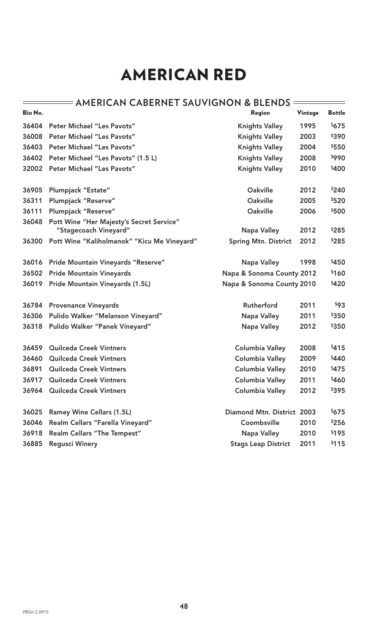| Bin No. |                                                                   | Region                      | Vintage | <b>Bottle</b> |
|---------|-------------------------------------------------------------------|-----------------------------|---------|---------------|
| 36404   | <b>Peter Michael "Les Pavots"</b>                                 | <b>Knights Valley</b>       | 1995    | \$675         |
| 36008   | <b>Peter Michael "Les Pavots"</b>                                 | <b>Knights Valley</b>       | 2003    | \$390         |
| 36403   | <b>Peter Michael "Les Pavots"</b>                                 | <b>Knights Valley</b>       | 2004    | \$550         |
| 36402   | Peter Michael "Les Pavots" (1.5 L)                                | <b>Knights Valley</b>       | 2008    | \$990         |
| 32002   | <b>Peter Michael "Les Pavots"</b>                                 | <b>Knights Valley</b>       | 2010    | \$400         |
| 36905   | <b>Plumpjack "Estate"</b>                                         | Oakville                    | 2012    | \$240         |
| 36311   | Plumpjack "Reserve"                                               | Oakville                    | 2005    | \$520         |
| 36111   | <b>Plumpjack "Reserve"</b>                                        | <b>Oakville</b>             | 2006    | \$500         |
| 36048   | Pott Wine "Her Majesty's Secret Service"<br>"Stagecoach Vineyard" | <b>Napa Valley</b>          | 2012    | \$285         |
| 36300   | Pott Wine "Kaliholmanok" "Kicu Me Vineyard"                       | <b>Spring Mtn. District</b> | 2012    | \$285         |
| 36016   | <b>Pride Mountain Vineyards "Reserve"</b>                         | <b>Napa Valley</b>          | 1998    | \$450         |
| 36502   | <b>Pride Mountain Vineyards</b>                                   | Napa & Sonoma County 2012   |         | \$160         |
|         | 36019 Pride Mountain Vineyards (1.5L)                             | Napa & Sonoma County 2010   |         | \$420         |
| 36784   | <b>Provenance Vineyards</b>                                       | Rutherford                  | 2011    | \$93          |
| 36306   | Pulido Walker "Melanson Vineyard"                                 | <b>Napa Valley</b>          | 2011    | \$350         |
| 36318   | Pulido Walker "Panek Vineyard"                                    | <b>Napa Valley</b>          | 2012    | \$350         |
| 36459   | <b>Quilceda Creek Vintners</b>                                    | <b>Columbia Valley</b>      | 2008    | \$415         |
| 36460   | <b>Quilceda Creek Vintners</b>                                    | <b>Columbia Valley</b>      | 2009    | \$440         |
| 36891   | Quilceda Creek Vintners                                           | Columbia Valley             | 2010    | \$475         |
| 36917   | <b>Quilceda Creek Vintners</b>                                    | <b>Columbia Valley</b>      | 2011    | \$460         |
|         | 36964 Quilceda Creek Vintners                                     | Columbia Valley             | 2012    | \$395         |
| 36025   | <b>Ramey Wine Cellars (1.5L)</b>                                  | Diamond Mtn. District 2003  |         | \$675         |
| 36046   | Realm Cellars "Farella Vineyard"                                  | Coombsville                 | 2010    | \$256         |
| 36918   | <b>Realm Cellars "The Tempest"</b>                                | <b>Napa Valley</b>          | 2010    | \$195         |
| 36885   | <b>Regusci Winery</b>                                             | <b>Stags Leap District</b>  | 2011    | \$115         |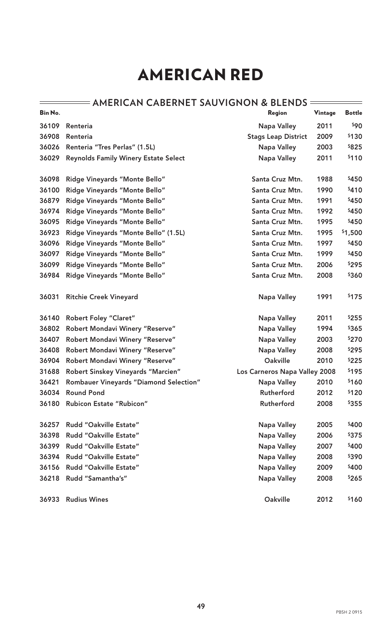| Bin No. |                                               | Region                        | Vintage | <b>Bottle</b> |
|---------|-----------------------------------------------|-------------------------------|---------|---------------|
| 36109   | Renteria                                      | Napa Valley                   | 2011    | \$90          |
| 36908   | Renteria                                      | <b>Stags Leap District</b>    | 2009    | \$130         |
| 36026   | Renteria "Tres Perlas" (1.5L)                 | Napa Valley                   | 2003    | \$825         |
| 36029   | <b>Reynolds Family Winery Estate Select</b>   | <b>Napa Valley</b>            | 2011    | \$110         |
| 36098   | Ridge Vineyards "Monte Bello"                 | Santa Cruz Mtn.               | 1988    | \$450         |
| 36100   | Ridge Vineyards "Monte Bello"                 | Santa Cruz Mtn.               | 1990    | \$410         |
| 36879   | Ridge Vineyards "Monte Bello"                 | Santa Cruz Mtn.               | 1991    | \$450         |
| 36974   | Ridge Vineyards "Monte Bello"                 | Santa Cruz Mtn.               | 1992    | \$450         |
| 36095   | Ridge Vineyards "Monte Bello"                 | Santa Cruz Mtn.               | 1995    | \$450         |
| 36923   | Ridge Vineyards "Monte Bello" (1.5L)          | Santa Cruz Mtn.               | 1995    | \$1,500       |
| 36096   | Ridge Vineyards "Monte Bello"                 | Santa Cruz Mtn.               | 1997    | \$450         |
| 36097   | Ridge Vineyards "Monte Bello"                 | Santa Cruz Mtn.               | 1999    | \$450         |
| 36099   | Ridge Vineyards "Monte Bello"                 | Santa Cruz Mtn.               | 2006    | \$295         |
| 36984   | Ridge Vineyards "Monte Bello"                 | Santa Cruz Mtn.               | 2008    | \$360         |
| 36031   | <b>Ritchie Creek Vineyard</b>                 | Napa Valley                   | 1991    | \$175         |
| 36140   | <b>Robert Foley "Claret"</b>                  | <b>Napa Valley</b>            | 2011    | \$255         |
| 36802   | Robert Mondavi Winery "Reserve"               | <b>Napa Valley</b>            | 1994    | \$365         |
| 36407   | Robert Mondavi Winery "Reserve"               | Napa Valley                   | 2003    | \$270         |
| 36408   | Robert Mondavi Winery "Reserve"               | Napa Valley                   | 2008    | \$295         |
| 36904   | Robert Mondavi Winery "Reserve"               | <b>Oakville</b>               | 2010    | \$225         |
| 31688   | <b>Robert Sinskey Vineyards "Marcien"</b>     | Los Carneros Napa Valley 2008 |         | \$195         |
| 36421   | <b>Rombauer Vineyards "Diamond Selection"</b> | Napa Valley                   | 2010    | \$160         |
| 36034   | <b>Round Pond</b>                             | Rutherford                    | 2012    | \$120         |
| 36180   | <b>Rubicon Estate "Rubicon"</b>               | Rutherford                    | 2008    | \$355         |
| 36257   | Rudd "Oakville Estate"                        | Napa Valley                   | 2005    | \$400         |
| 36398   | Rudd "Oakville Estate"                        | <b>Napa Valley</b>            | 2006    | \$375         |
| 36399   | <b>Rudd "Oakville Estate"</b>                 | <b>Napa Valley</b>            | 2007    | \$400         |
| 36394   | Rudd "Oakville Estate"                        | Napa Valley                   | 2008    | \$390         |
| 36156   | Rudd "Oakville Estate"                        | <b>Napa Valley</b>            | 2009    | \$400         |
| 36218   | Rudd "Samantha's"                             | <b>Napa Valley</b>            | 2008    | \$265         |
| 36933   | <b>Rudius Wines</b>                           | <b>Oakville</b>               | 2012    | \$160         |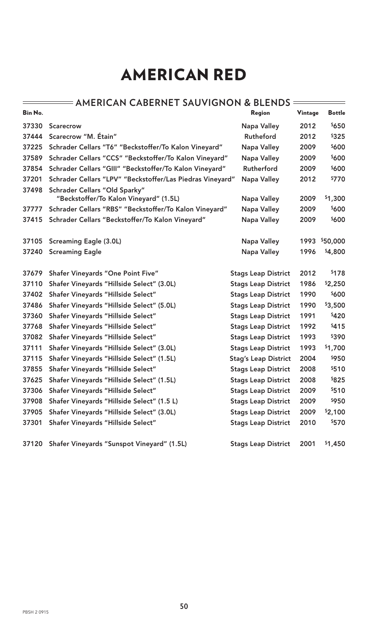| Bin No. |                                                           | Region                      | Vintage | <b>Bottle</b> |
|---------|-----------------------------------------------------------|-----------------------------|---------|---------------|
| 37330   | <b>Scarecrow</b>                                          | <b>Napa Valley</b>          | 2012    | \$650         |
| 37444   | Scarecrow "M. Étain"                                      | Rutheford                   | 2012    | \$325         |
| 37225   | Schrader Cellars "T6" "Beckstoffer/To Kalon Vineyard"     | <b>Napa Valley</b>          | 2009    | \$600         |
| 37589   | Schrader Cellars "CCS" "Beckstoffer/To Kalon Vineyard"    | <b>Napa Valley</b>          | 2009    | \$600         |
| 37854   | Schrader Cellars "GIII" "Beckstoffer/To Kalon Vineyard"   | Rutherford                  | 2009    | \$600         |
| 37201   | Schrader Cellars "LPV" "Beckstoffer/Las Piedras Vineyard" | <b>Napa Valley</b>          | 2012    | \$770         |
| 37498   | Schrader Cellars "Old Sparky"                             |                             |         |               |
|         | "Beckstoffer/To Kalon Vineyard" (1.5L)                    | <b>Napa Valley</b>          | 2009    | \$1,300       |
| 37777   | Schrader Cellars "RBS" "Beckstoffer/To Kalon Vineyard"    | <b>Napa Valley</b>          | 2009    | \$600         |
| 37415   | Schrader Cellars "Beckstoffer/To Kalon Vineyard"          | Napa Valley                 | 2009    | \$600         |
| 37105   | <b>Screaming Eagle (3.0L)</b>                             | <b>Napa Valley</b>          | 1993    | \$50,000      |
|         |                                                           |                             |         |               |
| 37240   | <b>Screaming Eagle</b>                                    | <b>Napa Valley</b>          | 1996    | \$4,800       |
| 37679   | <b>Shafer Vineyards "One Point Five"</b>                  | <b>Stags Leap District</b>  | 2012    | \$178         |
| 37110   | Shafer Vineyards "Hillside Select" (3.0L)                 | <b>Stags Leap District</b>  | 1986    | \$2,250       |
| 37402   | Shafer Vineyards "Hillside Select"                        | <b>Stags Leap District</b>  | 1990    | \$600         |
| 37486   | Shafer Vineyards "Hillside Select" (5.0L)                 | <b>Stags Leap District</b>  | 1990    | \$3,500       |
| 37360   | Shafer Vineyards "Hillside Select"                        | <b>Stags Leap District</b>  | 1991    | \$420         |
| 37768   | Shafer Vineyards "Hillside Select"                        | <b>Stags Leap District</b>  | 1992    | \$415         |
| 37082   | Shafer Vineyards "Hillside Select"                        | <b>Stags Leap District</b>  | 1993    | \$390         |
| 37111   | Shafer Vineyards "Hillside Select" (3.0L)                 | <b>Stags Leap District</b>  | 1993    | \$1,700       |
| 37115   | Shafer Vineyards "Hillside Select" (1.5L)                 | <b>Stag's Leap District</b> | 2004    | \$950         |
| 37855   | Shafer Vineyards "Hillside Select"                        | <b>Stags Leap District</b>  | 2008    | \$510         |
| 37625   | Shafer Vineyards "Hillside Select" (1.5L)                 | <b>Stags Leap District</b>  | 2008    | \$825         |
|         | 37306 Shafer Vineyards "Hillside Select"                  | <b>Stags Leap District</b>  | 2009    | \$510         |
| 37908   | Shafer Vineyards "Hillside Select" (1.5 L)                | <b>Stags Leap District</b>  | 2009    | \$950         |
| 37905   | Shafer Vineyards "Hillside Select" (3.0L)                 | <b>Stags Leap District</b>  | 2009    | \$2,100       |
| 37301   | Shafer Vineyards "Hillside Select"                        | <b>Stags Leap District</b>  | 2010    | \$570         |
| 37120   | Shafer Vineyards "Sunspot Vineyard" (1.5L)                | <b>Stags Leap District</b>  | 2001    | \$1,450       |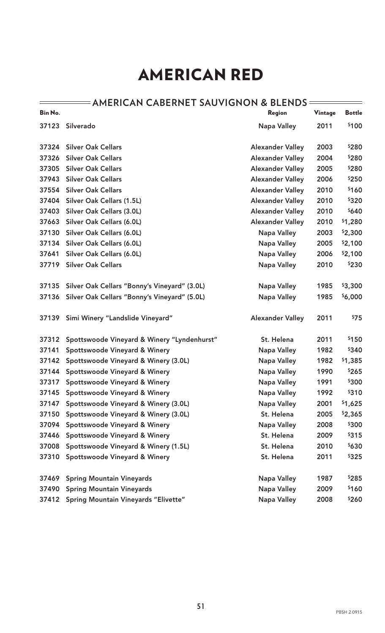### **ENGLEST COMERICAN CABERNET SAUVIGNON & BLENDS**

| Bin No. |                                              | Region                  | Vintage | <b>Bottle</b> |
|---------|----------------------------------------------|-------------------------|---------|---------------|
| 37123   | Silverado                                    | <b>Napa Valley</b>      | 2011    | \$100         |
| 37324   | <b>Silver Oak Cellars</b>                    | <b>Alexander Valley</b> | 2003    | \$280         |
| 37326   | <b>Silver Oak Cellars</b>                    | <b>Alexander Valley</b> | 2004    | \$280         |
| 37305   | <b>Silver Oak Cellars</b>                    | <b>Alexander Valley</b> | 2005    | \$280         |
| 37943   | <b>Silver Oak Cellars</b>                    | <b>Alexander Valley</b> | 2006    | \$250         |
| 37554   | <b>Silver Oak Cellars</b>                    | <b>Alexander Valley</b> | 2010    | \$160         |
| 37404   | Silver Oak Cellars (1.5L)                    | <b>Alexander Valley</b> | 2010    | \$320         |
| 37403   | Silver Oak Cellars (3.0L)                    | <b>Alexander Valley</b> | 2010    | \$640         |
| 37663   | Silver Oak Cellars (6.0L)                    | <b>Alexander Valley</b> | 2010    | \$1,280       |
| 37130   | Silver Oak Cellars (6.0L)                    | <b>Napa Valley</b>      | 2003    | \$2,300       |
| 37134   | Silver Oak Cellars (6.0L)                    | <b>Napa Valley</b>      | 2005    | \$2,100       |
| 37641   | Silver Oak Cellars (6.0L)                    | <b>Napa Valley</b>      | 2006    | \$2,100       |
| 37719   | <b>Silver Oak Cellars</b>                    | <b>Napa Valley</b>      | 2010    | \$230         |
| 37135   | Silver Oak Cellars "Bonny's Vineyard" (3.0L) | <b>Napa Valley</b>      | 1985    | \$3,300       |
| 37136   | Silver Oak Cellars "Bonny's Vineyard" (5.0L) | <b>Napa Valley</b>      | 1985    | \$6,000       |
| 37139   | Simi Winery "Landslide Vineyard"             | <b>Alexander Valley</b> | 2011    | \$75          |
| 37312   | Spottswoode Vineyard & Winery "Lyndenhurst"  | St. Helena              | 2011    | \$150         |
| 37141   | Spottswoode Vineyard & Winery                | Napa Valley             | 1982    | \$340         |
| 37142   | Spottswoode Vineyard & Winery (3.0L)         | <b>Napa Valley</b>      | 1982    | \$1,385       |
| 37144   | Spottswoode Vineyard & Winery                | <b>Napa Valley</b>      | 1990    | \$265         |
| 37317   | Spottswoode Vineyard & Winery                | <b>Napa Valley</b>      | 1991    | \$300         |
| 37145   | Spottswoode Vineyard & Winery                | <b>Napa Valley</b>      | 1992    | \$310         |
| 37147   | Spottswoode Vineyard & Winery (3.0L)         | <b>Napa Valley</b>      | 2001    | \$1,625       |
| 37150   | Spottswoode Vineyard & Winery (3.0L)         | St. Helena              | 2005    | \$2,365       |
| 37094   | Spottswoode Vineyard & Winery                | <b>Napa Valley</b>      | 2008    | \$300         |
| 37446   | Spottswoode Vineyard & Winery                | St. Helena              | 2009    | \$315         |
| 37008   | Spottswoode Vineyard & Winery (1.5L)         | St. Helena              | 2010    | \$630         |
| 37310   | Spottswoode Vineyard & Winery                | St. Helena              | 2011    | \$325         |
| 37469   | <b>Spring Mountain Vineyards</b>             | <b>Napa Valley</b>      | 1987    | \$285         |
| 37490   | <b>Spring Mountain Vineyards</b>             | <b>Napa Valley</b>      | 2009    | \$160         |
| 37412   | <b>Spring Mountain Vineyards "Elivette"</b>  | Napa Valley             | 2008    | \$260         |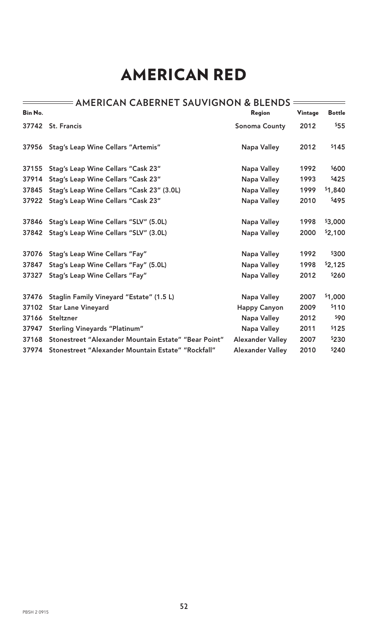| Bin No. |                                                      | Region                  | Vintage | <b>Bottle</b> |
|---------|------------------------------------------------------|-------------------------|---------|---------------|
|         | 37742 St. Francis                                    | <b>Sonoma County</b>    | 2012    | \$55          |
| 37956   | <b>Stag's Leap Wine Cellars "Artemis"</b>            | <b>Napa Valley</b>      | 2012    | \$145         |
| 37155   | Stag's Leap Wine Cellars "Cask 23"                   | <b>Napa Valley</b>      | 1992    | \$600         |
| 37914   | Stag's Leap Wine Cellars "Cask 23"                   | Napa Valley             | 1993    | \$425         |
| 37845   | Stag's Leap Wine Cellars "Cask 23" (3.0L)            | <b>Napa Valley</b>      | 1999    | \$1,840       |
| 37922   | Stag's Leap Wine Cellars "Cask 23"                   | <b>Napa Valley</b>      | 2010    | \$495         |
| 37846   | Stag's Leap Wine Cellars "SLV" (5.0L)                | Napa Valley             | 1998    | \$3,000       |
| 37842   | Stag's Leap Wine Cellars "SLV" (3.0L)                | <b>Napa Valley</b>      | 2000    | \$2,100       |
| 37076   | <b>Stag's Leap Wine Cellars "Fay"</b>                | <b>Napa Valley</b>      | 1992    | \$300         |
| 37847   | Stag's Leap Wine Cellars "Fay" (5.0L)                | <b>Napa Valley</b>      | 1998    | \$2,125       |
| 37327   | <b>Stag's Leap Wine Cellars "Fay"</b>                | <b>Napa Valley</b>      | 2012    | \$260         |
| 37476   | Staglin Family Vineyard "Estate" (1.5 L)             | Napa Valley             | 2007    | \$1,000       |
| 37102   | <b>Star Lane Vineyard</b>                            | <b>Happy Canyon</b>     | 2009    | \$110         |
| 37166   | Steltzner                                            | Napa Valley             | 2012    | \$90          |
| 37947   | <b>Sterling Vineyards "Platinum"</b>                 | Napa Valley             | 2011    | \$125         |
| 37168   | Stonestreet "Alexander Mountain Estate" "Bear Point" | <b>Alexander Valley</b> | 2007    | \$230         |
| 37974   | Stonestreet "Alexander Mountain Estate" "Rockfall"   | <b>Alexander Valley</b> | 2010    | \$240         |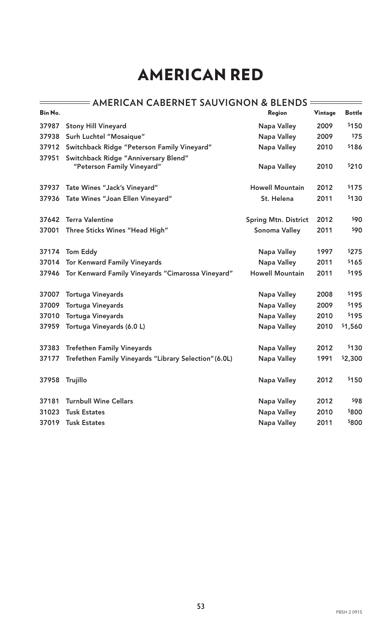| Bin No. |                                                                    | Region                      | Vintage | <b>Bottle</b> |
|---------|--------------------------------------------------------------------|-----------------------------|---------|---------------|
| 37987   | <b>Stony Hill Vineyard</b>                                         | <b>Napa Valley</b>          | 2009    | \$150         |
| 37938   | Surh Luchtel "Mosaique"                                            | <b>Napa Valley</b>          | 2009    | \$75          |
| 37912   | Switchback Ridge "Peterson Family Vineyard"                        | <b>Napa Valley</b>          | 2010    | \$186         |
| 37951   | Switchback Ridge "Anniversary Blend"<br>"Peterson Family Vineyard" | <b>Napa Valley</b>          | 2010    | \$210         |
| 37937   | Tate Wines "Jack's Vineyard"                                       | <b>Howell Mountain</b>      | 2012    | \$175         |
| 37936   | Tate Wines "Joan Ellen Vineyard"                                   | St. Helena                  | 2011    | \$130         |
| 37642   | <b>Terra Valentine</b>                                             | <b>Spring Mtn. District</b> | 2012    | \$90          |
| 37001   | Three Sticks Wines "Head High"                                     | Sonoma Valley               | 2011    | \$90          |
| 37174   | <b>Tom Eddy</b>                                                    | <b>Napa Valley</b>          | 1997    | \$275         |
| 37014   | <b>Tor Kenward Family Vineyards</b>                                | <b>Napa Valley</b>          | 2011    | \$165         |
| 37946   | Tor Kenward Family Vineyards "Cimarossa Vineyard"                  | <b>Howell Mountain</b>      | 2011    | \$195         |
| 37007   | <b>Tortuga Vineyards</b>                                           | <b>Napa Valley</b>          | 2008    | \$195         |
| 37009   | <b>Tortuga Vineyards</b>                                           | <b>Napa Valley</b>          | 2009    | \$195         |
| 37010   | <b>Tortuga Vineyards</b>                                           | <b>Napa Valley</b>          | 2010    | \$195         |
| 37959   | Tortuga Vineyards (6.0 L)                                          | Napa Valley                 | 2010    | \$1,560       |
| 37383   | <b>Trefethen Family Vineyards</b>                                  | <b>Napa Valley</b>          | 2012    | \$130         |
| 37177   | Trefethen Family Vineyards "Library Selection" (6.0L)              | <b>Napa Valley</b>          | 1991    | \$2,300       |
| 37958   | Trujillo                                                           | <b>Napa Valley</b>          | 2012    | \$150         |
| 37181   | <b>Turnbull Wine Cellars</b>                                       | <b>Napa Valley</b>          | 2012    | \$98          |
| 31023   | <b>Tusk Estates</b>                                                | <b>Napa Valley</b>          | 2010    | \$800         |
| 37019   | <b>Tusk Estates</b>                                                | <b>Napa Valley</b>          | 2011    | \$800         |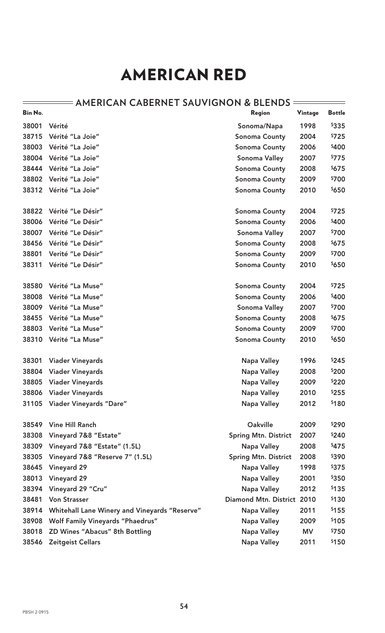### **ENGLEST COMERICAN CABERNET SAUVIGNON & BLENDS**

| Bin No. |                                               | Region                      | Vintage   | <b>Bottle</b> |
|---------|-----------------------------------------------|-----------------------------|-----------|---------------|
| 38001   | Vérité                                        | Sonoma/Napa                 | 1998      | \$335         |
| 38715   | Vérité "La Joie"                              | <b>Sonoma County</b>        | 2004      | \$725         |
| 38003   | Vérité "La Joie"                              | <b>Sonoma County</b>        | 2006      | \$400         |
| 38004   | Vérité "La Joie"                              | Sonoma Valley               | 2007      | \$775         |
| 38444   | Vérité "La Joie"                              | <b>Sonoma County</b>        | 2008      | \$675         |
| 38802   | Verité "La Joie"                              | <b>Sonoma County</b>        | 2009      | \$700         |
| 38312   | Vérité "La Joie"                              | <b>Sonoma County</b>        | 2010      | \$650         |
|         |                                               |                             |           |               |
| 38822   | Vérité "Le Désir"                             | <b>Sonoma County</b>        | 2004      | \$725         |
| 38006   | Vérité "Le Désir"                             | <b>Sonoma County</b>        | 2006      | \$400         |
| 38007   | Vérité "Le Désir"                             | Sonoma Valley               | 2007      | \$700         |
| 38456   | Vérité "Le Désir"                             | <b>Sonoma County</b>        | 2008      | \$675         |
| 38801   | Verité "Le Désir"                             | <b>Sonoma County</b>        | 2009      | \$700         |
| 38311   | Vérité "Le Désir"                             | <b>Sonoma County</b>        | 2010      | \$650         |
| 38580   | Vérité "La Muse"                              | <b>Sonoma County</b>        | 2004      | \$725         |
| 38008   | Vérité "La Muse"                              | <b>Sonoma County</b>        | 2006      | \$400         |
| 38009   | Vérité "La Muse"                              | Sonoma Valley               | 2007      | \$700         |
| 38455   | Vérité "La Muse"                              | <b>Sonoma County</b>        | 2008      | \$675         |
| 38803   | Verité "La Muse"                              | <b>Sonoma County</b>        | 2009      | \$700         |
| 38310   | Vérité "La Muse"                              | <b>Sonoma County</b>        | 2010      | \$650         |
|         |                                               |                             |           |               |
| 38301   | <b>Viader Vineyards</b>                       | Napa Valley                 | 1996      | \$245         |
| 38804   | <b>Viader Vineyards</b>                       | Napa Valley                 | 2008      | \$200         |
| 38805   | <b>Viader Vineyards</b>                       | Napa Valley                 | 2009      | \$220         |
| 38806   | <b>Viader Vineyards</b>                       | Napa Valley                 | 2010      | \$255         |
| 31105   | <b>Viader Vineyards "Dare"</b>                | <b>Napa Valley</b>          | 2012      | \$180         |
|         |                                               |                             |           |               |
| 38549   | <b>Vine Hill Ranch</b>                        | <b>Oakville</b>             | 2009      | \$290         |
| 38308   | Vineyard 7&8 "Estate"                         | <b>Spring Mtn. District</b> | 2007      | \$240         |
| 38309   | Vineyard 7&8 "Estate" (1.5L)                  | <b>Napa Valley</b>          | 2008      | \$475         |
| 38305   | Vineyard 7&8 "Reserve 7" (1.5L)               | <b>Spring Mtn. District</b> | 2008      | \$390         |
| 38645   | Vineyard 29                                   | Napa Valley                 | 1998      | \$375         |
| 38013   | Vineyard 29                                   | <b>Napa Valley</b>          | 2001      | \$350         |
| 38394   | Vineyard 29 "Cru"                             | <b>Napa Valley</b>          | 2012      | \$135         |
| 38481   | <b>Von Strasser</b>                           | Diamond Mtn. District 2010  |           | \$130         |
| 38914   | Whitehall Lane Winery and Vineyards "Reserve" | Napa Valley                 | 2011      | \$155         |
| 38908   | <b>Wolf Family Vineyards "Phaedrus"</b>       | <b>Napa Valley</b>          | 2009      | \$105         |
| 38018   | ZD Wines "Abacus" 8th Bottling                | <b>Napa Valley</b>          | <b>MV</b> | \$750         |
| 38546   | <b>Zeitgeist Cellars</b>                      | <b>Napa Valley</b>          | 2011      | \$150         |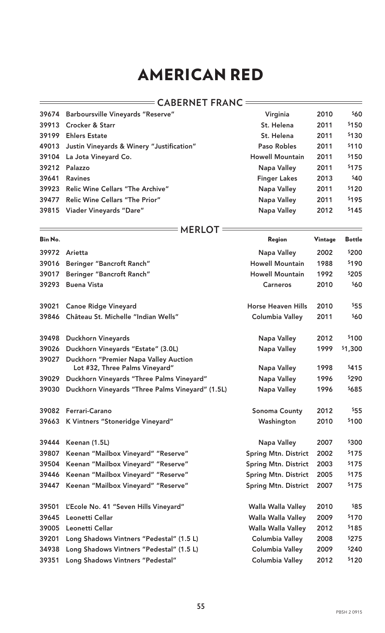### **CABERNET FRANC**

 $=$ 

|       | 39674 Barboursville Vineyards "Reserve"         | Virginia               | 2010 | \$60  |
|-------|-------------------------------------------------|------------------------|------|-------|
|       | 39913 Crocker & Starr                           | St. Helena             | 2011 | \$150 |
| 39199 | <b>Ehlers Estate</b>                            | St. Helena             | 2011 | \$130 |
|       | 49013 Justin Vineyards & Winery "Justification" | Paso Robles            | 2011 | \$110 |
|       | 39104 La Jota Vineyard Co.                      | <b>Howell Mountain</b> | 2011 | \$150 |
|       | 39212 Palazzo                                   | Napa Valley            | 2011 | \$175 |
| 39641 | <b>Ravines</b>                                  | <b>Finger Lakes</b>    | 2013 | \$40  |
|       | 39923 Relic Wine Cellars "The Archive"          | Napa Valley            | 2011 | \$120 |
| 39477 | <b>Relic Wine Cellars "The Prior"</b>           | Napa Valley            | 2011 | \$195 |
|       | 39815 Viader Vineyards "Dare"                   | <b>Napa Valley</b>     | 2012 | \$145 |

#### **MERLOT**

| Bin No. |                                                                         | Region                      | Vintage | Bottle  |
|---------|-------------------------------------------------------------------------|-----------------------------|---------|---------|
| 39972   | Arietta                                                                 | <b>Napa Valley</b>          | 2002    | \$200   |
| 39016   | <b>Beringer "Bancroft Ranch"</b>                                        | <b>Howell Mountain</b>      | 1988    | \$190   |
| 39017   | <b>Beringer "Bancroft Ranch"</b>                                        | <b>Howell Mountain</b>      | 1992    | \$205   |
| 39293   | <b>Buena Vista</b>                                                      | <b>Carneros</b>             | 2010    | \$60    |
| 39021   | <b>Canoe Ridge Vineyard</b>                                             | <b>Horse Heaven Hills</b>   | 2010    | \$55    |
| 39846   | Château St. Michelle "Indian Wells"                                     | <b>Columbia Valley</b>      | 2011    | \$60    |
| 39498   | <b>Duckhorn Vineyards</b>                                               | Napa Valley                 | 2012    | \$100   |
| 39026   | Duckhorn Vineyards "Estate" (3.0L)                                      | <b>Napa Valley</b>          | 1999    | \$1,300 |
| 39027   | Duckhorn "Premier Napa Valley Auction<br>Lot #32, Three Palms Vineyard" | Napa Valley                 | 1998    | \$415   |
| 39029   | Duckhorn Vineyards "Three Palms Vineyard"                               | <b>Napa Valley</b>          | 1996    | \$290   |
| 39030   | Duckhorn Vineyards "Three Palms Vineyard" (1.5L)                        | <b>Napa Valley</b>          | 1996    | \$685   |
| 39082   | <b>Ferrari-Carano</b>                                                   | <b>Sonoma County</b>        | 2012    | \$55    |
| 39663   | K Vintners "Stoneridge Vineyard"                                        | Washington                  | 2010    | \$100   |
| 39444   | Keenan (1.5L)                                                           | <b>Napa Valley</b>          | 2007    | \$300   |
| 39807   | Keenan "Mailbox Vineyard" "Reserve"                                     | <b>Spring Mtn. District</b> | 2002    | \$175   |
| 39504   | Keenan "Mailbox Vineyard" "Reserve"                                     | <b>Spring Mtn. District</b> | 2003    | \$175   |
| 39446   | Keenan "Mailbox Vineyard" "Reserve"                                     | <b>Spring Mtn. District</b> | 2005    | \$175   |
| 39447   | Keenan "Mailbox Vineyard" "Reserve"                                     | <b>Spring Mtn. District</b> | 2007    | \$175   |
| 39501   | L'Ecole No. 41 "Seven Hills Vineyard"                                   | Walla Walla Valley          | 2010    | \$85    |
| 39645   | Leonetti Cellar                                                         | Walla Walla Valley          | 2009    | \$170   |
| 39005   | Leonetti Cellar                                                         | Walla Walla Valley          | 2012    | \$185   |
| 39201   | Long Shadows Vintners "Pedestal" (1.5 L)                                | <b>Columbia Valley</b>      | 2008    | \$275   |
| 34938   | Long Shadows Vintners "Pedestal" (1.5 L)                                | <b>Columbia Valley</b>      | 2009    | \$240   |
| 39351   | Long Shadows Vintners "Pedestal"                                        | <b>Columbia Valley</b>      | 2012    | \$120   |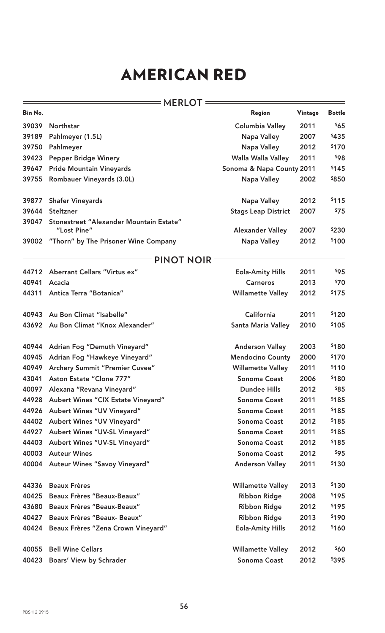|         | <b>MERLOT</b>                                          |                            |         |               |
|---------|--------------------------------------------------------|----------------------------|---------|---------------|
| Bin No. |                                                        | Region                     | Vintage | <b>Bottle</b> |
| 39039   | Northstar                                              | <b>Columbia Valley</b>     | 2011    | \$65          |
| 39189   | Pahlmeyer (1.5L)                                       | <b>Napa Valley</b>         | 2007    | \$435         |
| 39750   | Pahlmeyer                                              | <b>Napa Valley</b>         | 2012    | \$170         |
| 39423   | <b>Pepper Bridge Winery</b>                            | Walla Walla Valley         | 2011    | \$98          |
| 39647   | <b>Pride Mountain Vineyards</b>                        | Sonoma & Napa County 2011  |         | \$145         |
| 39755   | <b>Rombauer Vineyards (3.0L)</b>                       | <b>Napa Valley</b>         | 2002    | \$850         |
| 39877   | <b>Shafer Vineyards</b>                                | Napa Valley                | 2012    | \$115         |
| 39644   | Steltzner                                              | <b>Stags Leap District</b> | 2007    | \$75          |
| 39047   | Stonestreet "Alexander Mountain Estate"<br>"Lost Pine" | <b>Alexander Valley</b>    | 2007    | \$230         |
| 39002   | "Thorn" by The Prisoner Wine Company                   | <b>Napa Valley</b>         | 2012    | \$100         |
|         |                                                        |                            |         |               |
|         | <b>PINOT NOIR</b>                                      |                            |         |               |
| 44712   | Aberrant Cellars "Virtus ex"                           | <b>Eola-Amity Hills</b>    | 2011    | \$95          |
| 40941   | Acacia                                                 | <b>Carneros</b>            | 2013    | \$70          |
| 44311   | Antica Terra "Botanica"                                | <b>Willamette Valley</b>   | 2012    | \$175         |
| 40943   | Au Bon Climat "Isabelle"                               | California                 | 2011    | \$120         |
| 43692   | Au Bon Climat "Knox Alexander"                         | Santa Maria Valley         | 2010    | \$105         |
| 40944   | Adrian Fog "Demuth Vineyard"                           | <b>Anderson Valley</b>     | 2003    | \$180         |
| 40945   | Adrian Fog "Hawkeye Vineyard"                          | <b>Mendocino County</b>    | 2000    | \$170         |
| 40949   | Archery Summit "Premier Cuvee"                         | <b>Willamette Valley</b>   | 2011    | \$110         |
| 43041   | Aston Estate "Clone 777"                               | <b>Sonoma Coast</b>        | 2006    | \$180         |
| 40097   | Alexana "Revana Vineyard"                              | <b>Dundee Hills</b>        | 2012    | \$85          |
| 44928   | <b>Aubert Wines "CIX Estate Vineyard"</b>              | <b>Sonoma Coast</b>        | 2011    | \$185         |
|         | 44926 Aubert Wines "UV Vineyard"                       | Sonoma Coast               | 2011    | \$185         |
|         | 44402 Aubert Wines "UV Vineyard"                       | Sonoma Coast               | 2012    | \$185         |
| 44927   | <b>Aubert Wines "UV-SL Vineyard"</b>                   | Sonoma Coast               | 2011    | \$185         |
| 44403   | Aubert Wines "UV-SL Vineyard"                          | <b>Sonoma Coast</b>        | 2012    | \$185         |
| 40003   | <b>Auteur Wines</b>                                    | Sonoma Coast               | 2012    | \$95          |
|         | 40004 Auteur Wines "Savoy Vineyard"                    | <b>Anderson Valley</b>     | 2011    | \$130         |
| 44336   | <b>Beaux Frères</b>                                    | <b>Willamette Valley</b>   | 2013    | \$130         |
| 40425   | <b>Beaux Frères "Beaux-Beaux"</b>                      | <b>Ribbon Ridge</b>        | 2008    | \$195         |
| 43680   | <b>Beaux Frères "Beaux-Beaux"</b>                      | <b>Ribbon Ridge</b>        | 2012    | \$195         |
| 40427   | <b>Beaux Frères "Beaux- Beaux"</b>                     | <b>Ribbon Ridge</b>        | 2013    | \$190         |
| 40424   | Beaux Frères "Zena Crown Vineyard"                     | <b>Eola-Amity Hills</b>    | 2012    | \$160         |
| 40055   | <b>Bell Wine Cellars</b>                               | <b>Willamette Valley</b>   | 2012    | \$60          |
| 40423   | Boars' View by Schrader                                | Sonoma Coast               | 2012    | \$395         |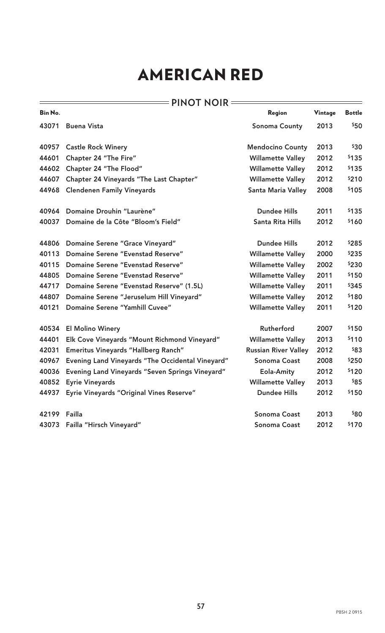#### **PINOT NOIR**

 $\equiv$ 

| Bin No. |                                                        | Region                      | Vintage | <b>Bottle</b> |
|---------|--------------------------------------------------------|-----------------------------|---------|---------------|
| 43071   | <b>Buena Vista</b>                                     | <b>Sonoma County</b>        | 2013    | \$50          |
| 40957   | <b>Castle Rock Winery</b>                              | <b>Mendocino County</b>     | 2013    | \$30          |
| 44601   | Chapter 24 "The Fire"                                  | <b>Willamette Valley</b>    | 2012    | \$135         |
| 44602   | Chapter 24 "The Flood"                                 | <b>Willamette Valley</b>    | 2012    | \$135         |
| 44607   | Chapter 24 Vineyards "The Last Chapter"                | <b>Willamette Valley</b>    | 2012    | \$210         |
| 44968   | <b>Clendenen Family Vineyards</b>                      | <b>Santa Maria Valley</b>   | 2008    | \$105         |
| 40964   | Domaine Drouhin "Laurène"                              | <b>Dundee Hills</b>         | 2011    | \$135         |
| 40037   | Domaine de la Côte "Bloom's Field"                     | Santa Rita Hills            | 2012    | \$160         |
| 44806   | Domaine Serene "Grace Vineyard"                        | <b>Dundee Hills</b>         | 2012    | \$285         |
| 40113   | Domaine Serene "Evenstad Reserve"                      | <b>Willamette Valley</b>    | 2000    | \$235         |
| 40115   | Domaine Serene "Evenstad Reserve"                      | <b>Willamette Valley</b>    | 2002    | \$230         |
| 44805   | Domaine Serene "Evenstad Reserve"                      | <b>Willamette Valley</b>    | 2011    | \$150         |
| 44717   | Domaine Serene "Evenstad Reserve" (1.5L)               | <b>Willamette Valley</b>    | 2011    | \$345         |
| 44807   | Domaine Serene "Jeruselum Hill Vineyard"               | <b>Willamette Valley</b>    | 2012    | \$180         |
| 40121   | Domaine Serene "Yamhill Cuvee"                         | <b>Willamette Valley</b>    | 2011    | \$120         |
| 40534   | <b>El Molino Winery</b>                                | Rutherford                  | 2007    | \$150         |
| 44401   | Elk Cove Vineyards "Mount Richmond Vineyard"           | <b>Willamette Valley</b>    | 2013    | \$110         |
| 42031   | <b>Emeritus Vineyards "Hallberg Ranch"</b>             | <b>Russian River Valley</b> | 2012    | \$83          |
| 40967   | Evening Land Vineyards "The Occidental Vineyard"       | Sonoma Coast                | 2008    | \$250         |
| 40036   | <b>Evening Land Vineyards "Seven Springs Vineyard"</b> | Eola-Amity                  | 2012    | \$120         |
| 40852   | <b>Eyrie Vineyards</b>                                 | <b>Willamette Valley</b>    | 2013    | \$85          |
| 44937   | <b>Eyrie Vineyards "Original Vines Reserve"</b>        | <b>Dundee Hills</b>         | 2012    | \$150         |
| 42199   | Failla                                                 | Sonoma Coast                | 2013    | \$80          |
| 43073   | Failla "Hirsch Vineyard"                               | <b>Sonoma Coast</b>         | 2012    | \$170         |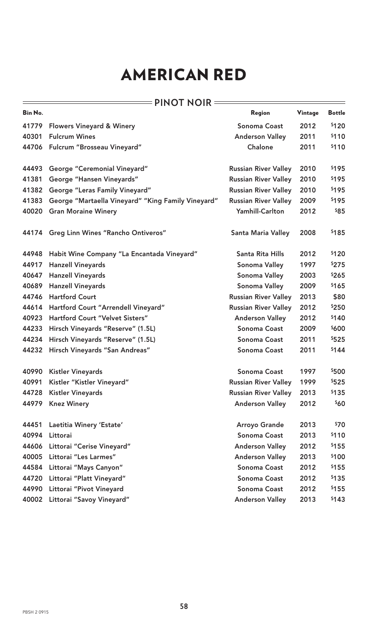#### **PINOT NOIR**  $\qquad$

 $=$ 

|                                                    | Region                      | Vintage | <b>Bottle</b> |
|----------------------------------------------------|-----------------------------|---------|---------------|
| <b>Flowers Vineyard &amp; Winery</b>               | <b>Sonoma Coast</b>         | 2012    | \$120         |
| <b>Fulcrum Wines</b>                               | <b>Anderson Valley</b>      | 2011    | \$110         |
| Fulcrum "Brosseau Vineyard"                        | Chalone                     | 2011    | \$110         |
| <b>George "Ceremonial Vineyard"</b>                | <b>Russian River Valley</b> | 2010    | \$195         |
| George "Hansen Vineyards"                          | <b>Russian River Valley</b> | 2010    | \$195         |
| <b>George "Leras Family Vineyard"</b>              | <b>Russian River Valley</b> | 2010    | \$195         |
| George "Martaella Vineyard" "King Family Vineyard" | <b>Russian River Valley</b> | 2009    | \$195         |
| <b>Gran Moraine Winery</b>                         | Yamhill-Carlton             | 2012    | \$85          |
| <b>Greg Linn Wines "Rancho Ontiveros"</b>          | Santa Maria Valley          | 2008    | \$185         |
| Habit Wine Company "La Encantada Vineyard"         | Santa Rita Hills            | 2012    | \$120         |
| <b>Hanzell Vineyards</b>                           | Sonoma Valley               | 1997    | \$275         |
| <b>Hanzell Vineyards</b>                           | Sonoma Valley               | 2003    | \$265         |
| <b>Hanzell Vineyards</b>                           | Sonoma Valley               | 2009    | \$165         |
| <b>Hartford Court</b>                              | <b>Russian River Valley</b> | 2013    | \$80          |
| Hartford Court "Arrendell Vineyard"                | <b>Russian River Valley</b> | 2012    | \$250         |
| Hartford Court "Velvet Sisters"                    | <b>Anderson Valley</b>      | 2012    | \$140         |
| Hirsch Vineyards "Reserve" (1.5L)                  | <b>Sonoma Coast</b>         | 2009    | \$600         |
| Hirsch Vineyards "Reserve" (1.5L)                  | <b>Sonoma Coast</b>         | 2011    | \$525         |
| Hirsch Vineyards "San Andreas"                     | Sonoma Coast                | 2011    | \$144         |
| <b>Kistler Vineyards</b>                           | <b>Sonoma Coast</b>         | 1997    | \$500         |
| Kistler "Kistler Vineyard"                         | <b>Russian River Valley</b> | 1999    | \$525         |
| <b>Kistler Vineyards</b>                           | <b>Russian River Valley</b> | 2013    | \$135         |
| <b>Knez Winery</b>                                 | <b>Anderson Valley</b>      | 2012    | \$60          |
| Laetitia Winery 'Estate'                           | <b>Arroyo Grande</b>        | 2013    | \$70          |
| Littorai                                           | Sonoma Coast                | 2013    | \$110         |
| Littorai "Cerise Vineyard"                         | <b>Anderson Valley</b>      | 2012    | \$155         |
| Littorai "Les Larmes"                              | <b>Anderson Valley</b>      | 2013    | \$100         |
| Littorai "Mays Canyon"                             | Sonoma Coast                | 2012    | \$155         |
| Littorai "Platt Vineyard"                          | Sonoma Coast                | 2012    | \$135         |
| Littorai "Pivot Vineyard                           | <b>Sonoma Coast</b>         | 2012    | \$155         |
| Littorai "Savoy Vineyard"                          | <b>Anderson Valley</b>      | 2013    | \$143         |
|                                                    |                             |         |               |

 $\equiv$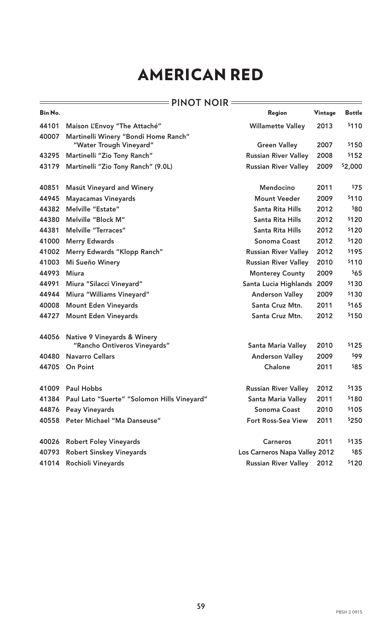### **PINOT NOIR**  $\overline{\hspace{1cm}}$

 $\equiv$ 

| Bin No. |                                             | Region                           | Vintage | <b>Bottle</b> |
|---------|---------------------------------------------|----------------------------------|---------|---------------|
| 44101   | Maison L'Envoy "The Attaché"                | <b>Willamette Valley</b>         | 2013    | \$110         |
| 40007   | Martinelli Winery "Bondi Home Ranch"        |                                  |         |               |
|         | "Water Trough Vineyard"                     | <b>Green Valley</b>              | 2007    | \$150         |
| 43295   | Martinelli "Zio Tony Ranch"                 | <b>Russian River Valley</b>      | 2008    | \$152         |
| 43179   | Martinelli "Zio Tony Ranch" (9.0L)          | <b>Russian River Valley</b>      | 2009    | \$2,000       |
| 40851   | <b>Masút Vineyard and Winery</b>            | <b>Mendocino</b>                 | 2011    | 575           |
| 44945   | <b>Mayacamas Vineyards</b>                  | <b>Mount Veeder</b>              | 2009    | \$110         |
| 44382   | <b>Melville "Estate"</b>                    | <b>Santa Rita Hills</b>          | 2012    | \$80          |
| 44380   | Melville "Block M"                          | <b>Santa Rita Hills</b>          | 2012    | \$120         |
| 44381   | <b>Melville "Terraces"</b>                  | Santa Rita Hills                 | 2012    | \$120         |
| 41000   | <b>Merry Edwards</b>                        | <b>Sonoma Coast</b>              | 2012    | \$120         |
| 41002   | Merry Edwards "Klopp Ranch"                 | <b>Russian River Valley</b>      | 2012    | \$195         |
| 41003   | Mi Sueño Winery                             | <b>Russian River Valley</b>      | 2010    | \$110         |
| 44993   | <b>Miura</b>                                | <b>Monterey County</b>           | 2009    | \$65          |
| 44991   | Miura "Silacci Vineyard"                    | Santa Lucia Highlands            | 2009    | \$130         |
| 44944   | Miura "Williams Vineyard"                   | <b>Anderson Valley</b>           | 2009    | \$130         |
| 40008   | <b>Mount Eden Vineyards</b>                 | Santa Cruz Mtn.                  | 2011    | \$165         |
| 44727   | <b>Mount Eden Vineyards</b>                 | Santa Cruz Mtn.                  | 2012    | \$150         |
| 44056   | <b>Native 9 Vineyards &amp; Winery</b>      |                                  |         |               |
|         | "Rancho Ontiveros Vineyards"                | Santa Maria Valley               | 2010    | \$125         |
| 40480   | <b>Navarro Cellars</b>                      | <b>Anderson Valley</b>           | 2009    | 599           |
| 44705   | <b>On Point</b>                             | Chalone                          | 2011    | <b>\$85</b>   |
| 41009   | <b>Paul Hobbs</b>                           | <b>Russian River Valley</b>      | 2012    | \$135         |
| 41384   | Paul Lato "Suerte" "Solomon Hills Vineyard" | Santa Maria Valley               | 2011    | \$180         |
| 44876   | <b>Peay Vineyards</b>                       | <b>Sonoma Coast</b>              | 2010    | \$105         |
| 40558   | Peter Michael "Ma Danseuse"                 | <b>Fort Ross-Sea View</b>        | 2011    | \$250         |
| 40026   | <b>Robert Foley Vineyards</b>               | <b>Carneros</b>                  | 2011    | \$135         |
| 40793   | <b>Robert Sinskey Vineyards</b>             | Los Carneros Napa Valley 2012    |         | \$85          |
| 41014   | Rochioli Vineyards                          | <b>Russian River Valley 2012</b> |         | \$120         |

 $\overline{\phantom{0}}$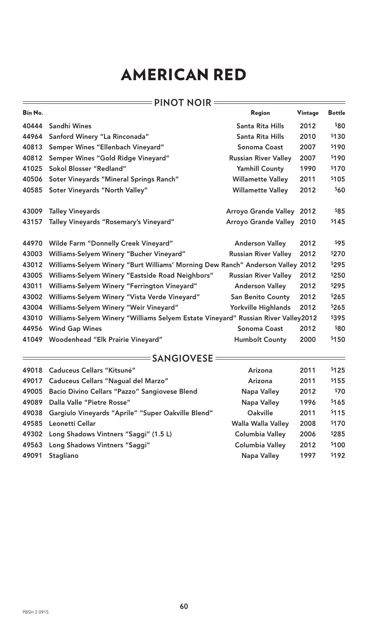#### **PINOT NOIR**

 $=$ 

| Bin No.                                          |                                                                                                                                                                                                                                                                                                                                                                                                                                           | <b>Bottle</b>                                                                                                                                                                                                                                                                                                                               |
|--------------------------------------------------|-------------------------------------------------------------------------------------------------------------------------------------------------------------------------------------------------------------------------------------------------------------------------------------------------------------------------------------------------------------------------------------------------------------------------------------------|---------------------------------------------------------------------------------------------------------------------------------------------------------------------------------------------------------------------------------------------------------------------------------------------------------------------------------------------|
| <b>Sandhi Wines</b>                              |                                                                                                                                                                                                                                                                                                                                                                                                                                           | \$80                                                                                                                                                                                                                                                                                                                                        |
| 44964<br>Sanford Winery "La Rinconada"           |                                                                                                                                                                                                                                                                                                                                                                                                                                           | \$130                                                                                                                                                                                                                                                                                                                                       |
| Semper Wines "Ellenbach Vineyard"<br>40813       |                                                                                                                                                                                                                                                                                                                                                                                                                                           | \$190                                                                                                                                                                                                                                                                                                                                       |
| Semper Wines "Gold Ridge Vineyard"               |                                                                                                                                                                                                                                                                                                                                                                                                                                           | \$190                                                                                                                                                                                                                                                                                                                                       |
| Sokol Blosser "Redland"                          |                                                                                                                                                                                                                                                                                                                                                                                                                                           | \$170                                                                                                                                                                                                                                                                                                                                       |
| Soter Vineyards "Mineral Springs Ranch"          |                                                                                                                                                                                                                                                                                                                                                                                                                                           | \$105                                                                                                                                                                                                                                                                                                                                       |
| Soter Vineyards "North Valley"<br>40585          |                                                                                                                                                                                                                                                                                                                                                                                                                                           | \$60                                                                                                                                                                                                                                                                                                                                        |
| <b>Talley Vineyards</b>                          |                                                                                                                                                                                                                                                                                                                                                                                                                                           | \$85                                                                                                                                                                                                                                                                                                                                        |
| Talley Vineyards "Rosemary's Vineyard"           |                                                                                                                                                                                                                                                                                                                                                                                                                                           | \$145                                                                                                                                                                                                                                                                                                                                       |
| <b>Wilde Farm "Donnelly Creek Vineyard"</b>      |                                                                                                                                                                                                                                                                                                                                                                                                                                           | \$95                                                                                                                                                                                                                                                                                                                                        |
| Williams-Selyem Winery "Bucher Vineyard"         |                                                                                                                                                                                                                                                                                                                                                                                                                                           | <b>\$270</b>                                                                                                                                                                                                                                                                                                                                |
|                                                  |                                                                                                                                                                                                                                                                                                                                                                                                                                           | \$295                                                                                                                                                                                                                                                                                                                                       |
| Williams-Selyem Winery "Eastside Road Neighbors" |                                                                                                                                                                                                                                                                                                                                                                                                                                           | \$250                                                                                                                                                                                                                                                                                                                                       |
| Williams-Selyem Winery "Ferrington Vineyard"     |                                                                                                                                                                                                                                                                                                                                                                                                                                           | \$295                                                                                                                                                                                                                                                                                                                                       |
| Williams-Selyem Winery "Vista Verde Vineyard"    |                                                                                                                                                                                                                                                                                                                                                                                                                                           | \$265                                                                                                                                                                                                                                                                                                                                       |
| Williams-Selyem Winery "Weir Vineyard"           |                                                                                                                                                                                                                                                                                                                                                                                                                                           | \$265                                                                                                                                                                                                                                                                                                                                       |
|                                                  |                                                                                                                                                                                                                                                                                                                                                                                                                                           | \$395                                                                                                                                                                                                                                                                                                                                       |
| <b>Wind Gap Wines</b>                            |                                                                                                                                                                                                                                                                                                                                                                                                                                           | \$80                                                                                                                                                                                                                                                                                                                                        |
| Woodenhead "Elk Prairie Vineyard"<br>41049       |                                                                                                                                                                                                                                                                                                                                                                                                                                           | \$150                                                                                                                                                                                                                                                                                                                                       |
| <b>SANGIOVESE</b>                                |                                                                                                                                                                                                                                                                                                                                                                                                                                           |                                                                                                                                                                                                                                                                                                                                             |
|                                                  | Region<br>Santa Rita Hills<br>Santa Rita Hills<br>Sonoma Coast<br><b>Russian River Valley</b><br><b>Yamhill County</b><br><b>Willamette Valley</b><br><b>Willamette Valley</b><br><b>Arroyo Grande Valley</b><br><b>Anderson Valley</b><br><b>Russian River Valley</b><br><b>Russian River Valley</b><br><b>Anderson Valley</b><br><b>San Benito County</b><br><b>Yorkville Highlands</b><br><b>Sonoma Coast</b><br><b>Humbolt County</b> | Vintage<br>2012<br>2010<br>2007<br>2007<br>1990<br>2011<br>2012<br>2012<br>Arroyo Grande Valley 2010<br>2012<br>2012<br>Williams-Selyem Winery "Burt Williams' Morning Dew Ranch" Anderson Valley 2012<br>2012<br>2012<br>2012<br>2012<br>Williams-Selyem Winery "Williams Selyem Estate Vineyard" Russian River Valley2012<br>2012<br>2000 |

|       | 49018 Caduceus Cellars "Kitsuné"                         | Arizona                   | 2011 | \$125 |
|-------|----------------------------------------------------------|---------------------------|------|-------|
|       | 49017 Caduceus Cellars "Nagual del Marzo"                | Arizona                   | 2011 | \$155 |
|       | 49005 Bacio Divino Cellars "Pazzo" Sangiovese Blend      | Napa Valley               | 2012 | \$70  |
| 49089 | Dalla Valle "Pietre Rosse"                               | <b>Napa Valley</b>        | 1996 | \$165 |
|       | 49038 Gargiulo Vineyards "Aprile" "Super Oakville Blend" | Oakville                  | 2011 | \$115 |
| 49585 | Leonetti Cellar                                          | <b>Walla Walla Valley</b> | 2008 | \$170 |
|       | 49302 Long Shadows Vintners "Saggi" (1.5 L)              | <b>Columbia Valley</b>    | 2006 | \$285 |
| 49563 | Long Shadows Vintners "Saggi"                            | <b>Columbia Valley</b>    | 2012 | \$100 |
| 49091 | Stagliano                                                | Napa Valley               | 1997 | \$192 |

 $\equiv$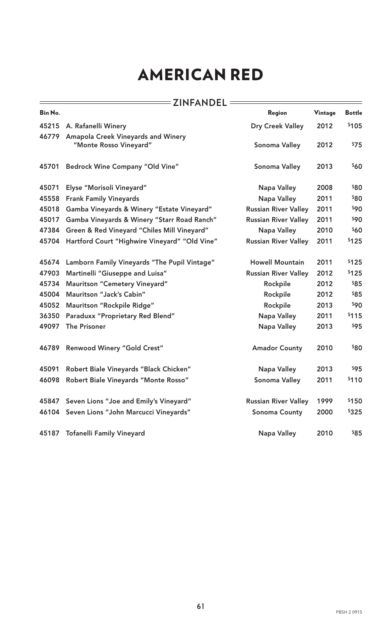#### **ZINFANDEL**

 $\frac{1}{\sqrt{1-\frac{1}{2}}}\left( \frac{1}{\sqrt{1-\frac{1}{2}}}\right) ^{2}$ 

| Bin No. |                                                              | Region                      | Vintage | <b>Bottle</b> |
|---------|--------------------------------------------------------------|-----------------------------|---------|---------------|
| 45215   | A. Rafanelli Winery                                          | <b>Dry Creek Valley</b>     | 2012    | \$105         |
| 46779   | Amapola Creek Vineyards and Winery<br>"Monte Rosso Vineyard" | Sonoma Valley               | 2012    | \$75          |
| 45701   | <b>Bedrock Wine Company "Old Vine"</b>                       | Sonoma Valley               | 2013    | \$60          |
| 45071   | Elyse "Morisoli Vineyard"                                    | Napa Valley                 | 2008    | \$80          |
| 45558   | <b>Frank Family Vineyards</b>                                | <b>Napa Valley</b>          | 2011    | \$80          |
| 45018   | Gamba Vineyards & Winery "Estate Vineyard"                   | <b>Russian River Valley</b> | 2011    | \$90          |
| 45017   | Gamba Vineyards & Winery "Starr Road Ranch"                  | <b>Russian River Valley</b> | 2011    | \$90          |
| 47384   | Green & Red Vineyard "Chiles Mill Vineyard"                  | Napa Valley                 | 2010    | \$60          |
| 45704   | Hartford Court "Highwire Vineyard" "Old Vine"                | <b>Russian River Valley</b> | 2011    | \$125         |
| 45674   | Lamborn Family Vineyards "The Pupil Vintage"                 | <b>Howell Mountain</b>      | 2011    | \$125         |
| 47903   | Martinelli "Giuseppe and Luisa"                              | <b>Russian River Valley</b> | 2012    | \$125         |
| 45734   | <b>Mauritson "Cemetery Vineyard"</b>                         | Rockpile                    | 2012    | \$85          |
| 45004   | Mauritson "Jack's Cabin"                                     | Rockpile                    | 2012    | \$85          |
| 45052   | <b>Mauritson "Rockpile Ridge"</b>                            | Rockpile                    | 2013    | \$90          |
| 36350   | Paraduxx "Proprietary Red Blend"                             | Napa Valley                 | 2011    | \$115         |
| 49097   | <b>The Prisoner</b>                                          | <b>Napa Valley</b>          | 2013    | \$95          |
| 46789   | <b>Renwood Winery "Gold Crest"</b>                           | <b>Amador County</b>        | 2010    | \$80          |
| 45091   | Robert Biale Vineyards "Black Chicken"                       | <b>Napa Valley</b>          | 2013    | \$95          |
| 46098   | Robert Biale Vineyards "Monte Rosso"                         | Sonoma Valley               | 2011    | \$110         |
| 45847   | Seven Lions "Joe and Emily's Vineyard"                       | <b>Russian River Valley</b> | 1999    | \$150         |
|         | 46104 Seven Lions "John Marcucci Vineyards"                  | <b>Sonoma County</b>        | 2000    | \$325         |
| 45187   | <b>Tofanelli Family Vineyard</b>                             | <b>Napa Valley</b>          | 2010    | \$85          |

 $=$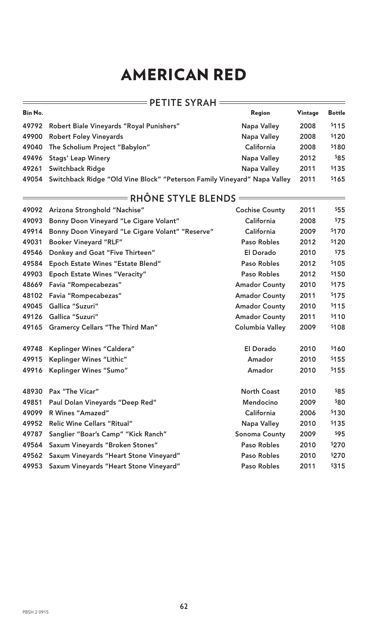|         | <b>PETITE SYRAH</b>                                                      |                        |         |               |
|---------|--------------------------------------------------------------------------|------------------------|---------|---------------|
| Bin No. |                                                                          | Region                 | Vintage | <b>Bottle</b> |
| 49792   | Robert Biale Vineyards "Royal Punishers"                                 | Napa Valley            | 2008    | \$115         |
| 49900   | <b>Robert Foley Vineyards</b>                                            | <b>Napa Valley</b>     | 2008    | \$120         |
| 49040   | The Scholium Project "Babylon"                                           | California             | 2008    | \$180         |
| 49496   | <b>Stags' Leap Winery</b>                                                | <b>Napa Valley</b>     | 2012    | \$85          |
| 49261   | <b>Switchback Ridge</b>                                                  | Napa Valley            | 2011    | \$135         |
| 49054   | Switchback Ridge "Old Vine Block" "Peterson Family Vineyard" Napa Valley |                        | 2011    | \$165         |
|         | <b>RHÔNE STYLE BLENDS</b>                                                |                        |         |               |
| 49092   | Arizona Stronghold "Nachise"                                             | <b>Cochise County</b>  | 2011    | \$55          |
| 49093   | Bonny Doon Vineyard "Le Cigare Volant"                                   | California             | 2008    | \$75          |
| 49914   | Bonny Doon Vineyard "Le Cigare Volant" "Reserve"                         | California             | 2009    | \$170         |
| 49031   | <b>Booker Vineyard "RLF"</b>                                             | <b>Paso Robles</b>     | 2012    | \$120         |
| 49546   | Donkey and Goat "Five Thirteen"                                          | <b>El Dorado</b>       | 2010    | \$75          |
| 49584   | Epoch Estate Wines "Estate Blend"                                        | <b>Paso Robles</b>     | 2012    | \$105         |
| 49903   | <b>Epoch Estate Wines "Veracity"</b>                                     | <b>Paso Robles</b>     | 2012    | \$150         |
| 48669   | Favia "Rompecabezas"                                                     | <b>Amador County</b>   | 2010    | \$175         |
| 48102   | Favia "Rompecabezas"                                                     | <b>Amador County</b>   | 2011    | \$175         |
| 49045   | Gallica "Suzuri"                                                         | <b>Amador County</b>   | 2010    | \$115         |
| 49126   | Gallica "Suzuri"                                                         | <b>Amador County</b>   | 2011    | \$110         |
| 49165   | <b>Gramercy Cellars "The Third Man"</b>                                  | <b>Columbia Valley</b> | 2009    | \$108         |
| 49748   | Keplinger Wines "Caldera"                                                | El Dorado              | 2010    | \$160         |
| 49915   | Keplinger Wines "Lithic"                                                 | Amador                 | 2010    | \$155         |
| 49916   | <b>Keplinger Wines "Sumo"</b>                                            | Amador                 | 2010    | \$155         |
| 48930   | Pax "The Vicar"                                                          | <b>North Coast</b>     | 2010    | <b>\$85</b>   |
| 49851   | Paul Dolan Vineyards "Deep Red"                                          | Mendocino              | 2009    | \$80          |
| 49099   | R Wines "Amazed"                                                         | California             | 2006    | \$130         |
| 49952   | <b>Relic Wine Cellars "Ritual"</b>                                       | <b>Napa Valley</b>     | 2010    | \$135         |
| 49787   | Sanglier "Boar's Camp" "Kick Ranch"                                      | <b>Sonoma County</b>   | 2009    | \$95          |
| 49564   | Saxum Vineyards "Broken Stones"                                          | <b>Paso Robles</b>     | 2010    | \$270         |
| 49562   | Saxum Vineyards "Heart Stone Vineyard"                                   | <b>Paso Robles</b>     | 2010    | \$270         |
| 49953   | Saxum Vineyards "Heart Stone Vineyard"                                   | <b>Paso Robles</b>     | 2011    | \$315         |
|         |                                                                          |                        |         |               |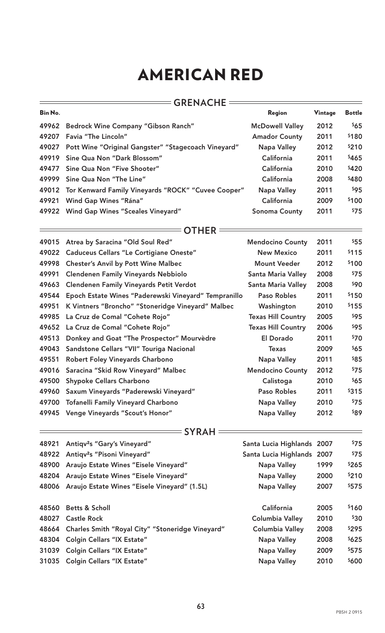|         | <b>GRENACHE =</b>                                    |                            |                |                 |  |
|---------|------------------------------------------------------|----------------------------|----------------|-----------------|--|
| Bin No. |                                                      | Region                     | <b>Vintage</b> | <b>Bottle</b>   |  |
| 49962   | <b>Bedrock Wine Company "Gibson Ranch"</b>           | <b>McDowell Valley</b>     | 2012           | \$65            |  |
| 49207   | Favia "The Lincoln"                                  | <b>Amador County</b>       | 2011           | \$180           |  |
| 49027   | Pott Wine "Original Gangster" "Stagecoach Vineyard"  | <b>Napa Valley</b>         | 2012           | \$210           |  |
| 49919   | Sine Qua Non "Dark Blossom"                          | California                 | 2011           | \$465           |  |
| 49477   | Sine Qua Non "Five Shooter"                          | California                 | 2010           | \$420           |  |
| 49999   | Sine Qua Non "The Line"                              | California                 | 2008           | \$480           |  |
| 49012   | Tor Kenward Family Vineyards "ROCK" "Cuvee Cooper"   | <b>Napa Valley</b>         | 2011           | \$95            |  |
| 49921   | Wind Gap Wines "Rána"                                | California                 | 2009           | \$100           |  |
| 49922   | <b>Wind Gap Wines "Sceales Vineyard"</b>             | <b>Sonoma County</b>       | 2011           | \$75            |  |
|         | <b>OTHER</b>                                         |                            |                |                 |  |
| 49015   | Atrea by Saracina "Old Soul Red"                     | <b>Mendocino County</b>    | 2011           | \$55            |  |
| 49022   | <b>Caduceus Cellars "Le Cortigiane Oneste"</b>       | <b>New Mexico</b>          | 2011           | \$115           |  |
| 49998   | <b>Chester's Anvil by Pott Wine Malbec</b>           | <b>Mount Veeder</b>        | 2012           | \$100           |  |
| 49991   | <b>Clendenen Family Vineyards Nebbiolo</b>           | Santa Maria Valley         | 2008           | \$75            |  |
| 49663   | <b>Clendenen Family Vineyards Petit Verdot</b>       | Santa Maria Valley         | 2008           | \$90            |  |
| 49544   | Epoch Estate Wines "Paderewski Vineyard" Tempranillo | <b>Paso Robles</b>         | 2011           | \$150           |  |
| 49951   | K Vintners "Broncho" "Stoneridge Vineyard" Malbec    | Washington                 | 2010           | \$155           |  |
| 49985   | La Cruz de Comal "Cohete Rojo"                       | <b>Texas Hill Country</b>  | 2005           | \$95            |  |
| 49652   | La Cruz de Comal "Cohete Rojo"                       | <b>Texas Hill Country</b>  | 2006           | \$95            |  |
| 49513   | Donkey and Goat "The Prospector" Mourvèdre           | <b>El Dorado</b>           | 2011           | <sup>\$70</sup> |  |
| 49043   | Sandstone Cellars "VII" Touriga Nacional             | <b>Texas</b>               | 2009           | \$65            |  |
| 49551   | <b>Robert Foley Vineyards Charbono</b>               | Napa Valley                | 2011           | <b>\$85</b>     |  |
| 49016   | Saracina "Skid Row Vineyard" Malbec                  | <b>Mendocino County</b>    | 2012           | \$75            |  |
| 49500   | <b>Shypoke Cellars Charbono</b>                      | Calistoga                  | 2010           | \$65            |  |
| 49960   | Saxum Vineyards "Paderewski Vineyard"                | <b>Paso Robles</b>         | 2011           | \$315           |  |
| 49700   | <b>Tofanelli Family Vineyard Charbono</b>            | <b>Napa Valley</b>         | 2010           | \$75            |  |
| 49945   | Venge Vineyards "Scout's Honor"                      | <b>Napa Valley</b>         | 2012           | \$89            |  |
|         | <b>SYRAH</b>                                         |                            |                |                 |  |
| 48921   | Antiqv <sup>2</sup> s "Gary's Vineyard"              | Santa Lucia Highlands 2007 |                | \$75            |  |
| 48922   | Antiqv <sup>2</sup> s "Pisoni Vineyard"              | Santa Lucia Highlands 2007 |                | \$75            |  |
| 48900   | Araujo Estate Wines "Eisele Vineyard"                | Napa Valley                | 1999           | \$265           |  |
| 48204   | Araujo Estate Wines "Eisele Vineyard"                | <b>Napa Valley</b>         | 2000           | \$210           |  |
| 48006   | Araujo Estate Wines "Eisele Vineyard" (1.5L)         | <b>Napa Valley</b>         | 2007           | \$575           |  |
| 48560   | Betts & Scholl                                       | California                 | 2005           | \$160           |  |
| 48027   | <b>Castle Rock</b>                                   | <b>Columbia Valley</b>     | 2010           | \$30            |  |
| 48664   | Charles Smith "Royal City" "Stoneridge Vineyard"     | <b>Columbia Valley</b>     | 2008           | \$295           |  |
| 48304   | <b>Colgin Cellars "IX Estate"</b>                    | <b>Napa Valley</b>         | 2008           | \$625           |  |
| 31039   | <b>Colgin Cellars "IX Estate"</b>                    | <b>Napa Valley</b>         | 2009           | \$575           |  |
| 31035   | <b>Colgin Cellars "IX Estate"</b>                    | <b>Napa Valley</b>         | 2010           | \$600           |  |
|         |                                                      |                            |                |                 |  |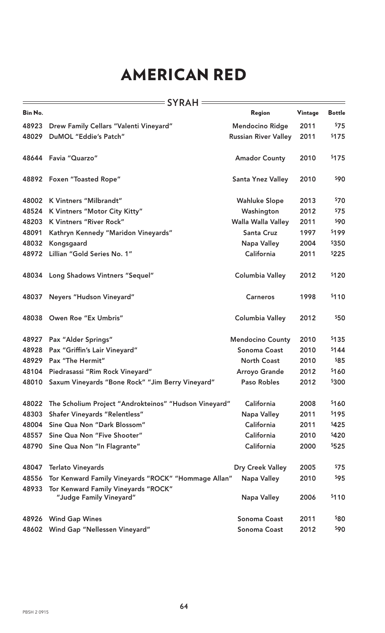|         | <b>SYRAH</b>                                                   |                             |         |               |
|---------|----------------------------------------------------------------|-----------------------------|---------|---------------|
| Bin No. |                                                                | Region                      | Vintage | <b>Bottle</b> |
| 48923   | Drew Family Cellars "Valenti Vineyard"                         | <b>Mendocino Ridge</b>      | 2011    | \$75          |
| 48029   | DuMOL "Eddie's Patch"                                          | <b>Russian River Valley</b> | 2011    | \$175         |
|         | 48644 Favia "Quarzo"                                           | <b>Amador County</b>        | 2010    | \$175         |
|         | 48892 Foxen "Toasted Rope"                                     | <b>Santa Ynez Valley</b>    | 2010    | \$90          |
| 48002   | K Vintners "Milbrandt"                                         | <b>Wahluke Slope</b>        | 2013    | \$70          |
| 48524   | K Vintners "Motor City Kitty"                                  | Washington                  | 2012    | \$75          |
| 48203   | K Vintners "River Rock"                                        | Walla Walla Valley          | 2011    | \$90          |
| 48091   | Kathryn Kennedy "Maridon Vineyards"                            | <b>Santa Cruz</b>           | 1997    | \$199         |
| 48032   | Kongsgaard                                                     | <b>Napa Valley</b>          | 2004    | \$350         |
| 48972   | Lillian "Gold Series No. 1"                                    | California                  | 2011    | \$225         |
|         | 48034 Long Shadows Vintners "Sequel"                           | <b>Columbia Valley</b>      | 2012    | \$120         |
| 48037   | Neyers "Hudson Vineyard"                                       | <b>Carneros</b>             | 1998    | \$110         |
| 48038   | Owen Roe "Ex Umbris"                                           | <b>Columbia Valley</b>      | 2012    | \$50          |
| 48927   | Pax "Alder Springs"                                            | <b>Mendocino County</b>     | 2010    | \$135         |
| 48928   | Pax "Griffin's Lair Vineyard"                                  | Sonoma Coast                | 2010    | \$144         |
| 48929   | Pax "The Hermit"                                               | <b>North Coast</b>          | 2010    | \$85          |
| 48104   | Piedrasassi "Rim Rock Vineyard"                                | <b>Arroyo Grande</b>        | 2012    | \$160         |
|         | 48010 Saxum Vineyards "Bone Rock" "Jim Berry Vineyard"         | Paso Robles                 | 2012    | \$300         |
| 48022   | The Scholium Project "Androkteinos" "Hudson Vineyard"          | California                  | 2008    | \$160         |
| 48303   | <b>Shafer Vineyards "Relentless"</b>                           | <b>Napa Valley</b>          | 2011    | \$195         |
| 48004   | Sine Qua Non "Dark Blossom"                                    | California                  | 2011    | \$425         |
| 48557   | Sine Qua Non "Five Shooter"                                    | California                  | 2010    | \$420         |
| 48790   | Sine Qua Non "In Flagrante"                                    | California                  | 2000    | \$525         |
| 48047   | <b>Terlato Vineyards</b>                                       | <b>Dry Creek Valley</b>     | 2005    | 575           |
| 48556   | Tor Kenward Family Vineyards "ROCK" "Hommage Allan"            | <b>Napa Valley</b>          | 2010    | \$95          |
| 48933   | Tor Kenward Family Vineyards "ROCK"<br>"Judge Family Vineyard" | Napa Valley                 | 2006    | \$110         |
| 48926   | <b>Wind Gap Wines</b>                                          | <b>Sonoma Coast</b>         | 2011    | <b>\$80</b>   |
| 48602   | Wind Gap "Nellessen Vineyard"                                  | Sonoma Coast                | 2012    | \$90          |
|         |                                                                |                             |         |               |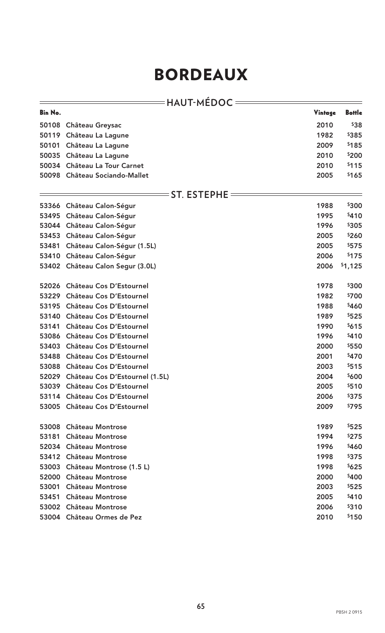|                | <b>-HAUT-MEDOC</b>               |         |               |
|----------------|----------------------------------|---------|---------------|
| <b>Bin No.</b> |                                  | Vintage | <b>Bottle</b> |
| 50108          | Château Greysac                  | 2010    | \$38          |
| 50119          | Château La Lagune                | 1982    | \$385         |
| 50101          | Château La Lagune                | 2009    | \$185         |
| 50035          | Château La Lagune                | 2010    | \$200         |
| 50034          | Château La Tour Carnet           | 2010    | \$115         |
| 50098          | <b>Château Sociando-Mallet</b>   | 2005    | \$165         |
|                | = ST. ESTEPHE                    |         |               |
|                | 53366 Château Calon-Ségur        | 1988    | \$300         |
| 53495          | Château Calon-Ségur              | 1995    | \$410         |
| 53044          | Château Calon-Ségur              | 1996    | \$305         |
|                | 53453 Château Calon-Ségur        | 2005    | \$260         |
| 53481          | Château Calon-Ségur (1.5L)       | 2005    | \$575         |
| 53410          | Château Calon-Ségur              | 2006    | \$175         |
|                | 53402 Château Calon Segur (3.0L) | 2006    | \$1,125       |
| 52026          | Château Cos D'Estournel          | 1978    | \$300         |
| 53229          | Château Cos D'Estournel          | 1982    | \$700         |
| 53195          | Château Cos D'Estournel          | 1988    | \$460         |
| 53140          | Château Cos D'Estournel          | 1989    | \$525         |
| 53141          | Château Cos D'Estournel          | 1990    | \$615         |
| 53086          | Château Cos D'Estournel          | 1996    | \$410         |
| 53403          | Château Cos D'Estournel          | 2000    | \$550         |
| 53488          | Château Cos D'Estournel          | 2001    | \$470         |
| 53088          | Château Cos D'Estournel          | 2003    | \$515         |
| 52029          | Château Cos D'Estournel (1.5L)   | 2004    | \$600         |
|                | 53039 Château Cos D'Estournel    | 2005    | \$510         |
| 53114          | Château Cos D'Estournel          | 2006    | \$375         |
|                | 53005 Château Cos D'Estournel    | 2009    | \$795         |
| 53008          | <b>Château Montrose</b>          | 1989    | \$525         |
| 53181          | <b>Château Montrose</b>          | 1994    | \$275         |
| 52034          | <b>Château Montrose</b>          | 1996    | \$460         |
| 53412          | <b>Château Montrose</b>          | 1998    | \$375         |
|                | 53003 Château Montrose (1.5 L)   | 1998    | \$625         |
|                | 52000 Château Montrose           | 2000    | \$400         |
| 53001          | <b>Château Montrose</b>          | 2003    | \$525         |
| 53451          | <b>Château Montrose</b>          | 2005    | \$410         |
| 53002          | <b>Château Montrose</b>          | 2006    | \$310         |
|                | 53004 Château Ormes de Pez       | 2010    | \$150         |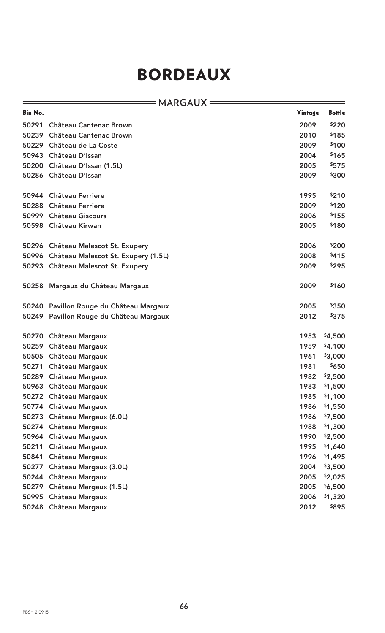|                | <b>MARGAUX:</b>                           |         |               |
|----------------|-------------------------------------------|---------|---------------|
| <b>Bin No.</b> |                                           | Vintage | <b>Bottle</b> |
| 50291          | Château Cantenac Brown                    | 2009    | \$220         |
| 50239          | Château Cantenac Brown                    | 2010    | \$185         |
| 50229          | Château de La Coste                       | 2009    | \$100         |
| 50943          | Château D'Issan                           | 2004    | \$165         |
| 50200          | Château D'Issan (1.5L)                    | 2005    | \$575         |
| 50286          | Château D'Issan                           | 2009    | \$300         |
|                | 50944 Château Ferriere                    | 1995    | \$210         |
| 50288          | <b>Château Ferriere</b>                   | 2009    | \$120         |
| 50999          | <b>Château Giscours</b>                   | 2006    | \$155         |
|                | 50598 Château Kirwan                      | 2005    | \$180         |
|                | 50296 Château Malescot St. Exupery        | 2006    | \$200         |
|                | 50996 Château Malescot St. Exupery (1.5L) | 2008    | \$415         |
|                | 50293 Château Malescot St. Exupery        | 2009    | \$295         |
|                | 50258 Margaux du Château Margaux          | 2009    | \$160         |
|                | 50240 Pavillon Rouge du Château Margaux   | 2005    | \$350         |
|                | 50249 Pavillon Rouge du Château Margaux   | 2012    | \$375         |
|                | 50270 Château Margaux                     | 1953    | \$4,500       |
| 50259          | Château Margaux                           | 1959    | \$4,100       |
| 50505          | <b>Château Margaux</b>                    | 1961    | \$3,000       |
| 50271          | Château Margaux                           | 1981    | \$650         |
| 50289          | Château Margaux                           | 1982    | \$2,500       |
| 50963          | Château Margaux                           | 1983    | \$1,500       |
|                | 50272 Château Margaux                     | 1985    | \$1,100       |
| 50774          | Château Margaux                           | 1986    | \$1,550       |
| 50273          | Château Margaux (6.0L)                    | 1986    | \$7,500       |
|                | 50274 Château Margaux                     | 1988    | \$1,300       |
| 50964          | Château Margaux                           | 1990    | \$2,500       |
| 50211          | Château Margaux                           | 1995    | \$1,640       |
| 50841          | Château Margaux                           | 1996    | \$1,495       |
| 50277          | Château Margaux (3.0L)                    | 2004    | \$3,500       |
| 50244          | Château Margaux                           | 2005    | \$2,025       |
| 50279          | Château Margaux (1.5L)                    | 2005    | \$6,500       |
| 50995          | Château Margaux                           | 2006    | \$1,320       |
|                | 50248 Château Margaux                     | 2012    | \$895         |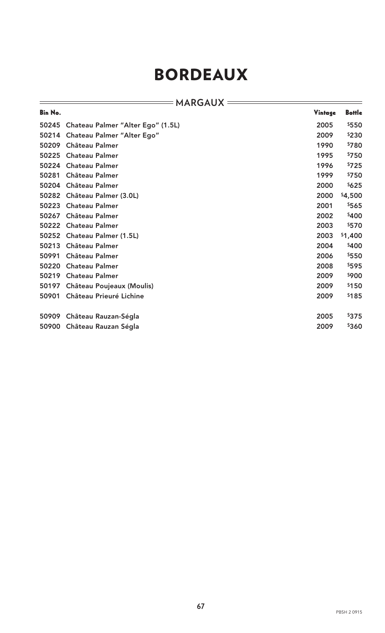| <b>MARGAUX =</b> |                                   |         |               |  |
|------------------|-----------------------------------|---------|---------------|--|
| Bin No.          |                                   | Vintage | <b>Bottle</b> |  |
| 50245            | Chateau Palmer "Alter Ego" (1.5L) | 2005    | \$550         |  |
| 50214            | <b>Chateau Palmer "Alter Ego"</b> | 2009    | \$230         |  |
| 50209            | <b>Château Palmer</b>             | 1990    | \$780         |  |
| 50225            | <b>Chateau Palmer</b>             | 1995    | \$750         |  |
| 50224            | <b>Chateau Palmer</b>             | 1996    | \$725         |  |
| 50281            | <b>Château Palmer</b>             | 1999    | \$750         |  |
| 50204            | <b>Château Palmer</b>             | 2000    | \$625         |  |
| 50282            | Château Palmer (3.0L)             | 2000    | \$4,500       |  |
| 50223            | <b>Chateau Palmer</b>             | 2001    | \$565         |  |
| 50267            | Château Palmer                    | 2002    | \$400         |  |
| 50222            | <b>Chateau Palmer</b>             | 2003    | \$570         |  |
| 50252            | <b>Chateau Palmer (1.5L)</b>      | 2003    | \$1,400       |  |
| 50213            | <b>Château Palmer</b>             | 2004    | \$400         |  |
| 50991            | <b>Château Palmer</b>             | 2006    | \$550         |  |
| 50220            | <b>Chateau Palmer</b>             | 2008    | \$595         |  |
| 50219            | <b>Chateau Palmer</b>             | 2009    | \$900         |  |
| 50197            | <b>Château Poujeaux (Moulis)</b>  | 2009    | \$150         |  |
| 50901            | <b>Château Prieuré Lichine</b>    | 2009    | \$185         |  |
| 50909            | Château Rauzan-Ségla              | 2005    | \$375         |  |
| 50900            | Château Rauzan Ségla              | 2009    | \$360         |  |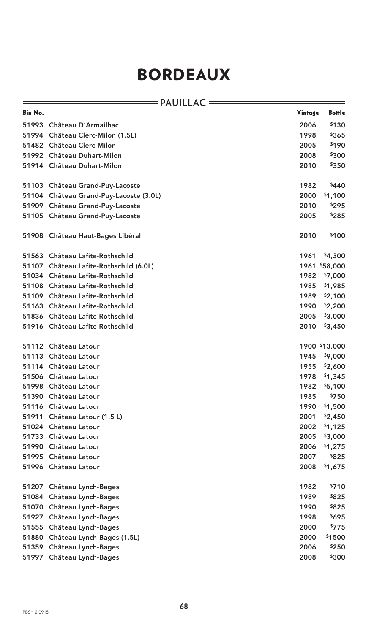|                | <b>PAUILLAC</b>                  |         |               |
|----------------|----------------------------------|---------|---------------|
| <b>Bin No.</b> |                                  | Vintage | <b>Bottle</b> |
| 51993          | Château D'Armailhac              | 2006    | \$130         |
| 51994          | Château Clerc-Milon (1.5L)       | 1998    | \$365         |
| 51482          | <b>Château Clerc-Milon</b>       | 2005    | \$190         |
| 51992          | <b>Château Duhart-Milon</b>      | 2008    | \$300         |
| 51914          | Château Duhart-Milon             | 2010    | \$350         |
| 51103          | Château Grand-Puy-Lacoste        | 1982    | \$440         |
| 51104          | Château Grand-Puy-Lacoste (3.0L) | 2000    | \$1,100       |
| 51909          | Château Grand-Puy-Lacoste        | 2010    | \$295         |
|                | 51105 Château Grand-Puy-Lacoste  | 2005    | \$285         |
| 51908          | Château Haut-Bages Libéral       | 2010    | \$100         |
| 51563          | Château Lafite-Rothschild        | 1961    | \$4,300       |
| 51107          | Château Lafite-Rothschild (6.0L) | 1961    | \$58,000      |
| 51034          | Château Lafite-Rothschild        | 1982    | \$7,000       |
|                | 51108 Château Lafite-Rothschild  | 1985    | \$1,985       |
| 51109          | Château Lafite-Rothschild        | 1989    | \$2,100       |
| 51163          | Château Lafite-Rothschild        | 1990    | \$2,200       |
| 51836          | Château Lafite-Rothschild        | 2005    | \$3,000       |
|                | 51916 Château Lafite-Rothschild  | 2010    | \$3,450       |
| 51112          | Château Latour                   |         | 1900 \$13,000 |
| 51113          | Château Latour                   | 1945    | \$9,000       |
| 51114          | Château Latour                   | 1955    | \$2,600       |
| 51506          | Château Latour                   | 1978    | \$1,345       |
| 51998          | Château Latour                   | 1982    | \$5,100       |
| 51390          | Château Latour                   | 1985    | \$750         |
| 51116          | Château Latour                   | 1990    | \$1,500       |
| 51911          | Château Latour (1.5 L)           | 2001    | \$2,450       |
| 51024          | Château Latour                   | 2002    | \$1,125       |
| 51733          | Château Latour                   | 2005    | \$3,000       |
| 51990          | Château Latour                   | 2006    | \$1,275       |
| 51995          | Château Latour                   | 2007    | \$825         |
| 51996          | Château Latour                   | 2008    | \$1,675       |
| 51207          | Château Lynch-Bages              | 1982    | \$710         |
| 51084          | Château Lynch-Bages              | 1989    | \$825         |
| 51070          | <b>Château Lynch-Bages</b>       | 1990    | \$825         |
| 51927          | Château Lynch-Bages              | 1998    | \$695         |
| 51555          | Château Lynch-Bages              | 2000    | \$775         |
| 51880          | Château Lynch-Bages (1.5L)       | 2000    | \$1500        |
| 51359          | Château Lynch-Bages              | 2006    | \$250         |
| 51997          | Château Lynch-Bages              | 2008    | \$300         |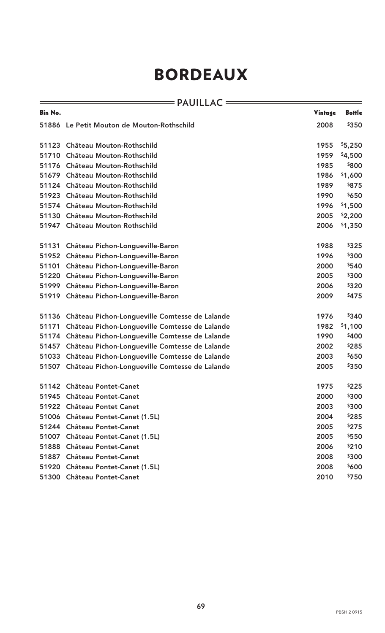| <b>= PAUILLAC</b> |                                                |         |               |
|-------------------|------------------------------------------------|---------|---------------|
| <b>Bin No.</b>    |                                                | Vintage | <b>Bottle</b> |
|                   | 51886 Le Petit Mouton de Mouton-Rothschild     | 2008    | \$350         |
| 51123             | Château Mouton-Rothschild                      | 1955    | \$5,250       |
| 51710             | Château Mouton-Rothschild                      | 1959    | \$4,500       |
| 51176             | Château Mouton-Rothschild                      | 1985    | \$800         |
| 51679             | Château Mouton-Rothschild                      | 1986    | \$1,600       |
| 51124             | Château Mouton-Rothschild                      | 1989    | <b>\$875</b>  |
| 51923             | Château Mouton-Rothschild                      | 1990    | \$650         |
| 51574             | Château Mouton-Rothschild                      | 1996    | \$1,500       |
| 51130             | Château Mouton-Rothschild                      | 2005    | \$2,200       |
| 51947             | Château Mouton Rothschild                      | 2006    | \$1,350       |
| 51131             | Château Pichon-Longueville-Baron               | 1988    | \$325         |
| 51952             | Château Pichon-Longueville-Baron               | 1996    | \$300         |
| 51101             | Château Pichon-Longueville-Baron               | 2000    | \$540         |
| 51220             | Château Pichon-Longueville-Baron               | 2005    | \$300         |
| 51999             | Château Pichon-Longueville-Baron               | 2006    | \$320         |
| 51919             | Château Pichon-Longueville-Baron               | 2009    | \$475         |
| 51136             | Château Pichon-Longueville Comtesse de Lalande | 1976    | \$340         |
| 51171             | Château Pichon-Longueville Comtesse de Lalande | 1982    | \$1,100       |
| 51174             | Château Pichon-Longueville Comtesse de Lalande | 1990    | \$400         |
| 51457             | Château Pichon-Longueville Comtesse de Lalande | 2002    | \$285         |
| 51033             | Château Pichon-Longueville Comtesse de Lalande | 2003    | \$650         |
| 51507             | Château Pichon-Longueville Comtesse de Lalande | 2005    | \$350         |
| 51142             | <b>Château Pontet-Canet</b>                    | 1975    | \$225         |
| 51945             | <b>Château Pontet-Canet</b>                    | 2000    | \$300         |
|                   | 51922 Château Pontet Canet                     | 2003    | \$300         |
| 51006             | Château Pontet-Canet (1.5L)                    | 2004    | \$285         |
|                   | 51244 Château Pontet-Canet                     | 2005    | \$275         |
|                   | 51007 Château Pontet-Canet (1.5L)              | 2005    | \$550         |
| 51888             | Château Pontet-Canet                           | 2006    | \$210         |
|                   | 51887 Château Pontet-Canet                     | 2008    | \$300         |
|                   | 51920 Château Pontet-Canet (1.5L)              | 2008    | \$600         |
|                   | 51300 Château Pontet-Canet                     | 2010    | \$750         |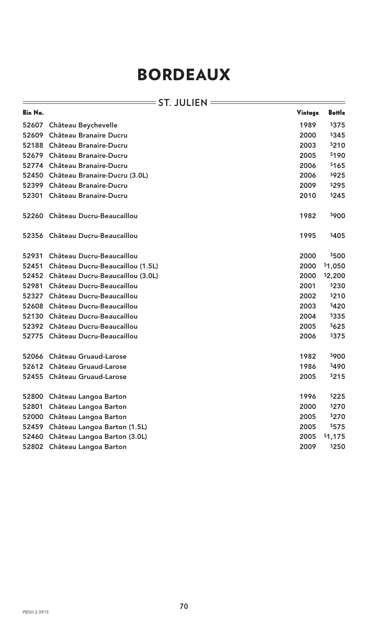#### **ST. JULIEN**

 $=$ 

| <b>Bin No.</b> |                                     | Vintage | <b>Bottle</b> |
|----------------|-------------------------------------|---------|---------------|
| 52607          | Château Beychevelle                 | 1989    | \$375         |
| 52609          | <b>Château Branaire Ducru</b>       | 2000    | \$345         |
| 52188          | <b>Château Branaire-Ducru</b>       | 2003    | \$210         |
| 52679          | <b>Château Branaire-Ducru</b>       | 2005    | \$190         |
|                | 52774 Château Branaire-Ducru        | 2006    | \$165         |
|                | 52450 Château Branaire-Ducru (3.0L) | 2006    | \$925         |
| 52399          | <b>Château Branaire-Ducru</b>       | 2009    | \$295         |
| 52301          | Château Branaire-Ducru              | 2010    | \$245         |
|                | 52260 Château Ducru-Beaucaillou     | 1982    | \$900         |
|                | 52356 Château Ducru-Beaucaillou     | 1995    | \$405         |
| 52931          | Château Ducru-Beaucaillou           | 2000    | \$500         |
| 52451          | Château Ducru-Beaucaillou (1.5L)    | 2000    | \$1,050       |
| 52452          | Château Ducru-Beaucaillou (3.0L)    | 2000    | \$2,200       |
| 52981          | Château Ducru-Beaucaillou           | 2001    | \$230         |
| 52327          | Château Ducru-Beaucaillou           | 2002    | \$210         |
| 52608          | Château Ducru-Beaucaillou           | 2003    | \$420         |
|                | 52130 Château Ducru-Beaucaillou     | 2004    | \$335         |
|                | 52392 Château Ducru-Beaucaillou     | 2005    | \$625         |
| 52775          | Château Ducru-Beaucaillou           | 2006    | \$375         |
|                | 52066 Château Gruaud-Larose         | 1982    | \$900         |
|                | 52612 Château Gruaud-Larose         | 1986    | \$490         |
|                | 52455 Château Gruaud-Larose         | 2005    | \$215         |
| 52800          | Château Langoa Barton               | 1996    | \$225         |
| 52801          | Château Langoa Barton               | 2000    | \$270         |
| 52000          | Château Langoa Barton               | 2005    | \$270         |
| 52459          | Château Langoa Barton (1.5L)        | 2005    | \$575         |
| 52460          | Château Langoa Barton (3.0L)        | 2005    | \$1,175       |
|                | 52802 Château Langoa Barton         | 2009    | \$250         |

 $\equiv$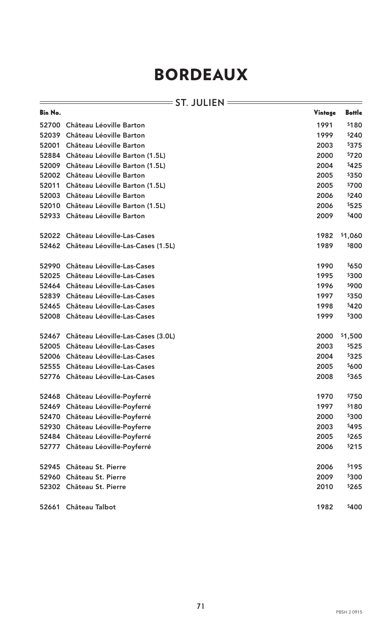|         |                                         | $=$ ST. JULIEN $=$ |               |
|---------|-----------------------------------------|--------------------|---------------|
| Bin No. |                                         | Vintage            | <b>Bottle</b> |
| 52700   | <b>Château Léoville Barton</b>          | 1991               | \$180         |
| 52039   | <b>Château Léoville Barton</b>          | 1999               | \$240         |
| 52001   | <b>Château Léoville Barton</b>          | 2003               | \$375         |
|         | 52884 Château Léoville Barton (1.5L)    | 2000               | \$720         |
| 52009   | Château Léoville Barton (1.5L)          | 2004               | \$425         |
|         | 52002 Château Léoville Barton           | 2005               | \$350         |
| 52011   | Château Léoville Barton (1.5L)          | 2005               | \$700         |
| 52003   | <b>Château Léoville Barton</b>          | 2006               | \$240         |
|         | 52010 Château Léoville Barton (1.5L)    | 2006               | \$525         |
|         | 52933 Château Léoville Barton           | 2009               | \$400         |
|         | 52022 Château Léoville-Las-Cases        | 1982               | \$1,060       |
|         | 52462 Château Léoville-Las-Cases (1.5L) | 1989               | \$800         |
| 52990   | <b>Château Léoville-Las-Cases</b>       | 1990               | \$650         |
| 52025   | <b>Château Léoville-Las-Cases</b>       | 1995               | \$300         |
|         | 52464 Château Léoville-Las-Cases        | 1996               | \$900         |
|         | 52839 Château Léoville-Las-Cases        | 1997               | \$350         |
| 52465   | <b>Château Léoville-Las-Cases</b>       | 1998               | \$420         |
| 52008   | <b>Château Léoville-Las-Cases</b>       | 1999               | \$300         |
| 52467   | Château Léoville-Las-Cases (3.0L)       | 2000               | \$1,500       |
| 52005   | <b>Château Léoville-Las-Cases</b>       | 2003               | \$525         |
|         | 52006 Château Léoville-Las-Cases        | 2004               | \$325         |
|         | 52555 Château Léoville-Las-Cases        | 2005               | \$600         |
| 52776   | <b>Château Léoville-Las-Cases</b>       | 2008               | \$365         |
| 52468   | Château Léoville-Poyferré               | 1970               | \$750         |
| 52469   | Château Léoville-Poyferré               | 1997               | \$180         |
| 52470   | <b>Château Léoville-Poyferré</b>        | 2000               | \$300         |
| 52930   | Château Léoville-Poyferre               | 2003               | \$495         |
|         | 52484 Château Léoville-Poyferré         | 2005               | \$265         |
| 52777   | Château Léoville-Poyferré               | 2006               | \$215         |
| 52945   | Château St. Pierre                      | 2006               | \$195         |
| 52960   | Château St. Pierre                      | 2009               | \$300         |
|         | 52302 Château St. Pierre                | 2010               | \$265         |
| 52661   | Château Talbot                          | 1982               | \$400         |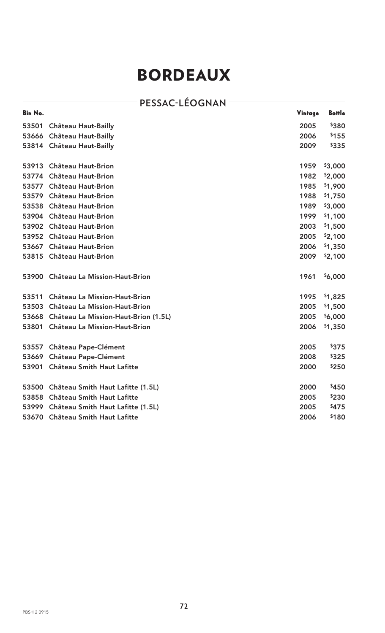|                | <b>FPESSAC-LEOGNAN</b>                     |         |               |  |  |
|----------------|--------------------------------------------|---------|---------------|--|--|
| <b>Bin No.</b> |                                            | Vintage | <b>Bottle</b> |  |  |
| 53501          | <b>Château Haut-Bailly</b>                 | 2005    | \$380         |  |  |
| 53666          | <b>Château Haut-Bailly</b>                 | 2006    | \$155         |  |  |
|                | 53814 Château Haut-Bailly                  | 2009    | \$335         |  |  |
|                | 53913 Château Haut-Brion                   | 1959    | \$3,000       |  |  |
|                | 53774 Château Haut-Brion                   | 1982    | \$2,000       |  |  |
|                | 53577 Château Haut-Brion                   | 1985    | \$1,900       |  |  |
| 53579          | <b>Château Haut-Brion</b>                  | 1988    | \$1,750       |  |  |
|                | 53538 Château Haut-Brion                   | 1989    | \$3,000       |  |  |
|                | 53904 Château Haut-Brion                   | 1999    | \$1,100       |  |  |
|                | 53902 Château Haut-Brion                   | 2003    | \$1,500       |  |  |
|                | 53952 Château Haut-Brion                   | 2005    | \$2,100       |  |  |
|                | 53667 Château Haut-Brion                   | 2006    | \$1,350       |  |  |
|                | 53815 Château Haut-Brion                   | 2009    | \$2,100       |  |  |
|                | 53900 Château La Mission-Haut-Brion        | 1961    | \$6,000       |  |  |
| 53511          | Château La Mission-Haut-Brion              | 1995    | \$1,825       |  |  |
|                | 53503 Château La Mission-Haut-Brion        | 2005    | \$1,500       |  |  |
|                | 53668 Château La Mission-Haut-Brion (1.5L) | 2005    | \$6,000       |  |  |
|                | 53801 Château La Mission-Haut-Brion        | 2006    | \$1,350       |  |  |
| 53557          | <b>Château Pape-Clément</b>                | 2005    | \$375         |  |  |
|                | 53669 Château Pape-Clément                 | 2008    | \$325         |  |  |
| 53901          | Château Smith Haut Lafitte                 | 2000    | \$250         |  |  |
|                | 53500 Château Smith Haut Lafitte (1.5L)    | 2000    | \$450         |  |  |
|                | 53858 Château Smith Haut Lafitte           | 2005    | \$230         |  |  |
|                | 53999 Château Smith Haut Lafitte (1.5L)    | 2005    | \$475         |  |  |
| 53670          | Château Smith Haut Lafitte                 | 2006    | \$180         |  |  |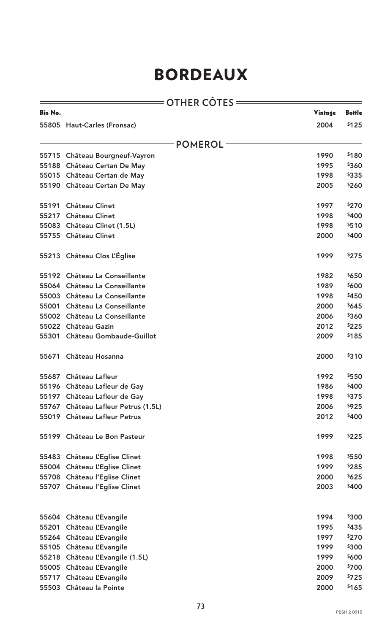|                | $\overline{\ }$ OTHER CÔTES $\equiv$ |         |               |
|----------------|--------------------------------------|---------|---------------|
| <b>Bin No.</b> |                                      | Vintage | <b>Bottle</b> |
|                | 55805 Haut-Carles (Fronsac)          | 2004    | \$125         |
|                | <b>POMEROL</b>                       |         |               |
|                | 55715 Château Bourgneuf-Vayron       | 1990    | \$180         |
|                | 55188 Château Certan De May          | 1995    | \$360         |
|                | 55015 Château Certan de May          | 1998    | \$335         |
|                | 55190 Château Certan De May          | 2005    | \$260         |
| 55191          | <b>Château Clinet</b>                | 1997    | \$270         |
| 55217          | <b>Château Clinet</b>                | 1998    | \$400         |
|                | 55083 Château Clinet (1.5L)          | 1998    | \$510         |
|                | 55755 Château Clinet                 | 2000    | \$400         |
|                | 55213 Château Clos L'Église          | 1999    | \$275         |
|                | 55192 Château La Conseillante        | 1982    | \$650         |
|                | 55064 Château La Conseillante        | 1989    | \$600         |
|                | 55003 Château La Conseillante        | 1998    | \$450         |
| 55001          | Château La Conseillante              | 2000    | \$645         |
|                | 55002 Château La Conseillante        | 2006    | \$360         |
|                | 55022 Château Gazin                  | 2012    | \$225         |
| 55301          | <b>Château Gombaude-Guillot</b>      | 2009    | \$185         |
| 55671          | Château Hosanna                      | 2000    | \$310         |
|                | 55687 Château Lafleur                | 1992    | \$550         |
|                | 55196 Château Lafleur de Gay         | 1986    | \$400         |
|                | 55197 Château Lafleur de Gay         | 1998    | \$375         |
|                | 55767 Château Lafleur Petrus (1.5L)  | 2006    | \$925         |
|                | 55019 Château Lafleur Petrus         | 2012    | \$400         |
|                | 55199 Château Le Bon Pasteur         | 1999    | \$225         |
|                | 55483 Château L'Eglise Clinet        | 1998    | \$550         |
|                | 55004 Château L'Eglise Clinet        | 1999    | \$285         |
|                | 55708 Château l'Eglise Clinet        | 2000    | \$625         |
|                | 55707 Château l'Eglise Clinet        | 2003    | \$400         |
|                | 55604 Château L'Evangile             | 1994    | \$300         |
| 55201          | <b>Château L'Evangile</b>            | 1995    | \$435         |
|                | 55264 Château L'Evangile             | 1997    | \$270         |
|                |                                      |         | \$300         |
|                | 55105 Château L'Evangile             | 1999    |               |
| 55218          | Château L'Evangile (1.5L)            | 1999    | \$600         |
|                | 55005 Château L'Evangile             | 2000    | \$700         |
|                | 55717 Château L'Evangile             | 2009    | \$725         |
|                | 55503 Château la Pointe              | 2000    | \$165         |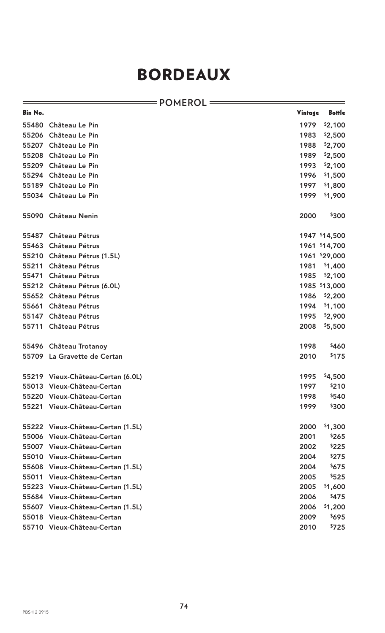|                | <b>= POMEROL</b>                  |         |               |
|----------------|-----------------------------------|---------|---------------|
| <b>Bin No.</b> |                                   | Vintage | <b>Bottle</b> |
| 55480          | <b>Château Le Pin</b>             | 1979    | \$2,100       |
| 55206          | Château Le Pin                    | 1983    | \$2,500       |
| 55207          | Château Le Pin                    | 1988    | \$2,700       |
| 55208          | Château Le Pin                    | 1989    | \$2,500       |
| 55209          | Château Le Pin                    | 1993    | \$2,100       |
| 55294          | Château Le Pin                    | 1996    | \$1,500       |
| 55189          | Château Le Pin                    | 1997    | \$1,800       |
|                | 55034 Château Le Pin              | 1999    | \$1,900       |
|                | 55090 Château Nenin               | 2000    | \$300         |
| 55487          | Château Pétrus                    |         | 1947 \$14,500 |
| 55463          | Château Pétrus                    |         | 1961 \$14,700 |
| 55210          | Château Pétrus (1.5L)             |         | 1961 \$29,000 |
| 55211          | Château Pétrus                    | 1981    | \$1,400       |
| 55471          | Château Pétrus                    | 1985    | \$2,100       |
|                | 55212 Château Pétrus (6.0L)       |         | 1985 \$13,000 |
|                | 55652 Château Pétrus              | 1986    | \$2,200       |
| 55661          | Château Pétrus                    | 1994    | \$1,100       |
| 55147          | <b>Château Pétrus</b>             | 1995    | \$2,900       |
| 55711          | Château Pétrus                    | 2008    | \$5,500       |
|                | 55496 Château Trotanoy            | 1998    | \$460         |
|                | 55709 La Gravette de Certan       | 2010    | \$175         |
|                | 55219 Vieux-Château-Certan (6.0L) | 1995    | \$4,500       |
|                | 55013 Vieux-Château-Certan        | 1997    | \$210         |
| 55220          | Vieux-Château-Certan              | 1998    | \$540         |
|                | 55221 Vieux-Château-Certan        | 1999    | \$300         |
|                | 55222 Vieux-Château-Certan (1.5L) | 2000    | \$1,300       |
| 55006          | Vieux-Château-Certan              | 2001    | \$265         |
|                | 55007 Vieux-Château-Certan        | 2002    | \$225         |
| 55010          | Vieux-Château-Certan              | 2004    | \$275         |
|                | 55608 Vieux-Château-Certan (1.5L) | 2004    | \$675         |
| 55011          | Vieux-Château-Certan              | 2005    | \$525         |
| 55223          | Vieux-Château-Certan (1.5L)       | 2005    | \$1,600       |
|                | 55684 Vieux-Château-Certan        | 2006    | \$475         |
|                | 55607 Vieux-Château-Certan (1.5L) | 2006    | \$1,200       |
| 55018          | Vieux-Château-Certan              | 2009    | \$695         |
|                | 55710 Vieux-Château-Certan        | 2010    | \$725         |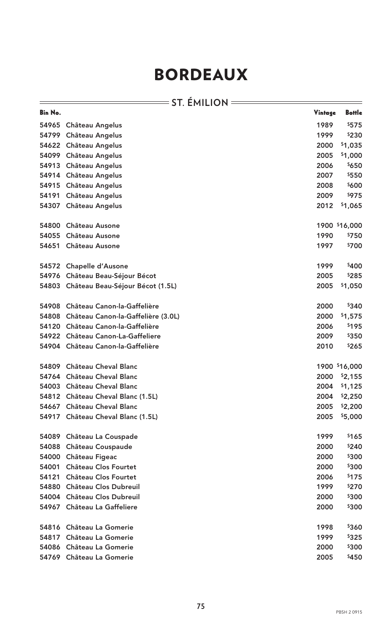#### ST. ÉMILION =

 $\frac{1}{\sqrt{1-\frac{1}{2}}}\left( \frac{1}{\sqrt{1-\frac{1}{2}}}\right) ^{2}$ 

| Bin No. |                                        | Vintage | <b>Bottle</b> |
|---------|----------------------------------------|---------|---------------|
| 54965   | Château Angelus                        | 1989    | \$575         |
| 54799   | <b>Château Angelus</b>                 | 1999    | \$230         |
|         | 54622 Château Angelus                  | 2000    | \$1,035       |
| 54099   | <b>Château Angelus</b>                 | 2005    | \$1,000       |
| 54913   | <b>Château Angelus</b>                 | 2006    | \$650         |
| 54914   | <b>Château Angelus</b>                 | 2007    | \$550         |
| 54915   | <b>Château Angelus</b>                 | 2008    | \$600         |
| 54191   | <b>Château Angelus</b>                 | 2009    | \$975         |
| 54307   | <b>Château Angelus</b>                 | 2012    | \$1,065       |
| 54800   | <b>Château Ausone</b>                  |         | 1900 \$16,000 |
| 54055   | <b>Château Ausone</b>                  | 1990    | \$750         |
| 54651   | <b>Château Ausone</b>                  | 1997    | \$700         |
|         | 54572 Chapelle d'Ausone                | 1999    | \$400         |
| 54976   | Château Beau-Séjour Bécot              | 2005    | \$285         |
|         | 54803 Château Beau-Séjour Bécot (1.5L) | 2005    | \$1,050       |
| 54908   | Château Canon-la-Gaffelière            | 2000    | \$340         |
| 54808   | Château Canon-la-Gaffelière (3.0L)     | 2000    | \$1,575       |
| 54120   | Château Canon-la-Gaffelière            | 2006    | \$195         |
| 54922   | Château Canon-La-Gaffeliere            | 2009    | \$350         |
|         | 54904 Château Canon-la-Gaffelière      | 2010    | \$265         |
| 54809   | <b>Château Cheval Blanc</b>            |         | 1900 \$16,000 |
| 54764   | <b>Château Cheval Blanc</b>            | 2000    | \$2,155       |
| 54003   | <b>Château Cheval Blanc</b>            | 2004    | \$1,125       |
| 54812   | Château Cheval Blanc (1.5L)            | 2004    | \$2,250       |
| 54667   | <b>Château Cheval Blanc</b>            | 2005    | \$2,200       |
|         | 54917 Château Cheval Blanc (1.5L)      | 2005    | \$5,000       |
| 54089   | Château La Couspade                    | 1999    | \$165         |
| 54088   | <b>Château Couspaude</b>               | 2000    | \$240         |
| 54000   | Château Figeac                         | 2000    | \$300         |
| 54001   | <b>Château Clos Fourtet</b>            | 2000    | \$300         |
| 54121   | <b>Château Clos Fourtet</b>            | 2006    | \$175         |
| 54880   | <b>Château Clos Dubreuil</b>           | 1999    | \$270         |
|         | 54004 Château Clos Dubreuil            | 2000    | \$300         |
|         | 54967 Château La Gaffeliere            | 2000    | \$300         |
| 54816   | <b>Château La Gomerie</b>              | 1998    | \$360         |
| 54817   | <b>Château La Gomerie</b>              | 1999    | \$325         |
| 54086   | <b>Château La Gomerie</b>              | 2000    | \$300         |
| 54769   | <b>Château La Gomerie</b>              | 2005    | \$450         |

 $=$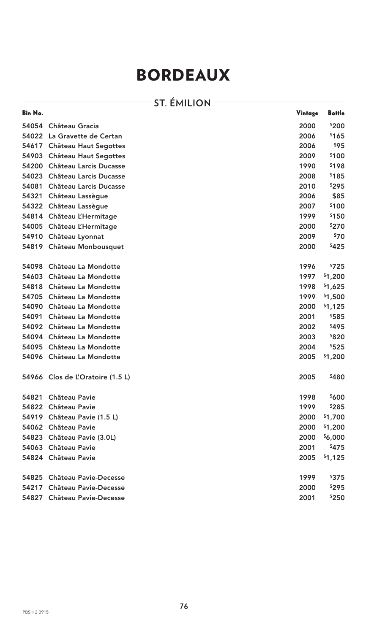| = ST. ÉMILION = |                                  |         |               |
|-----------------|----------------------------------|---------|---------------|
| Bin No.         |                                  | Vintage | <b>Bottle</b> |
| 54054           | <b>Château Gracia</b>            | 2000    | \$200         |
|                 | 54022 La Gravette de Certan      | 2006    | \$165         |
|                 | 54617 Château Haut Segottes      | 2006    | \$95          |
| 54903           | <b>Château Haut Segottes</b>     | 2009    | \$100         |
|                 | 54200 Château Larcis Ducasse     | 1990    | \$198         |
| 54023           | <b>Château Larcis Ducasse</b>    | 2008    | \$185         |
| 54081           | <b>Château Larcis Ducasse</b>    | 2010    | \$295         |
| 54321           | Château Lassègue                 | 2006    | \$85          |
|                 | 54322 Château Lassègue           | 2007    | \$100         |
| 54814           | Château L'Hermitage              | 1999    | \$150         |
|                 | 54005 Château L'Hermitage        | 2000    | \$270         |
|                 | 54910 Château Lyonnat            | 2009    | \$70          |
| 54819           | Château Monbousquet              | 2000    | \$425         |
| 54098           | Château La Mondotte              | 1996    | \$725         |
| 54603           | Château La Mondotte              | 1997    | \$1,200       |
| 54818           | Château La Mondotte              | 1998    | \$1,625       |
| 54705           | Château La Mondotte              | 1999    | \$1,500       |
| 54090           | Château La Mondotte              | 2000    | \$1,125       |
| 54091           | Château La Mondotte              | 2001    | \$585         |
| 54092           | Château La Mondotte              | 2002    | \$495         |
|                 | 54094 Château La Mondotte        | 2003    | \$820         |
| 54095           | Château La Mondotte              | 2004    | \$525         |
|                 | 54096 Château La Mondotte        | 2005    | \$1,200       |
|                 | 54966 Clos de L'Oratoire (1.5 L) | 2005    | \$480         |
| 54821           | <b>Château Pavie</b>             | 1998    | \$600         |
|                 | 54822 Château Pavie              | 1999    | \$285         |
|                 | 54919 Château Pavie (1.5 L)      | 2000    | \$1,700       |
|                 | 54062 Château Pavie              | 2000    | \$1,200       |
|                 | 54823 Château Pavie (3.0L)       | 2000    | \$6,000       |
|                 | 54063 Château Pavie              | 2001    | \$475         |
|                 | 54824 Château Pavie              | 2005    | \$1,125       |
|                 | 54825 Château Pavie-Decesse      | 1999    | \$375         |
|                 | 54217 Château Pavie-Decesse      | 2000    | \$295         |

Château Pavie-Decesse 2001 \$250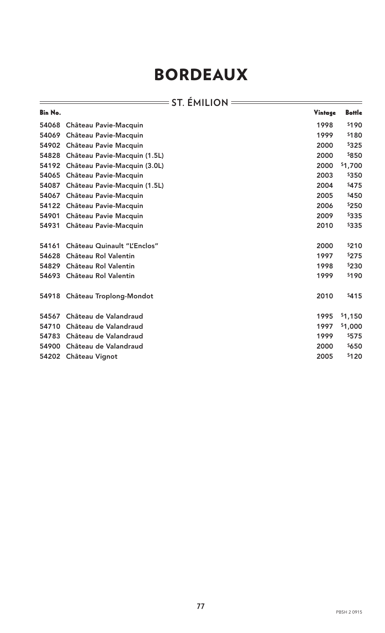#### ST. ÉMILION =

 $\equiv$ 

| <b>Bin No.</b> |                              | Vintage | <b>Bottle</b> |
|----------------|------------------------------|---------|---------------|
| 54068          | Château Pavie-Macquin        | 1998    | \$190         |
| 54069          | Château Pavie-Macquin        | 1999    | \$180         |
|                | 54902 Château Pavie Macquin  | 2000    | \$325         |
| 54828          | Château Pavie-Macquin (1.5L) | 2000    | \$850         |
| 54192          | Château Pavie-Macquin (3.0L) | 2000    | \$1,700       |
| 54065          | <b>Château Pavie-Macquin</b> | 2003    | \$350         |
| 54087          | Château Pavie-Macquin (1.5L) | 2004    | \$475         |
| 54067          | Château Pavie-Macquin        | 2005    | \$450         |
|                | 54122 Château Pavie-Macquin  | 2006    | \$250         |
| 54901          | Château Pavie Macquin        | 2009    | \$335         |
| 54931          | Château Pavie-Macquin        | 2010    | \$335         |
| 54161          | Château Quinault "L'Enclos"  | 2000    | \$210         |
| 54628          | Château Rol Valentin         | 1997    | \$275         |
| 54829          | Château Rol Valentin         | 1998    | \$230         |
| 54693          | <b>Château Rol Valentin</b>  | 1999    | \$190         |
| 54918          | Château Troplong-Mondot      | 2010    | \$415         |
| 54567          | Château de Valandraud        | 1995    | \$1,150       |
| 54710          | Château de Valandraud        | 1997    | \$1,000       |
| 54783          | Château de Valandraud        | 1999    | \$575         |
| 54900          | Château de Valandraud        | 2000    | \$650         |
| 54202          | <b>Château Vignot</b>        | 2005    | \$120         |

 $=$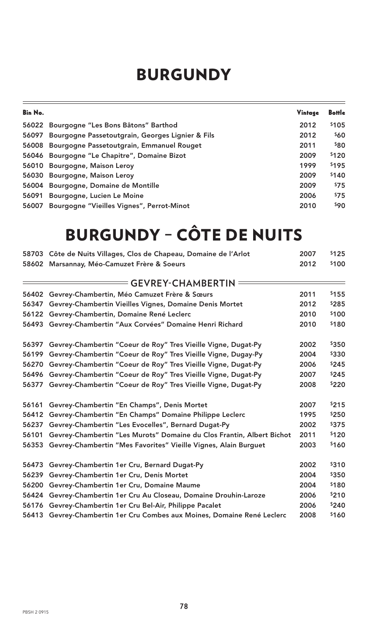#### BURGUNDY

| Bin No. |                                                        | Vintage | <b>Bottle</b> |
|---------|--------------------------------------------------------|---------|---------------|
|         | 56022 Bourgogne "Les Bons Bâtons" Barthod              | 2012    | \$105         |
|         | 56097 Bourgogne Passetoutgrain, Georges Lignier & Fils | 2012    | \$60          |
|         | 56008 Bourgogne Passetoutgrain, Emmanuel Rouget        | 2011    | \$80          |
|         | 56046 Bourgogne "Le Chapitre", Domaine Bizot           | 2009    | \$120         |
|         | 56010 Bourgogne, Maison Leroy                          | 1999    | \$195         |
|         | 56030 Bourgogne, Maison Leroy                          | 2009    | \$140         |
|         | 56004 Bourgogne, Domaine de Montille                   | 2009    | \$75          |
| 56091   | Bourgogne, Lucien Le Moine                             | 2006    | \$75          |
| 56007   | Bourgogne "Vieilles Vignes", Perrot-Minot              | 2010    | \$90          |

## BURGUNDY – CÔTE DE NUITS

|       | 58703 Côte de Nuits Villages, Clos de Chapeau, Domaine de l'Arlot     | 2007 | \$125 |
|-------|-----------------------------------------------------------------------|------|-------|
|       | 58602 Marsannay, Méo-Camuzet Frère & Soeurs                           | 2012 | \$100 |
|       | = GEVREY-CHAMBERTIN =                                                 |      |       |
| 56402 | Gevrey-Chambertin, Méo Camuzet Frère & Sœurs                          | 2011 | \$155 |
| 56347 | Gevrey-Chambertin Vieilles Vignes, Domaine Denis Mortet               | 2012 | \$285 |
| 56122 | Gevrey-Chambertin, Domaine René Leclerc                               | 2010 | \$100 |
|       | 56493 Gevrey-Chambertin "Aux Corvées" Domaine Henri Richard           | 2010 | \$180 |
| 56397 | Gevrey-Chambertin "Coeur de Roy" Tres Vieille Vigne, Dugat-Py         | 2002 | \$350 |
| 56199 | Gevrey-Chambertin "Coeur de Roy" Tres Vieille Vigne, Dugay-Py         | 2004 | \$330 |
| 56270 | Gevrey-Chambertin "Coeur de Roy" Tres Vieille Vigne, Dugat-Py         | 2006 | \$245 |
| 56496 | Gevrey-Chambertin "Coeur de Roy" Tres Vieille Vigne, Dugat-Py         | 2007 | \$245 |
| 56377 | Gevrey-Chambertin "Coeur de Roy" Tres Vieille Vigne, Dugat-Py         | 2008 | \$220 |
| 56161 | Gevrey-Chambertin "En Champs", Denis Mortet                           | 2007 | \$215 |
| 56412 | Gevrey-Chambertin "En Champs" Domaine Philippe Leclerc                | 1995 | \$250 |
| 56237 | Gevrey-Chambertin "Les Evocelles", Bernard Dugat-Py                   | 2002 | \$375 |
| 56101 | Gevrey-Chambertin "Les Murots" Domaine du Clos Frantin, Albert Bichot | 2011 | \$120 |
| 56353 | Gevrey-Chambertin "Mes Favorites" Vieille Vignes, Alain Burguet       | 2003 | \$160 |
| 56473 | Gevrey-Chambertin 1er Cru, Bernard Dugat-Py                           | 2002 | \$310 |
| 56239 | Gevrey-Chambertin 1er Cru, Denis Mortet                               | 2004 | \$350 |
| 56200 | Gevrey-Chambertin 1er Cru, Domaine Maume                              | 2004 | \$180 |
| 56424 | Gevrey-Chambertin 1er Cru Au Closeau, Domaine Drouhin-Laroze          | 2006 | \$210 |
| 56176 | Gevrey-Chambertin 1er Cru Bel-Air, Philippe Pacalet                   | 2006 | \$240 |
| 56413 | Gevrey-Chambertin 1er Cru Combes aux Moines, Domaine René Leclerc     | 2008 | \$160 |

 $\overline{a}$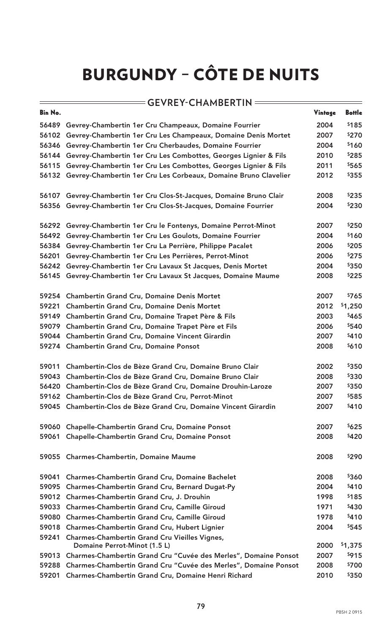|                | = GEVREY-CHAMBERTIN                                                                  |         |               |
|----------------|--------------------------------------------------------------------------------------|---------|---------------|
| <b>Bin No.</b> |                                                                                      | Vintage | <b>Bottle</b> |
| 56489          | Gevrey-Chambertin 1er Cru Champeaux, Domaine Fourrier                                | 2004    | \$185         |
| 56102          | Gevrey-Chambertin 1er Cru Les Champeaux, Domaine Denis Mortet                        | 2007    | \$270         |
| 56346          | Gevrey-Chambertin 1er Cru Cherbaudes, Domaine Fourrier                               | 2004    | \$160         |
| 56144          | Gevrey-Chambertin 1er Cru Les Combottes, Georges Lignier & Fils                      | 2010    | \$285         |
| 56115          | Gevrey-Chambertin 1er Cru Les Combottes, Georges Lignier & Fils                      | 2011    | \$565         |
| 56132          | Gevrey-Chambertin 1er Cru Les Corbeaux, Domaine Bruno Clavelier                      | 2012    | \$355         |
| 56107          | Gevrey-Chambertin 1er Cru Clos-St-Jacques, Domaine Bruno Clair                       | 2008    | \$235         |
| 56356          | Gevrey-Chambertin 1er Cru Clos-St-Jacques, Domaine Fourrier                          | 2004    | \$230         |
| 56292          | Gevrey-Chambertin 1er Cru le Fontenys, Domaine Perrot-Minot                          | 2007    | \$250         |
| 56492          | Gevrey-Chambertin 1er Cru Les Goulots, Domaine Fourrier                              | 2004    | \$160         |
| 56384          | Gevrey-Chambertin 1er Cru La Perrière, Philippe Pacalet                              | 2006    | \$205         |
| 56201          | Gevrey-Chambertin 1er Cru Les Perrières, Perrot-Minot                                | 2006    | \$275         |
| 56242          | Gevrey-Chambertin 1er Cru Lavaux St Jacques, Denis Mortet                            | 2004    | \$350         |
| 56145          | Gevrey-Chambertin 1er Cru Lavaux St Jacques, Domaine Maume                           | 2008    | \$225         |
| 59254          | <b>Chambertin Grand Cru, Domaine Denis Mortet</b>                                    | 2007    | \$765         |
| 59221          | <b>Chambertin Grand Cru, Domaine Denis Mortet</b>                                    | 2012    | \$1,250       |
| 59149          | Chambertin Grand Cru, Domaine Trapet Père & Fils                                     | 2003    | \$465         |
| 59079          | Chambertin Grand Cru, Domaine Trapet Père et Fils                                    | 2006    | \$540         |
| 59044          | <b>Chambertin Grand Cru, Domaine Vincent Girardin</b>                                | 2007    | \$410         |
| 59274          | <b>Chambertin Grand Cru, Domaine Ponsot</b>                                          | 2008    | \$610         |
| 59011          | Chambertin-Clos de Bèze Grand Cru, Domaine Bruno Clair                               | 2002    | \$350         |
| 59043          | Chambertin-Clos de Bèze Grand Cru, Domaine Bruno Clair                               | 2008    | \$330         |
|                | 56420 Chambertin-Clos de Bèze Grand Cru, Domaine Drouhin-Laroze                      | 2007    | \$350         |
|                | 59162 Chambertin-Clos de Bèze Grand Cru, Perrot-Minot                                | 2007    | \$585         |
|                | 59045 Chambertin-Clos de Bèze Grand Cru, Domaine Vincent Girardin                    | 2007    | \$410         |
| 59060          | <b>Chapelle-Chambertin Grand Cru, Domaine Ponsot</b>                                 | 2007    | \$625         |
| 59061          | Chapelle-Chambertin Grand Cru, Domaine Ponsot                                        | 2008    | \$420         |
|                | 59055 Charmes-Chambertin, Domaine Maume                                              | 2008    | \$290         |
| 59041          | <b>Charmes-Chambertin Grand Cru, Domaine Bachelet</b>                                | 2008    | \$360         |
| 59095          | <b>Charmes-Chambertin Grand Cru, Bernard Dugat-Py</b>                                | 2004    | \$410         |
|                | 59012 Charmes-Chambertin Grand Cru, J. Drouhin                                       | 1998    | \$185         |
|                | 59033 Charmes-Chambertin Grand Cru, Camille Giroud                                   | 1971    | \$430         |
| 59080          | <b>Charmes-Chambertin Grand Cru, Camille Giroud</b>                                  | 1978    | \$410         |
| 59018          | <b>Charmes-Chambertin Grand Cru, Hubert Lignier</b>                                  | 2004    | \$545         |
| 59241          | <b>Charmes-Chambertin Grand Cru Vieilles Vignes,</b><br>Domaine Perrot-Minot (1.5 L) | 2000    | \$1,375       |
| 59013          | Charmes-Chambertin Grand Cru "Cuvée des Merles", Domaine Ponsot                      | 2007    | \$915         |
|                | 59288 Charmes-Chambertin Grand Cru "Cuvée des Merles", Domaine Ponsot                | 2008    | \$700         |
|                | 59201 Charmes-Chambertin Grand Cru, Domaine Henri Richard                            | 2010    | \$350         |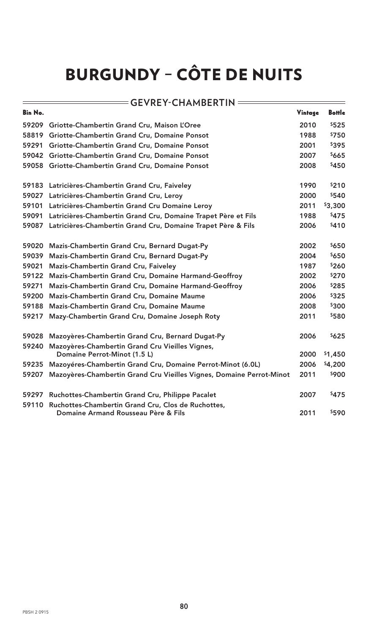| <b>EGEVREY-CHAMBERTIN</b> |                                                                                           |         |               |
|---------------------------|-------------------------------------------------------------------------------------------|---------|---------------|
| <b>Bin No.</b>            |                                                                                           | Vintage | <b>Bottle</b> |
| 59209                     | Griotte-Chambertin Grand Cru, Maison L'Oree                                               | 2010    | \$525         |
| 58819                     | Griotte-Chambertin Grand Cru, Domaine Ponsot                                              | 1988    | \$750         |
| 59291                     | Griotte-Chambertin Grand Cru, Domaine Ponsot                                              | 2001    | \$395         |
|                           | 59042 Griotte-Chambertin Grand Cru, Domaine Ponsot                                        | 2007    | \$665         |
|                           | 59058 Griotte-Chambertin Grand Cru, Domaine Ponsot                                        | 2008    | \$450         |
| 59183                     | Latricières-Chambertin Grand Cru, Faiveley                                                | 1990    | \$210         |
| 59027                     | Latricières-Chambertin Grand Cru, Leroy                                                   | 2000    | \$540         |
| 59101                     | Latricières-Chambertin Grand Cru Domaine Leroy                                            | 2011    | \$3,300       |
| 59091                     | Latricières-Chambertin Grand Cru, Domaine Trapet Père et Fils                             | 1988    | \$475         |
| 59087                     | Latricières-Chambertin Grand Cru, Domaine Trapet Père & Fils                              | 2006    | \$410         |
| 59020                     | Mazis-Chambertin Grand Cru, Bernard Dugat-Py                                              | 2002    | \$650         |
| 59039                     | Mazis-Chambertin Grand Cru, Bernard Dugat-Py                                              | 2004    | \$650         |
| 59021                     | Mazis-Chambertin Grand Cru, Faiveley                                                      | 1987    | \$260         |
| 59122                     | Mazis-Chambertin Grand Cru, Domaine Harmand-Geoffroy                                      | 2002    | \$270         |
| 59271                     | Mazis-Chambertin Grand Cru, Domaine Harmand-Geoffroy                                      | 2006    | \$285         |
| 59200                     | Mazis-Chambertin Grand Cru, Domaine Maume                                                 | 2006    | \$325         |
| 59188                     | Mazis-Chambertin Grand Cru, Domaine Maume                                                 | 2008    | \$300         |
| 59217                     | Mazy-Chambertin Grand Cru, Domaine Joseph Roty                                            | 2011    | \$580         |
| 59028                     | Mazoyères-Chambertin Grand Cru, Bernard Dugat-Py                                          | 2006    | \$625         |
| 59240                     | Mazoyères-Chambertin Grand Cru Vieilles Vignes,<br>Domaine Perrot-Minot (1.5 L)           | 2000    | \$1,450       |
| 59235                     | Mazoyéres-Chambertin Grand Cru, Domaine Perrot-Minot (6.0L)                               | 2006    | \$4,200       |
| 59207                     | Mazoyères-Chambertin Grand Cru Vieilles Vignes, Domaine Perrot-Minot                      | 2011    | \$900         |
|                           | 59297 Ruchottes-Chambertin Grand Cru, Philippe Pacalet                                    | 2007    | \$475         |
| 59110                     | Ruchottes-Chambertin Grand Cru, Clos de Ruchottes,<br>Domaine Armand Rousseau Père & Fils | 2011    | \$590         |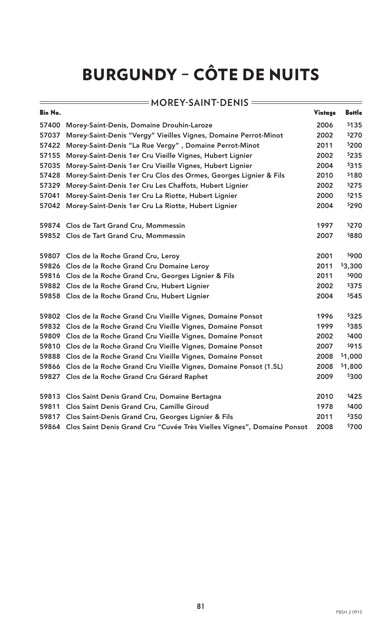|                | $=$ MOREY-SAINT-DENIS =                                                |         |               |
|----------------|------------------------------------------------------------------------|---------|---------------|
| <b>Bin No.</b> |                                                                        | Vintage | <b>Bottle</b> |
| 57400          | Morey-Saint-Denis, Domaine Drouhin-Laroze                              | 2006    | \$135         |
| 57037          | Morey-Saint-Denis "Vergy" Vieilles Vignes, Domaine Perrot-Minot        | 2002    | \$270         |
| 57422          | Morey-Saint-Denis "La Rue Vergy", Domaine Perrot-Minot                 | 2011    | \$200         |
| 57155          | Morey-Saint-Denis 1er Cru Vieille Vignes, Hubert Lignier               | 2002    | \$235         |
| 57035          | Morey-Saint-Denis 1er Cru Vieille Vignes, Hubert Lignier               | 2004    | \$315         |
| 57428          | Morey-Saint-Denis 1er Cru Clos des Ormes, Georges Lignier & Fils       | 2010    | \$180         |
| 57329          | Morey-Saint-Denis 1er Cru Les Chaffots, Hubert Lignier                 | 2002    | \$275         |
| 57041          | Morey-Saint-Denis 1er Cru La Riotte, Hubert Lignier                    | 2000    | \$215         |
| 57042          | Morey-Saint-Denis 1er Cru La Riotte, Hubert Lignier                    | 2004    | \$290         |
|                | 59874 Clos de Tart Grand Cru, Mommessin                                | 1997    | \$270         |
|                | 59852 Clos de Tart Grand Cru, Mommessin                                | 2007    | \$880         |
| 59807          | Clos de la Roche Grand Cru, Leroy                                      | 2001    | \$900         |
|                | 59826 Clos de la Roche Grand Cru Domaine Leroy                         | 2011    | \$3,300       |
|                | 59816 Clos de la Roche Grand Cru, Georges Lignier & Fils               | 2011    | \$900         |
|                | 59882 Clos de la Roche Grand Cru, Hubert Lignier                       | 2002    | \$375         |
| 59858          | Clos de la Roche Grand Cru, Hubert Lignier                             | 2004    | \$545         |
| 59802          | Clos de la Roche Grand Cru Vieille Vignes, Domaine Ponsot              | 1996    | \$325         |
| 59832          | Clos de la Roche Grand Cru Vieille Vignes, Domaine Ponsot              | 1999    | \$385         |
|                | 59809 Clos de la Roche Grand Cru Vieille Vignes, Domaine Ponsot        | 2002    | \$400         |
|                | 59810 Clos de la Roche Grand Cru Vieille Vignes, Domaine Ponsot        | 2007    | \$915         |
| 59888          | Clos de la Roche Grand Cru Vieille Vignes, Domaine Ponsot              | 2008    | \$1,000       |
| 59866          | Clos de la Roche Grand Cru Vieille Vignes, Domaine Ponsot (1.5L)       | 2008    | \$1,800       |
| 59827          | Clos de la Roche Grand Cru Gérard Raphet                               | 2009    | \$300         |
| 59813          | Clos Saint Denis Grand Cru, Domaine Bertagna                           | 2010    | \$425         |
| 59811          | <b>Clos Saint Denis Grand Cru, Camille Giroud</b>                      | 1978    | \$400         |
| 59817          | Clos Saint-Denis Grand Cru, Georges Lignier & Fils                     | 2011    | \$350         |
| 59864          | Clos Saint Denis Grand Cru "Cuvée Très Vielles Vignes", Domaine Ponsot | 2008    | \$700         |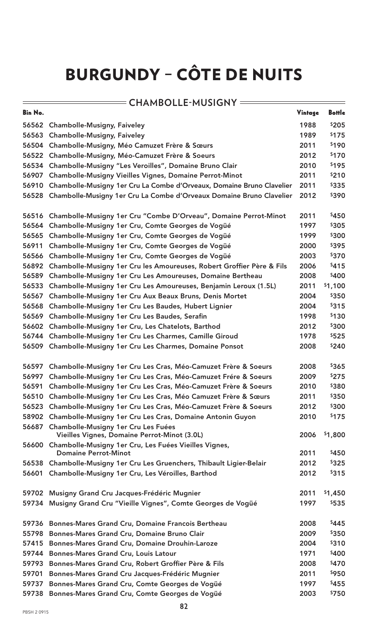| = CHAMBOLLE-MUSIGNY = |                                                                                     |         |               |
|-----------------------|-------------------------------------------------------------------------------------|---------|---------------|
| <b>Bin No.</b>        |                                                                                     | Vintage | <b>Bottle</b> |
|                       | 56562 Chambolle-Musigny, Faiveley                                                   | 1988    | \$205         |
| 56563                 | <b>Chambolle-Musigny, Faiveley</b>                                                  | 1989    | \$175         |
| 56504                 | Chambolle-Musigny, Méo Camuzet Frère & Sœurs                                        | 2011    | \$190         |
|                       | 56522 Chambolle-Musigny, Méo-Camuzet Frère & Soeurs                                 | 2012    | \$170         |
| 56534                 | Chambolle-Musigny "Les Veroilles", Domaine Bruno Clair                              | 2010    | \$195         |
| 56907                 | <b>Chambolle-Musigny Vieilles Vignes, Domaine Perrot-Minot</b>                      | 2011    | \$210         |
| 56910                 | Chambolle-Musigny 1er Cru La Combe d'Orveaux, Domaine Bruno Clavelier               | 2011    | \$335         |
| 56528                 | Chambolle-Musigny 1er Cru La Combe d'Orveaux Domaine Bruno Clavelier                | 2012    | \$390         |
| 56516                 | Chambolle-Musigny 1er Cru "Combe D'Orveau", Domaine Perrot-Minot                    | 2011    | \$450         |
| 56564                 | Chambolle-Musigny 1er Cru, Comte Georges de Vogüé                                   | 1997    | \$305         |
| 56565                 | Chambolle-Musigny 1er Cru, Comte Georges de Vogüé                                   | 1999    | \$300         |
| 56911                 | Chambolle-Musigny 1er Cru, Comte Georges de Vogüé                                   | 2000    | \$395         |
| 56566                 | Chambolle-Musigny 1er Cru, Comte Georges de Vogüé                                   | 2003    | \$370         |
| 56892                 | Chambolle-Musigny 1er Cru les Amoureuses, Robert Groffier Père & Fils               | 2006    | \$415         |
| 56589                 | Chambolle-Musigny 1er Cru Les Amoureuses, Domaine Bertheau                          | 2008    | \$400         |
| 56533                 | Chambolle-Musigny 1er Cru Les Amoureuses, Benjamin Leroux (1.5L)                    | 2011    | \$1,100       |
| 56567                 | Chambolle-Musigny 1er Cru Aux Beaux Bruns, Denis Mortet                             | 2004    | \$350         |
| 56568                 | Chambolle-Musigny 1er Cru Les Baudes, Hubert Lignier                                | 2004    | \$315         |
| 56569                 | Chambolle-Musigny 1er Cru Les Baudes, Serafin                                       | 1998    | \$130         |
| 56602                 | Chambolle-Musigny 1er Cru, Les Chatelots, Barthod                                   | 2012    | \$300         |
| 56744                 | Chambolle-Musigny 1er Cru Les Charmes, Camille Giroud                               | 1978    | \$525         |
| 56509                 | Chambolle-Musigny 1er Cru Les Charmes, Domaine Ponsot                               | 2008    | \$240         |
| 56597                 | Chambolle-Musigny 1er Cru Les Cras, Méo-Camuzet Frère & Soeurs                      | 2008    | \$365         |
| 56997                 | Chambolle-Musigny 1er Cru Les Cras, Méo-Camuzet Frére & Soeurs                      | 2009    | \$275         |
| 56591                 | Chambolle-Musigny 1er Cru Les Cras, Méo-Camuzet Frère & Soeurs                      | 2010    | \$380         |
| 56510                 | Chambolle-Musigny 1er Cru Les Cras, Méo Camuzet Frère & Sœurs                       | 2011    | \$350         |
| 56523                 | Chambolle-Musigny 1er Cru Les Cras, Méo-Camuzet Frère & Soeurs                      | 2012    | \$300         |
| 58902                 | Chambolle-Musigny 1er Cru Les Cras, Domaine Antonin Guyon                           | 2010    | \$175         |
| 56687                 | Chambolle-Musigny 1er Cru Les Fuées<br>Vieilles Vignes, Domaine Perrot-Minot (3.0L) | 2006    | \$1,800       |
| 56600                 | Chambolle-Musigny 1er Cru, Les Fuées Vieilles Vignes,                               |         |               |
|                       | <b>Domaine Perrot-Minot</b>                                                         | 2011    | \$450         |
| 56538                 | Chambolle-Musigny 1er Cru Les Gruenchers, Thibault Ligier-Belair                    | 2012    | \$325         |
| 56601                 | Chambolle-Musigny 1er Cru, Les Véroilles, Barthod                                   | 2012    | \$315         |
| 59702                 | Musigny Grand Cru Jacques-Frédéric Mugnier                                          | 2011    | \$1,450       |
|                       | 59734 Musigny Grand Cru "Vieille Vignes", Comte Georges de Vogüé                    | 1997    | \$535         |
| 59736                 | Bonnes-Mares Grand Cru, Domaine Francois Bertheau                                   | 2008    | \$445         |
| 55798                 | Bonnes-Mares Grand Cru, Domaine Bruno Clair                                         | 2009    | \$350         |
| 57415                 | Bonnes-Mares Grand Cru, Domaine Drouhin-Laroze                                      | 2004    | \$310         |
| 59744                 | <b>Bonnes-Mares Grand Cru, Louis Latour</b>                                         | 1971    | \$400         |
| 59793                 | Bonnes-Mares Grand Cru, Robert Groffier Père & Fils                                 | 2008    | \$470         |
| 59701                 | Bonnes-Mares Grand Cru Jacques-Frédéric Mugnier                                     | 2011    | \$950         |
| 59737                 | Bonnes-Mares Grand Cru, Comte Georges de Vogüé                                      | 1997    | \$455         |
| 59738                 | Bonnes-Mares Grand Cru, Comte Georges de Vogüé                                      | 2003    | \$750         |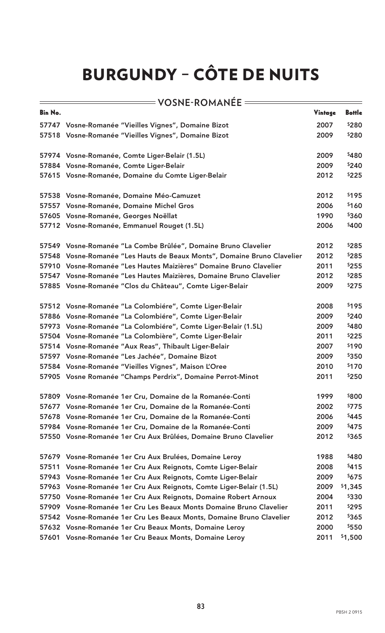|         | $=$ VOSNE-ROMANEE $=$                                                   |         |               |
|---------|-------------------------------------------------------------------------|---------|---------------|
| Bin No. |                                                                         | Vintage | <b>Bottle</b> |
|         | 57747 Vosne-Romanée "Vieilles Vignes", Domaine Bizot                    | 2007    | \$280         |
|         | 57518 Vosne-Romanée "Vieilles Vignes", Domaine Bizot                    | 2009    | \$280         |
|         | 57974 Vosne-Romanée, Comte Liger-Belair (1.5L)                          | 2009    | \$480         |
|         | 57884 Vosne-Romanée, Comte Liger-Belair                                 | 2009    | \$240         |
|         | 57615 Vosne-Romanée, Domaine du Comte Liger-Belair                      | 2012    | \$225         |
|         | 57538 Vosne-Romanée, Domaine Méo-Camuzet                                | 2012    | \$195         |
|         | 57557 Vosne-Romanée, Domaine Michel Gros                                | 2006    | \$160         |
|         | 57605 Vosne-Romanée, Georges Noëllat                                    | 1990    | \$360         |
|         | 57712 Vosne-Romanée, Emmanuel Rouget (1.5L)                             | 2006    | \$400         |
|         | 57549 Vosne-Romanée "La Combe Brûlée", Domaine Bruno Clavelier          | 2012    | \$285         |
|         | 57548 Vosne-Romanée "Les Hauts de Beaux Monts", Domaine Bruno Clavelier | 2012    | \$285         |
|         | 57910 Vosne-Romanée "Les Hautes Maizières" Domaine Bruno Clavelier      | 2011    | \$255         |
|         | 57547 Vosne-Romanée "Les Hautes Maizières, Domaine Bruno Clavelier      | 2012    | \$285         |
|         | 57885 Vosne-Romanée "Clos du Château", Comte Liger-Belair               | 2009    | \$275         |
|         | 57512 Vosne-Romanée "La Colombiére", Comte Liger-Belair                 | 2008    | \$195         |
|         | 57886 Vosne-Romanée "La Colombiére", Comte Liger-Belair                 | 2009    | \$240         |
|         | 57973 Vosne-Romanée "La Colombiére", Comte Liger-Belair (1.5L)          | 2009    | \$480         |
|         | 57504 Vosne-Romanée "La Colombière", Comte Liger-Belair                 | 2011    | \$225         |
|         | 57514 Vosne-Romanée "Aux Reas", Thibault Liger-Belair                   | 2007    | \$190         |
|         | 57597 Vosne-Romanée "Les Jachée", Domaine Bizot                         | 2009    | \$350         |
|         | 57584 Vosne-Romanée "Vieilles Vignes", Maison L'Oree                    | 2010    | \$170         |
|         | 57905 Vosne Romanée "Champs Perdrix", Domaine Perrot-Minot              | 2011    | \$250         |
|         | 57809 Vosne-Romanée 1er Cru, Domaine de la Romanée-Conti                | 1999    | \$800         |
|         | 57677 Vosne-Romanée 1er Cru, Domaine de la Romanée-Conti                | 2002    | \$775         |
|         | 57678 Vosne-Romanée 1er Cru, Domaine de la Romanée-Conti                | 2006    | \$445         |
|         | 57984 Vosne-Romanée 1er Cru, Domaine de la Romanée-Conti                | 2009    | \$475         |
|         | 57550 Vosne-Romanée 1er Cru Aux Brûlées, Domaine Bruno Clavelier        | 2012    | \$365         |
|         | 57679 Vosne-Romanée 1er Cru Aux Brulées, Domaine Leroy                  | 1988    | \$480         |
| 57511   | Vosne-Romanée 1er Cru Aux Reignots, Comte Liger-Belair                  | 2008    | \$415         |
|         | 57943 Vosne-Romanée 1er Cru Aux Reignots, Comte Liger-Belair            | 2009    | \$675         |
|         | 57963 Vosne-Romanée 1er Cru Aux Reignots, Comte Liger-Belair (1.5L)     | 2009    | \$1,345       |
|         | 57750 Vosne-Romanée 1er Cru Aux Reignots, Domaine Robert Arnoux         | 2004    | \$330         |
|         | 57909 Vosne-Romanée 1er Cru Les Beaux Monts Domaine Bruno Clavelier     | 2011    | \$295         |
|         | 57542 Vosne-Romanée 1er Cru Les Beaux Monts, Domaine Bruno Clavelier    | 2012    | \$365         |
|         | 57632 Vosne-Romanée 1er Cru Beaux Monts, Domaine Leroy                  | 2000    | \$550         |
|         | 57601 Vosne-Romanée 1er Cru Beaux Monts, Domaine Leroy                  | 2011    | \$1,500       |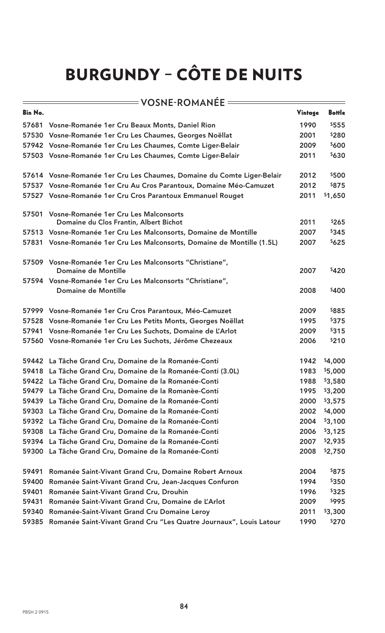| = VOSNE-ROMANÉE = |                                                                                  |         |               |
|-------------------|----------------------------------------------------------------------------------|---------|---------------|
| <b>Bin No.</b>    |                                                                                  | Vintage | <b>Bottle</b> |
|                   | 57681 Vosne-Romanée 1er Cru Beaux Monts, Daniel Rion                             | 1990    | \$555         |
|                   | 57530 Vosne-Romanée 1er Cru Les Chaumes, Georges Noëllat                         | 2001    | \$280         |
|                   | 57942 Vosne-Romanée 1er Cru Les Chaumes, Comte Liger-Belair                      | 2009    | \$600         |
|                   | 57503 Vosne-Romanée 1er Cru Les Chaumes, Comte Liger-Belair                      | 2011    | \$630         |
|                   | 57614 Vosne-Romanée 1er Cru Les Chaumes, Domaine du Comte Liger-Belair           | 2012    | \$500         |
|                   | 57537 Vosne-Romanée 1er Cru Au Cros Parantoux, Domaine Méo-Camuzet               | 2012    | \$875         |
|                   | 57527 Vosne-Romanée 1er Cru Cros Parantoux Emmanuel Rouget                       | 2011    | \$1,650       |
| 57501             | Vosne-Romanée 1er Cru Les Malconsorts<br>Domaine du Clos Frantin, Albert Bichot  | 2011    | \$265         |
|                   | 57513 Vosne-Romanée 1er Cru Les Malconsorts, Domaine de Montille                 | 2007    | \$345         |
|                   | 57831 Vosne-Romanée 1er Cru Les Malconsorts, Domaine de Montille (1.5L)          | 2007    | \$625         |
|                   | 57509 Vosne-Romanée 1er Cru Les Malconsorts "Christiane",<br>Domaine de Montille | 2007    | \$420         |
|                   | 57594 Vosne-Romanée 1er Cru Les Malconsorts "Christiane",<br>Domaine de Montille | 2008    | \$400         |
|                   | 57999 Vosne-Romanée 1er Cru Cros Parantoux, Méo-Camuzet                          | 2009    | \$885         |
|                   | 57528 Vosne-Romanée 1er Cru Les Petits Monts, Georges Noëllat                    | 1995    | \$375         |
|                   | 57941 Vosne-Romanée 1er Cru Les Suchots, Domaine de L'Arlot                      | 2009    | \$315         |
|                   | 57560 Vosne-Romanée 1er Cru Les Suchots, Jérôme Chezeaux                         | 2006    | \$210         |
|                   | 59442 La Tâche Grand Cru, Domaine de la Romanée-Conti                            | 1942    | \$4,000       |
|                   | 59418 La Tâche Grand Cru, Domaine de la Romanée-Conti (3.0L)                     | 1983    | \$5,000       |
|                   | 59422 La Tâche Grand Cru, Domaine de la Romanée-Conti                            | 1988    | \$3,580       |
| 59479             | La Tâche Grand Cru, Domaine de la Romanèe-Conti                                  | 1995    | \$3,200       |
|                   | 59439 La Tâche Grand Cru, Domaine de la Romanée-Conti                            | 2000    | \$3,575       |
| 59303             | La Tâche Grand Cru, Domaine de la Romanée-Conti                                  | 2002    | \$4,000       |
|                   | 59392 La Tâche Grand Cru, Domaine de la Romanée-Conti                            | 2004    | \$3,100       |
|                   | 59308 La Tâche Grand Cru, Domaine de la Romanée-Conti                            | 2006    | \$3,125       |
| 59394             | La Tâche Grand Cru, Domaine de la Romanée-Conti                                  | 2007    | \$2,935       |
| 59300             | La Tâche Grand Cru, Domaine de la Romanée-Conti                                  | 2008    | \$2,750       |
| 59491             | Romanée Saint-Vivant Grand Cru, Domaine Robert Arnoux                            | 2004    | \$875         |
| 59400             | Romanée Saint-Vivant Grand Cru, Jean-Jacques Confuron                            | 1994    | \$350         |
| 59401             | Romanée Saint-Vivant Grand Cru, Drouhin                                          | 1996    | \$325         |
| 59431             | Romanée Saint-Vivant Grand Cru, Domaine de L'Arlot                               | 2009    | \$995         |
| 59340             | Romanée-Saint-Vivant Grand Cru Domaine Leroy                                     | 2011    | \$3,300       |
| 59385             | Romanée Saint-Vivant Grand Cru "Les Quatre Journaux", Louis Latour               | 1990    | \$270         |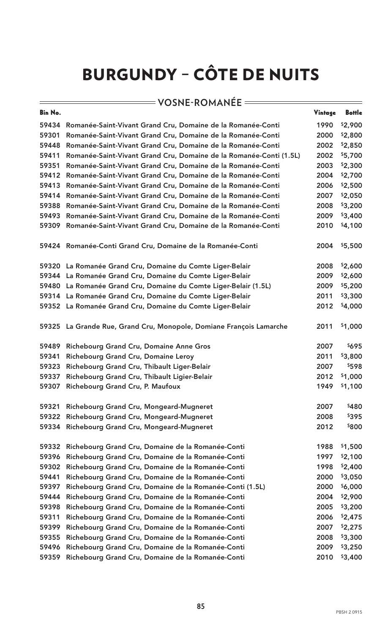|                | $=$ VOSNE-ROMANEE $=$                                               |         |               |
|----------------|---------------------------------------------------------------------|---------|---------------|
| <b>Bin No.</b> |                                                                     | Vintage | <b>Bottle</b> |
| 59434          | Romanée-Saint-Vivant Grand Cru, Domaine de la Romanée-Conti         | 1990    | \$2,900       |
| 59301          | Romanée-Saint-Vivant Grand Cru, Domaine de la Romanée-Conti         | 2000    | \$2,800       |
| 59448          | Romanée-Saint-Vivant Grand Cru, Domaine de la Romanée-Conti         | 2002    | \$2,850       |
| 59411          | Romanée-Saint-Vivant Grand Cru, Domaine de la Romanée-Conti (1.5L)  | 2002    | \$5,700       |
| 59351          | Romanée-Saint-Vivant Grand Cru, Domaine de la Romanée-Conti         | 2003    | \$2,300       |
| 59412          | Romanée-Saint-Vivant Grand Cru, Domaine de la Romanée-Conti         | 2004    | \$2,700       |
| 59413          | Romanée-Saint-Vivant Grand Cru, Domaine de la Romanée-Conti         | 2006    | \$2,500       |
| 59414          | Romanée-Saint-Vivant Grand Cru, Domaine de la Romanée-Conti         | 2007    | \$2,050       |
| 59388          | Romanée-Saint-Vivant Grand Cru, Domaine de la Romanée-Conti         | 2008    | \$3,200       |
| 59493          | Romanée-Saint-Vivant Grand Cru, Domaine de la Romanée-Conti         | 2009    | \$3,400       |
| 59309          | Romanée-Saint-Vivant Grand Cru, Domaine de la Romanée-Conti         | 2010    | \$4,100       |
|                | 59424 Romanée-Conti Grand Cru, Domaine de la Romanée-Conti          | 2004    | \$5,500       |
|                | 59320 La Romanée Grand Cru, Domaine du Comte Liger-Belair           | 2008    | \$2,600       |
|                | 59344 La Romanée Grand Cru, Domaine du Comte Liger-Belair           | 2009    | \$2,600       |
| 59480          | La Romanée Grand Cru, Domaine du Comte Liger-Belair (1.5L)          | 2009    | \$5,200       |
|                | 59314 La Romanée Grand Cru, Domaine du Comte Liger-Belair           | 2011    | \$3,300       |
|                | 59352 La Romanée Grand Cru, Domaine du Comte Liger-Belair           | 2012    | \$4,000       |
|                | 59325 La Grande Rue, Grand Cru, Monopole, Domiane François Lamarche | 2011    | \$1,000       |
| 59489          | <b>Richebourg Grand Cru, Domaine Anne Gros</b>                      | 2007    | \$695         |
| 59341          | Richebourg Grand Cru, Domaine Leroy                                 | 2011    | \$3,800       |
| 59323          | Richebourg Grand Cru, Thibault Liger-Belair                         | 2007    | \$598         |
| 59337          | Richebourg Grand Cru, Thibault Ligier-Belair                        | 2012    | \$1,000       |
|                | 59307 Richebourg Grand Cru, P. Maufoux                              | 1949    | \$1,100       |
| 59321          | <b>Richebourg Grand Cru, Mongeard-Mugneret</b>                      | 2007    | \$480         |
| 59322          | Richebourg Grand Cru, Mongeard-Mugneret                             | 2008    | \$395         |
| 59334          | <b>Richebourg Grand Cru, Mongeard-Mugneret</b>                      | 2012    | \$800         |
| 59332          | Richebourg Grand Cru, Domaine de la Romanée-Conti                   | 1988    | \$1,500       |
| 59396          | Richebourg Grand Cru, Domaine de la Romanée-Conti                   | 1997    | \$2,100       |
| 59302          | Richebourg Grand Cru, Domaine de la Romanée-Conti                   | 1998    | \$2,400       |
| 59441          | Richebourg Grand Cru, Domaine de la Romanée-Conti                   | 2000    | \$3,050       |
| 59397          | Richebourg Grand Cru, Domaine de la Romanée-Conti (1.5L)            | 2000    | \$6,000       |
| 59444          | Richebourg Grand Cru, Domaine de la Romanée-Conti                   | 2004    | \$2,900       |
| 59398          | Richebourg Grand Cru, Domaine de la Romanée-Conti                   | 2005    | \$3,200       |
| 59311          | Richebourg Grand Cru, Domaine de la Romanée-Conti                   | 2006    | \$2,475       |
| 59399          | Richebourg Grand Cru, Domaine de la Romanée-Conti                   | 2007    | \$2,275       |
| 59355          | Richebourg Grand Cru, Domaine de la Romanée-Conti                   | 2008    | \$3,300       |
| 59496          | Richebourg Grand Cru, Domaine de la Romanée-Conti                   | 2009    | \$3,250       |
| 59359          | Richebourg Grand Cru, Domaine de la Romanée-Conti                   | 2010    | \$3,400       |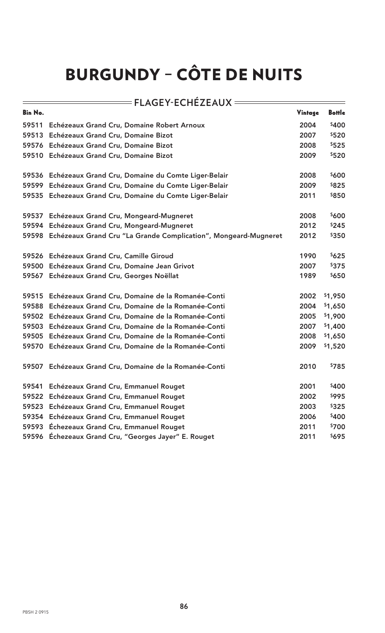| $=$ <code>FLAGEY-ECHEZEAUX</code> $\,$ $\,$ |                                                                       |         |               |
|---------------------------------------------|-----------------------------------------------------------------------|---------|---------------|
| Bin No.                                     |                                                                       | Vintage | <b>Bottle</b> |
| 59511                                       | Echézeaux Grand Cru, Domaine Robert Arnoux                            | 2004    | \$400         |
| 59513                                       | Echézeaux Grand Cru, Domaine Bizot                                    | 2007    | \$520         |
|                                             | 59576 Echézeaux Grand Cru, Domaine Bizot                              | 2008    | \$525         |
|                                             | 59510 Echézeaux Grand Cru, Domaine Bizot                              | 2009    | \$520         |
|                                             | 59536 Echézeaux Grand Cru, Domaine du Comte Liger-Belair              | 2008    | \$600         |
|                                             | 59599 Echézeaux Grand Cru, Domaine du Comte Liger-Belair              | 2009    | \$825         |
|                                             | 59535 Echezeaux Grand Cru, Domaine du Comte Liger-Belair              | 2011    | \$850         |
|                                             | 59537 Echézeaux Grand Cru, Mongeard-Mugneret                          | 2008    | \$600         |
|                                             | 59594 Echézeaux Grand Cru, Mongeard-Mugneret                          | 2012    | \$245         |
|                                             | 59598 Echézeaux Grand Cru "La Grande Complication", Mongeard-Mugneret | 2012    | \$350         |
|                                             | 59526 Echézeaux Grand Cru, Camille Giroud                             | 1990    | \$625         |
|                                             | 59500 Echézeaux Grand Cru, Domaine Jean Grivot                        | 2007    | \$375         |
|                                             | 59567 Echézeaux Grand Cru, Georges Noëllat                            | 1989    | \$650         |
|                                             | 59515 Echézeaux Grand Cru, Domaine de la Romanée-Conti                | 2002    | \$1,950       |
| 59588                                       | Echézeaux Grand Cru, Domaine de la Romanée-Conti                      | 2004    | \$1,650       |
|                                             | 59502 Echézeaux Grand Cru, Domaine de la Romanée-Conti                | 2005    | \$1,900       |
|                                             | 59503 Echézeaux Grand Cru, Domaine de la Romanée-Conti                | 2007    | \$1,400       |
|                                             | 59505 Echézeaux Grand Cru, Domaine de la Romanée-Conti                | 2008    | \$1,650       |
|                                             | 59570 Echézeaux Grand Cru, Domaine de la Romanée-Conti                | 2009    | \$1,520       |
|                                             | 59507 Echézeaux Grand Cru, Domaine de la Romanée-Conti                | 2010    | \$785         |
| 59541                                       | Echézeaux Grand Cru, Emmanuel Rouget                                  | 2001    | \$400         |
|                                             | 59522 Echézeaux Grand Cru, Emmanuel Rouget                            | 2002    | \$995         |
|                                             | 59523 Echézeaux Grand Cru, Emmanuel Rouget                            | 2003    | \$325         |
|                                             | 59354 Echézeaux Grand Cru, Emmanuel Rouget                            | 2006    | \$400         |
|                                             | 59593 Échezeaux Grand Cru, Emmanuel Rouget                            | 2011    | \$700         |
|                                             | 59596 Échezeaux Grand Cru, "Georges Jayer" E. Rouget                  | 2011    | \$695         |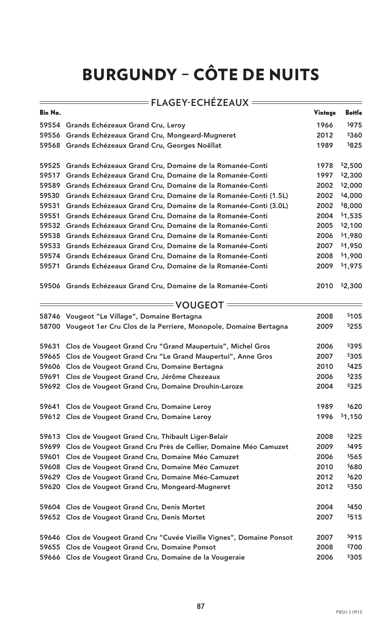| = FLAGEY-ECHÉZEAUX = |                                                                        |         |               |
|----------------------|------------------------------------------------------------------------|---------|---------------|
| <b>Bin No.</b>       |                                                                        | Vintage | <b>Bottle</b> |
|                      | 59554 Grands Echézeaux Grand Cru, Leroy                                | 1966    | \$975         |
| 59556                | Grands Echézeaux Grand Cru, Mongeard-Mugneret                          | 2012    | \$360         |
| 59568                | Grands Echézeaux Grand Cru, Georges Noëllat                            | 1989    | \$825         |
| 59525                | Grands Echézeaux Grand Cru, Domaine de la Romanée-Conti                | 1978    | \$2,500       |
| 59517                | Grands Echézeaux Grand Cru, Domaine de la Romanée-Conti                | 1997    | \$2,300       |
| 59589                | Grands Echézeaux Grand Cru, Domaine de la Romanée-Conti                | 2002    | \$2,000       |
| 59530                | Grands Echézeaux Grand Cru, Domaine de la Romanée-Conti (1.5L)         | 2002    | \$4,000       |
| 59531                | Grands Echézeaux Grand Cru, Domaine de la Romanée-Conti (3.0L)         | 2002    | \$8,000       |
| 59551                | Grands Echézeaux Grand Cru, Domaine de la Romanée-Conti                | 2004    | \$1,535       |
| 59532                | Grands Echézeaux Grand Cru, Domaine de la Romanée-Conti                | 2005    | \$2,100       |
| 59538                | Grands Echézeaux Grand Cru, Domaine de la Romanée-Conti                | 2006    | \$1,980       |
| 59533                | Grands Echézeaux Grand Cru, Domaine de la Romanée-Conti                | 2007    | \$1,950       |
| 59574                | Grands Echézeaux Grand Cru, Domaine de la Romanée-Conti                | 2008    | \$1,900       |
| 59571                | Grands Echézeaux Grand Cru, Domaine de la Romanée-Conti                | 2009    | \$1,975       |
|                      | 59506 Grands Echézeaux Grand Cru, Domaine de la Romanée-Conti          | 2010    | \$2,300       |
|                      | <b>VOUGEOT</b>                                                         |         |               |
|                      | 58746 Vougeot "Le Village", Domaine Bertagna                           | 2008    | \$105         |
|                      | 58700 Vougeot 1er Cru Clos de la Perriere, Monopole, Domaine Bertagna  | 2009    | \$255         |
| 59631                | Clos de Vougeot Grand Cru "Grand Maupertuis", Michel Gros              | 2006    | \$395         |
| 59665                | Clos de Vougeot Grand Cru "Le Grand Maupertui", Anne Gros              | 2007    | \$305         |
|                      | 59606 Clos de Vougeot Grand Cru, Domaine Bertagna                      | 2010    | \$425         |
|                      | 59691 Clos de Vougeot Grand Cru, Jérôme Chezeaux                       | 2006    | \$235         |
|                      | 59692 Clos de Vougeot Grand Cru, Domaine Drouhin-Laroze                | 2004    | \$325         |
|                      | 59641 Clos de Vougeot Grand Cru, Domaine Leroy                         | 1989    | \$620         |
|                      | 59612 Clos de Vougeot Grand Cru, Domaine Leroy                         | 1996    | \$1,150       |
|                      | 59613 Clos de Vougeot Grand Cru, Thibault Liger-Belair                 | 2008    | \$225         |
| 59699                | Clos de Vougeot Grand Cru Près de Cellier, Domaine Méo Camuzet         | 2009    | \$495         |
| 59601                | Clos de Vougeot Grand Cru, Domaine Méo Camuzet                         | 2006    | \$565         |
|                      | 59608 Clos de Vougeot Grand Cru, Domaine Méo Camuzet                   | 2010    | \$680         |
|                      | 59629 Clos de Vougeot Grand Cru, Domaine Méo-Camuzet                   | 2012    | \$620         |
|                      | 59620 Clos de Vougeot Grand Cru, Mongeard-Mugneret                     | 2012    | \$350         |
|                      | 59604 Clos de Vougeot Grand Cru, Denis Mortet                          | 2004    | \$450         |
|                      | 59652 Clos de Vougeot Grand Cru, Denis Mortet                          | 2007    | \$515         |
|                      | 59646 Clos de Vougeot Grand Cru "Cuvée Vieille Vignes", Domaine Ponsot | 2007    | \$915         |
|                      | 59655 Clos de Vougeot Grand Cru, Domaine Ponsot                        | 2008    | \$700         |
|                      | 59666 Clos de Vougeot Grand Cru, Domaine de la Vougeraie               | 2006    | \$305         |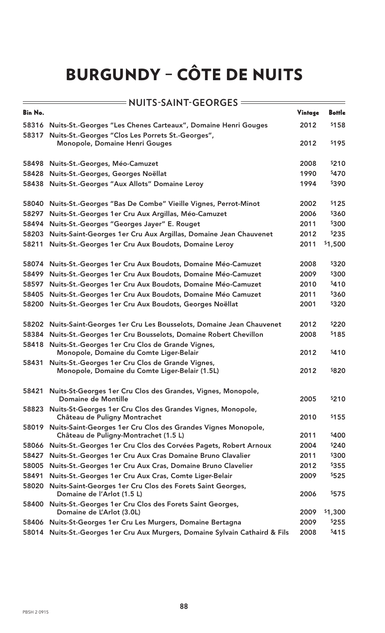|                | = NUITS-SAINT-GEORGES =                                                                                      |         |               |
|----------------|--------------------------------------------------------------------------------------------------------------|---------|---------------|
| <b>Bin No.</b> |                                                                                                              | Vintage | <b>Bottle</b> |
|                | 58316 Nuits-St.-Georges "Les Chenes Carteaux", Domaine Henri Gouges                                          | 2012    | \$158         |
| 58317          | Nuits-St.-Georges "Clos Les Porrets St.-Georges",                                                            |         |               |
|                | Monopole, Domaine Henri Gouges                                                                               | 2012    | \$195         |
|                | 58498 Nuits-St.-Georges, Méo-Camuzet                                                                         | 2008    | \$210         |
| 58428          | Nuits-St.-Georges, Georges Noëllat                                                                           | 1990    | \$470         |
| 58438          | Nuits-St.-Georges "Aux Allots" Domaine Leroy                                                                 | 1994    | \$390         |
| 58040          | Nuits-St.-Georges "Bas De Combe" Vieille Vignes, Perrot-Minot                                                | 2002    | \$125         |
| 58297          | Nuits-St.-Georges 1er Cru Aux Argillas, Méo-Camuzet                                                          | 2006    | \$360         |
| 58494          | Nuits-St.-Georges "Georges Jayer" E. Rouget                                                                  | 2011    | \$300         |
| 58203          | Nuits-Saint-Georges 1er Cru Aux Argillas, Domaine Jean Chauvenet                                             | 2012    | \$235         |
| 58211          | Nuits-St.-Georges 1er Cru Aux Boudots, Domaine Leroy                                                         | 2011    | \$1,500       |
| 58074          | Nuits-St.-Georges 1er Cru Aux Boudots, Domaine Méo-Camuzet                                                   | 2008    | \$320         |
| 58499          | Nuits-St.-Georges 1er Cru Aux Boudots, Domaine Méo-Camuzet                                                   | 2009    | \$300         |
| 58597          | Nuits-St.-Georges 1er Cru Aux Boudots, Domaine Méo-Camuzet                                                   | 2010    | \$410         |
| 58405          | Nuits-St.-Georges 1er Cru Aux Boudots, Domaine Méo Camuzet                                                   | 2011    | \$360         |
| 58200          | Nuits-St.-Georges 1er Cru Aux Boudots, Georges Noëllat                                                       | 2001    | \$320         |
| 58202          | Nuits-Saint-Georges 1er Cru Les Bousselots, Domaine Jean Chauvenet                                           | 2012    | \$220         |
| 58384          | Nuits-St.-Georges 1er Cru Bousselots, Domaine Robert Chevillon                                               | 2008    | \$185         |
| 58418          | Nuits-St.-Georges 1er Cru Clos de Grande Vignes,<br>Monopole, Domaine du Comte Liger-Belair                  | 2012    | \$410         |
| 58431          | Nuits-St.-Georges 1er Cru Clos de Grande Vignes,                                                             |         |               |
|                | Monopole, Domaine du Comte Liger-Belair (1.5L)                                                               | 2012    | \$820         |
|                | 58421 Nuits-St-Georges 1er Cru Clos des Grandes, Vignes, Monopole,<br>Domaine de Montille                    | 2005    | \$210         |
| 58823          | Nuits-St-Georges 1er Cru Clos des Grandes Vignes, Monopole,                                                  |         |               |
|                | Château de Puligny Montrachet                                                                                | 2010    | \$155         |
|                | 58019 Nuits-Saint-Georges 1er Cru Clos des Grandes Vignes Monopole,<br>Château de Puligny-Montrachet (1.5 L) | 2011    | \$400         |
|                | 58066 Nuits-St.-Georges 1er Cru Clos des Corvées Pagets, Robert Arnoux                                       | 2004    | \$240         |
| 58427          | Nuits-St.-Georges 1er Cru Aux Cras Domaine Bruno Clavalier                                                   | 2011    | \$300         |
|                | 58005 Nuits-St.-Georges 1er Cru Aux Cras, Domaine Bruno Clavelier                                            | 2012    | \$355         |
| 58491          | Nuits-St.-Georges 1er Cru Aux Cras, Comte Liger-Belair                                                       | 2009    | \$525         |
| 58020          | Nuits-Saint-Georges 1er Cru Clos des Forets Saint Georges,<br>Domaine de l'Arlot (1.5 L)                     | 2006    | \$575         |
| 58400          | Nuits-St.-Georges 1er Cru Clos des Forets Saint Georges,<br>Domaine de L'Arlot (3.0L)                        | 2009    | \$1,300       |
|                | 58406 Nuits-St-Georges 1er Cru Les Murgers, Domaine Bertagna                                                 | 2009    | \$255         |
| 58014          | Nuits-St.-Georges 1er Cru Aux Murgers, Domaine Sylvain Cathaird & Fils                                       | 2008    | \$415         |
|                |                                                                                                              |         |               |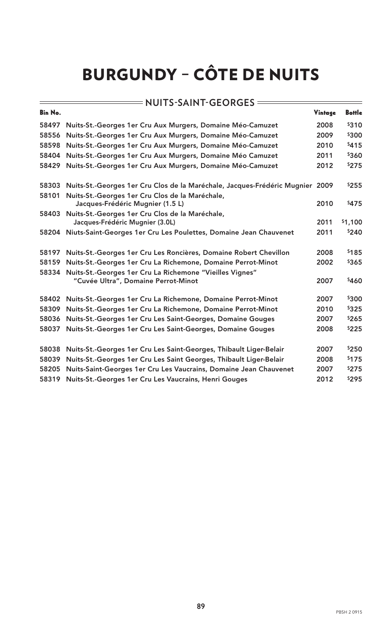|                | <b>= NUITS-SAINT-GEORGES =</b>                                                                  |         |               |  |
|----------------|-------------------------------------------------------------------------------------------------|---------|---------------|--|
| <b>Bin No.</b> |                                                                                                 | Vintage | <b>Bottle</b> |  |
| 58497          | Nuits-St.-Georges 1er Cru Aux Murgers, Domaine Méo-Camuzet                                      | 2008    | \$310         |  |
| 58556          | Nuits-St.-Georges 1er Cru Aux Murgers, Domaine Méo-Camuzet                                      | 2009    | \$300         |  |
| 58598          | Nuits-St.-Georges 1er Cru Aux Murgers, Domaine Méo-Camuzet                                      | 2010    | \$415         |  |
| 58404          | Nuits-St.-Georges 1er Cru Aux Murgers, Domaine Méo Camuzet                                      | 2011    | \$360         |  |
| 58429          | Nuits-St.-Georges 1er Cru Aux Murgers, Domaine Méo-Camuzet                                      | 2012    | \$275         |  |
| 58303          | Nuits-St.-Georges 1er Cru Clos de la Maréchale, Jacques-Frédéric Mugnier 2009                   |         | \$255         |  |
| 58101          | Nuits-St.-Georges 1er Cru Clos de la Maréchale,<br>Jacques-Frédéric Mugnier (1.5 L)             | 2010    | \$475         |  |
| 58403          | Nuits-St.-Georges 1er Cru Clos de la Maréchale,<br>Jacques-Frédéric Mugnier (3.0L)              | 2011    | \$1,100       |  |
| 58204          | Niuts-Saint-Georges 1er Cru Les Poulettes, Domaine Jean Chauvenet                               | 2011    | \$240         |  |
| 58197          | Nuits-St.-Georges 1er Cru Les Roncières, Domaine Robert Chevillon                               | 2008    | \$185         |  |
| 58159          | Nuits-St.-Georges 1er Cru La Richemone, Domaine Perrot-Minot                                    | 2002    | \$365         |  |
| 58334          | Nuits-St.-Georges 1er Cru La Richemone "Vieilles Vignes"<br>"Cuvée Ultra", Domaine Perrot-Minot | 2007    | \$460         |  |
| 58402          | Nuits-St.-Georges 1er Cru La Richemone, Domaine Perrot-Minot                                    | 2007    | \$300         |  |
| 58309          | Nuits-St.-Georges 1er Cru La Richemone, Domaine Perrot-Minot                                    | 2010    | \$325         |  |
| 58036          | Nuits-St.-Georges 1er Cru Les Saint-Georges, Domaine Gouges                                     | 2007    | \$265         |  |
| 58037          | Nuits-St.-Georges 1er Cru Les Saint-Georges, Domaine Gouges                                     | 2008    | \$225         |  |
| 58038          | Nuits-St.-Georges 1er Cru Les Saint-Georges, Thibault Liger-Belair                              | 2007    | \$250         |  |
| 58039          | Nuits-St.-Georges 1er Cru Les Saint Georges, Thibault Liger-Belair                              | 2008    | \$175         |  |
| 58205          | Nuits-Saint-Georges 1er Cru Les Vaucrains, Domaine Jean Chauvenet                               | 2007    | \$275         |  |
| 58319          | Nuits-St.-Georges 1er Cru Les Vaucrains, Henri Gouges                                           | 2012    | \$295         |  |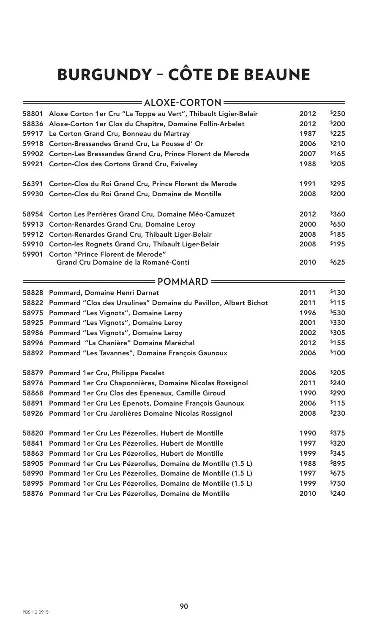### BURGUNDY – CÔTE DE BEAUNE

|       | $=$ <code>ALOXE-CORTON</code> $=$                               |      |              |
|-------|-----------------------------------------------------------------|------|--------------|
| 58801 | Aloxe Corton 1er Cru "La Toppe au Vert", Thibault Ligier-Belair | 2012 | \$250        |
|       | 58836 Aloxe-Corton 1er Clos du Chapitre, Domaine Follin-Arbelet | 2012 | \$200        |
| 59917 | Le Corton Grand Cru, Bonneau du Martray                         | 1987 | \$225        |
| 59918 | Corton-Bressandes Grand Cru, La Pousse d'Or                     | 2006 | \$210        |
| 59902 | Corton-Les Bressandes Grand Cru, Prince Florent de Merode       | 2007 | \$165        |
| 59921 | Corton-Clos des Cortons Grand Cru, Faiveley                     | 1988 | \$205        |
| 56391 | Corton-Clos du Roi Grand Cru, Prince Florent de Merode          | 1991 | \$295        |
| 59930 | Corton-Clos du Roi Grand Cru, Domaine de Montille               | 2008 | \$200        |
| 58954 | Corton Les Perrières Grand Cru, Domaine Méo-Camuzet             | 2012 | \$360        |
| 59913 | <b>Corton-Renardes Grand Cru, Domaine Leroy</b>                 | 2000 | \$650        |
| 59912 | Corton-Renardes Grand Cru, Thibault Liger-Belair                | 2008 | \$185        |
|       | 59910 Corton-les Rognets Grand Cru, Thibault Liger-Belair       | 2008 | \$195        |
| 59901 | Corton "Prince Florent de Merode"                               |      |              |
|       | Grand Cru Domaine de la Romané-Conti                            | 2010 | \$625        |
|       | = POMMARD                                                       |      |              |
| 58828 | Pommard, Domaine Henri Darnat                                   | 2011 | \$130        |
| 58822 | Pommard "Clos des Ursulines" Domaine du Pavillon, Albert Bichot | 2011 | \$115        |
| 58975 | Pommard "Les Vignots", Domaine Leroy                            | 1996 | \$530        |
| 58925 | <b>Pommard "Les Vignots", Domaine Leroy</b>                     | 2001 | \$330        |
| 58986 | Pommard "Les Vignots", Domaine Leroy                            | 2002 | \$305        |
|       | 58996 Pommard "La Chanière" Domaine Maréchal                    | 2012 | \$155        |
|       | 58892 Pommard "Les Tavannes", Domaine François Gaunoux          | 2006 | \$100        |
|       | 58879 Pommard 1er Cru, Philippe Pacalet                         | 2006 | \$205        |
| 58976 | Pommard 1er Cru Chaponnières, Domaine Nicolas Rossignol         | 2011 | <b>\$240</b> |
| 58868 | Pommard 1er Cru Clos des Epeneaux, Camille Giroud               | 1990 | \$290        |
| 58891 | Pommard 1er Cru Les Epenots, Domaine François Gaunoux           | 2006 | \$115        |
| 58926 | Pommard 1er Cru Jarolières Domaine Nicolas Rossignol            | 2008 | \$230        |
| 58820 | Pommard 1er Cru Les Pézerolles, Hubert de Montille              | 1990 | \$375        |
| 58841 | Pommard 1er Cru Les Pézerolles, Hubert de Montille              | 1997 | \$320        |
| 58863 | Pommard 1er Cru Les Pézerolles, Hubert de Montille              | 1999 | \$345        |
| 58905 | Pommard 1er Cru Les Pézerolles, Domaine de Montille (1.5 L)     | 1988 | \$895        |
| 58990 | Pommard 1er Cru Les Pézerolles, Domaine de Montille (1.5 L)     | 1997 | \$675        |
| 58995 | Pommard 1er Cru Les Pézerolles, Domaine de Montille (1.5 L)     | 1999 | \$750        |
| 58876 | Pommard 1er Cru Les Pézerolles, Domaine de Montille             | 2010 | \$240        |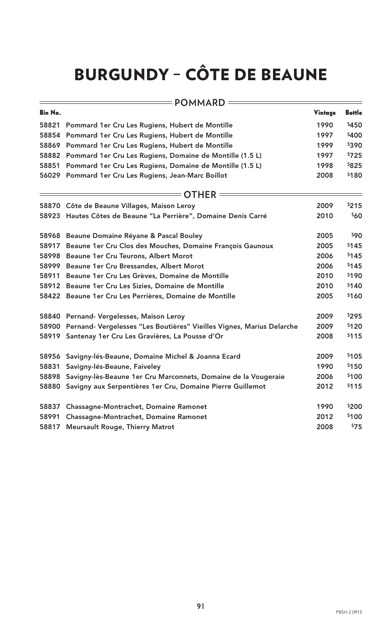## BURGUNDY – CÔTE DE BEAUNE

| $=$ <code>POMMARD</code> = |                                                                             |         |               |
|----------------------------|-----------------------------------------------------------------------------|---------|---------------|
| Bin No.                    |                                                                             | Vintage | <b>Bottle</b> |
| 58821                      | Pommard 1er Cru Les Rugiens, Hubert de Montille                             | 1990    | \$450         |
| 58854                      | Pommard 1er Cru Les Rugiens, Hubert de Montille                             | 1997    | \$400         |
|                            | 58869 Pommard 1er Cru Les Rugiens, Hubert de Montille                       | 1999    | \$390         |
|                            | 58882 Pommard 1er Cru Les Rugiens, Domaine de Montille (1.5 L)              | 1997    | \$725         |
| 58851                      | Pommard 1er Cru Les Rugiens, Domaine de Montille (1.5 L)                    | 1998    | \$825         |
|                            | 56029 Pommard 1er Cru Les Rugiens, Jean-Marc Boillot                        | 2008    | \$180         |
|                            | $\overline{\ }$ = OTHER $\equiv$                                            |         |               |
|                            | 58870 Côte de Beaune Villages, Maison Leroy                                 | 2009    | \$215         |
|                            | 58923 Hautes Côtes de Beaune "La Perrière", Domaine Denis Carré             | 2010    | \$60          |
|                            | 58968 Beaune Domaine Réyane & Pascal Bouley                                 | 2005    | \$90          |
| 58917                      | Beaune 1er Cru Clos des Mouches, Domaine François Gaunoux                   | 2005    | \$145         |
| 58998                      | Beaune 1er Cru Teurons, Albert Morot                                        | 2006    | \$145         |
|                            | 58999 Beaune 1er Cru Bressandes, Albert Morot                               | 2006    | \$145         |
| 58911                      | Beaune 1er Cru Les Grèves, Domaine de Montille                              | 2010    | \$190         |
|                            | 58912 Beaune 1er Cru Les Sizies, Domaine de Montille                        | 2010    | \$140         |
|                            | 58422 Beaune 1er Cru Les Perrières, Domaine de Montille                     | 2005    | \$160         |
|                            | 58840 Pernand- Vergelesses, Maison Leroy                                    | 2009    | \$295         |
|                            | 58900 Pernand- Vergelesses "Les Boutières" Vieilles Vignes, Marius Delarche | 2009    | \$120         |
| 58919                      | Santenay 1er Cru Les Gravières, La Pousse d'Or                              | 2008    | \$115         |
|                            | 58956 Savigny-lés-Beaune, Domaine Michel & Joanna Ecard                     | 2009    | \$105         |
| 58831                      | Savigny-lés-Beaune, Faiveley                                                | 1990    | \$150         |
| 58898                      | Savigny-lès-Beaune 1er Cru Marconnets, Domaine de la Vougeraie              | 2006    | \$100         |
|                            | 58880 Savigny aux Serpentières 1er Cru, Domaine Pierre Guillemot            | 2012    | \$115         |
| 58837                      | Chassagne-Montrachet, Domaine Ramonet                                       | 1990    | \$200         |
| 58991                      | Chassagne-Montrachet, Domaine Ramonet                                       | 2012    | \$100         |
| 58817                      | <b>Meursault Rouge, Thierry Matrot</b>                                      | 2008    | \$75          |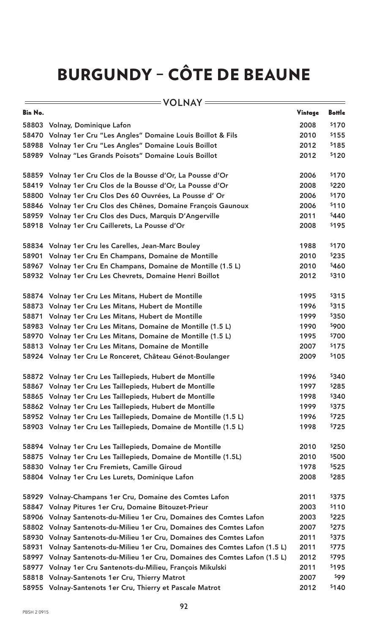## BURGUNDY – CÔTE DE BEAUNE

|                | $=$ <code>VOLNAY</code> $=$                                           |         |               |
|----------------|-----------------------------------------------------------------------|---------|---------------|
| <b>Bin No.</b> |                                                                       | Vintage | <b>Bottle</b> |
|                | 58803 Volnay, Dominique Lafon                                         | 2008    | \$170         |
|                | 58470 Volnay 1er Cru "Les Angles" Domaine Louis Boillot & Fils        | 2010    | \$155         |
|                | 58988 Volnay 1er Cru "Les Angles" Domaine Louis Boillot               | 2012    | \$185         |
|                | 58989 Volnay "Les Grands Poisots" Domaine Louis Boillot               | 2012    | \$120         |
|                | 58859 Volnay 1er Cru Clos de la Bousse d'Or, La Pousse d'Or           | 2006    | \$170         |
|                | 58419 Volnay 1er Cru Clos de la Bousse d'Or, La Pousse d'Or           | 2008    | \$220         |
|                | 58800 Volnay 1er Cru Clos Des 60 Ouvrées, La Pousse d'Or              | 2006    | \$170         |
|                | 58846 Volnay 1er Cru Clos des Chênes, Domaine François Gaunoux        | 2006    | \$110         |
|                | 58959 Volnay 1er Cru Clos des Ducs, Marquis D'Angerville              | 2011    | \$440         |
|                | 58918 Volnay 1er Cru Caillerets, La Pousse d'Or                       | 2008    | \$195         |
|                | 58834 Volnay 1er Cru les Carelles, Jean-Marc Bouley                   | 1988    | \$170         |
| 58901          | Volnay 1er Cru En Champans, Domaine de Montille                       | 2010    | \$235         |
|                | 58967 Volnay 1er Cru En Champans, Domaine de Montille (1.5 L)         | 2010    | \$460         |
|                | 58932 Volnay 1er Cru Les Chevrets, Domaine Henri Boillot              | 2012    | \$310         |
|                | 58874 Volnay 1er Cru Les Mitans, Hubert de Montille                   | 1995    | \$315         |
|                | 58873 Volnay 1er Cru Les Mitans, Hubert de Montille                   | 1996    | \$315         |
|                | 58871 Volnay 1er Cru Les Mitans, Hubert de Montille                   | 1999    | \$350         |
|                | 58983 Volnay 1er Cru Les Mitans, Domaine de Montille (1.5 L)          | 1990    | \$900         |
|                | 58970 Volnay 1er Cru Les Mitans, Domaine de Montille (1.5 L)          | 1995    | \$700         |
|                | 58813 Volnay 1er Cru Les Mitans, Domaine de Montille                  | 2007    | \$175         |
|                | 58924 Volnay 1er Cru Le Ronceret, Château Génot-Boulanger             | 2009    | \$105         |
|                | 58872 Volnay 1er Cru Les Taillepieds, Hubert de Montille              | 1996    | \$340         |
|                | 58867 Volnay 1er Cru Les Taillepieds, Hubert de Montille              | 1997    | \$285         |
|                | 58865 Volnay 1er Cru Les Taillepieds, Hubert de Montille              | 1998    | \$340         |
|                | 58862 Volnay 1er Cru Les Taillepieds, Hubert de Montille              | 1999    | \$375         |
|                | 58952 Volnay 1er Cru Les Taillepieds, Domaine de Montille (1.5 L)     | 1996    | \$725         |
|                | 58903 Volnay 1er Cru Les Taillepieds, Domaine de Montille (1.5 L)     | 1998    | \$725         |
|                | 58894 Volnay 1er Cru Les Taillepieds, Domaine de Montille             | 2010    | \$250         |
|                | 58875 Volnay 1er Cru Les Taillepieds, Domaine de Montille (1.5L)      | 2010    | \$500         |
|                | 58830 Volnay 1er Cru Fremiets, Camille Giroud                         | 1978    | \$525         |
|                | 58804 Volnay 1er Cru Les Lurets, Dominique Lafon                      | 2008    | \$285         |
|                | 58929 Volnay-Champans 1er Cru, Domaine des Comtes Lafon               | 2011    | \$375         |
| 58847          | Volnay Pitures 1er Cru, Domaine Bitouzet-Prieur                       | 2003    | \$110         |
| 58906          | Volnay Santenots-du-Milieu 1er Cru, Domaines des Comtes Lafon         | 2003    | \$225         |
|                | 58802 Volnay Santenots-du-Milieu 1er Cru, Domaines des Comtes Lafon   | 2007    | \$275         |
|                | 58930 Volnay Santenots-du-Milieu 1er Cru, Domaines des Comtes Lafon   | 2011    | \$375         |
| 58931          | Volnay Santenots-du-Milieu 1er Cru, Domaines des Comtes Lafon (1.5 L) | 2011    | \$775         |
| 58997          | Volnay Santenots-du-Milieu 1er Cru, Domaines des Comtes Lafon (1.5 L) | 2012    | \$795         |
| 58977          | Volnay 1er Cru Santenots-du-Milieu, François Mikulski                 | 2011    | \$195         |
| 58818          | Volnay-Santenots 1er Cru, Thierry Matrot                              | 2007    | 599           |
| 58955          | Volnay-Santenots 1er Cru, Thierry et Pascale Matrot                   | 2012    | \$140         |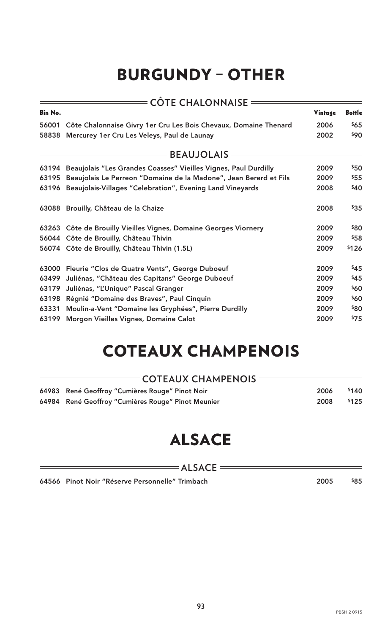### BURGUNDY – OTHER

|         | <b>CÔTE CHALONNAISE =</b>                                               |         |               |  |
|---------|-------------------------------------------------------------------------|---------|---------------|--|
| Bin No. |                                                                         | Vintage | <b>Bottle</b> |  |
| 56001   | Côte Chalonnaise Givry 1er Cru Les Bois Chevaux, Domaine Thenard        | 2006    | \$65          |  |
|         | 58838 Mercurey 1er Cru Les Veleys, Paul de Launay                       | 2002    | \$90          |  |
|         | $=$ BEAUJOLAIS                                                          |         |               |  |
|         | 63194 Beaujolais "Les Grandes Coasses" Vieilles Vignes, Paul Durdilly   | 2009    | \$50          |  |
|         | 63195 Beaujolais Le Perreon "Domaine de la Madone", Jean Bererd et Fils | 2009    | \$55          |  |
|         | 63196 Beaujolais-Villages "Celebration", Evening Land Vineyards         | 2008    | \$40          |  |
|         | 63088 Brouilly, Château de la Chaize                                    | 2008    | \$35          |  |
|         | 63263 Côte de Brouilly Vieilles Vignes, Domaine Georges Viornery        | 2009    | \$80          |  |
|         | 56044 Côte de Brouilly, Château Thivin                                  | 2009    | \$58          |  |
|         | 56074 Côte de Brouilly, Château Thivin (1.5L)                           | 2009    | \$126         |  |
| 63000   | Fleurie "Clos de Quatre Vents", George Duboeuf                          | 2009    | \$45          |  |
| 63499   | Juliénas, "Château des Capitans" George Duboeuf                         | 2009    | \$45          |  |
| 63179   | Juliénas, "L'Unique" Pascal Granger                                     | 2009    | \$60          |  |
| 63198   | Régnié "Domaine des Braves", Paul Cinquin                               | 2009    | \$60          |  |
| 63331   | Moulin-a-Vent "Domaine les Gryphées", Pierre Durdilly                   | 2009    | <b>\$80</b>   |  |
| 63199   | Morgon Vieilles Vignes, Domaine Calot                                   | 2009    | \$75          |  |

#### COTEAUX CHAMPENOIS

| = COTEAUX CHAMPENOIS $=\,$ |                                                    |      |                  |
|----------------------------|----------------------------------------------------|------|------------------|
|                            | 64983 René Geoffroy "Cumières Rouge" Pinot Noir    | 2006 | <sup>\$140</sup> |
|                            | 64984 René Geoffroy "Cumières Rouge" Pinot Meunier | 2008 | \$125            |

#### ALSACE

| $=$ ALSACE                                      |      |            |
|-------------------------------------------------|------|------------|
| 64566 Pinot Noir "Réserve Personnelle" Trimbach | 2005 | <b>885</b> |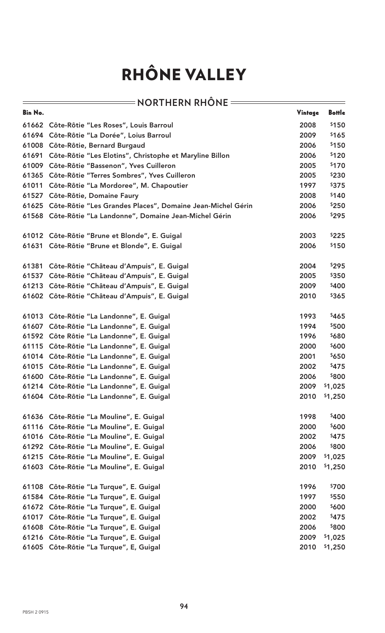| <b>NORTHERN RHONE</b> |  |
|-----------------------|--|
|                       |  |

 $=$ 

| Bin No. |                                                                  | Vintage | <b>Bottle</b> |
|---------|------------------------------------------------------------------|---------|---------------|
|         | 61662 Côte-Rôtie "Les Roses", Louis Barroul                      | 2008    | \$150         |
|         | 61694 Côte-Rôtie "La Dorée", Loius Barroul                       | 2009    | \$165         |
|         | 61008 Côte-Rôtie, Bernard Burgaud                                | 2006    | \$150         |
| 61691   | Côte-Rôtie "Les Elotins", Christophe et Maryline Billon          | 2006    | \$120         |
|         | 61009 Côte-Rôtie "Bassenon", Yves Cuilleron                      | 2005    | \$170         |
|         | 61365 Côte-Rôtie "Terres Sombres", Yves Cuilleron                | 2005    | \$230         |
| 61011   | Côte-Rôtie "La Mordoree", M. Chapoutier                          | 1997    | \$375         |
|         | 61527 Côte-Rôtie, Domaine Faury                                  | 2008    | \$140         |
|         | 61625 Côte-Rôtie "Les Grandes Places", Domaine Jean-Michel Gérin | 2006    | \$250         |
|         | 61568 Côte-Rôtie "La Landonne", Domaine Jean-Michel Gérin        | 2006    | \$295         |
|         | 61012 Côte-Rôtie "Brune et Blonde", E. Guigal                    | 2003    | \$225         |
|         | 61631 Côte-Rôtie "Brune et Blonde", E. Guigal                    | 2006    | \$150         |
|         | 61381 Côte-Rôtie "Château d'Ampuis", E. Guigal                   | 2004    | \$295         |
| 61537   | Côte-Rôtie "Château d'Ampuis", E. Guigal                         | 2005    | \$350         |
|         | 61213 Côte-Rôtie "Château d'Ampuis", E. Guigal                   | 2009    | \$400         |
|         | 61602 Côte-Rôtie "Château d'Ampuis", E. Guigal                   | 2010    | \$365         |
|         |                                                                  |         |               |
|         | 61013 Côte-Rôtie "La Landonne", E. Guigal                        | 1993    | \$465         |
|         | 61607 Côte-Rôtie "La Landonne", E. Guigal                        | 1994    | \$500         |
|         | 61592 Côte Rôtie "La Landonne", E. Guigal                        | 1996    | \$680         |
|         | 61115 Côte-Rôtie "La Landonne", E. Guigal                        | 2000    | \$600         |
|         | 61014 Côte-Rôtie "La Landonne", E. Guigal                        | 2001    | \$650         |
|         | 61015 Côte-Rôtie "La Landonne", E. Guigal                        | 2002    | \$475         |
|         | 61600 Côte-Rôtie "La Landonne", E. Guigal                        | 2006    | \$800         |
|         | 61214 Côte-Rôtie "La Landonne", E. Guigal                        | 2009    | \$1,025       |
|         | 61604 Côte-Rôtie "La Landonne", E. Guigal                        | 2010    | \$1,250       |
|         | 61636 Côte-Rôtie "La Mouline", E. Guigal                         | 1998    | \$400         |
|         | 61116 Côte-Rôtie "La Mouline", E. Guigal                         | 2000    | \$600         |
|         | 61016 Côte-Rôtie "La Mouline", E. Guigal                         | 2002    | \$475         |
|         | 61292 Côte-Rôtie "La Mouline", E. Guigal                         | 2006    | \$800         |
|         | 61215 Côte-Rôtie "La Mouline", E. Guigal                         | 2009    | \$1,025       |
|         | 61603 Côte-Rôtie "La Mouline", E. Guigal                         | 2010    | \$1,250       |
|         | 61108 Côte-Rôtie "La Turque", E. Guigal                          | 1996    | \$700         |
|         | 61584 Côte-Rôtie "La Turque", E. Guigal                          | 1997    | \$550         |
|         | 61672 Côte-Rôtie "La Turque", E. Guigal                          | 2000    | \$600         |
|         | 61017 Côte-Rôtie "La Turque", E. Guigal                          | 2002    | \$475         |
|         | 61608 Côte-Rôtie "La Turque", E. Guigal                          | 2006    | \$800         |
|         | 61216 Côte-Rôtie "La Turque", E. Guigal                          | 2009    | \$1,025       |
|         | 61605 Côte-Rôtie "La Turque", E, Guigal                          | 2010    | \$1,250       |
|         |                                                                  |         |               |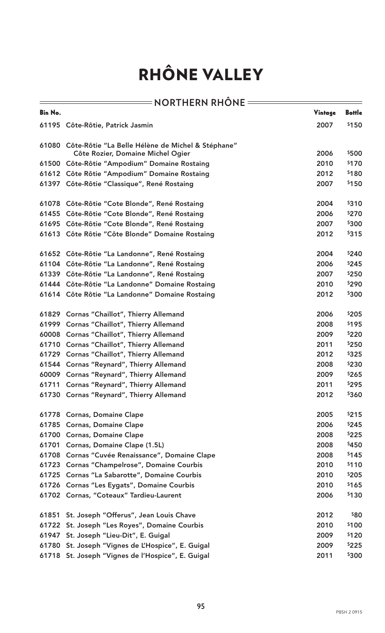÷.

|                | = NORTHERN RHÖNE =                                      |         |               |
|----------------|---------------------------------------------------------|---------|---------------|
| <b>Bin No.</b> |                                                         | Vintage | <b>Bottle</b> |
|                | 61195 Côte-Rôtie, Patrick Jasmin                        | 2007    | \$150         |
|                | 61080 Côte-Rôtie "La Belle Hélène de Michel & Stéphane" |         |               |
|                | Côte Rozier, Domaine Michel Ogier                       | 2006    | \$500         |
|                | 61500 Côte-Rôtie "Ampodium" Domaine Rostaing            | 2010    | \$170         |
|                | 61612 Côte Rôtie "Ampodium" Domaine Rostaing            | 2012    | \$180         |
|                | 61397 Côte-Rôtie "Classique", René Rostaing             | 2007    | \$150         |
|                | 61078 Côte-Rôtie "Cote Blonde", René Rostaing           | 2004    | \$310         |
|                | 61455 Côte-Rôtie "Cote Blonde", René Rostaing           | 2006    | \$270         |
|                | 61695 Côte-Rôtie "Cote Blonde", René Rostaing           | 2007    | \$300         |
|                | 61613 Côte Rôtie "Côte Blonde" Domaine Rostaing         | 2012    | \$315         |
|                | 61652 Côte-Rôtie "La Landonne", René Rostaing           | 2004    | \$240         |
|                | 61104 Côte-Rôtie "La Landonne", René Rostaing           | 2006    | \$245         |
|                | 61339 Côte-Rôtie "La Landonne", René Rostaing           | 2007    | \$250         |
|                | 61444 Côte-Rôtie "La Landonne" Domaine Rostaing         | 2010    | \$290         |
|                | 61614 Côte Rôtie "La Landonne" Domaine Rostaing         | 2012    | \$300         |
|                | 61829 Cornas "Chaillot", Thierry Allemand               | 2006    | \$205         |
|                | 61999 Cornas "Chaillot", Thierry Allemand               | 2008    | \$195         |
|                | 60008 Cornas "Chaillot", Thierry Allemand               | 2009    | \$220         |
|                | 61710 Cornas "Chaillot", Thierry Allemand               | 2011    | \$250         |
|                | 61729 Cornas "Chaillot", Thierry Allemand               | 2012    | \$325         |
|                | 61544 Cornas "Reynard", Thierry Allemand                | 2008    | \$230         |
|                | 60009 Cornas "Reynard", Thierry Allemand                | 2009    | \$265         |
|                | 61711 Cornas "Reynard", Thierry Allemand                | 2011    | \$295         |
|                | 61730 Cornas "Reynard", Thierry Allemand                | 2012    | \$360         |
|                | 61778 Cornas, Domaine Clape                             | 2005    | \$215         |
|                | 61785 Cornas, Domaine Clape                             | 2006    | \$245         |
|                | 61700 Cornas, Domaine Clape                             | 2008    | \$225         |
|                | 61701 Cornas, Domaine Clape (1.5L)                      | 2008    | \$450         |
|                | 61708 Cornas "Cuvée Renaissance", Domaine Clape         | 2008    | \$145         |
|                | 61723 Cornas "Champelrose", Domaine Courbis             | 2010    | \$110         |
|                | 61725 Cornas "La Sabarotte", Domaine Courbis            | 2010    | \$205         |
|                | 61726 Cornas "Les Eygats", Domaine Courbis              | 2010    | \$165         |
|                | 61702 Cornas, "Coteaux" Tardieu-Laurent                 | 2006    | \$130         |
| 61851          | St. Joseph "Offerus", Jean Louis Chave                  | 2012    | \$80          |
|                | 61722 St. Joseph "Les Royes", Domaine Courbis           | 2010    | \$100         |
|                | 61947 St. Joseph "Lieu-Dit", E. Guigal                  | 2009    | \$120         |
|                | 61780 St. Joseph "Vignes de L'Hospice", E. Guigal       | 2009    | \$225         |
|                | 61718 St. Joseph "Vignes de l'Hospice", E. Guigal       | 2011    | \$300         |
|                |                                                         |         |               |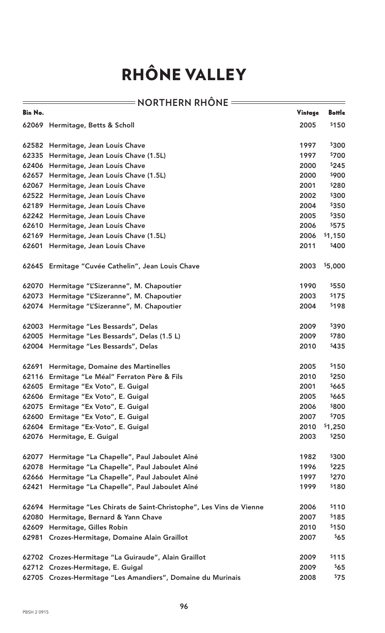#### $=$ NORTHERN RHÔNE  $=$ Bin No. Vintage Bottle 62069 Hermitage, Betts & Scholl 2005 \$150 62582 Hermitage, Jean Louis Chave 1997 \$300 62335 Hermitage, Jean Louis Chave (1.5L) 1997 5700 62406 Hermitage, Jean Louis Chave 2000 5245 62657 Hermitage, Jean Louis Chave (1.5L) 2000 \$900 62067 Hermitage, Jean Louis Chave 2001 \$280 62522 Hermitage, Jean Louis Chave 2002 5300 62189 Hermitage, Jean Louis Chave 2004 5350 62242 Hermitage, Jean Louis Chave 2005 5350 62610 Hermitage, Jean Louis Chave 2006 575 62169 Hermitage, Jean Louis Chave (1.5L) 2006 \$1,150 62601 Hermitage, Jean Louis Chave 2011 5400 62645 Ermitage "Cuvée Cathelin", Jean Louis Chave 2003 2003 55,000 62070 Hermitage "L'Sizeranne", M. Chapoutier 1990 1990 5550 62073 Hermitage "L'Sizeranne", M. Chapoutier 2003 \$175 62074 Hermitage "L'Sizeranne", M. Chapoutier 2004 \$198 62003 Hermitage "Les Bessards", Delas 2009 \$390 62005 Hermitage "Les Bessards", Delas (1.5 L) 2009 \$780 62004 Hermitage "Les Bessards", Delas 2010 \$435 62691 Hermitage, Domaine des Martinelles 2005 5150 62116 Ermitage "Le Méal" Ferraton Père & Fils 2010 \$250 62605 Ermitage "Ex Voto", E. Guigal 2001 \$665 62606 Ermitage "Ex Voto", E. Guigal 2005 \$665 62075 Ermitage "Ex Voto", E. Guigal 2006 5800 62600 Ermitage "Ex Voto", E. Guigal 2007 \$705 62604 Ermitage "Ex-Voto", E. Guigal 2010 \$1,250 62076 Hermitage, E. Guigal 2003 5250 62077 Hermitage "La Chapelle", Paul Jaboulet Aîné 1982 1982 \$300 62078 Hermitage "La Chapelle", Paul Jaboulet Aîné 1996 1996 5225 62666 Hermitage "La Chapelle", Paul Jaboulet Aîné 1997 1997 5270 62421 Hermitage "La Chapelle", Paul Jaboulet Aîné 1999 1999 5180 62694 Hermitage "Les Chirats de Saint-Christophe", Les Vins de Vienne 2006 <sup>\$110</sup> 62080 Hermitage, Bernard & Yann Chave 2007 5185 62609 Hermitage, Gilles Robin 2010 \$150 62981 Crozes-Hermitage, Domaine Alain Graillot 2007 565 62702 Crozes-Hermitage "La Guiraude", Alain Graillot 2009 \$115 62712 Crozes-Hermitage, E. Guigal 2009 565 62705 Crozes-Hermitage "Les Amandiers", Domaine du Murinais 2008 \$75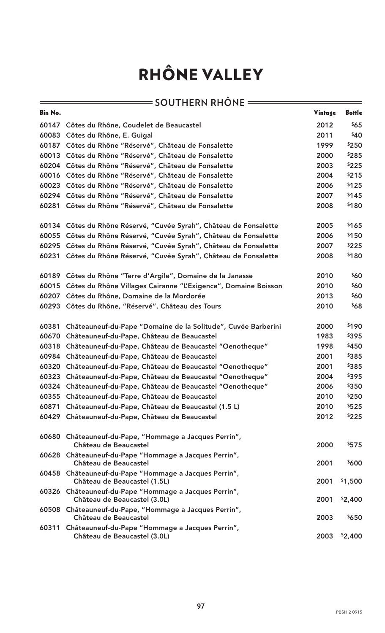|                | = SOUTHERN RHONE =                                                                    |         |               |
|----------------|---------------------------------------------------------------------------------------|---------|---------------|
| <b>Bin No.</b> |                                                                                       | Vintage | <b>Bottle</b> |
| 60147          | Côtes du Rhône, Coudelet de Beaucastel                                                | 2012    | \$65          |
| 60083          | Côtes du Rhône, E. Guigal                                                             | 2011    | \$40          |
| 60187          | Côtes du Rhône "Réservé", Château de Fonsalette                                       | 1999    | \$250         |
|                | 60013 Côtes du Rhône "Réservé", Château de Fonsalette                                 | 2000    | \$285         |
|                | 60204 Côtes du Rhône "Réservé", Château de Fonsalette                                 | 2003    | \$225         |
| 60016          | Côtes du Rhône "Réservé", Château de Fonsalette                                       | 2004    | \$215         |
|                | 60023 Côtes du Rhône "Réservé", Château de Fonsalette                                 | 2006    | \$125         |
|                | 60294 Côtes du Rhône "Réservé", Château de Fonsalette                                 | 2007    | \$145         |
| 60281          | Côtes du Rhône "Réservé", Château de Fonsalette                                       | 2008    | \$180         |
|                | 60134 Côtes du Rhône Réservé, "Cuvée Syrah", Château de Fonsalette                    | 2005    | \$165         |
| 60055          | Côtes du Rhône Réservé, "Cuvée Syrah", Château de Fonsalette                          | 2006    | \$150         |
|                | 60295 Côtes du Rhône Réservé, "Cuvée Syrah", Château de Fonsalette                    | 2007    | \$225         |
|                | 60231 Côtes du Rhône Réservé, "Cuvée Syrah", Château de Fonsalette                    | 2008    | \$180         |
|                | 60189 Côtes du Rhône "Terre d'Argile", Domaine de la Janasse                          | 2010    | \$60          |
| 60015          | Côtes du Rhône Villages Cairanne "L'Exigence", Domaine Boisson                        | 2010    | \$60          |
| 60207          | Côtes du Rhône, Domaine de la Mordorée                                                | 2013    | \$60          |
|                | 60293 Côtes du Rhône, "Réservé", Château des Tours                                    | 2010    | \$68          |
| 60381          | Châteauneuf-du-Pape "Domaine de la Solitude", Cuvée Barberini                         | 2000    | \$190         |
| 60670          | Châteauneuf-du-Pape, Château de Beaucastel                                            | 1983    | \$395         |
| 60318          | Châteauneuf-du-Pape, Château de Beaucastel "Oenotheque"                               | 1998    | \$450         |
| 60984          | Châteauneuf-du-Pape, Château de Beaucastel                                            | 2001    | \$385         |
| 60320          | Châteauneuf-du-Pape, Château de Beaucastel "Oenotheque"                               | 2001    | \$385         |
| 60323          | Châteauneuf-du-Pape, Château de Beaucastel "Oenotheque"                               | 2004    | \$395         |
|                | 60324 Châteauneuf-du-Pape, Château de Beaucastel "Oenotheque"                         | 2006    | \$350         |
|                | 60355 Châteauneuf-du-Pape, Château de Beaucastel                                      | 2010    | \$250         |
| 60871          | Châteauneuf-du-Pape, Château de Beaucastel (1.5 L)                                    | 2010    | \$525         |
|                | 60429 Châteauneuf-du-Pape, Château de Beaucastel                                      | 2012    | \$225         |
|                | 60680 Châteauneuf-du-Pape, "Hommage a Jacques Perrin",<br>Château de Beaucastel       | 2000    | \$575         |
|                | 60628 Châteauneuf-du-Pape "Hommage a Jacques Perrin",<br>Château de Beaucastel        | 2001    | \$600         |
|                | 60458 Châteauneuf-du-Pape "Hommage a Jacques Perrin",<br>Château de Beaucastel (1.5L) | 2001    | \$1,500       |
|                | 60326 Châteauneuf-du-Pape "Hommage a Jacques Perrin",<br>Château de Beaucastel (3.0L) | 2001    | \$2,400       |
|                | 60508 Châteauneuf-du-Pape, "Hommage a Jacques Perrin",<br>Château de Beaucastel       | 2003    | \$650         |
| 60311          | Châteauneuf-du-Pape "Hommage a Jacques Perrin",<br>Château de Beaucastel (3.0L)       | 2003    | \$2,400       |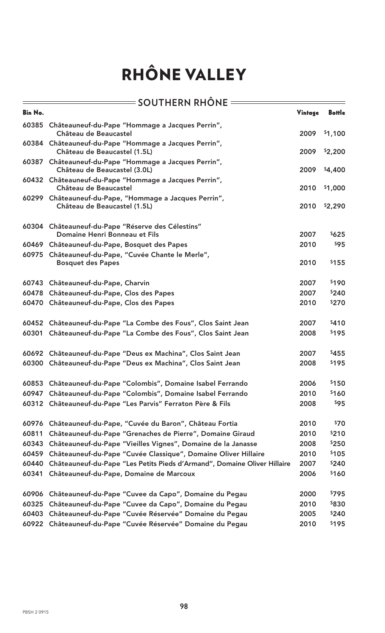|                | = SOUTHERN RHÔNE =                                                                     |         |               |
|----------------|----------------------------------------------------------------------------------------|---------|---------------|
| <b>Bin No.</b> |                                                                                        | Vintage | <b>Bottle</b> |
|                | 60385 Châteauneuf-du-Pape "Hommage a Jacques Perrin",<br>Château de Beaucastel         | 2009    | \$1,100       |
|                | 60384 Châteauneuf-du-Pape "Hommage a Jacques Perrin",<br>Château de Beaucastel (1.5L)  | 2009    | \$2,200       |
|                | 60387 Châteauneuf-du-Pape "Hommage a Jacques Perrin",<br>Château de Beaucastel (3.0L)  | 2009    | \$4,400       |
|                | 60432 Châteauneuf-du-Pape "Hommage a Jacques Perrin",<br>Château de Beaucastel         | 2010    | \$1,000       |
|                | 60299 Châteauneuf-du-Pape, "Hommage a Jacques Perrin",<br>Château de Beaucastel (1.5L) | 2010    | \$2,290       |
|                | 60304 Châteauneuf-du-Pape "Réserve des Célestins"<br>Domaine Henri Bonneau et Fils     | 2007    | \$625         |
|                | 60469 Châteauneuf-du-Pape, Bosquet des Papes                                           | 2010    | \$95          |
|                | 60975 Châteauneuf-du-Pape, "Cuvée Chante le Merle",                                    |         |               |
|                | <b>Bosquet des Papes</b>                                                               | 2010    | \$155         |
|                | 60743 Châteauneuf-du-Pape, Charvin                                                     | 2007    | \$190         |
|                | 60478 Châteauneuf-du-Pape, Clos des Papes                                              | 2007    | \$240         |
|                | 60470 Châteauneuf-du-Pape, Clos des Papes                                              | 2010    | \$270         |
|                | 60452 Châteauneuf-du-Pape "La Combe des Fous", Clos Saint Jean                         | 2007    | \$410         |
|                | 60301 Châteauneuf-du-Pape "La Combe des Fous", Clos Saint Jean                         | 2008    | \$195         |
|                | 60692 Châteauneuf-du-Pape "Deus ex Machina", Clos Saint Jean                           | 2007    | \$455         |
|                | 60300 Châteauneuf-du-Pape "Deus ex Machina", Clos Saint Jean                           | 2008    | \$195         |
| 60853          | Châteauneuf-du-Pape "Colombis", Domaine Isabel Ferrando                                | 2006    | \$150         |
| 60947          | Châteauneuf-du-Pape "Colombis", Domaine Isabel Ferrando                                | 2010    | \$160         |
|                | 60312 Châteauneuf-du-Pape "Les Parvis" Ferraton Père & Fils                            | 2008    | \$95          |
| 60976          | Châteauneuf-du-Pape, "Cuvée du Baron", Château Fortia                                  | 2010    | 570           |
| 60811          | Châteauneuf-du-Pape "Grenaches de Pierre", Domaine Giraud                              | 2010    | \$210         |
| 60343          | Châteauneuf-du-Pape "Vieilles Vignes", Domaine de la Janasse                           | 2008    | \$250         |
|                | 60459 Châteauneuf-du-Pape "Cuvée Classique", Domaine Oliver Hillaire                   | 2010    | \$105         |
| 60440          | Châteauneuf-du-Pape "Les Petits Pieds d'Armand", Domaine Oliver Hillaire               | 2007    | \$240         |
| 60341          | Châteauneuf-du-Pape, Domaine de Marcoux                                                | 2006    | \$160         |
| 60906          | Châteauneuf-du-Pape "Cuvee da Capo", Domaine du Pegau                                  | 2000    | \$795         |
| 60325          | Châteauneuf-du-Pape "Cuvee da Capo", Domaine du Pegau                                  | 2010    | \$830         |
|                | 60403 Châteauneuf-du-Pape "Cuvée Réservée" Domaine du Pegau                            | 2005    | \$240         |
|                | 60922 Châteauneuf-du-Pape "Cuvée Réservée" Domaine du Pegau                            | 2010    | \$195         |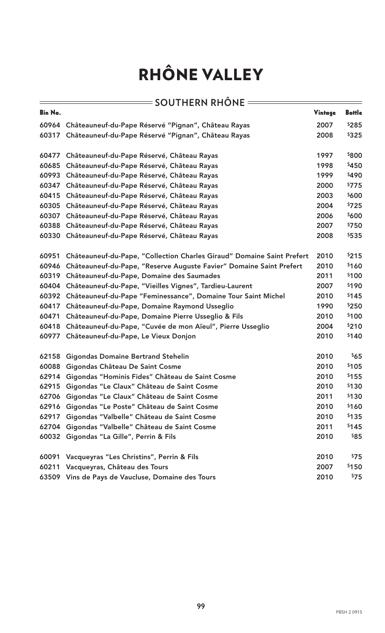|         | <b>= SOUTHERN RHÔNE =</b>                                              |         |               |
|---------|------------------------------------------------------------------------|---------|---------------|
| Bin No. |                                                                        | Vintage | <b>Bottle</b> |
| 60964   | Châteauneuf-du-Pape Réservé "Pignan", Château Rayas                    | 2007    | \$285         |
| 60317   | Châteauneuf-du-Pape Réservé "Pignan", Château Rayas                    | 2008    | \$325         |
| 60477   | Châteauneuf-du-Pape Réservé, Château Rayas                             | 1997    | \$800         |
| 60685   | Châteauneuf-du-Pape Réservé, Château Rayas                             | 1998    | \$450         |
| 60993   | Châteauneuf-du-Pape Réservé, Château Rayas                             | 1999    | \$490         |
| 60347   | Châteauneuf-du-Pape Réservé, Château Rayas                             | 2000    | \$775         |
| 60415   | Châteauneuf-du-Pape Réservé, Château Rayas                             | 2003    | \$600         |
| 60305   | Châteauneuf-du-Pape Réservé, Château Rayas                             | 2004    | \$725         |
| 60307   | Châteauneuf-du-Pape Réservé, Château Rayas                             | 2006    | \$600         |
| 60388   | Châteauneuf-du-Pape Réservé, Château Rayas                             | 2007    | \$750         |
| 60330   | Châteauneuf-du-Pape Réservé, Château Rayas                             | 2008    | \$535         |
| 60951   | Châteauneuf-du-Pape, "Collection Charles Giraud" Domaine Saint Prefert | 2010    | \$215         |
| 60946   | Châteauneuf-du-Pape, "Reserve Auguste Favier" Domaine Saint Prefert    | 2010    | \$160         |
| 60319   | Châteauneuf-du-Pape, Domaine des Saumades                              | 2011    | \$100         |
| 60404   | Châteauneuf-du-Pape, "Vieilles Vignes", Tardieu-Laurent                | 2007    | \$190         |
| 60392   | Châteauneuf-du-Pape "Feminessance", Domaine Tour Saint Michel          | 2010    | \$145         |
| 60417   | Châteauneuf-du-Pape, Domaine Raymond Usseglio                          | 1990    | \$250         |
| 60471   | Châteauneuf-du-Pape, Domaine Pierre Usseglio & Fils                    | 2010    | \$100         |
| 60418   | Châteauneuf-du-Pape, "Cuvée de mon Aïeul", Pierre Usseglio             | 2004    | \$210         |
| 60977   | Châteauneuf-du-Pape, Le Vieux Donjon                                   | 2010    | \$140         |
| 62158   | <b>Gigondas Domaine Bertrand Stehelin</b>                              | 2010    | \$65          |
|         | 60088 Gigondas Château De Saint Cosme                                  | 2010    | \$105         |
| 62914   | Gigondas "Hominis Fides" Château de Saint Cosme                        | 2010    | \$155         |
| 62915   | Gigondas "Le Claux" Château de Saint Cosme                             | 2010    | \$130         |
| 62706   | Gigondas "Le Claux" Château de Saint Cosme                             | 2011    | \$130         |
| 62916   | Gigondas "Le Poste" Château de Saint Cosme                             | 2010    | \$160         |
| 62917   | Gigondas "Valbelle" Château de Saint Cosme                             | 2010    | \$135         |
| 62704   | Gigondas "Valbelle" Château de Saint Cosme                             | 2011    | \$145         |
| 60032   | Gigondas "La Gille", Perrin & Fils                                     | 2010    | \$85          |
| 60091   | Vacqueyras "Les Christins", Perrin & Fils                              | 2010    | \$75          |
| 60211   | Vacqueyras, Château des Tours                                          | 2007    | \$150         |
|         | 63509 Vins de Pays de Vaucluse, Domaine des Tours                      | 2010    | \$75          |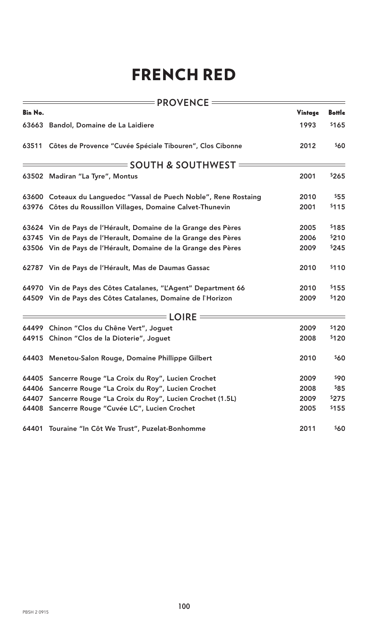#### FRENCH RED

|         | $=$ PROVENCE $=$                                                  |         |               |  |  |
|---------|-------------------------------------------------------------------|---------|---------------|--|--|
| Bin No. |                                                                   | Vintage | <b>Bottle</b> |  |  |
|         | 63663 Bandol, Domaine de La Laidiere                              | 1993    | \$165         |  |  |
|         | 63511 Côtes de Provence "Cuvée Spéciale Tibouren", Clos Cibonne   | 2012    | \$60          |  |  |
|         | $\overline{\ }$ <code>south</code> & southwest $\overline{\ }$    |         |               |  |  |
|         | 63502 Madiran "La Tyre", Montus                                   | 2001    | \$265         |  |  |
|         | 63600 Coteaux du Languedoc "Vassal de Puech Noble", Rene Rostaing | 2010    | \$55          |  |  |
|         | 63976 Côtes du Roussillon Villages, Domaine Calvet-Thunevin       | 2001    | \$115         |  |  |
|         | 63624 Vin de Pays de l'Hérault, Domaine de la Grange des Pères    | 2005    | \$185         |  |  |
|         | 63745 Vin de Pays de l'Herault, Domaine de la Grange des Pères    | 2006    | \$210         |  |  |
|         | 63506 Vin de Pays de l'Hérault, Domaine de la Grange des Pères    | 2009    | \$245         |  |  |
|         | 62787 Vin de Pays de l'Hérault, Mas de Daumas Gassac              | 2010    | \$110         |  |  |
|         | 64970 Vin de Pays des Côtes Catalanes, "L'Agent" Department 66    | 2010    | \$155         |  |  |
|         | 64509 Vin de Pays des Côtes Catalanes, Domaine de l'Horizon       | 2009    | \$120         |  |  |
|         | $=$ LOIRE $=$                                                     |         |               |  |  |
|         | 64499 Chinon "Clos du Chêne Vert", Joguet                         | 2009    | \$120         |  |  |
|         | 64915 Chinon "Clos de la Dioterie", Joguet                        | 2008    | \$120         |  |  |
|         | 64403 Menetou-Salon Rouge, Domaine Phillippe Gilbert              | 2010    | \$60          |  |  |
|         | 64405 Sancerre Rouge "La Croix du Roy", Lucien Crochet            | 2009    | \$90          |  |  |
|         | 64406 Sancerre Rouge "La Croix du Roy", Lucien Crochet            | 2008    | \$85          |  |  |
|         | 64407 Sancerre Rouge "La Croix du Roy", Lucien Crochet (1.5L)     | 2009    | \$275         |  |  |
|         | 64408 Sancerre Rouge "Cuvée LC", Lucien Crochet                   | 2005    | \$155         |  |  |
| 64401   | Touraine "In Côt We Trust", Puzelat-Bonhomme                      | 2011    | \$60          |  |  |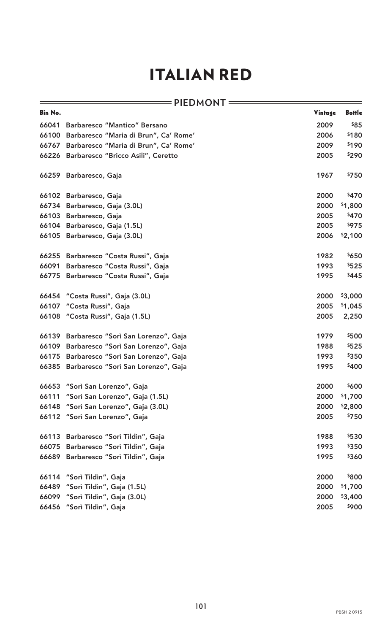|         | = PIEDMONT =                                |         |               |  |  |
|---------|---------------------------------------------|---------|---------------|--|--|
| Bin No. |                                             | Vintage | <b>Bottle</b> |  |  |
| 66041   | <b>Barbaresco "Mantico" Bersano</b>         | 2009    | \$85          |  |  |
|         | 66100 Barbaresco "Maria di Brun", Ca' Rome' | 2006    | \$180         |  |  |
|         | 66767 Barbaresco "Maria di Brun", Ca' Rome' | 2009    | \$190         |  |  |
|         | 66226 Barbaresco "Bricco Asili", Ceretto    | 2005    | \$290         |  |  |
|         | 66259 Barbaresco, Gaja                      | 1967    | \$750         |  |  |
|         | 66102 Barbaresco, Gaja                      | 2000    | \$470         |  |  |
|         | 66734 Barbaresco, Gaja (3.0L)               | 2000    | \$1,800       |  |  |
|         | 66103 Barbaresco, Gaja                      | 2005    | \$470         |  |  |
|         | 66104 Barbaresco, Gaja (1.5L)               | 2005    | \$975         |  |  |
|         | 66105 Barbaresco, Gaja (3.0L)               | 2006    | \$2,100       |  |  |
|         | 66255 Barbaresco "Costa Russi", Gaja        | 1982    | \$650         |  |  |
| 66091   | Barbaresco "Costa Russi", Gaja              | 1993    | \$525         |  |  |
|         | 66775 Barbaresco "Costa Russi", Gaja        | 1995    | \$445         |  |  |
|         | 66454 "Costa Russi", Gaja (3.0L)            | 2000    | \$3,000       |  |  |
| 66107   | "Costa Russi", Gaja                         | 2005    | \$1,045       |  |  |
| 66108   | "Costa Russi", Gaja (1.5L)                  | 2005    | 2,250         |  |  |
|         | 66139 Barbaresco "Sorì San Lorenzo", Gaja   | 1979    | \$500         |  |  |
|         | 66109 Barbaresco "Sorì San Lorenzo", Gaja   | 1988    | \$525         |  |  |
| 66175   | Barbaresco "Sorì San Lorenzo", Gaja         | 1993    | \$350         |  |  |
|         | 66385 Barbaresco "Sorì San Lorenzo", Gaja   | 1995    | \$400         |  |  |
| 66653   | "Sorì San Lorenzo", Gaja                    | 2000    | \$600         |  |  |
| 66111   | "Sorì San Lorenzo", Gaja (1.5L)             | 2000    | \$1,700       |  |  |
| 66148   | "Sorì San Lorenzo", Gaja (3.0L)             | 2000    | \$2,800       |  |  |
|         | 66112 "Sorì San Lorenzo", Gaja              | 2005    | \$750         |  |  |
| 66113   | Barbaresco "Sorì Tildìn", Gaja              | 1988    | \$530         |  |  |
| 66075   | Barbaresco "Sorì Tildìn", Gaja              | 1993    | \$350         |  |  |
|         | 66689 Barbaresco "Sorì Tildìn", Gaja        | 1995    | \$360         |  |  |
|         | 66114 "Sorì Tildìn", Gaja                   | 2000    | \$800         |  |  |
| 66489   | "Sorì Tildìn", Gaja (1.5L)                  | 2000    | \$1,700       |  |  |
|         | 66099 "Sorì Tildìn", Gaja (3.0L)            | 2000    | \$3,400       |  |  |
|         | 66456 "Sorì Tildìn", Gaja                   | 2005    | \$900         |  |  |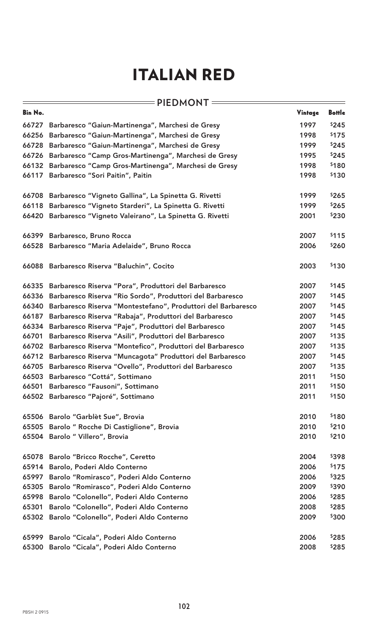| $=$ PIEDMONT $=$ |                                                                |         |               |  |  |  |
|------------------|----------------------------------------------------------------|---------|---------------|--|--|--|
| Bin No.          |                                                                | Vintage | <b>Bottle</b> |  |  |  |
| 66727            | Barbaresco "Gaiun-Martinenga", Marchesi de Gresy               | 1997    | \$245         |  |  |  |
| 66256            | Barbaresco "Gaiun-Martinenga", Marchesi de Gresy               | 1998    | \$175         |  |  |  |
| 66728            | Barbaresco "Gaiun-Martinenga", Marchesi de Gresy               | 1999    | \$245         |  |  |  |
| 66726            | Barbaresco "Camp Gros-Martinenga", Marchesi de Gresy           | 1995    | \$245         |  |  |  |
| 66132            | Barbaresco "Camp Gros-Martinenga", Marchesi de Gresy           | 1998    | \$180         |  |  |  |
|                  | 66117 Barbaresco "Sori Paitin", Paitin                         | 1998    | \$130         |  |  |  |
| 66708            | Barbaresco "Vigneto Gallina", La Spinetta G. Rivetti           | 1999    | \$265         |  |  |  |
| 66118            | Barbaresco "Vigneto Starderi", La Spinetta G. Rivetti          | 1999    | \$265         |  |  |  |
| 66420            | Barbaresco "Vigneto Valeirano", La Spinetta G. Rivetti         | 2001    | \$230         |  |  |  |
|                  | 66399 Barbaresco, Bruno Rocca                                  | 2007    | \$115         |  |  |  |
|                  | 66528 Barbaresco "Maria Adelaide", Bruno Rocca                 | 2006    | \$260         |  |  |  |
|                  | 66088 Barbaresco Riserva "Baluchin", Cocito                    | 2003    | \$130         |  |  |  |
| 66335            | Barbaresco Riserva "Pora", Produttori del Barbaresco           | 2007    | \$145         |  |  |  |
| 66336            | Barbaresco Riserva "Rio Sordo", Produttori del Barbaresco      | 2007    | \$145         |  |  |  |
| 66340            | Barbaresco Riserva "Montestefano", Produttori del Barbaresco   | 2007    | \$145         |  |  |  |
| 66187            | Barbaresco Riserva "Rabaja", Produttori del Barbaresco         | 2007    | \$145         |  |  |  |
| 66334            | Barbaresco Riserva "Paje", Produttori del Barbaresco           | 2007    | \$145         |  |  |  |
| 66701            | Barbaresco Riserva "Asili", Produttori del Barbaresco          | 2007    | \$135         |  |  |  |
| 66702            | Barbaresco Riserva "Montefico", Produttori del Barbaresco      | 2007    | \$135         |  |  |  |
|                  | 66712 Barbaresco Riserva "Muncagota" Produttori del Barbaresco | 2007    | \$145         |  |  |  |
| 66705            | Barbaresco Riserva "Ovello", Produttori del Barbaresco         | 2007    | \$135         |  |  |  |
| 66503            | Barbaresco "Cottá", Sottimano                                  | 2011    | \$150         |  |  |  |
| 66501            | Barbaresco "Fausoni", Sottimano                                | 2011    | \$150         |  |  |  |
| 66502            | Barbaresco "Pajoré", Sottimano                                 | 2011    | \$150         |  |  |  |
|                  | 65506 Barolo "Garblèt Sue", Brovia                             | 2010    | \$180         |  |  |  |
| 65505            | Barolo " Rocche Di Castiglione", Brovia                        | 2010    | \$210         |  |  |  |
|                  | 65504 Barolo " Villero", Brovia                                | 2010    | \$210         |  |  |  |
| 65078            | Barolo "Bricco Rocche", Ceretto                                | 2004    | \$398         |  |  |  |
| 65914            | Barolo, Poderi Aldo Conterno                                   | 2006    | \$175         |  |  |  |
| 65997            | Barolo "Romirasco", Poderi Aldo Conterno                       | 2006    | \$325         |  |  |  |
| 65305            | Barolo "Romirasco", Poderi Aldo Conterno                       | 2009    | \$390         |  |  |  |
| 65998            | Barolo "Colonello", Poderi Aldo Conterno                       | 2006    | \$285         |  |  |  |
| 65301            | Barolo "Colonello", Poderi Aldo Conterno                       | 2008    | \$285         |  |  |  |
| 65302            | Barolo "Colonello", Poderi Aldo Conterno                       | 2009    | \$300         |  |  |  |
| 65999            | Barolo "Cicala", Poderi Aldo Conterno                          | 2006    | \$285         |  |  |  |
| 65300            | Barolo "Cicala", Poderi Aldo Conterno                          | 2008    | \$285         |  |  |  |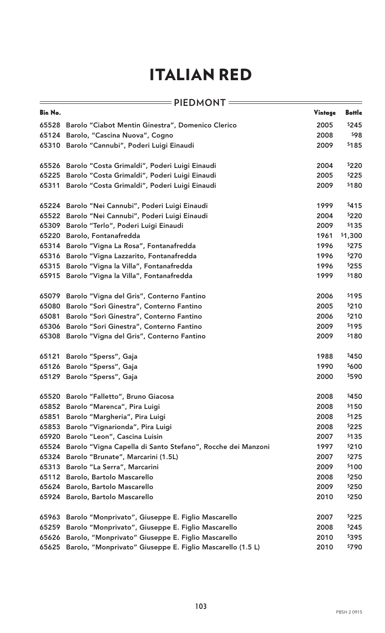| <b>Bin No.</b> | <b>PIEDMONT</b>                                             | Vintage | <b>Bottle</b> |
|----------------|-------------------------------------------------------------|---------|---------------|
| 65528          | Barolo "Ciabot Mentin Ginestra", Domenico Clerico           | 2005    | \$245         |
| 65124          | Barolo, "Cascina Nuova", Cogno                              | 2008    | \$98          |
| 65310          | Barolo "Cannubi", Poderi Luigi Einaudi                      | 2009    | \$185         |
|                | 65526 Barolo "Costa Grimaldi", Poderi Luigi Einaudi         | 2004    | \$220         |
| 65225          | Barolo "Costa Grimaldi", Poderi Luigi Einaudi               | 2005    | \$225         |
| 65311          | Barolo "Costa Grimaldi", Poderi Luigi Einaudi               | 2009    | \$180         |
| 65224          | Barolo "Nei Cannubi", Poderi Luigi Einaudi                  | 1999    | \$415         |
| 65522          | Barolo "Nei Cannubi", Poderi Luigi Einaudi                  | 2004    | \$220         |
| 65309          | Barolo "Terlo", Poderi Luigi Einaudi                        | 2009    | \$135         |
| 65220          | Barolo, Fontanafredda                                       | 1961    | \$1,300       |
| 65314          | Barolo "Vigna La Rosa", Fontanafredda                       | 1996    | \$275         |
| 65316          | Barolo "Vigna Lazzarito, Fontanafredda                      | 1996    | \$270         |
| 65315          | Barolo "Vigna la Villa", Fontanafredda                      | 1996    | \$255         |
| 65915          | Barolo "Vigna la Villa", Fontanafredda                      | 1999    | \$180         |
| 65079          | Barolo "Vigna del Gris", Conterno Fantino                   | 2006    | \$195         |
| 65080          | Barolo "Sorì Ginestra", Conterno Fantino                    | 2005    | \$210         |
| 65081          | Barolo "Sorì Ginestra", Conterno Fantino                    | 2006    | \$210         |
| 65306          | Barolo "Sori Ginestra", Conterno Fantino                    | 2009    | \$195         |
| 65308          | Barolo "Vigna del Gris", Conterno Fantino                   | 2009    | \$180         |
| 65121          | Barolo "Sperss", Gaja                                       | 1988    | \$450         |
| 65126          | Barolo "Sperss", Gaja                                       | 1990    | \$600         |
| 65129          | Barolo "Sperss", Gaja                                       | 2000    | \$590         |
| 65520          | Barolo "Falletto", Bruno Giacosa                            | 2008    | \$450         |
| 65852          | Barolo "Marenca", Pira Luigi                                | 2008    | \$150         |
| 65851          | Barolo "Margheria", Pira Luigi                              | 2008    | \$125         |
| 65853          | Barolo "Vignarionda", Pira Luigi                            | 2008    | \$225         |
| 65920          | Barolo "Leon", Cascina Luisin                               | 2007    | \$135         |
| 65524          | Barolo "Vigna Capella di Santo Stefano", Rocche dei Manzoni | 1997    | \$210         |
| 65324          | Barolo "Brunate", Marcarini (1.5L)                          | 2007    | \$275         |
| 65313          | Barolo "La Serra", Marcarini                                | 2009    | \$100         |
| 65112          | Barolo, Bartolo Mascarello                                  | 2008    | \$250         |
| 65624          | Barolo, Bartolo Mascarello                                  | 2009    | \$250         |
| 65924          | Barolo, Bartolo Mascarello                                  | 2010    | \$250         |
| 65963          | Barolo "Monprivato", Giuseppe E. Figlio Mascarello          | 2007    | \$225         |
| 65259          | Barolo "Monprivato", Giuseppe E. Figlio Mascarello          | 2008    | \$245         |
| 65626          | Barolo, "Monprivato" Giuseppe E. Figlio Mascarello          | 2010    | \$395         |
| 65625          | Barolo, "Monprivato" Giuseppe E. Figlio Mascarello (1.5 L)  | 2010    | \$790         |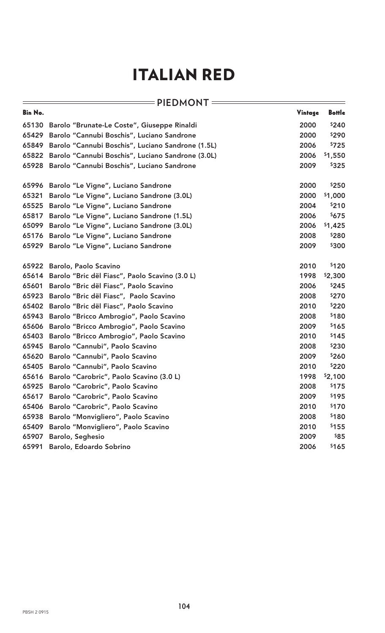| $=$ PIEDMONT = |                                                   |         |               |  |  |  |  |
|----------------|---------------------------------------------------|---------|---------------|--|--|--|--|
| Bin No.        |                                                   | Vintage | <b>Bottle</b> |  |  |  |  |
| 65130          | Barolo "Brunate-Le Coste", Giuseppe Rinaldi       | 2000    | \$240         |  |  |  |  |
| 65429          | Barolo "Cannubi Boschis", Luciano Sandrone        | 2000    | \$290         |  |  |  |  |
| 65849          | Barolo "Cannubi Boschis", Luciano Sandrone (1.5L) | 2006    | \$725         |  |  |  |  |
| 65822          | Barolo "Cannubi Boschis", Luciano Sandrone (3.0L) | 2006    | \$1,550       |  |  |  |  |
| 65928          | Barolo "Cannubi Boschis", Luciano Sandrone        | 2009    | \$325         |  |  |  |  |
| 65996          | Barolo "Le Vigne", Luciano Sandrone               | 2000    | \$250         |  |  |  |  |
| 65321          | Barolo "Le Vigne", Luciano Sandrone (3.0L)        | 2000    | \$1,000       |  |  |  |  |
| 65525          | Barolo "Le Vigne", Luciano Sandrone               | 2004    | \$210         |  |  |  |  |
| 65817          | Barolo "Le Vigne", Luciano Sandrone (1.5L)        | 2006    | \$675         |  |  |  |  |
| 65099          | Barolo "Le Vigne", Luciano Sandrone (3.0L)        | 2006    | \$1,425       |  |  |  |  |
| 65176          | Barolo "Le Vigne", Luciano Sandrone               | 2008    | \$280         |  |  |  |  |
| 65929          | Barolo "Le Vigne", Luciano Sandrone               | 2009    | \$300         |  |  |  |  |
|                | 65922 Barolo, Paolo Scavino                       | 2010    | \$120         |  |  |  |  |
| 65614          | Barolo "Bric dël Fiasc", Paolo Scavino (3.0 L)    | 1998    | \$2,300       |  |  |  |  |
| 65601          | Barolo "Bric dël Fiasc", Paolo Scavino            | 2006    | \$245         |  |  |  |  |
| 65923          | Barolo "Bric dël Fiasc", Paolo Scavino            | 2008    | \$270         |  |  |  |  |
| 65402          | Barolo "Bric dël Fiasc", Paolo Scavino            | 2010    | \$220         |  |  |  |  |
| 65943          | Barolo "Bricco Ambrogio", Paolo Scavino           | 2008    | \$180         |  |  |  |  |
| 65606          | Barolo "Bricco Ambrogio", Paolo Scavino           | 2009    | \$165         |  |  |  |  |
| 65403          | Barolo "Bricco Ambrogio", Paolo Scavino           | 2010    | \$145         |  |  |  |  |
| 65945          | Barolo "Cannubi", Paolo Scavino                   | 2008    | \$230         |  |  |  |  |
| 65620          | Barolo "Cannubi", Paolo Scavino                   | 2009    | \$260         |  |  |  |  |
| 65405          | Barolo "Cannubi", Paolo Scavino                   | 2010    | \$220         |  |  |  |  |
|                | 65616 Barolo "Carobric", Paolo Scavino (3.0 L)    | 1998    | \$2,100       |  |  |  |  |
| 65925          | Barolo "Carobric", Paolo Scavino                  | 2008    | \$175         |  |  |  |  |
| 65617          | Barolo "Carobric", Paolo Scavino                  | 2009    | \$195         |  |  |  |  |
| 65406          | Barolo "Carobric", Paolo Scavino                  | 2010    | \$170         |  |  |  |  |
| 65938          | Barolo "Monvigliero", Paolo Scavino               | 2008    | \$180         |  |  |  |  |
| 65409          | Barolo "Monvigliero", Paolo Scavino               | 2010    | \$155         |  |  |  |  |
| 65907          | Barolo, Seghesio                                  | 2009    | \$85          |  |  |  |  |
| 65991          | Barolo, Edoardo Sobrino                           | 2006    | \$165         |  |  |  |  |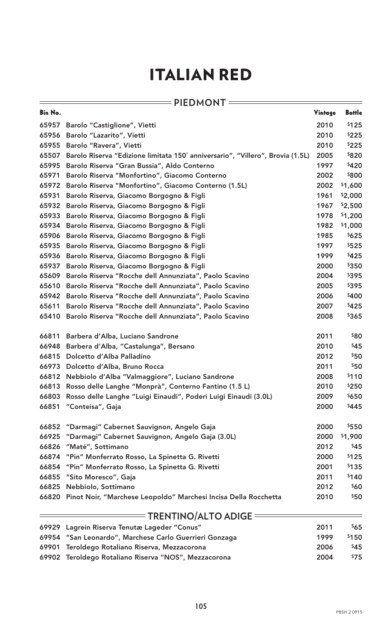|                | $=$ PIEDMONT                                                                   |         |               |
|----------------|--------------------------------------------------------------------------------|---------|---------------|
| <b>Bin No.</b> |                                                                                | Vintage | <b>Bottle</b> |
| 65957          | <b>Barolo "Castiglione", Vietti</b>                                            | 2010    | \$125         |
| 65956          | Barolo "Lazarito", Vietti                                                      | 2010    | \$225         |
| 65955          | Barolo "Ravera", Vietti                                                        | 2010    | \$225         |
| 65507          | Barolo Riserva "Edizione limitata 150° anniversario", "Villero", Brovia (1.5L) | 2005    | \$820         |
| 65995          | Barolo Riserva "Gran Bussia", Aldo Conterno                                    | 1997    | \$420         |
| 65971          | Barolo Riserva "Monfortino", Giacomo Conterno                                  | 2002    | \$800         |
|                | 65972 Barolo Riserva "Monfortino", Giacomo Conterno (1.5L)                     | 2002    | \$1,600       |
| 65931          | Barolo Riserva, Giacomo Borgogno & Figli                                       | 1961    | \$2,000       |
| 65932          | Barolo Riserva, Giacomo Borgogno & Figli                                       | 1967    | \$2,500       |
| 65933          | Barolo Riserva, Giacomo Borgogno & Figli                                       | 1978    | \$1,200       |
|                | 65934 Barolo Riserva, Giacomo Borgogno & Figli                                 | 1982    | \$1,000       |
| 65906          | Barolo Riserva, Giacomo Borgogno & Figli                                       | 1985    | \$625         |
|                | 65935 Barolo Riserva, Giacomo Borgogno & Figli                                 | 1997    | \$525         |
|                | 65936 Barolo Riserva, Giacomo Borgogno & Figli                                 | 1999    | \$425         |
| 65937          | Barolo Riserva, Giacomo Borgogno & Figli                                       | 2000    | \$350         |
|                | 65609 Barolo Riserva "Rocche dell Annunziata", Paolo Scavino                   | 2004    | \$395         |
|                | 65610 Barolo Riserva "Rocche dell Annunziata", Paolo Scavino                   | 2005    | \$395         |
|                | 65942 Barolo Riserva "Rocche dell Annunziata", Paolo Scavino                   | 2006    | \$400         |
| 65611          | Barolo Riserva "Rocche dell Annunziata", Paolo Scavino                         | 2007    | \$425         |
|                | 65410 Barolo Riserva "Rocche dell Annunziata", Paolo Scavino                   | 2008    | \$365         |
| 66811          | Barbera d'Alba, Luciano Sandrone                                               | 2011    | \$80          |
| 66948          | Barbera d'Alba, "Castalunga", Bersano                                          | 2010    | \$45          |
| 66815          | Dolcetto d'Alba Palladino                                                      | 2012    | \$50          |
| 66973          | Dolcetto d'Alba, Bruno Rocca                                                   | 2011    | \$50          |
|                | 66812 Nebbiolo d'Alba "Valmaggiore", Luciano Sandrone                          | 2008    | \$110         |
|                | 66813 Rosso delle Langhe "Monprà", Conterno Fantino (1.5 L)                    | 2010    | \$250         |
| 66803          | Rosso delle Langhe "Luigi Einaudi", Poderi Luigi Einaudi (3.0L)                | 2009    | \$650         |
| 66851          | "Conteisa", Gaja                                                               | 2000    | \$445         |
| 66852          | "Darmagi" Cabernet Sauvignon, Angelo Gaja                                      | 2000    | \$550         |
| 66925          | "Darmagi" Cabernet Sauvignon, Angelo Gaja (3.0L)                               | 2000    | \$1,900       |
| 66826          | "Maté", Sottimano                                                              | 2012    | \$45          |
| 66874          | "Pin" Monferrato Rosso, La Spinetta G. Rivetti                                 | 2000    | \$125         |
| 66854          | "Pin" Monferrato Rosso, La Spinetta G. Rivetti                                 | 2001    | \$135         |
| 66855          | "Sito Moresco", Gaja                                                           | 2011    | \$140         |
| 66825          | Nebbiolo, Sottimano                                                            | 2012    | \$60          |
|                | 66820 Pinot Noir, "Marchese Leopoldo" Marchesi Incisa Della Rocchetta          | 2010    | \$50          |
|                | = TRENTINO/ALTO ADIGE =                                                        |         |               |
| 69929          | Lagrein Riserva Tenutæ Lageder "Conus"                                         | 2011    | \$65          |
| 69954          | "San Leonardo", Marchese Carlo Guerrieri Gonzaga                               | 1999    | \$150         |
| 69901          | Teroldego Rotaliano Riserva, Mezzacorona                                       | 2006    | \$45          |

69902 Teroldego Rotaliano Riserva "NOS", Mezzacorona 2004 1975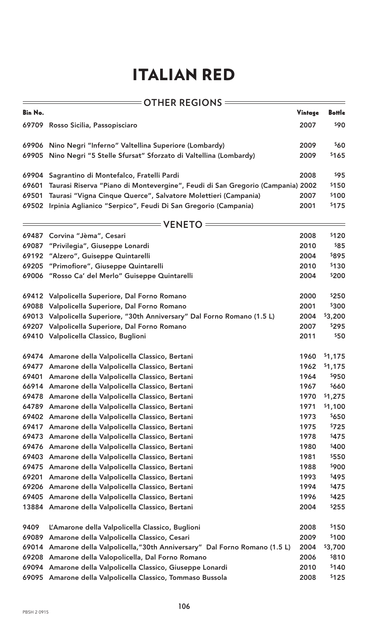|                | <b>OTHER REGIONS =</b>                                                         |         |               |
|----------------|--------------------------------------------------------------------------------|---------|---------------|
| <b>Bin No.</b> |                                                                                | Vintage | <b>Bottle</b> |
|                | 69709 Rosso Sicilia, Passopisciaro                                             | 2007    | \$90          |
|                | 69906 Nino Negri "Inferno" Valtellina Superiore (Lombardy)                     | 2009    | \$60          |
| 69905          | Nino Negri "5 Stelle Sfursat" Sforzato di Valtellina (Lombardy)                | 2009    | \$165         |
|                | 69904 Sagrantino di Montefalco, Fratelli Pardi                                 | 2008    | \$95          |
| 69601          | Taurasi Riserva "Piano di Montevergine", Feudi di San Gregorio (Campania) 2002 |         | \$150         |
| 69501          | Taurasi "Vigna Cinque Querce", Salvatore Molettieri (Campania)                 | 2007    | \$100         |
| 69502          | Irpinia Aglianico "Serpico", Feudi Di San Gregorio (Campania)                  | 2001    | \$175         |
|                | <b>= VENETO</b>                                                                |         |               |
|                | 69487 Corvina "Jèma", Cesari                                                   | 2008    | \$120         |
| 69087          | "Privilegia", Giuseppe Lonardi                                                 | 2010    | \$85          |
| 69192          | "Alzero", Guiseppe Quintarelli                                                 | 2004    | \$895         |
| 69205          | "Primofiore", Giuseppe Quintarelli                                             | 2010    | \$130         |
| 69006          | "Rosso Ca' del Merlo" Guiseppe Quintarelli                                     | 2004    | \$200         |
|                | 69412 Valpolicella Superiore, Dal Forno Romano                                 | 2000    | \$250         |
| 69088          | Valpolicella Superiore, Dal Forno Romano                                       | 2001    | \$300         |
| 69013          | Valpolicella Superiore, "30th Anniversary" Dal Forno Romano (1.5 L)            | 2004    | \$3,200       |
|                | 69207 Valpolicella Superiore, Dal Forno Romano                                 | 2007    | \$295         |
|                | 69410 Valpolicella Classico, Buglioni                                          | 2011    | \$50          |
|                | 69474 Amarone della Valpolicella Classico, Bertani                             | 1960    | \$1,175       |
|                | 69477 Amarone della Valpolicella Classico, Bertani                             | 1962    | \$1,175       |
| 69401          | Amarone della Valpolicella Classico, Bertani                                   | 1964    | \$950         |
|                | 66914 Amarone della Valpolicella Classico, Bertani                             | 1967    | \$660         |
| 69478          | Amarone della Valpolicella Classico, Bertani                                   | 1970    | \$1,275       |
|                | 64789 Amarone della Valpolicella Classico, Bertani                             | 1971    | \$1,100       |
|                | 69402 Amarone della Valpolicella Classico, Bertani                             | 1973    | \$650         |
| 69417          | Amarone della Valpolicella Classico, Bertani                                   | 1975    | \$725         |
| 69473          | Amarone della Valpolicella Classico, Bertani                                   | 1978    | \$475         |
| 69476          | Amarone della Valpolicella Classico, Bertani                                   | 1980    | \$400         |
| 69403          | Amarone della Valpolicella Classico, Bertani                                   | 1981    | \$550         |
| 69475          | Amarone della Valpolicella Classico, Bertani                                   | 1988    | \$900         |
| 69201          | Amarone della Valpolicella Classico, Bertani                                   | 1993    | \$495         |
| 69206          | Amarone della Valpolicella Classico, Bertani                                   | 1994    | \$475         |
| 69405          | Amarone della Valpolicella Classico, Bertani                                   | 1996    | \$425         |
| 13884          | Amarone della Valpolicella Classico, Bertani                                   | 2004    | \$255         |
| 9409           | L'Amarone della Valpolicella Classico, Buglioni                                | 2008    | \$150         |
| 69089          | Amarone della Valpolicella Classico, Cesari                                    | 2009    | \$100         |
| 69014          | Amarone della Valpolicella, "30th Anniversary" Dal Forno Romano (1.5 L)        | 2004    | \$3,700       |
| 69208          | Amarone della Valopolicella, Dal Forno Romano                                  | 2006    | \$810         |
| 69094          | Amarone della Valpolicella Classico, Giuseppe Lonardi                          | 2010    | \$140         |
| 69095          | Amarone della Valpolicella Classico, Tommaso Bussola                           | 2008    | \$125         |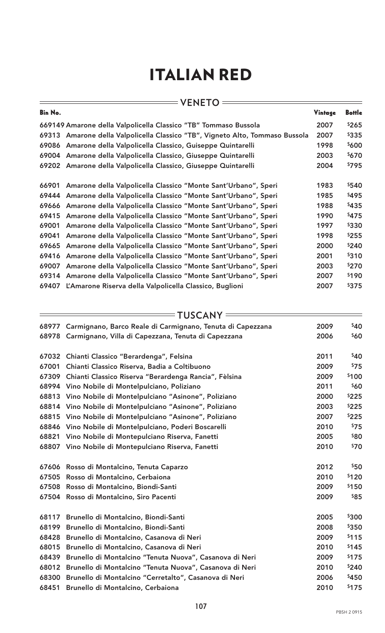|         | <b>VENETO</b>                                                                 |         |               |
|---------|-------------------------------------------------------------------------------|---------|---------------|
| Bin No. |                                                                               | Vintage | <b>Bottle</b> |
|         | 669149 Amarone della Valpolicella Classico "TB" Tommaso Bussola               | 2007    | \$265         |
|         | 69313 Amarone della Valpolicella Classico "TB", Vigneto Alto, Tommaso Bussola | 2007    | \$335         |
| 69086   | Amarone della Valpolicella Classico, Guiseppe Quintarelli                     | 1998    | \$600         |
| 69004   | Amarone della Valpolicella Classico, Giuseppe Quintarelli                     | 2003    | \$670         |
|         | 69202 Amarone della Valpolicella Classico, Giuseppe Quintarelli               | 2004    | \$795         |
| 66901   | Amarone della Valpolicella Classico "Monte Sant'Urbano", Speri                | 1983    | \$540         |
| 69444   | Amarone della Valpolicella Classico "Monte Sant'Urbano", Speri                | 1985    | \$495         |
| 69666   | Amarone della Valpolicella Classico "Monte Sant'Urbano", Speri                | 1988    | \$435         |
| 69415   | Amarone della Valpolicella Classico "Monte Sant'Urbano", Speri                | 1990    | \$475         |
| 69001   | Amarone della Valpolicella Classico "Monte Sant'Urbano", Speri                | 1997    | \$330         |
| 69041   | Amarone della Valpolicella Classico "Monte Sant'Urbano", Speri                | 1998    | \$255         |
| 69665   | Amarone della Valpolicella Classico "Monte Sant'Urbano", Speri                | 2000    | \$240         |
| 69416   | Amarone della Valpolicella Classico "Monte Sant'Urbano", Speri                | 2001    | \$310         |
| 69007   | Amarone della Valpolicella Classico "Monte Sant'Urbano", Speri                | 2003    | \$270         |
| 69314   | Amarone della Valpolicella Classico "Monte Sant'Urbano", Speri                | 2007    | \$190         |
| 69407   | L'Amarone Riserva della Valpolicella Classico, Buglioni                       | 2007    | \$375         |

|       | $=$ TUSCANY $=$                                            |      |             |  |  |
|-------|------------------------------------------------------------|------|-------------|--|--|
| 68977 | Carmignano, Barco Reale di Carmignano, Tenuta di Capezzana | 2009 | \$40        |  |  |
| 68978 | Carmignano, Villa di Capezzana, Tenuta di Capezzana        | 2006 | <b>\$60</b> |  |  |
| 67032 | Chianti Classico "Berardenga", Felsina                     | 2011 | \$40        |  |  |
| 67001 | Chianti Classico Riserva, Badia a Coltibuono               | 2009 | 575         |  |  |
| 67309 | Chianti Classico Riserva "Berardenga Rancia", Fèlsina      | 2009 | \$100       |  |  |
| 68994 | Vino Nobile di Montelpulciano, Poliziano                   | 2011 | \$60        |  |  |
| 68813 | Vino Nobile di Montelpulciano "Asinone", Poliziano         | 2000 | \$225       |  |  |
| 68814 | Vino Nobile di Montelpulciano "Asinone", Poliziano         | 2003 | \$225       |  |  |
| 68815 | Vino Nobile di Montelpulciano "Asinone", Poliziano         | 2007 | \$225       |  |  |
| 68846 | Vino Nobile di Montelpulciano, Poderi Boscarelli           | 2010 | \$75        |  |  |
| 68821 | Vino Nobile di Montepulciano Riserva, Fanetti              | 2005 | \$80        |  |  |
| 68807 | Vino Nobile di Montepulciano Riserva, Fanetti              | 2010 | 570         |  |  |
|       | 67606 Rosso di Montalcino, Tenuta Caparzo                  | 2012 | \$50        |  |  |
| 67505 | Rosso di Montalcino, Cerbaiona                             | 2010 | \$120       |  |  |
| 67508 | Rosso di Montalcino, Biondi-Santi                          | 2009 | \$150       |  |  |
|       | 67504 Rosso di Montalcino, Siro Pacenti                    | 2009 | \$85        |  |  |
| 68117 | Brunello di Montalcino, Biondi-Santi                       | 2005 | \$300       |  |  |
| 68199 | Brunello di Montalcino, Biondi-Santi                       | 2008 | \$350       |  |  |
| 68428 | Brunello di Montalcino, Casanova di Neri                   | 2009 | \$115       |  |  |
| 68015 | Brunello di Montalcino, Casanova di Neri                   | 2010 | \$145       |  |  |
| 68439 | Brunello di Montalcino "Tenuta Nuova", Casanova di Neri    | 2009 | \$175       |  |  |
| 68012 | Brunello di Montalcino "Tenuta Nuova", Casanova di Neri    | 2010 | \$240       |  |  |
| 68300 | Brunello di Montalcino "Cerretalto", Casanova di Neri      | 2006 | \$450       |  |  |
| 68451 | Brunello di Montalcino, Cerbaiona                          | 2010 | \$175       |  |  |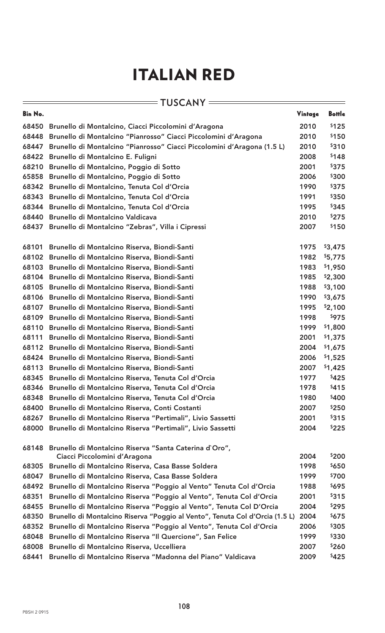| $= {\sf TUSCANY} =$ |                                                                              |         |               |  |
|---------------------|------------------------------------------------------------------------------|---------|---------------|--|
| Bin No.             |                                                                              | Vintage | <b>Bottle</b> |  |
| 68450               | Brunello di Montalcino, Ciacci Piccolomini d'Aragona                         | 2010    | \$125         |  |
| 68448               | Brunello di Montalcino "Pianrosso" Ciacci Piccolomini d'Aragona              | 2010    | \$150         |  |
| 68447               | Brunello di Montalcino "Pianrosso" Ciacci Piccolomini d'Aragona (1.5 L)      | 2010    | \$310         |  |
| 68422               | Brunello di Montalcino E. Fuligni                                            | 2008    | \$148         |  |
| 68210               | Brunello di Montalcino, Poggio di Sotto                                      | 2001    | \$375         |  |
| 65858               | Brunello di Montalcino, Poggio di Sotto                                      | 2006    | \$300         |  |
| 68342               | Brunello di Montalcino, Tenuta Col d'Orcia                                   | 1990    | \$375         |  |
| 68343               | Brunello di Montalcino, Tenuta Col d'Orcia                                   | 1991    | \$350         |  |
| 68344               | Brunello di Montalcino, Tenuta Col d'Orcia                                   | 1995    | \$345         |  |
| 68440               | Brunello di Montalcino Valdicava                                             | 2010    | \$275         |  |
| 68437               | Brunello di Montalcino "Zebras", Villa i Cipressi                            | 2007    | \$150         |  |
| 68101               | Brunello di Montalcino Riserva, Biondi-Santi                                 | 1975    | \$3,475       |  |
| 68102               | Brunello di Montalcino Riserva, Biondi-Santi                                 | 1982    | \$5,775       |  |
| 68103               | Brunello di Montalcino Riserva, Biondi-Santi                                 | 1983    | \$1,950       |  |
| 68104               | Brunello di Montalcino Riserva, Biondi-Santi                                 | 1985    | \$2,300       |  |
| 68105               | Brunello di Montalcino Riserva, Biondi-Santi                                 | 1988    | \$3,100       |  |
| 68106               | Brunello di Montalcino Riserva, Biondi-Santi                                 | 1990    | \$3,675       |  |
| 68107               | Brunello di Montalcino Riserva, Biondi-Santi                                 | 1995    | \$2,100       |  |
| 68109               | Brunello di Montalcino Riserva, Biondi-Santi                                 | 1998    | \$975         |  |
| 68110               | Brunello di Montalcino Riserva, Biondi-Santi                                 | 1999    | \$1,800       |  |
| 68111               | Brunello di Montalcino Riserva, Biondi-Santi                                 | 2001    | \$1,375       |  |
| 68112               | Brunello di Montalcino Riserva, Biondi-Santi                                 | 2004    | \$1,675       |  |
|                     | 68424 Brunello di Montalcino Riserva, Biondi-Santi                           | 2006    | \$1,525       |  |
|                     | 68113 Brunello di Montalcino Riserva, Biondi-Santi                           | 2007    | \$1,425       |  |
|                     | 68345 Brunello di Montalcino Riserva, Tenuta Col d'Orcia                     | 1977    | \$425         |  |
| 68346               | Brunello di Montalcino Riserva, Tenuta Col d'Orcia                           | 1978    | \$415         |  |
|                     | 68348 Brunello di Montalcino Riserva, Tenuta Col d'Orcia                     | 1980    | \$400         |  |
| 68400               | Brunello di Montalcino Riserva, Conti Costanti                               | 2007    | \$250         |  |
| 68267               | Brunello di Montalcino Riserva "Pertimali", Livio Sassetti                   | 2001    | \$315         |  |
| 68000               | Brunello di Montalcino Riserva "Pertimali", Livio Sassetti                   | 2004    | \$225         |  |
| 68148               | Brunello di Montalcino Riserva "Santa Caterina d'Oro",                       |         |               |  |
|                     | Ciacci Piccolomini d'Aragona                                                 | 2004    | \$200         |  |
| 68305               | Brunello di Montalcino Riserva, Casa Basse Soldera                           | 1998    | \$650         |  |
| 68047               | Brunello di Montalcino Riserva, Casa Basse Soldera                           | 1999    | \$700         |  |
| 68492               | Brunello di Montalcino Riserva "Poggio al Vento" Tenuta Col d'Orcia          | 1988    | \$695         |  |
| 68351               | Brunello di Montalcino Riserva "Poggio al Vento", Tenuta Col d'Orcia         | 2001    | \$315         |  |
| 68455               | Brunello di Montalcino Riserva "Poggio al Vento", Tenuta Col D'Orcia         | 2004    | \$295         |  |
| 68350               | Brunello di Montalcino Riserva "Poggio al Vento", Tenuta Col d'Orcia (1.5 L) | 2004    | \$675         |  |
| 68352               | Brunello di Montalcino Riserva "Poggio al Vento", Tenuta Col d'Orcia         | 2006    | \$305         |  |
| 68048               | Brunello di Montalcino Riserva "Il Quercione", San Felice                    | 1999    | \$330         |  |
| 68008               | Brunello di Montalcino Riserva, Uccelliera                                   | 2007    | \$260         |  |
| 68441               | Brunello di Montalcino Riserva "Madonna del Piano" Valdicava                 | 2009    | \$425         |  |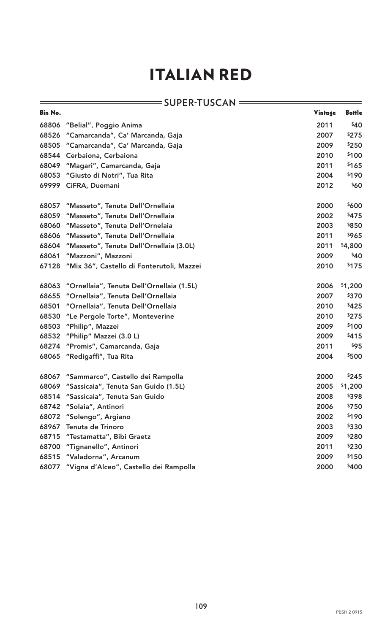#### **SUPER-TUSCAN** ——————

 $\frac{1}{\sqrt{2\pi}}\left( \frac{1}{\sqrt{2\pi}}\right) ^{2}+\frac{1}{\sqrt{2\pi}}\left( \frac{1}{\sqrt{2\pi}}\right) ^{2}+\frac{1}{\sqrt{2\pi}}\left( \frac{1}{\sqrt{2\pi}}\right) ^{2}+\frac{1}{\sqrt{2\pi}}\left( \frac{1}{\sqrt{2\pi}}\right) ^{2}+\frac{1}{\sqrt{2\pi}}\left( \frac{1}{\sqrt{2\pi}}\right) ^{2}+\frac{1}{\sqrt{2\pi}}\left( \frac{1}{\sqrt{2\pi}}\right) ^{2}+\frac{1}{\sqrt{2\pi}}\left( \$ 

| Bin No. |                                                 | Vintage | <b>Bottle</b> |
|---------|-------------------------------------------------|---------|---------------|
| 68806   | "Belial", Poggio Anima                          | 2011    | \$40          |
| 68526   | "Camarcanda", Ca' Marcanda, Gaja                | 2007    | \$275         |
| 68505   | "Camarcanda", Ca' Marcanda, Gaja                | 2009    | \$250         |
| 68544   | Cerbaiona, Cerbaiona                            | 2010    | \$100         |
| 68049   | "Magari", Camarcanda, Gaja                      | 2011    | \$165         |
| 68053   | "Giusto di Notri", Tua Rita                     | 2004    | \$190         |
| 69999   | CiFRA, Duemani                                  | 2012    | \$60          |
| 68057   | "Masseto", Tenuta Dell'Ornellaia                | 2000    | \$600         |
| 68059   | "Masseto", Tenuta Dell'Ornellaia                | 2002    | \$475         |
| 68060   | "Masseto", Tenuta Dell'Ornelaia                 | 2003    | \$850         |
| 68606   | "Masseto", Tenuta Dell'Ornellaia                | 2011    | \$965         |
| 68604   | "Masseto", Tenuta Dell'Ornellaia (3.0L)         | 2011    | \$4,800       |
| 68061   | "Mazzoni", Mazzoni                              | 2009    | \$40          |
|         | 67128 "Mix 36", Castello di Fonterutoli, Mazzei | 2010    | \$175         |
|         | 68063 "Ornellaia", Tenuta Dell'Ornellaia (1.5L) | 2006    | \$1,200       |
| 68655   | "Ornellaia", Tenuta Dell'Ornellaia              | 2007    | \$370         |
| 68501   | "Ornellaia", Tenuta Dell'Ornellaia              | 2010    | \$425         |
| 68530   | "Le Pergole Torte", Monteverine                 | 2010    | \$275         |
| 68503   | "Philip", Mazzei                                | 2009    | \$100         |
| 68532   | "Philip" Mazzei (3.0 L)                         | 2009    | \$415         |
| 68274   | "Promis", Camarcanda, Gaja                      | 2011    | \$95          |
|         | 68065 "Redigaffi", Tua Rita                     | 2004    | \$500         |
|         | 68067 "Sammarco", Castello dei Rampolla         | 2000    | \$245         |
| 68069   | "Sassicaia", Tenuta San Guido (1.5L)            | 2005    | \$1,200       |
| 68514   | "Sassicaia", Tenuta San Guido                   | 2008    | \$398         |
| 68742   | "Solaia", Antinori                              | 2006    | \$750         |
| 68072   | "Solengo", Argiano                              | 2002    | \$190         |
| 68967   | Tenuta de Trinoro                               | 2003    | \$330         |
| 68715   | "Testamatta", Bibi Graetz                       | 2009    | \$280         |
| 68700   | "Tignanello", Antinori                          | 2011    | \$230         |
| 68515   | "Valadorna", Arcanum                            | 2009    | \$150         |
| 68077   | "Vigna d'Alceo", Castello dei Rampolla          | 2000    | \$400         |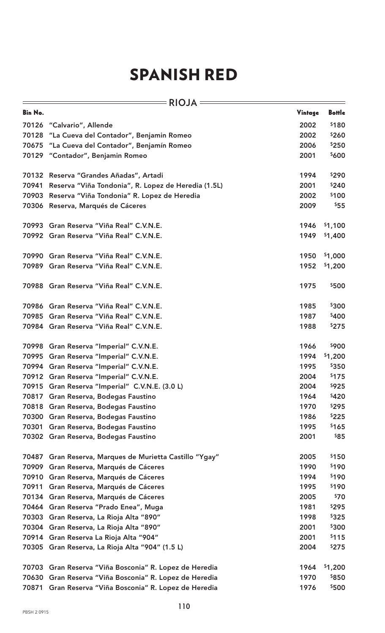|                | $=$ RIOJA =                                         |         |               |
|----------------|-----------------------------------------------------|---------|---------------|
| <b>Bin No.</b> |                                                     | Vintage | <b>Bottle</b> |
|                | 70126 "Calvario", Allende                           | 2002    | \$180         |
| 70128          | "La Cueva del Contador", Benjamin Romeo             | 2002    | \$260         |
| 70675          | "La Cueva del Contador", Benjamín Romeo             | 2006    | \$250         |
|                | 70129 "Contador", Benjamin Romeo                    | 2001    | \$600         |
|                | 70132 Reserva "Grandes Añadas", Artadi              | 1994    | \$290         |
| 70941          | Reserva "Viña Tondonia", R. Lopez de Heredia (1.5L) | 2001    | \$240         |
|                | 70903 Reserva "Viña Tondonia" R. Lopez de Heredia   | 2002    | \$100         |
|                | 70306 Reserva, Marqués de Cáceres                   | 2009    | \$55          |
|                | 70993 Gran Reserva "Viña Real" C.V.N.E.             | 1946    | \$1,100       |
|                | 70992 Gran Reserva "Viña Real" C.V.N.E.             | 1949    | \$1,400       |
|                | 70990 Gran Reserva "Viña Real" C.V.N.E.             | 1950    | \$1,000       |
|                | 70989 Gran Reserva "Viña Real" C.V.N.E.             | 1952    | \$1,200       |
|                | 70988 Gran Reserva "Viña Real" C.V.N.E.             | 1975    | \$500         |
|                | 70986 Gran Reserva "Viña Real" C.V.N.E.             | 1985    | \$300         |
| 70985          | Gran Reserva "Viña Real" C.V.N.E.                   | 1987    | \$400         |
|                | 70984 Gran Reserva "Viña Real" C.V.N.E.             | 1988    | \$275         |
|                | 70998 Gran Reserva "Imperial" C.V.N.E.              | 1966    | \$900         |
|                | 70995 Gran Reserva "Imperial" C.V.N.E.              | 1994    | \$1,200       |
|                | 70994 Gran Reserva "Imperial" C.V.N.E.              | 1995    | \$350         |
|                | 70912 Gran Reserva "Imperial" C.V.N.E.              | 2004    | \$175         |
|                | 70915 Gran Reserva "Imperial" C.V.N.E. (3.0 L)      | 2004    | \$925         |
| 70817          | Gran Reserva, Bodegas Faustino                      | 1964    | \$420         |
| 70818          | Gran Reserva, Bodegas Faustino                      | 1970    | \$295         |
|                | 70300 Gran Reserva, Bodegas Faustino                | 1986    | \$225         |
| 70301          | Gran Reserva, Bodegas Faustino                      | 1995    | \$165         |
|                | 70302 Gran Reserva, Bodegas Faustino                | 2001    | \$85          |
| 70487          | Gran Reserva, Marques de Murietta Castillo "Ygay"   | 2005    | \$150         |
|                | 70909 Gran Reserva, Marqués de Cáceres              | 1990    | \$190         |
| 70910          | Gran Reserva, Marqués de Cáceres                    | 1994    | \$190         |
| 70911          | Gran Reserva, Marqués de Cáceres                    | 1995    | \$190         |
|                | 70134 Gran Reserva, Marqués de Cáceres              | 2005    | \$70          |
|                | 70464 Gran Reserva "Prado Enea", Muga               | 1981    | \$295         |
| 70303          | Gran Reserva, La Rioja Alta "890"                   | 1998    | \$325         |
|                | 70304 Gran Reserva, La Rioja Alta "890"             | 2001    | \$300         |
|                | 70914 Gran Reserva La Rioja Alta "904"              | 2001    | \$115         |
| 70305          | Gran Reserva, La Rioja Alta "904" (1.5 L)           | 2004    | \$275         |
| 70703          | Gran Reserva "Viña Bosconia" R. Lopez de Heredia    | 1964    | \$1,200       |
| 70630          | Gran Reserva "Viña Bosconia" R. Lopez de Heredia    | 1970    | \$850         |
| 70871          | Gran Reserva "Viña Bosconia" R. Lopez de Heredia    | 1976    | \$500         |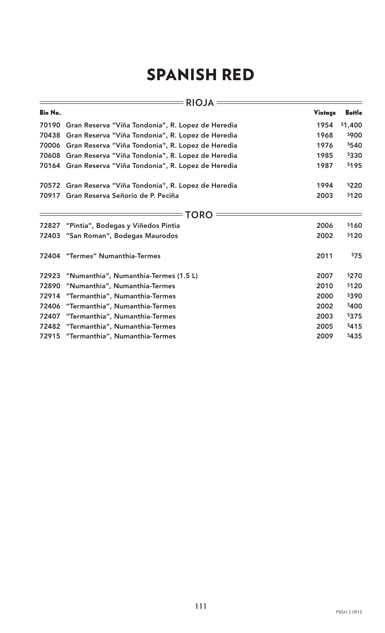|                | <b>RIOJA</b>                                            |         |               |  |  |
|----------------|---------------------------------------------------------|---------|---------------|--|--|
| <b>Bin No.</b> |                                                         | Vintage | <b>Bottle</b> |  |  |
| 70190          | Gran Reserva "Viña Tondonia", R. Lopez de Heredia       | 1954    | \$1,400       |  |  |
| 70438          | Gran Reserva "Viña Tondonia", R. Lopez de Heredia       | 1968    | \$900         |  |  |
| 70006          | Gran Reserva "Viña Tondonia", R. Lopez de Heredia       | 1976    | \$540         |  |  |
| 70608          | Gran Reserva "Viña Tondonia", R. Lopez de Heredia       | 1985    | \$330         |  |  |
|                | 70164 Gran Reserva "Viña Tondonia", R. Lopez de Heredia | 1987    | \$195         |  |  |
| 70572          | Gran Reserva "Viña Tondonia", R. Lopez de Heredia       | 1994    | \$220         |  |  |
| 70917          | Gran Reserva Señorío de P. Peciña                       | 2003    | \$120         |  |  |
|                | TORO                                                    |         |               |  |  |
| 72827          | "Pintia", Bodegas y Viñedos Pintia                      | 2006    | \$160         |  |  |
| 72403          | "San Roman", Bodegas Maurodos                           | 2002    | \$120         |  |  |
| 72404          | "Termes" Numanthia-Termes                               | 2011    | \$75          |  |  |
| 72923          | "Numanthia", Numanthia-Termes (1.5 L)                   | 2007    | \$270         |  |  |
| 72890          | "Numanthia", Numanthia-Termes                           | 2010    | \$120         |  |  |
| 72914          | "Termanthia", Numanthia-Termes                          | 2000    | \$390         |  |  |
| 72406          | "Termanthia", Numanthia-Termes                          | 2002    | \$400         |  |  |
| 72407          | "Termanthia", Numanthia-Termes                          | 2003    | \$375         |  |  |
| 72482          | "Termanthia", Numanthia-Termes                          | 2005    | \$415         |  |  |
| 72915          | "Termanthia", Numanthia-Termes                          | 2009    | \$435         |  |  |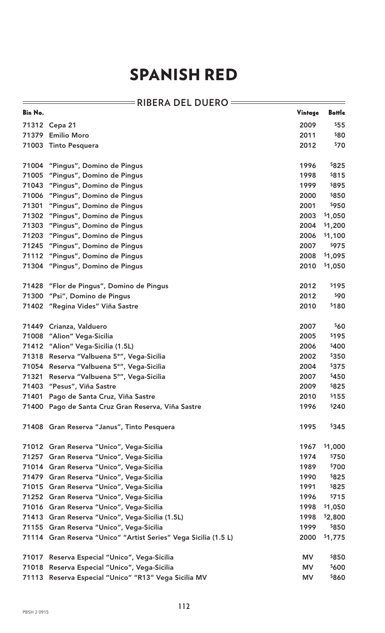#### **RIBERA DEL DUERO ANDELISTE EN ENGLISHER**

 $=$ 

| Bin No. |                                                                 | Vintage   | <b>Bottle</b> |
|---------|-----------------------------------------------------------------|-----------|---------------|
|         | 71312 Cepa 21                                                   | 2009      | \$55          |
| 71379   | <b>Emilio Moro</b>                                              | 2011      | \$80          |
| 71003   | <b>Tinto Pesquera</b>                                           | 2012      | \$70          |
|         |                                                                 |           |               |
| 71004   | "Pingus", Domino de Pingus                                      | 1996      | \$825         |
| 71005   | "Pingus", Domino de Pingus                                      | 1998      | \$815         |
| 71043   | "Pingus", Domino de Pingus                                      | 1999      | \$895         |
| 71006   | "Pingus", Domino de Pingus                                      | 2000      | \$850         |
| 71301   | "Pingus", Domino de Pingus                                      | 2001      | \$950         |
| 71302   | "Pingus", Domino de Pingus                                      | 2003      | \$1,050       |
| 71303   | "Pingus", Domino de Pingus                                      | 2004      | \$1,200       |
| 71203   | "Pingus", Domino de Pingus                                      | 2006      | \$1,100       |
| 71245   | "Pingus", Domino de Pingus                                      | 2007      | \$975         |
| 71112   | "Pingus", Domino de Pingus                                      | 2008      | \$1,095       |
| 71304   | "Pingus", Domino de Pingus                                      | 2010      | \$1,050       |
| 71428   | "Flor de Pingus", Domino de Pingus                              | 2012      | \$195         |
| 71300   | "Psi", Domino de Pingus                                         | 2012      | \$90          |
| 71402   | "Regina Vides" Viña Sastre                                      | 2010      | \$180         |
|         |                                                                 |           |               |
| 71449   | Crianza, Valduero                                               | 2007      | \$60          |
| 71008   | "Alion" Vega-Sicilia                                            | 2005      | \$195         |
| 71412   | "Alion" Vega-Sicilia (1.5L)                                     | 2006      | \$400         |
| 71318   | Reserva "Valbuena 5°", Vega-Sicilia                             | 2002      | \$350         |
|         | 71054 Reserva "Valbuena 5°", Vega-Sicilia                       | 2004      | \$375         |
| 71321   | Reserva "Valbuena 5°", Vega-Sicilia                             | 2007      | \$450         |
| 71403   | "Pesus", Viña Sastre                                            | 2009      | \$825         |
|         | 71401 Pago de Santa Cruz, Viña Sastre                           | 2010      | \$155         |
|         | 71400 Pago de Santa Cruz Gran Reserva, Viña Sastre              | 1996      | \$240         |
|         | 71408 Gran Reserva "Janus", Tinto Pesquera                      | 1995      | \$345         |
|         | 71012 Gran Reserva "Unico", Vega-Sicilia                        | 1967      | \$1,000       |
|         | 71257 Gran Reserva "Unico", Vega-Sicilia                        | 1974      | \$750         |
|         | 71014 Gran Reserva "Unico", Vega-Sicilia                        | 1989      | \$700         |
|         | 71479 Gran Reserva "Unico", Vega-Sicilia                        | 1990      | \$825         |
| 71015   | Gran Reserva "Unico", Vega-Sicilia                              | 1991      | \$825         |
|         | 71252 Gran Reserva "Unico", Vega-Sicilia                        | 1996      | \$715         |
|         | 71016 Gran Reserva "Unico", Vega-Sicilia                        | 1998      | \$1,050       |
|         | 71413 Gran Reserva "Unico", Vega-Sicilia (1.5L)                 | 1998      | \$2,800       |
|         | 71155 Gran Reserva "Unico", Vega-Sicilia                        | 1999      | \$850         |
|         | 71114 Gran Reserva "Unico" "Artist Series" Vega Sicilia (1.5 L) | 2000      | \$1,775       |
|         |                                                                 |           |               |
|         | 71017 Reserva Especial "Unico", Vega-Sicilia                    | <b>MV</b> | \$850         |
|         | 71018 Reserva Especial "Unico", Vega-Sicilia                    | <b>MV</b> | \$600         |
|         | 71113 Reserva Especial "Unico" "R13" Vega Sicilia MV            | <b>MV</b> | \$860         |

 $\equiv$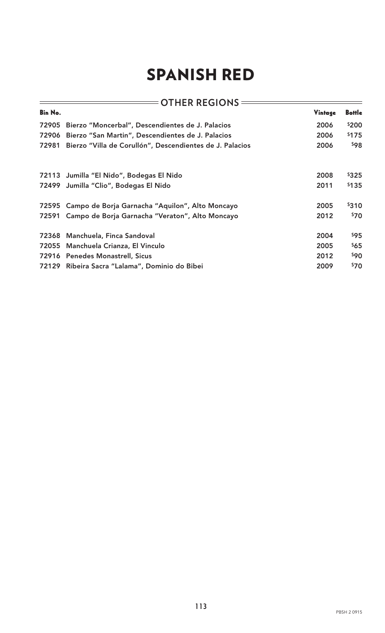|         | <b>OTHER REGIONS =</b>                                   |         |                 |  |  |
|---------|----------------------------------------------------------|---------|-----------------|--|--|
| Bin No. |                                                          | Vintage | <b>Bottle</b>   |  |  |
| 72905   | Bierzo "Moncerbal", Descendientes de J. Palacios         | 2006    | \$200           |  |  |
| 72906   | Bierzo "San Martin", Descendientes de J. Palacios        | 2006    | \$175           |  |  |
| 72981   | Bierzo "Villa de Corullón", Descendientes de J. Palacios | 2006    | \$98            |  |  |
|         |                                                          |         |                 |  |  |
|         | 72113 Jumilla "El Nido", Bodegas El Nido                 | 2008    | \$325           |  |  |
|         | 72499 Jumilla "Clio", Bodegas El Nido                    | 2011    | \$135           |  |  |
| 72595   | Campo de Borja Garnacha "Aquilon", Alto Moncayo          | 2005    | \$310           |  |  |
| 72591   | Campo de Borja Garnacha "Veraton", Alto Moncayo          | 2012    | 570             |  |  |
| 72368   | Manchuela, Finca Sandoval                                | 2004    | \$95            |  |  |
| 72055   | Manchuela Crianza, El Vinculo                            | 2005    | \$65            |  |  |
| 72916   | <b>Penedes Monastrell, Sicus</b>                         | 2012    | \$90            |  |  |
| 72129   | Ribeira Sacra "Lalama", Dominio do Bibei                 | 2009    | <sup>\$70</sup> |  |  |
|         |                                                          |         |                 |  |  |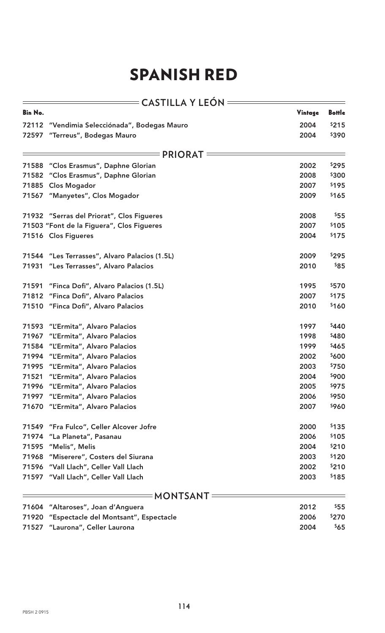| <b>Bin No.</b> | <b>CASTILLA Y LEON</b>                        | Vintage | <b>Bottle</b> |
|----------------|-----------------------------------------------|---------|---------------|
| 72112          | "Vendimia Selecciónada", Bodegas Mauro        | 2004    | \$215         |
|                | 72597 "Terreus", Bodegas Mauro                | 2004    | \$390         |
|                | <b>PRIORAT</b>                                |         |               |
| 71588          | "Clos Erasmus", Daphne Glorian                | 2002    | \$295         |
| 71582          | "Clos Erasmus", Daphne Glorian                | 2008    | \$300         |
| 71885          | <b>Clos Mogador</b>                           | 2007    | \$195         |
|                | 71567 "Manyetes", Clos Mogador                | 2009    | \$165         |
|                | 71932 "Serras del Priorat", Clos Figueres     | 2008    | \$55          |
|                | 71503 "Font de la Figuera", Clos Figueres     | 2007    | \$105         |
|                | 71516 Clos Figueres                           | 2004    | \$175         |
|                | 71544 "Les Terrasses", Alvaro Palacios (1.5L) | 2009    | \$295         |
| 71931          | "Les Terrasses", Alvaro Palacios              | 2010    | \$85          |
| 71591          | "Finca Dofi", Alvaro Palacios (1.5L)          | 1995    | \$570         |
| 71812          | "Finca Dofi", Alvaro Palacios                 | 2007    | \$175         |
| 71510          | "Finca Dofi", Alvaro Palacios                 | 2010    | \$160         |
| 71593          | "L'Ermita", Alvaro Palacios                   | 1997    | \$440         |
| 71967          | "L'Ermita", Alvaro Palacios                   | 1998    | \$480         |
| 71584          | "L'Ermita", Alvaro Palacios                   | 1999    | \$465         |
|                | 71994 "L'Ermita", Alvaro Palacios             | 2002    | \$600         |
| 71995          | "L'Ermita", Alvaro Palacios                   | 2003    | \$750         |
| 71521          | "L'Ermita", Alvaro Palacios                   | 2004    | \$900         |
|                | 71996 "L'Ermita", Alvaro Palacios             | 2005    | \$975         |
| 71997          | "L'Ermita", Alvaro Palacios                   | 2006    | \$950         |
|                | 71670 "L'Ermita", Alvaro Palacios             | 2007    | \$960         |
| 71549          | "Fra Fulco", Celler Alcover Jofre             | 2000    | \$135         |
| 71974          | "La Planeta", Pasanau                         | 2006    | \$105         |
| 71595          | "Melis", Melis                                | 2004    | \$210         |
| 71968          | "Miserere", Costers del Siurana               | 2003    | \$120         |
|                | 71596 "Vall Llach", Celler Vall Llach         | 2002    | \$210         |
|                | 71597 "Vall Llach", Celler Vall Llach         | 2003    | \$185         |
|                | <b>MONTSANT</b>                               |         |               |
|                | 71604 "Altaroses", Joan d'Anguera             | 2012    | \$55          |
| 71920          | "Espectacle del Montsant", Espectacle         | 2006    | \$270         |
|                | 71527 "Laurona", Celler Laurona               | 2004    | \$65          |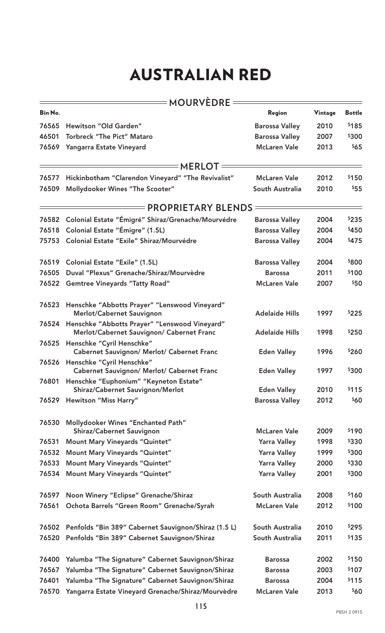|         | <b>MOURVEDRE=</b>                                                                          |                       |         |               |
|---------|--------------------------------------------------------------------------------------------|-----------------------|---------|---------------|
| Bin No. |                                                                                            | Region                | Vintage | <b>Bottle</b> |
| 76565   | Hewitson "Old Garden"                                                                      | <b>Barossa Valley</b> | 2010    | \$185         |
| 46501   | <b>Torbreck "The Pict" Mataro</b>                                                          | <b>Barossa Valley</b> | 2007    | \$300         |
| 76569   | Yangarra Estate Vineyard                                                                   | <b>McLaren Vale</b>   | 2013    | \$65          |
|         | <b>NERLOTE</b> =                                                                           |                       |         |               |
| 76577   | Hickinbotham "Clarendon Vineyard" "The Revivalist"                                         | <b>McLaren Vale</b>   | 2012    | \$150         |
| 76509   | Mollydooker Wines "The Scooter"                                                            | South Australia       | 2010    | \$55          |
|         | = PROPRIETARY BLENDS                                                                       |                       |         |               |
| 76582   | Colonial Estate "Émigré" Shiraz/Grenache/Mourvédre                                         | <b>Barossa Valley</b> | 2004    | \$235         |
| 76518   | Colonial Estate "Émigre" (1.5L)                                                            | <b>Barossa Valley</b> | 2004    | \$450         |
| 75753   | Colonial Estate "Exile" Shiraz/Mourvédre                                                   | <b>Barossa Valley</b> | 2004    | \$475         |
| 76519   | <b>Colonial Estate "Exile" (1.5L)</b>                                                      | <b>Barossa Valley</b> | 2004    | \$800         |
| 76505   | Duval "Plexus" Grenache/Shiraz/Mourvèdre                                                   | <b>Barossa</b>        | 2011    | \$100         |
| 76522   | <b>Gemtree Vineyards "Tatty Road"</b>                                                      | <b>McLaren Vale</b>   | 2007    | \$50          |
| 76523   | Henschke "Abbotts Prayer" "Lenswood Vineyard"<br>Merlot/Cabernet Sauvignon                 | <b>Adelaide Hills</b> | 1997    | \$225         |
| 76524   | Henschke "Abbotts Prayer" "Lenswood Vineyard"<br>Merlot/Cabernet Sauvignon/ Cabernet Franc | <b>Adelaide Hills</b> | 1998    | \$250         |
| 76525   | Henschke "Cyril Henschke"<br>Cabernet Sauvignon/ Merlot/ Cabernet Franc                    | <b>Eden Valley</b>    | 1996    | \$260         |
| 76526   | Henschke "Cyril Henschke"<br><b>Cabernet Sauvignon/ Merlot/ Cabernet Franc</b>             | <b>Eden Valley</b>    | 1997    | \$300         |
| 76801   | Henschke "Euphonium" "Keyneton Estate"<br>Shiraz/Cabernet Sauvignon/Merlot                 | <b>Eden Valley</b>    | 2010    | \$115         |
| 76529   | <b>Hewitson "Miss Harry"</b>                                                               | <b>Barossa Valley</b> | 2012    | \$60          |
| 76530   | Mollydooker Wines "Enchanted Path"                                                         |                       |         |               |
|         | Shiraz/Cabernet Sauvignon                                                                  | <b>McLaren Vale</b>   | 2009    | \$190         |
| 76531   | <b>Mount Mary Vineyards "Quintet"</b>                                                      | <b>Yarra Valley</b>   | 1998    | \$330         |
| 76532   | <b>Mount Mary Vineyards "Quintet"</b>                                                      | <b>Yarra Valley</b>   | 1999    | \$300         |
| 76533   | <b>Mount Mary Vineyards "Quintet"</b>                                                      | <b>Yarra Valley</b>   | 2000    | \$330         |
| 76534   | <b>Mount Mary Vineyards "Quintet"</b>                                                      | <b>Yarra Valley</b>   | 2001    | \$300         |
| 76597   | Noon Winery "Eclipse" Grenache/Shiraz                                                      | South Australia       | 2008    | \$160         |
| 76561   | Ochota Barrels "Green Room" Grenache/Syrah                                                 | <b>McLaren Vale</b>   | 2012    | \$100         |
| 76502   | Penfolds "Bin 389" Cabernet Sauvignon/Shiraz (1.5 L)                                       | South Australia       | 2010    | \$295         |
| 76520   | Penfolds "Bin 389" Cabernet Sauvignon/Shiraz                                               | South Australia       | 2011    | \$135         |
| 76400   | Yalumba "The Signature" Cabernet Sauvignon/Shiraz                                          | <b>Barossa</b>        | 2002    | \$150         |
| 76567   | Yalumba "The Signature" Cabernet Sauvignon/Shiraz                                          | <b>Barossa</b>        | 2003    | \$107         |
| 76401   | Yalumba "The Signature" Cabernet Sauvignon/Shiraz                                          | <b>Barossa</b>        | 2004    | \$115         |
| 76570   | Yangarra Estate Vineyard Grenache/Shiraz/Mourvèdre                                         | <b>McLaren Vale</b>   | 2013    | \$60          |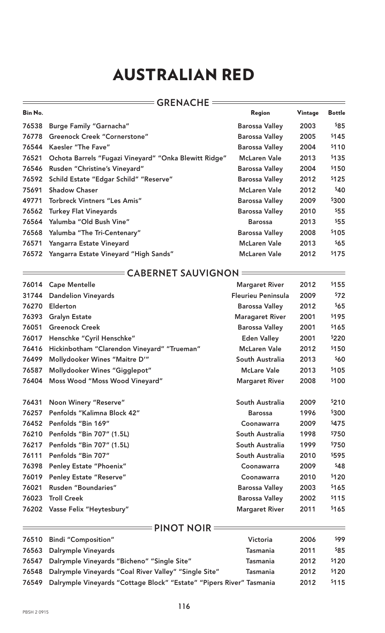| <b>GRENACHE</b> |                                                       |                       |         |               |
|-----------------|-------------------------------------------------------|-----------------------|---------|---------------|
| Bin No.         |                                                       | Region                | Vintage | <b>Bottle</b> |
| 76538           | <b>Burge Family "Garnacha"</b>                        | <b>Barossa Valley</b> | 2003    | \$85          |
| 76778           | <b>Greenock Creek "Cornerstone"</b>                   | <b>Barossa Valley</b> | 2005    | \$145         |
| 76544           | Kaesler "The Fave"                                    | <b>Barossa Valley</b> | 2004    | \$110         |
| 76521           | Ochota Barrels "Fugazi Vineyard" "Onka Blewitt Ridge" | McLaren Vale          | 2013    | \$135         |
| 76546           | Rusden "Christine's Vineyard"                         | <b>Barossa Valley</b> | 2004    | \$150         |
|                 | 76592 Schild Estate "Edgar Schild" "Reserve"          | <b>Barossa Valley</b> | 2012    | \$125         |
| 75691           | <b>Shadow Chaser</b>                                  | McLaren Vale          | 2012    | \$40          |
| 49771           | <b>Torbreck Vintners "Les Amis"</b>                   | <b>Barossa Valley</b> | 2009    | \$300         |
|                 | 76562 Turkey Flat Vineyards                           | <b>Barossa Valley</b> | 2010    | \$55          |
|                 | 76564 Yalumba "Old Bush Vine"                         | <b>Barossa</b>        | 2013    | \$55          |
|                 | 76568 Yalumba "The Tri-Centenary"                     | <b>Barossa Valley</b> | 2008    | \$105         |
| 76571           | Yangarra Estate Vineyard                              | <b>McLaren Vale</b>   | 2013    | \$65          |
|                 | 76572 Yangarra Estate Vineyard "High Sands"           | <b>McLaren Vale</b>   | 2012    | \$175         |

| <b>CABERNET SAUVIGNON</b> |                                             |                           |      |       |
|---------------------------|---------------------------------------------|---------------------------|------|-------|
| 76014                     | <b>Cape Mentelle</b>                        | <b>Margaret River</b>     | 2012 | \$155 |
| 31744                     | <b>Dandelion Vineyards</b>                  | <b>Fleurieu Peninsula</b> | 2009 | 572   |
| 76270                     | Elderton                                    | <b>Barossa Valley</b>     | 2012 | \$65  |
| 76393                     | <b>Gralyn Estate</b>                        | <b>Maragaret River</b>    | 2001 | \$195 |
| 76051                     | <b>Greenock Creek</b>                       | <b>Barossa Valley</b>     | 2001 | \$165 |
| 76017                     | Henschke "Cyril Henschke"                   | <b>Eden Valley</b>        | 2001 | \$220 |
| 76416                     | Hickinbotham "Clarendon Vineyard" "Trueman" | <b>McLaren Vale</b>       | 2012 | \$150 |
| 76499                     | Mollydooker Wines "Maitre D"                | South Australia           | 2013 | \$60  |
| 76587                     | Mollydooker Wines "Gigglepot"               | <b>McLare Vale</b>        | 2013 | \$105 |
| 76404                     | <b>Moss Wood "Moss Wood Vineyard"</b>       | <b>Margaret River</b>     | 2008 | \$100 |
| 76431                     | Noon Winery "Reserve"                       | South Australia           | 2009 | \$210 |
| 76257                     | Penfolds "Kalimna Block 42"                 | <b>Barossa</b>            | 1996 | \$300 |
| 76452                     | Penfolds "Bin 169"                          | Coonawarra                | 2009 | \$475 |
| 76210                     | Penfolds "Bin 707" (1.5L)                   | South Australia           | 1998 | \$750 |
| 76217                     | Penfolds "Bin 707" (1.5L)                   | South Australia           | 1999 | \$750 |
| 76111                     | Penfolds "Bin 707"                          | South Australia           | 2010 | \$595 |
| 76398                     | <b>Penley Estate "Phoenix"</b>              | Coonawarra                | 2009 | \$48  |
| 76019                     | <b>Penley Estate "Reserve"</b>              | Coonawarra                | 2010 | \$120 |
| 76021                     | Rusden "Boundaries"                         | <b>Barossa Valley</b>     | 2003 | \$165 |
| 76023                     | <b>Troll Creek</b>                          | <b>Barossa Valley</b>     | 2002 | \$115 |
| 76202                     | Vasse Felix "Heytesbury"                    | <b>Margaret River</b>     | 2011 | \$165 |

 **PINOT NOIR**  Bindi "Composition" Victoria 2006 \$99 Dalrymple Vineyards Tasmania 2011 \$85 76547 Dalrymple Vineyards "Bicheno" "Single Site" Tasmania 2012 <sup>\$120</sup> Dalrymple Vineyards "Coal River Valley" "Single Site" Tasmania 2012 \$120 76549 Dalrymple Vineyards "Cottage Block" "Estate" "Pipers River" Tasmania 2012 \$115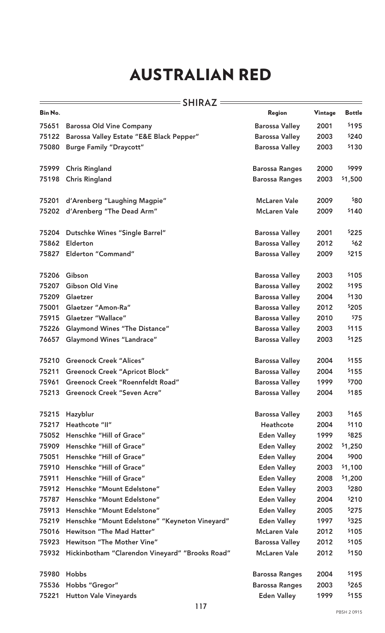#### **SHIRAZ**

 $\frac{1}{2}$  and  $\frac{1}{2}$  and  $\frac{1}{2}$  and  $\frac{1}{2}$  and  $\frac{1}{2}$  and  $\frac{1}{2}$ 

| Bin No. |                                                 | Region                | Vintage | <b>Bottle</b> |
|---------|-------------------------------------------------|-----------------------|---------|---------------|
| 75651   | <b>Barossa Old Vine Company</b>                 | <b>Barossa Valley</b> | 2001    | \$195         |
| 75122   | Barossa Valley Estate "E&E Black Pepper"        | <b>Barossa Valley</b> | 2003    | \$240         |
| 75080   | <b>Burge Family "Draycott"</b>                  | <b>Barossa Valley</b> | 2003    | \$130         |
|         |                                                 |                       |         |               |
| 75999   | <b>Chris Ringland</b>                           | <b>Barossa Ranges</b> | 2000    | 9999          |
| 75198   | <b>Chris Ringland</b>                           | <b>Barossa Ranges</b> | 2003    | \$1,500       |
|         |                                                 |                       |         |               |
| 75201   | d'Arenberg "Laughing Magpie"                    | <b>McLaren Vale</b>   | 2009    | \$80          |
| 75202   | d'Arenberg "The Dead Arm"                       | <b>McLaren Vale</b>   | 2009    | \$140         |
|         |                                                 |                       |         |               |
| 75204   | Dutschke Wines "Single Barrel"                  | <b>Barossa Valley</b> | 2001    | \$225         |
| 75862   | <b>Elderton</b>                                 | <b>Barossa Valley</b> | 2012    | \$62          |
| 75827   | Elderton "Command"                              | <b>Barossa Valley</b> | 2009    | \$215         |
|         |                                                 |                       |         |               |
| 75206   | Gibson                                          | <b>Barossa Valley</b> | 2003    | \$105         |
| 75207   | <b>Gibson Old Vine</b>                          | <b>Barossa Valley</b> | 2002    | \$195         |
| 75209   | Glaetzer                                        | <b>Barossa Valley</b> | 2004    | \$130         |
| 75001   | Glaetzer "Amon-Ra"                              | <b>Barossa Valley</b> | 2012    | \$205         |
| 75915   | <b>Glaetzer "Wallace"</b>                       | <b>Barossa Valley</b> | 2010    | 575           |
| 75226   | <b>Glaymond Wines "The Distance"</b>            | <b>Barossa Valley</b> | 2003    | \$115         |
| 76657   | <b>Glaymond Wines "Landrace"</b>                | <b>Barossa Valley</b> | 2003    | \$125         |
|         |                                                 |                       |         |               |
| 75210   | <b>Greenock Creek "Alices"</b>                  | <b>Barossa Valley</b> | 2004    | \$155         |
| 75211   | <b>Greenock Creek "Apricot Block"</b>           | <b>Barossa Valley</b> | 2004    | \$155         |
| 75961   | Greenock Creek "Roennfeldt Road"                | <b>Barossa Valley</b> | 1999    | \$700         |
|         | 75213 Greenock Creek "Seven Acre"               | <b>Barossa Valley</b> | 2004    | \$185         |
|         |                                                 |                       |         |               |
| 75215   | Hazyblur                                        | <b>Barossa Valley</b> | 2003    | \$165         |
| 75217   | Heathcote "II"                                  | Heathcote             | 2004    | \$110         |
| 75052   | Henschke "Hill of Grace"                        | <b>Eden Valley</b>    | 1999    | \$825         |
| 75909   | Henschke "Hill of Grace"                        | <b>Eden Valley</b>    | 2002    | \$1,250       |
| 75051   | Henschke "Hill of Grace"                        | <b>Eden Valley</b>    | 2004    | \$900         |
| 75910   | Henschke "Hill of Grace"                        | <b>Eden Valley</b>    | 2003    | \$1,100       |
| 75911   | Henschke "Hill of Grace"                        | <b>Eden Valley</b>    | 2008    | \$1,200       |
| 75912   | Henschke "Mount Edelstone"                      | <b>Eden Valley</b>    | 2003    | \$280         |
| 75787   | Henschke "Mount Edelstone"                      | <b>Eden Valley</b>    | 2004    | \$210         |
| 75913   | Henschke "Mount Edelstone"                      | <b>Eden Valley</b>    | 2005    | \$275         |
| 75219   | Henschke "Mount Edelstone" "Keyneton Vineyard"  | <b>Eden Valley</b>    | 1997    | \$325         |
| 75016   | Hewitson "The Mad Hatter"                       | <b>McLaren Vale</b>   | 2012    | \$105         |
| 75923   | Hewitson "The Mother Vine"                      | <b>Barossa Valley</b> | 2012    | \$105         |
| 75932   | Hickinbotham "Clarendon Vineyard" "Brooks Road" | <b>McLaren Vale</b>   | 2012    | \$150         |
|         |                                                 |                       |         |               |
| 75980   | <b>Hobbs</b>                                    | <b>Barossa Ranges</b> | 2004    | \$195         |
| 75536   | Hobbs "Gregor"                                  | <b>Barossa Ranges</b> | 2003    | \$265         |
| 75221   | <b>Hutton Vale Vineyards</b>                    | <b>Eden Valley</b>    | 1999    | \$155         |
|         |                                                 |                       |         |               |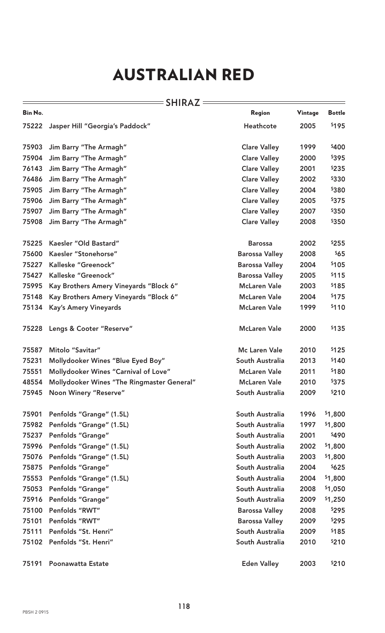#### **SHIRAZ**

 $=$ 

| Bin No. |                                            | Region                | <b>Vintage</b> | <b>Bottle</b> |
|---------|--------------------------------------------|-----------------------|----------------|---------------|
| 75222   | Jasper Hill "Georgia's Paddock"            | Heathcote             | 2005           | \$195         |
| 75903   | Jim Barry "The Armagh"                     | <b>Clare Valley</b>   | 1999           | \$400         |
| 75904   | Jim Barry "The Armagh"                     | <b>Clare Valley</b>   | 2000           | \$395         |
| 76143   | Jim Barry "The Armagh"                     | <b>Clare Valley</b>   | 2001           | \$235         |
| 76486   | Jim Barry "The Armagh"                     | <b>Clare Valley</b>   | 2002           | \$330         |
| 75905   | Jim Barry "The Armagh"                     | <b>Clare Valley</b>   | 2004           | \$380         |
| 75906   | Jim Barry "The Armagh"                     | <b>Clare Valley</b>   | 2005           | \$375         |
| 75907   | Jim Barry "The Armagh"                     | <b>Clare Valley</b>   | 2007           | \$350         |
| 75908   | Jim Barry "The Armagh"                     | <b>Clare Valley</b>   | 2008           | \$350         |
|         |                                            |                       |                |               |
| 75225   | Kaesler "Old Bastard"                      | <b>Barossa</b>        | 2002           | \$255         |
| 75600   | Kaesler "Stonehorse"                       | <b>Barossa Valley</b> | 2008           | \$65          |
| 75227   | Kalleske "Greenock"                        | <b>Barossa Valley</b> | 2004           | \$105         |
| 75427   | Kalleske "Greenock"                        | <b>Barossa Valley</b> | 2005           | \$115         |
| 75995   | Kay Brothers Amery Vineyards "Block 6"     | <b>McLaren Vale</b>   | 2003           | \$185         |
| 75148   | Kay Brothers Amery Vineyards "Block 6"     | <b>McLaren Vale</b>   | 2004           | \$175         |
| 75134   | <b>Kay's Amery Vineyards</b>               | <b>McLaren Vale</b>   | 1999           | \$110         |
| 75228   | Lengs & Cooter "Reserve"                   | <b>McLaren Vale</b>   | 2000           | \$135         |
| 75587   | Mitolo "Savitar"                           | Mc Laren Vale         | 2010           | \$125         |
| 75231   | Mollydooker Wines "Blue Eyed Boy"          | South Australia       | 2013           | \$140         |
| 75551   | Mollydooker Wines "Carnival of Love"       | <b>McLaren Vale</b>   | 2011           | \$180         |
| 48554   | Mollydooker Wines "The Ringmaster General" | <b>McLaren Vale</b>   | 2010           | \$375         |
|         | 75945 Noon Winery "Reserve"                | South Australia       | 2009           | \$210         |
| 75901   | Penfolds "Grange" (1.5L)                   | South Australia       | 1996           | \$1,800       |
| 75982   | Penfolds "Grange" (1.5L)                   | South Australia       | 1997           | \$1,800       |
| 75237   | <b>Penfolds "Grange"</b>                   | South Australia       | 2001           | \$490         |
| 75996   | Penfolds "Grange" (1.5L)                   | South Australia       | 2002           | \$1,800       |
| 75076   | Penfolds "Grange" (1.5L)                   | South Australia       | 2003           | \$1,800       |
| 75875   | <b>Penfolds "Grange"</b>                   | South Australia       | 2004           | \$625         |
| 75553   | Penfolds "Grange" (1.5L)                   | South Australia       | 2004           | \$1,800       |
| 75053   | <b>Penfolds "Grange"</b>                   | South Australia       | 2008           | \$1,050       |
| 75916   | <b>Penfolds "Grange"</b>                   | South Australia       | 2009           | \$1,250       |
| 75100   | Penfolds "RWT"                             | <b>Barossa Valley</b> | 2008           | \$295         |
| 75101   | Penfolds "RWT"                             | <b>Barossa Valley</b> | 2009           | \$295         |
| 75111   | Penfolds "St. Henri"                       | South Australia       | 2009           | \$185         |
| 75102   | Penfolds "St. Henri"                       | South Australia       | 2010           | \$210         |
| 75191   | <b>Poonawatta Estate</b>                   | <b>Eden Valley</b>    | 2003           | \$210         |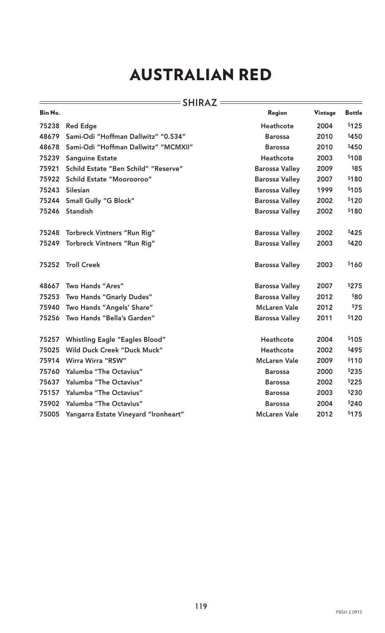#### **SHIRAZ** = THE SHIRAZ

 $\frac{1}{2}$ 

| Bin No. |                                       | Region                | Vintage | <b>Bottle</b> |
|---------|---------------------------------------|-----------------------|---------|---------------|
| 75238   | <b>Red Edge</b>                       | <b>Heathcote</b>      | 2004    | \$125         |
| 48679   | Sami-Odi "Hoffman Dallwitz" "0.534"   | <b>Barossa</b>        | 2010    | \$450         |
| 48678   | Sami-Odi "Hoffman Dallwitz" "MCMXII"  | <b>Barossa</b>        | 2010    | \$450         |
| 75239   | <b>Sanguine Estate</b>                | <b>Heathcote</b>      | 2003    | \$108         |
| 75921   | Schild Estate "Ben Schild" "Reserve"  | <b>Barossa Valley</b> | 2009    | \$85          |
| 75922   | <b>Schild Estate "Moorooroo"</b>      | <b>Barossa Valley</b> | 2007    | \$180         |
| 75243   | <b>Silesian</b>                       | <b>Barossa Valley</b> | 1999    | \$105         |
| 75244   | <b>Small Gully "G Block"</b>          | <b>Barossa Valley</b> | 2002    | \$120         |
| 75246   | <b>Standish</b>                       | <b>Barossa Valley</b> | 2002    | \$180         |
| 75248   | Torbreck Vintners "Run Rig"           | <b>Barossa Valley</b> | 2002    | \$425         |
| 75249   | <b>Torbreck Vintners "Run Rig"</b>    | <b>Barossa Valley</b> | 2003    | \$420         |
| 75252   | <b>Troll Creek</b>                    | <b>Barossa Valley</b> | 2003    | \$160         |
| 48667   | Two Hands "Ares"                      | <b>Barossa Valley</b> | 2007    | \$275         |
| 75253   | Two Hands "Gnarly Dudes"              | <b>Barossa Valley</b> | 2012    | \$80          |
| 75940   | Two Hands "Angels' Share"             | <b>McLaren Vale</b>   | 2012    | \$75          |
| 75256   | Two Hands "Bella's Garden"            | <b>Barossa Valley</b> | 2011    | \$120         |
| 75257   | <b>Whistling Eagle "Eagles Blood"</b> | Heathcote             | 2004    | \$105         |
| 75025   | <b>Wild Duck Creek "Duck Muck"</b>    | <b>Heathcote</b>      | 2002    | \$495         |
| 75914   | Wirra Wirra "RSW"                     | <b>McLaren Vale</b>   | 2009    | \$110         |
| 75760   | Yalumba "The Octavius"                | <b>Barossa</b>        | 2000    | \$235         |
| 75637   | Yalumba "The Octavius"                | <b>Barossa</b>        | 2002    | \$225         |
| 75157   | Yalumba "The Octavius"                | <b>Barossa</b>        | 2003    | \$230         |
| 75902   | Yalumba "The Octavius"                | <b>Barossa</b>        | 2004    | \$240         |
| 75005   | Yangarra Estate Vineyard "Ironheart"  | <b>McLaren Vale</b>   | 2012    | \$175         |
|         |                                       |                       |         |               |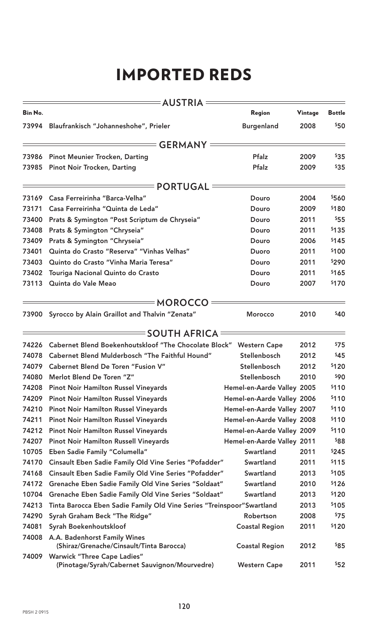## IMPORTED REDS

|         | $=$ AUSTRIA =                                                                       |                            |         |               |
|---------|-------------------------------------------------------------------------------------|----------------------------|---------|---------------|
| Bin No. |                                                                                     | Region                     | Vintage | <b>Bottle</b> |
| 73994   | Blaufrankisch "Johanneshohe", Prieler                                               | <b>Burgenland</b>          | 2008    | \$50          |
|         | $=$ GERMANY =                                                                       |                            |         |               |
| 73986   | <b>Pinot Meunier Trocken, Darting</b>                                               | Pfalz                      | 2009    | \$35          |
| 73985   | <b>Pinot Noir Trocken, Darting</b>                                                  | Pfalz                      | 2009    | \$35          |
|         | <b>=PORTUGAL</b>                                                                    |                            |         |               |
| 73169   | Casa Ferreirinha "Barca-Velha"                                                      | <b>Douro</b>               | 2004    | \$560         |
| 73171   | Casa Ferreirinha "Quinta de Leda"                                                   | <b>Douro</b>               | 2009    | \$180         |
| 73400   | Prats & Symington "Post Scriptum de Chryseia"                                       | <b>Douro</b>               | 2011    | \$55          |
| 73408   | Prats & Symington "Chryseia"                                                        | Douro                      | 2011    | \$135         |
| 73409   | Prats & Symington "Chryseia"                                                        | Douro                      | 2006    | \$145         |
| 73401   | Quinta do Crasto "Reserva" "Vinhas Velhas"                                          | <b>Duoro</b>               | 2011    | \$100         |
| 73403   | Quinto do Crasto "Vinha Maria Teresa"                                               | <b>Douro</b>               | 2011    | \$290         |
| 73402   | Touriga Nacional Quinto do Crasto                                                   | Douro                      | 2011    | \$165         |
| 73113   | Quinta do Vale Meao                                                                 | <b>Douro</b>               | 2007    | \$170         |
|         | <b>MOROCCO</b>                                                                      |                            |         |               |
|         | 73900 Syrocco by Alain Graillot and Thalvin "Zenata"                                | <b>Morocco</b>             | 2010    | \$40          |
|         | $=$ SOUTH AFRICA $\overline{\phantom{a}}$                                           |                            |         |               |
| 74226   | Cabernet Blend Boekenhoutskloof "The Chocolate Block"                               | <b>Western Cape</b>        | 2012    | 575           |
| 74078   | <b>Cabernet Blend Mulderbosch "The Faithful Hound"</b>                              | Stellenbosch               | 2012    | \$45          |
| 74079   | <b>Cabernet Blend De Toren "Fusion V"</b>                                           | Stellenbosch               | 2012    | \$120         |
| 74080   | Merlot Blend De Toren "Z"                                                           | Stellenbosch               | 2010    | \$90          |
| 74208   | <b>Pinot Noir Hamilton Russel Vineyards</b>                                         | Hemel-en-Aarde Valley 2005 |         | \$110         |
| 74209   | <b>Pinot Noir Hamilton Russel Vineyards</b>                                         | Hemel-en-Aarde Valley 2006 |         | \$110         |
| 74210   | <b>Pinot Noir Hamilton Russel Vineyards</b>                                         | Hemel-en-Aarde Valley 2007 |         | \$110         |
| 74211   | <b>Pinot Noir Hamilton Russel Vineyards</b>                                         | Hemel-en-Aarde Valley 2008 |         | \$110         |
| 74212   | <b>Pinot Noir Hamilton Russel Vineyards</b>                                         | Hemel-en-Aarde Valley 2009 |         | \$110         |
| 74207   | <b>Pinot Noir Hamilton Russell Vineyards</b>                                        | Hemel-en-Aarde Valley 2011 |         | \$88          |
| 10705   | Eben Sadie Family "Columella"                                                       | Swartland                  | 2011    | \$245         |
| 74170   | Cinsault Eben Sadie Family Old Vine Series "Pofadder"                               | Swartland                  | 2011    | \$115         |
| 74168   | Cinsault Eben Sadie Family Old Vine Series "Pofadder"                               | Swartland                  | 2013    | \$105         |
| 74172   | Grenache Eben Sadie Family Old Vine Series "Soldaat"                                | Swartland                  | 2010    | \$126         |
| 10704   | Grenache Eben Sadie Family Old Vine Series "Soldaat"                                | Swartland                  | 2013    | \$120         |
| 74213   | Tinta Barocca Eben Sadie Family Old Vine Series "Treinspoor"Swartland               |                            | 2013    | \$105         |
| 74290   | Syrah Graham Beck "The Ridge"                                                       | Robertson                  | 2008    | \$75          |
| 74081   | Syrah Boekenhoutskloof                                                              | <b>Coastal Region</b>      | 2011    | \$120         |
| 74008   | A.A. Badenhorst Family Wines<br>(Shiraz/Grenache/Cinsault/Tinta Barocca)            | <b>Coastal Region</b>      | 2012    | \$85          |
| 74009   | <b>Warwick "Three Cape Ladies"</b><br>(Pinotage/Syrah/Cabernet Sauvignon/Mourvedre) | <b>Western Cape</b>        | 2011    | \$52          |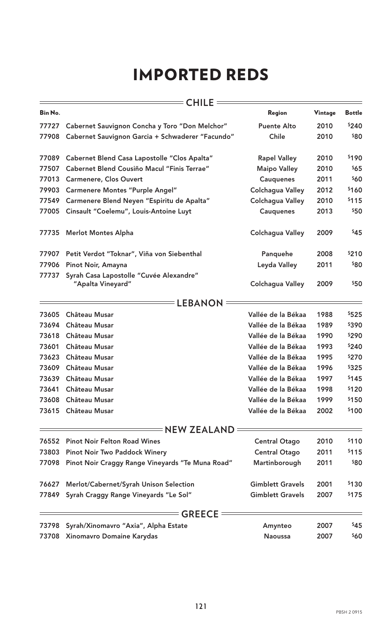# IMPORTED REDS

|         | <b>CHILE</b>                                                 |                         |         |               |
|---------|--------------------------------------------------------------|-------------------------|---------|---------------|
| Bin No. |                                                              | Region                  | Vintage | <b>Bottle</b> |
| 77727   | Cabernet Sauvignon Concha y Toro "Don Melchor"               | <b>Puente Alto</b>      | 2010    | \$240         |
| 77908   | Cabernet Sauvignon Garcia + Schwaderer "Facundo"             | Chile                   | 2010    | \$80          |
| 77089   | Cabernet Blend Casa Lapostolle "Clos Apalta"                 | <b>Rapel Valley</b>     | 2010    | \$190         |
| 77507   | <b>Cabernet Blend Cousiño Macul "Finis Terrae"</b>           | <b>Maipo Valley</b>     | 2010    | \$65          |
| 77013   | <b>Carmenere, Clos Ouvert</b>                                | <b>Cauquenes</b>        | 2011    | \$60          |
| 79903   | <b>Carmenere Montes "Purple Angel"</b>                       | <b>Colchagua Valley</b> | 2012    | \$160         |
| 77549   | Carmenere Blend Neyen "Espiritu de Apalta"                   | Colchagua Valley        | 2010    | \$115         |
| 77005   | Cinsault "Coelemu", Louis-Antoine Luyt                       | <b>Cauquenes</b>        | 2013    | \$50          |
| 77735   | <b>Merlot Montes Alpha</b>                                   | <b>Colchagua Valley</b> | 2009    | \$45          |
| 77907   | Petit Verdot "Toknar", Viña von Siebenthal                   | Panquehe                | 2008    | \$210         |
| 77906   | Pinot Noir, Amayna                                           | Leyda Valley            | 2011    | <b>\$80</b>   |
| 77737   | Syrah Casa Lapostolle "Cuvée Alexandre"<br>"Apalta Vineyard" | <b>Colchagua Valley</b> | 2009    | \$50          |
|         | LEBANON                                                      |                         |         |               |
| 73605   | Château Musar                                                | Vallée de la Békaa      | 1988    | \$525         |
| 73694   | Château Musar                                                | Vallée de la Békaa      | 1989    | \$390         |
| 73618   | Château Musar                                                | Vallée de la Békaa      | 1990    | \$290         |
| 73601   | Château Musar                                                | Vallée de la Békaa      | 1993    | \$240         |
| 73623   | Château Musar                                                | Vallée de la Békaa      | 1995    | \$270         |
| 73609   | Château Musar                                                | Vallée de la Békaa      | 1996    | \$325         |
| 73639   | Château Musar                                                | Vallée de la Békaa      | 1997    | \$145         |
| 73641   | Château Musar                                                | Vallée de la Békaa      | 1998    | \$120         |
| 73608   | <b>Château Musar</b>                                         | Vallée de la Békaa      | 1999    | \$150         |
| 73615   | <b>Château Musar</b>                                         | Vallée de la Békaa      | 2002    | \$100         |
|         | <b>NEW ZEALAND</b> -                                         |                         |         |               |
| 76552   | <b>Pinot Noir Felton Road Wines</b>                          | <b>Central Otago</b>    | 2010    | \$110         |
| 73803   | Pinot Noir Two Paddock Winery                                | <b>Central Otago</b>    | 2011    | \$115         |
| 77098   | Pinot Noir Craggy Range Vineyards "Te Muna Road"             | Martinborough           | 2011    | \$80          |
| 76627   | Merlot/Cabernet/Syrah Unison Selection                       | <b>Gimblett Gravels</b> | 2001    | \$130         |
| 77849   | Syrah Craggy Range Vineyards "Le Sol"                        | <b>Gimblett Gravels</b> | 2007    | \$175         |
|         | <b>GREECE</b>                                                |                         |         |               |
| 73798   | Syrah/Xinomavro "Axia", Alpha Estate                         | Amynteo                 | 2007    | \$45          |
| 73708   | Xinomavro Domaine Karydas                                    | <b>Naoussa</b>          | 2007    | \$60          |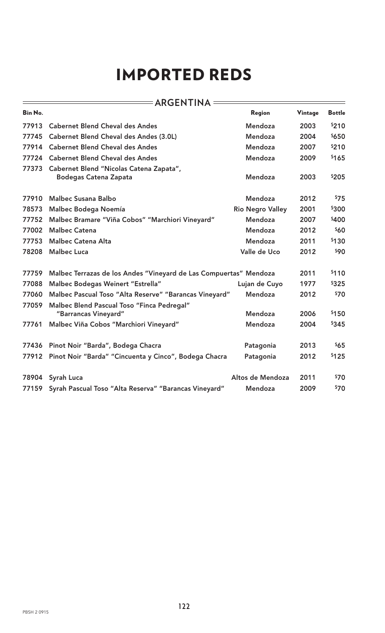# IMPORTED REDS

| Bin No. | <b>ARGENTINA</b>                                                        | Region                  | Vintage | <b>Bottle</b>   |
|---------|-------------------------------------------------------------------------|-------------------------|---------|-----------------|
|         |                                                                         |                         |         |                 |
| 77913   | <b>Cabernet Blend Cheval des Andes</b>                                  | Mendoza                 | 2003    | \$210           |
| 77745   | <b>Cabernet Blend Cheval des Andes (3.0L)</b>                           | <b>Mendoza</b>          | 2004    | \$650           |
| 77914   | <b>Cabernet Blend Cheval des Andes</b>                                  | Mendoza                 | 2007    | \$210           |
| 77724   | <b>Cabernet Blend Cheval des Andes</b>                                  | Mendoza                 | 2009    | \$165           |
| 77373   | Cabernet Blend "Nicolas Catena Zapata",<br><b>Bodegas Catena Zapata</b> | Mendoza                 | 2003    | \$205           |
| 77910   | <b>Malbec Susana Balbo</b>                                              | <b>Mendoza</b>          | 2012    | 575             |
| 78573   | Malbec Bodega Noemía                                                    | <b>Rio Negro Valley</b> | 2001    | \$300           |
| 77752   | Malbec Bramare "Viña Cobos" "Marchiori Vineyard"                        | Mendoza                 | 2007    | \$400           |
| 77002   | <b>Malbec Catena</b>                                                    | Mendoza                 | 2012    | \$60            |
| 77753   | <b>Malbec Catena Alta</b>                                               | Mendoza                 | 2011    | \$130           |
| 78208   | <b>Malbec Luca</b>                                                      | Valle de Uco            | 2012    | \$90            |
| 77759   | Malbec Terrazas de los Andes "Vineyard de Las Compuertas" Mendoza       |                         | 2011    | \$110           |
| 77088   | Malbec Bodegas Weinert "Estrella"                                       | Lujan de Cuyo           | 1977    | \$325           |
| 77060   | Malbec Pascual Toso "Alta Reserve" "Barancas Vineyard"                  | Mendoza                 | 2012    | \$70            |
| 77059   | Malbec Blend Pascual Toso "Finca Pedregal"<br>"Barrancas Vineyard"      | Mendoza                 | 2006    | \$150           |
| 77761   | Malbec Viña Cobos "Marchiori Vineyard"                                  | Mendoza                 | 2004    | \$345           |
| 77436   | Pinot Noir "Barda", Bodega Chacra                                       | Patagonia               | 2013    | \$65            |
| 77912   | Pinot Noir "Barda" "Cincuenta y Cinco", Bodega Chacra                   | Patagonia               | 2012    | \$125           |
| 78904   | Syrah Luca                                                              | Altos de Mendoza        | 2011    | <sup>\$70</sup> |
| 77159   | Syrah Pascual Toso "Alta Reserva" "Barancas Vineyard"                   | Mendoza                 | 2009    | \$70            |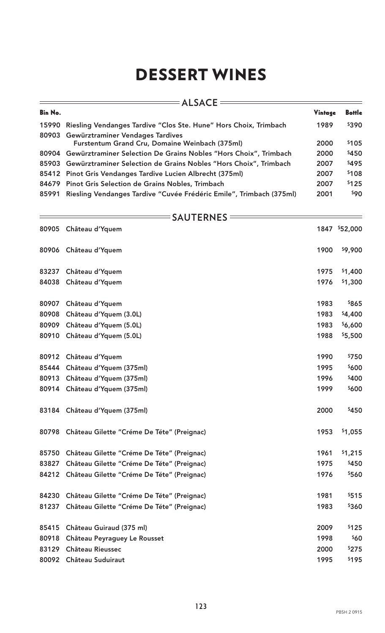# DESSERT WINES

|                | $=$ <code>ALSACE</code> $=$                                         |         |               |
|----------------|---------------------------------------------------------------------|---------|---------------|
| <b>Bin No.</b> |                                                                     | Vintage | <b>Bottle</b> |
| 15990          | Riesling Vendanges Tardive "Clos Ste. Hune" Hors Choix, Trimbach    | 1989    | \$390         |
| 80903          | Gewürztraminer Vendages Tardives                                    |         |               |
|                | Furstentum Grand Cru, Domaine Weinbach (375ml)                      | 2000    | \$105         |
| 80904          | Gewürztraminer Selection De Grains Nobles "Hors Choix", Trimbach    | 2000    | \$450         |
| 85903          | Gewürztraminer Selection de Grains Nobles "Hors Choix", Trimbach    | 2007    | \$495         |
|                | 85412 Pinot Gris Vendanges Tardive Lucien Albrecht (375ml)          | 2007    | \$108         |
| 84679          | <b>Pinot Gris Selection de Grains Nobles, Trimbach</b>              | 2007    | \$125         |
| 85991          | Riesling Vendanges Tardive "Cuvée Frédéric Emile", Trimbach (375ml) | 2001    | \$90          |
|                | $=$ <code>SAUTERNES</code> $=$                                      |         |               |
| 80905          | Château d'Yquem                                                     |         | 1847 \$52,000 |
| 80906          | Château d'Yquem                                                     | 1900    | \$9,900       |
|                |                                                                     |         |               |
| 83237          | Château d'Yquem                                                     | 1975    | \$1,400       |
| 84038          | Château d'Yquem                                                     | 1976    | \$1,300       |
| 80907          | Château d'Yquem                                                     | 1983    | \$865         |
| 80908          | Château d'Yquem (3.0L)                                              | 1983    | \$4,400       |
| 80909          | Château d'Yquem (5.0L)                                              | 1983    | \$6,600       |
| 80910          | Château d'Yquem (5.0L)                                              | 1988    | \$5,500       |
| 80912          | Château d'Yquem                                                     | 1990    | \$750         |
| 85444          | Château d'Yquem (375ml)                                             | 1995    | \$600         |
|                | 80913 Château d'Yquem (375ml)                                       | 1996    | \$400         |
|                | 80914 Château d'Yquem (375ml)                                       | 1999    | \$600         |
|                | 83184 Château d'Yquem (375ml)                                       | 2000    | \$450         |
|                | 80798 Château Gilette "Créme De Téte" (Preignac)                    | 1953    | \$1,055       |
| 85750          | Château Gilette "Créme De Téte" (Preignac)                          | 1961    | \$1,215       |
| 83827          | Château Gilette "Créme De Téte" (Preignac)                          | 1975    | \$450         |
|                | 84212 Château Gilette "Créme De Téte" (Preignac)                    | 1976    | \$560         |
| 84230          | Château Gilette "Créme De Téte" (Preignac)                          | 1981    | \$515         |
| 81237          | Château Gilette "Créme De Téte" (Preignac)                          | 1983    | \$360         |
|                |                                                                     |         |               |
| 85415          | Château Guiraud (375 ml)                                            | 2009    | \$125         |
| 80918          | Château Peyraguey Le Rousset                                        | 1998    | <b>\$60</b>   |
| 83129          | <b>Château Rieussec</b>                                             | 2000    | \$275         |
|                | 80092 Château Suduiraut                                             | 1995    | \$195         |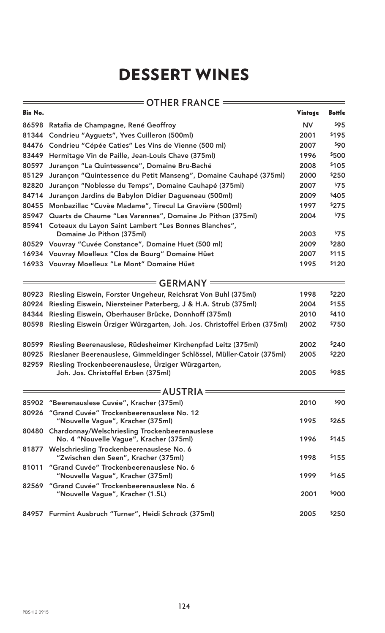### DESSERT WINES

|                | $=$ OTHER FRANCE $=$                                                                             |           |               |
|----------------|--------------------------------------------------------------------------------------------------|-----------|---------------|
| <b>Bin No.</b> |                                                                                                  | Vintage   | <b>Bottle</b> |
| 86598          | Ratafia de Champagne, René Geoffroy                                                              | <b>NV</b> | \$95          |
| 81344          | Condrieu "Ayguets", Yves Cuilleron (500ml)                                                       | 2001      | \$195         |
| 84476          | Condrieu "Cépée Caties" Les Vins de Vienne (500 ml)                                              | 2007      | \$90          |
| 83449          | Hermitage Vin de Paille, Jean-Louis Chave (375ml)                                                | 1996      | \$500         |
| 80597          | Jurançon "La Quintessence", Domaine Bru-Baché                                                    | 2008      | \$105         |
| 85129          | Jurançon "Quintessence du Petit Manseng", Domaine Cauhapé (375ml)                                | 2000      | \$250         |
| 82820          | Jurançon "Noblesse du Temps", Domaine Cauhapé (375ml)                                            | 2007      | \$75          |
| 84714          | Jurançon Jardins de Babylon Didier Dagueneau (500ml)                                             | 2009      | \$405         |
| 80455          | Monbazillac "Cuvèe Madame", Tirecul La Gravière (500ml)                                          | 1997      | \$275         |
| 85947          | Quarts de Chaume "Les Varennes", Domaine Jo Pithon (375ml)                                       | 2004      | \$75          |
| 85941          | Coteaux du Layon Saint Lambert "Les Bonnes Blanches",<br>Domaine Jo Pithon (375ml)               | 2003      | \$75          |
|                | 80529 Vouvray "Cuvée Constance", Domaine Huet (500 ml)                                           | 2009      | \$280         |
|                | 16934 Vouvray Moelleux "Clos de Bourg" Domaine Hüet                                              | 2007      | \$115         |
|                | 16933 Vouvray Moelleux "Le Mont" Domaine Hüet                                                    | 1995      | \$120         |
|                | $=$ GERMANY $=$                                                                                  |           |               |
| 80923          | Riesling Eiswein, Forster Ungeheur, Reichsrat Von Buhl (375ml)                                   | 1998      | \$220         |
| 80924          | Riesling Eiswein, Niersteiner Paterberg, J & H.A. Strub (375ml)                                  | 2004      | \$155         |
| 84344          | Riesling Eiswein, Oberhauser Brücke, Donnhoff (375ml)                                            | 2010      | \$410         |
| 80598          | Riesling Eiswein Ürziger Würzgarten, Joh. Jos. Christoffel Erben (375ml)                         | 2002      | \$750         |
| 80599          | Riesling Beerenauslese, Rüdesheimer Kirchenpfad Leitz (375ml)                                    | 2002      | \$240         |
| 80925          | Rieslaner Beerenauslese, Gimmeldinger Schlössel, Müller-Catoir (375ml)                           | 2005      | \$220         |
| 82959          | Riesling Trockenbeerenauslese, Ürziger Würzgarten,                                               |           |               |
|                | Joh. Jos. Christoffel Erben (375ml)                                                              | 2005      | \$985         |
|                | <b>AUSTRIA:</b>                                                                                  |           |               |
|                | 85902 "Beerenauslese Cuvée", Kracher (375ml)                                                     | 2010      | \$90          |
| 80926          | "Grand Cuvée" Trockenbeerenauslese No. 12<br>"Nouvelle Vague", Kracher (375ml)                   | 1995      | \$265         |
| 80480          | <b>Chardonnay/Welschriesling Trockenbeerenauslese</b><br>No. 4 "Nouvelle Vague", Kracher (375ml) | 1996      | \$145         |
|                | 81877 Welschriesling Trockenbeerenauslese No. 6<br>"Zwischen den Seen", Kracher (375ml)          | 1998      | \$155         |
| 81011          | "Grand Cuvée" Trockenbeerenauslese No. 6<br>"Nouvelle Vague", Kracher (375ml)                    | 1999      | \$165         |
| 82569          | "Grand Cuvée" Trockenbeerenauslese No. 6<br>"Nouvelle Vague", Kracher (1.5L)                     | 2001      | \$900         |
|                | 84957 Furmint Ausbruch "Turner", Heidi Schrock (375ml)                                           | 2005      | \$250         |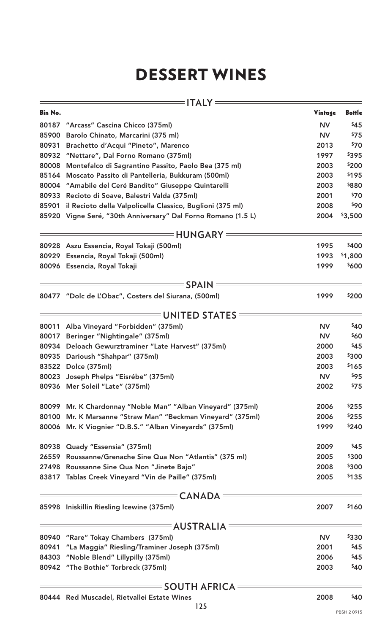# DESSERT WINES

|                | $=$ ITALY =                                                 |           |               |
|----------------|-------------------------------------------------------------|-----------|---------------|
| <b>Bin No.</b> |                                                             | Vintage   | <b>Bottle</b> |
| 80187          | "Arcass" Cascina Chicco (375ml)                             | <b>NV</b> | \$45          |
| 85900          | Barolo Chinato, Marcarini (375 ml)                          | <b>NV</b> | 575           |
| 80931          | Brachetto d'Acqui "Pineto", Marenco                         | 2013      | \$70          |
| 80932          | "Nettare", Dal Forno Romano (375ml)                         | 1997      | \$395         |
| 80008          | Montefalco di Sagrantino Passito, Paolo Bea (375 ml)        | 2003      | \$200         |
| 85164          | Moscato Passito di Pantelleria, Bukkuram (500ml)            | 2003      | \$195         |
| 80004          | "Amabile del Ceré Bandito" Giuseppe Quintarelli             | 2003      | \$880         |
| 80933          | Recioto di Soave, Balestri Valda (375ml)                    | 2001      | 570           |
| 85901          | il Recioto della Valpolicella Classico, Buglioni (375 ml)   | 2008      | \$90          |
| 85920          | Vigne Seré, "30th Anniversary" Dal Forno Romano (1.5 L)     | 2004      | \$3,500       |
|                | <b>=HUNGARY =</b>                                           |           |               |
|                | 80928 Aszu Essencia, Royal Tokaji (500ml)                   | 1995      | \$400         |
|                | 80929 Essencia, Royal Tokaji (500ml)                        | 1993      | \$1,800       |
|                | 80096 Essencia, Royal Tokaji                                | 1999      | \$600         |
|                | = SPAIN                                                     |           |               |
|                | 80477 "Dolc de L'Obac", Costers del Siurana, (500ml)        | 1999      | \$200         |
|                | <b>UNITED STATES</b>                                        |           |               |
| 80011          | Alba Vineyard "Forbidden" (375ml)                           | <b>NV</b> | \$40          |
| 80017          | Beringer "Nightingale" (375ml)                              | <b>NV</b> | \$60          |
| 80934          | Deloach Gewurztraminer "Late Harvest" (375ml)               | 2000      | \$45          |
| 80935          | Darioush "Shahpar" (375ml)                                  | 2003      | \$300         |
| 83522          | Dolce (375ml)                                               | 2003      | \$165         |
| 80023          | Joseph Phelps "Eisrébe" (375ml)                             | <b>NV</b> | \$95          |
|                | 80936 Mer Soleil "Late" (375ml)                             | 2002      | \$75          |
|                |                                                             |           |               |
|                | 80099 Mr. K Chardonnay "Noble Man" "Alban Vineyard" (375ml) | 2006      | \$255         |
|                | 80100 Mr. K Marsanne "Straw Man" "Beckman Vineyard" (375ml) | 2006      | \$255         |
| 80006          | Mr. K Viognier "D.B.S." "Alban Vineyards" (375ml)           | 1999      | \$240         |
|                | 80938 Quady "Essensia" (375ml)                              | 2009      | \$45          |
| 26559          | Roussanne/Grenache Sine Qua Non "Atlantis" (375 ml)         | 2005      | \$300         |
|                | 27498 Roussanne Sine Qua Non "Jinete Bajo"                  | 2008      | \$300         |
|                | 83817 Tablas Creek Vineyard "Vin de Paille" (375ml)         | 2005      | \$135         |
|                | = CANADA =                                                  |           |               |
|                | 85998 Iniskillin Riesling Icewine (375ml)                   | 2007      | \$160         |
|                |                                                             |           |               |
|                | 80940 "Rare" Tokay Chambers (375ml)                         | <b>NV</b> | \$330         |
| 80941          | "La Maggia" Riesling/Traminer Joseph (375ml)                | 2001      | \$45          |
| 84303          | "Noble Blend" Lillypilly (375ml)                            | 2006      | \$45          |
|                | 80942 "The Bothie" Torbreck (375ml)                         | 2003      | \$40          |
|                | =SOUTH AFRICA =                                             |           |               |
|                | 80444 Red Muscadel, Rietvallei Estate Wines                 | 2008      | \$40          |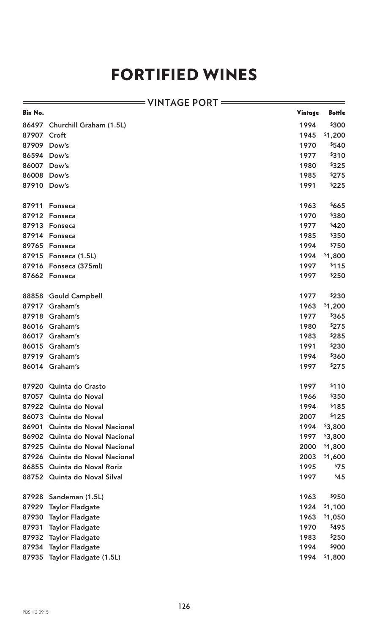### FORTIFIED WINES

#### **VINTAGE PORT**

 $=$ 

| Bin No.     |                                        | Vintage | <b>Bottle</b> |
|-------------|----------------------------------------|---------|---------------|
| 86497       | Churchill Graham (1.5L)                | 1994    | \$300         |
| 87907       | Croft                                  | 1945    | \$1,200       |
| 87909       | Dow's                                  | 1970    | \$540         |
| 86594 Dow's |                                        | 1977    | \$310         |
| 86007       | Dow's                                  | 1980    | \$325         |
| 86008       | Dow's                                  | 1985    | \$275         |
| 87910 Dow's |                                        | 1991    | \$225         |
| 87911       | Fonseca                                | 1963    | \$665         |
| 87912       | Fonseca                                | 1970    | \$380         |
| 87913       | Fonseca                                | 1977    | \$420         |
| 87914       | Fonseca                                | 1985    | \$350         |
| 89765       | Fonseca                                | 1994    | \$750         |
|             |                                        | 1994    | \$1,800       |
|             | 87915 Fonseca (1.5L)                   | 1997    | \$115         |
|             | 87916 Fonseca (375ml)<br>87662 Fonseca | 1997    | \$250         |
|             |                                        |         |               |
| 88858       | <b>Gould Campbell</b>                  | 1977    | \$230         |
| 87917       | Graham's                               | 1963    | \$1,200       |
| 87918       | Graham's                               | 1977    | \$365         |
| 86016       | Graham's                               | 1980    | \$275         |
|             | 86017 Graham's                         | 1983    | \$285         |
| 86015       | Graham's                               | 1991    | \$230         |
| 87919       | Graham's                               | 1994    | \$360         |
|             | 86014 Graham's                         | 1997    | \$275         |
|             |                                        |         |               |
|             | 87920 Quinta do Crasto                 | 1997    | \$110         |
| 87057       | Quinta do Noval                        | 1966    | \$350         |
| 87922       | Quinta do Noval                        | 1994    | \$185         |
| 86073       | Quinta do Noval                        | 2007    | \$125         |
| 86901       | Quinta do Noval Nacional               | 1994    | \$3,800       |
| 86902       | Quinta do Noval Nacional               | 1997    | \$3,800       |
| 87925       | Quinta do Noval Nacional               | 2000    | \$1,800       |
| 87926       | Quinta do Noval Nacional               | 2003    | \$1,600       |
| 86855       | Quinta do Noval Roriz                  | 1995    | \$75          |
| 88752       | Quinta do Noval Silval                 | 1997    | \$45          |
| 87928       | Sandeman (1.5L)                        | 1963    | \$950         |
| 87929       | <b>Taylor Fladgate</b>                 | 1924    | \$1,100       |
| 87930       | <b>Taylor Fladgate</b>                 | 1963    | \$1,050       |
| 87931       | <b>Taylor Fladgate</b>                 | 1970    | \$495         |
| 87932       | <b>Taylor Fladgate</b>                 | 1983    | \$250         |
| 87934       | <b>Taylor Fladgate</b>                 | 1994    | \$900         |
| 87935       | Taylor Fladgate (1.5L)                 | 1994    | \$1,800       |

 $\equiv$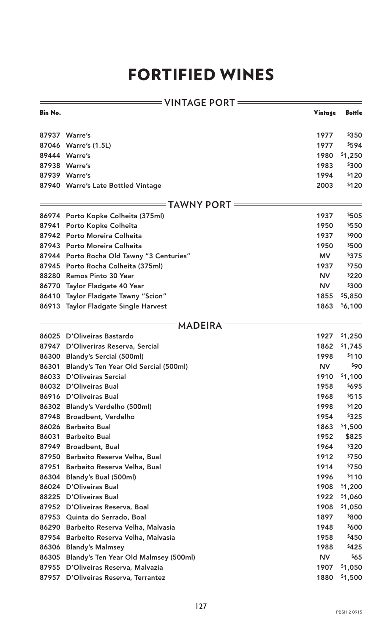## FORTIFIED WINES

|                | <b>VINTAGE PORT =</b>                        |           |               |
|----------------|----------------------------------------------|-----------|---------------|
| <b>Bin No.</b> |                                              | Vintage   | <b>Bottle</b> |
|                | 87937 Warre's                                | 1977      | \$350         |
| 87046          | <b>Warre's (1.5L)</b>                        | 1977      | \$594         |
| 89444          | <b>Warre's</b>                               | 1980      | \$1,250       |
| 87938          | <b>Warre's</b>                               | 1983      | \$300         |
|                | 87939 Warre's                                | 1994      | \$120         |
|                | 87940 Warre's Late Bottled Vintage           | 2003      | \$120         |
|                | <b>TAWNY PORT</b>                            |           |               |
|                | 86974 Porto Kopke Colheita (375ml)           | 1937      | \$505         |
| 87941          | Porto Kopke Colheita                         | 1950      | \$550         |
| 87942          | <b>Porto Moreira Colheita</b>                | 1937      | \$900         |
| 87943          | <b>Porto Moreira Colheita</b>                | 1950      | \$500         |
| 87944          | Porto Rocha Old Tawny "3 Centuries"          | <b>MV</b> | \$375         |
| 87945          | Porto Rocha Colheita (375ml)                 | 1937      | \$750         |
| 88280          | Ramos Pinto 30 Year                          | <b>NV</b> | \$220         |
| 86770          | Taylor Fladgate 40 Year                      | <b>NV</b> | \$300         |
| 86410          | Taylor Fladgate Tawny "Scion"                | 1855      | \$5,850       |
| 86913          | <b>Taylor Fladgate Single Harvest</b>        | 1863      | \$6,100       |
|                | <b>MADEIRA</b>                               |           |               |
| 86025          | <b>D'Oliveiras Bastardo</b>                  | 1927      | \$1,250       |
| 87947          | D'Oliveriras Reserva, Sercial                | 1862      | \$1,745       |
| 86300          | <b>Blandy's Sercial (500ml)</b>              | 1998      | \$110         |
| 86301          | <b>Blandy's Ten Year Old Sercial (500ml)</b> | <b>NV</b> | \$90          |
| 86033          | <b>D'Oliveiras Sercial</b>                   | 1910      | \$1,100       |
|                | 86032 D'Oliveiras Bual                       | 1958      | \$695         |
| 86916          | <b>D'Oliveiras Bual</b>                      | 1968      | \$515         |
| 86302          | <b>Blandy's Verdelho (500ml)</b>             | 1998      | \$120         |
| 87948          | <b>Broadbent, Verdelho</b>                   | 1954      | \$325         |
| 86026          | <b>Barbeito Bual</b>                         | 1863      | \$1,500       |
| 86031          | <b>Barbeito Bual</b>                         | 1952      | \$825         |
| 87949          | <b>Broadbent, Bual</b>                       | 1964      | \$320         |
| 87950          | Barbeito Reserva Velha, Bual                 | 1912      | \$750         |
| 87951          | Barbeito Reserva Velha, Bual                 | 1914      | \$750         |
| 86304          | <b>Blandy's Bual (500ml)</b>                 | 1996      | \$110         |
| 86024          | <b>D'Oliveiras Bual</b>                      | 1908      | \$1,200       |
| 88225          | <b>D'Oliveiras Bual</b>                      | 1922      | \$1,060       |
| 87952          | D'Oliveiras Reserva, Boal                    | 1908      | \$1,050       |
| 87953          | Quinta do Serrado, Boal                      | 1897      | \$800         |
| 86290          | Barbeito Reserva Velha, Malvasia             | 1948      | \$600         |
| 87954          | Barbeito Reserva Velha, Malvasia             | 1958      | \$450         |
| 86306          | <b>Blandy's Malmsey</b>                      | 1988      | \$425         |
| 86305          | <b>Blandy's Ten Year Old Malmsey (500ml)</b> | <b>NV</b> | \$65          |
| 87955          | D'Oliveiras Reserva, Malvazia                | 1907      | \$1,050       |
| 87957          | D'Oliveiras Reserva, Terrantez               | 1880      | \$1,500       |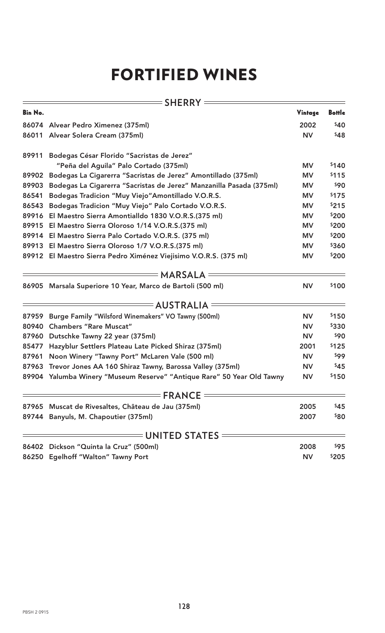### FORTIFIED WINES

|                | $\equiv$ SHERRY $=$                                                 |           |               |
|----------------|---------------------------------------------------------------------|-----------|---------------|
| <b>Bin No.</b> |                                                                     | Vintage   | <b>Bottle</b> |
|                | 86074 Alvear Pedro Ximenez (375ml)                                  | 2002      | \$40          |
|                | 86011 Alvear Solera Cream (375ml)                                   | <b>NV</b> | \$48          |
| 89911          | Bodegas César Florido "Sacristas de Jerez"                          |           |               |
|                | "Peña del Aguila" Palo Cortado (375ml)                              | <b>MV</b> | \$140         |
| 89902          | Bodegas La Cigarerra "Sacristas de Jerez" Amontillado (375ml)       | <b>MV</b> | \$115         |
| 89903          | Bodegas La Cigarerra "Sacristas de Jerez" Manzanilla Pasada (375ml) | <b>MV</b> | \$90          |
| 86541          | Bodegas Tradicion "Muy Viejo" Amontillado V.O.R.S.                  | <b>MV</b> | \$175         |
| 86543          | Bodegas Tradicion "Muy Viejo" Palo Cortado V.O.R.S.                 | <b>MV</b> | \$215         |
|                | 89916 El Maestro Sierra Amontialldo 1830 V.O.R.S.(375 ml)           | <b>MV</b> | \$200         |
|                | 89915 El Maestro Sierra Oloroso 1/14 V.O.R.S.(375 ml)               | <b>MV</b> | \$200         |
|                | 89914 El Maestro Sierra Palo Cortado V.O.R.S. (375 ml)              | <b>MV</b> | \$200         |
|                | 89913 El Maestro Sierra Oloroso 1/7 V.O.R.S. (375 ml)               | <b>MV</b> | \$360         |
|                | 89912 El Maestro Sierra Pedro Ximénez Viejisimo V.O.R.S. (375 ml)   | <b>MV</b> | \$200         |
|                | ———— MARSALA =                                                      |           |               |
|                | 86905 Marsala Superiore 10 Year, Marco de Bartoli (500 ml)          | <b>NV</b> | \$100         |
|                | ====== AUSTRALIA =                                                  |           |               |
|                | 87959 Burge Family "Wilsford Winemakers" VO Tawny (500ml)           | <b>NV</b> | \$150         |
| 80940          | <b>Chambers "Rare Muscat"</b>                                       | <b>NV</b> | \$330         |
|                | 87960 Dutschke Tawny 22 year (375ml)                                | <b>NV</b> | \$90          |
|                | 85477 Hazyblur Settlers Plateau Late Picked Shiraz (375ml)          | 2001      | \$125         |
| 87961          | Noon Winery "Tawny Port" McLaren Vale (500 ml)                      | <b>NV</b> | 599           |
| 87963          | Trevor Jones AA 160 Shiraz Tawny, Barossa Valley (375ml)            | <b>NV</b> | \$45          |
| 89904          | Yalumba Winery "Museum Reserve" "Antique Rare" 50 Year Old Tawny    | <b>NV</b> | \$150         |
|                | $=$ FRANCE $=$                                                      |           |               |
|                | 87965 Muscat de Rivesaltes, Château de Jau (375ml)                  | 2005      | \$45          |
|                | 89744 Banyuls, M. Chapoutier (375ml)                                | 2007      | \$80          |
|                | = UNITED STATES =                                                   |           |               |
|                | 86402 Dickson "Quinta la Cruz" (500ml)                              | 2008      | \$95          |
|                | 86250 Egelhoff "Walton" Tawny Port                                  | <b>NV</b> | \$205         |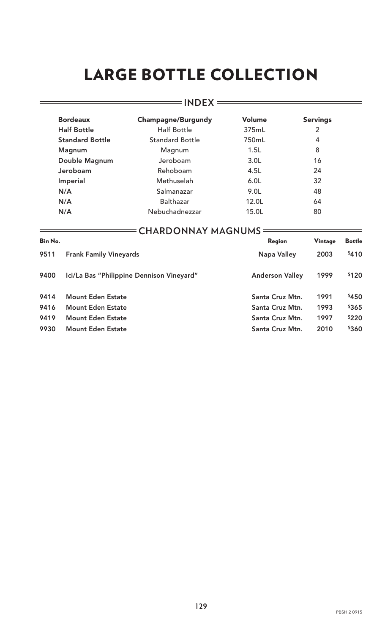# LARGE BOTTLE COLLECTION

 $=$  INDEX  $=$ 

#### Bordeaux Champagne/Burgundy Volume Servings Half Bottle 1975mL 2 Standard Bottle 5tandard Bottle 750mL 4 Magnum Magnum Magnum 1.5L 8 Double Magnum Jeroboam 3.0L 16 Jeroboam Rehoboam 4.5L 24 Imperial Methuselah 6.0L 32 N/A Salmanazar 9.0L 48 N/A Balthazar 12.0L 64 N/A Nebuchadnezzar 15.0L 80

|         | <b>CHARDONNAY MAGNUMS ==</b>              |                        |         |               |  |  |
|---------|-------------------------------------------|------------------------|---------|---------------|--|--|
| Bin No. |                                           | Region                 | Vintage | <b>Bottle</b> |  |  |
| 9511    | <b>Frank Family Vineyards</b>             | <b>Napa Valley</b>     | 2003    | \$410         |  |  |
| 9400    | Ici/La Bas "Philippine Dennison Vineyard" | <b>Anderson Valley</b> | 1999    | \$120         |  |  |
| 9414    | <b>Mount Eden Estate</b>                  | Santa Cruz Mtn.        | 1991    | \$450         |  |  |
| 9416    | <b>Mount Eden Estate</b>                  | Santa Cruz Mtn.        | 1993    | \$365         |  |  |
| 9419    | <b>Mount Eden Estate</b>                  | Santa Cruz Mtn.        | 1997    | \$220         |  |  |
| 9930    | <b>Mount Eden Estate</b>                  | Santa Cruz Mtn.        | 2010    | \$360         |  |  |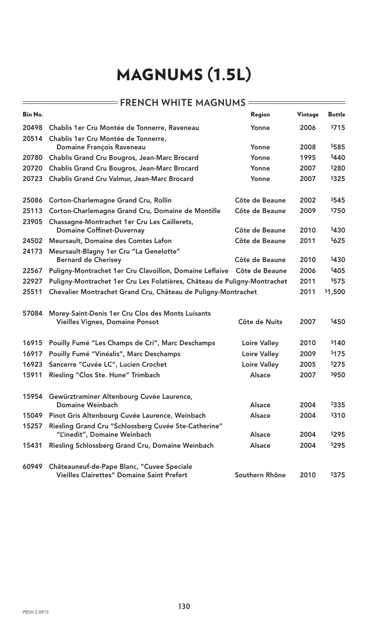#### **FRENCH WHITE MAGNUMS**

| Bin No. |                                                                                          | Region              | Vintage | <b>Bottle</b> |
|---------|------------------------------------------------------------------------------------------|---------------------|---------|---------------|
| 20498   | Chablis 1er Cru Montée de Tonnerre, Raveneau                                             | Yonne               | 2006    | \$715         |
| 20514   | Chablis 1er Cru Montée de Tonnerre,                                                      |                     |         |               |
|         | <b>Domaine François Raveneau</b>                                                         | Yonne               | 2008    | \$585         |
| 20780   | <b>Chablis Grand Cru Bougros, Jean-Marc Brocard</b>                                      | Yonne               | 1995    | \$440         |
| 20720   | <b>Chablis Grand Cru Bougros, Jean-Marc Brocard</b>                                      | Yonne               | 2007    | \$280         |
| 20723   | Chablis Grand Cru Valmur, Jean-Marc Brocard                                              | Yonne               | 2007    | \$325         |
| 25086   | Corton-Charlemagne Grand Cru, Rollin                                                     | Côte de Beaune      | 2002    | \$545         |
| 25113   | Corton-Charlemagne Grand Cru, Domaine de Montille                                        | Côte de Beaune      | 2009    | \$750         |
| 23905   | Chassagne-Montrachet 1er Cru Les Caillerets,<br><b>Domaine Coffinet-Duvernay</b>         | Côte de Beaune      | 2010    | \$430         |
| 24502   | Meursault, Domaine des Comtes Lafon                                                      | Côte de Beaune      | 2011    | \$625         |
| 24173   | Meursault-Blagny 1er Cru "La Genelotte"                                                  |                     |         |               |
|         | <b>Bernard de Cherisey</b>                                                               | Côte de Beaune      | 2010    | \$430         |
| 22567   | Puligny-Montrachet 1er Cru Clavoillon, Domaine Leflaive Côte de Beaune                   |                     | 2006    | \$405         |
| 22927   | Puligny-Montrachet 1er Cru Les Folatières, Château de Puligny-Montrachet                 |                     | 2011    | \$575         |
| 25511   | Chevalier Montrachet Grand Cru, Château de Puligny-Montrachet                            |                     | 2011    | \$1,500       |
|         |                                                                                          |                     |         |               |
| 57084   | Morey-Saint-Denis 1er Cru Clos des Monts Luisants                                        |                     |         |               |
|         | <b>Vieilles Vignes, Domaine Ponsot</b>                                                   | Côte de Nuits       | 2007    | \$450         |
| 16915   | Pouilly Fumé "Les Champs de Cri", Marc Deschamps                                         | <b>Loire Valley</b> | 2010    | <b>\$140</b>  |
| 16917   | Pouilly Fumé "Vinéalis", Marc Deschamps                                                  | <b>Loire Valley</b> | 2009    | \$175         |
| 16923   | Sancerre "Cuvée LC", Lucien Crochet                                                      | <b>Loire Valley</b> | 2005    | \$275         |
| 15911   | Riesling "Clos Ste. Hune" Trimbach                                                       | Alsace              | 2007    | \$950         |
|         |                                                                                          |                     |         |               |
| 15954   | Gewürztraminer Altenbourg Cuvée Laurence,<br>Domaine Weinbach                            | Alsace              | 2004    | \$335         |
| 15049   | Pinot Gris Altenbourg Cuvée Laurence, Weinbach                                           | Alsace              | 2004    | \$310         |
| 15257   | Riesling Grand Cru "Schlossberg Cuvée Ste-Catherine"<br>"L'inedit", Domaine Weinbach     | Alsace              | 2004    | \$295         |
| 15431   | Riesling Schlossberg Grand Cru, Domaine Weinbach                                         | Alsace              | 2004    | \$295         |
|         |                                                                                          |                     |         |               |
| 60949   | Châteauneuf-de-Pape Blanc, "Cuvee Speciale<br>Vieilles Clairettes" Domaine Saint Prefert | Southern Rhône      | 2010    | \$375         |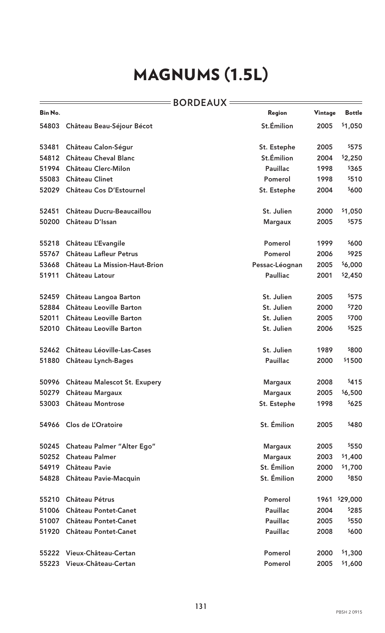#### **BORDEAUX**

 $\equiv$ 

| Bin No. |                                   | Region          | Vintage | <b>Bottle</b> |
|---------|-----------------------------------|-----------------|---------|---------------|
| 54803   | Château Beau-Séjour Bécot         | St.Émilion      | 2005    | \$1,050       |
| 53481   | Château Calon-Ségur               | St. Estephe     | 2005    | \$575         |
| 54812   | <b>Château Cheval Blanc</b>       | St.Émilion      | 2004    | \$2,250       |
| 51994   | <b>Château Clerc-Milon</b>        | <b>Pauillac</b> | 1998    | \$365         |
| 55083   | <b>Château Clinet</b>             | Pomerol         | 1998    | \$510         |
| 52029   | Château Cos D'Estournel           | St. Estephe     | 2004    | \$600         |
| 52451   | Château Ducru-Beaucaillou         | St. Julien      | 2000    | \$1,050       |
| 50200   | Château D'Issan                   | <b>Margaux</b>  | 2005    | \$575         |
| 55218   | Château L'Evangile                | Pomerol         | 1999    | \$600         |
| 55767   | <b>Château Lafleur Petrus</b>     | Pomerol         | 2006    | \$925         |
| 53668   | Château La Mission-Haut-Brion     | Pessac-Léognan  | 2005    | \$6,000       |
| 51911   | Château Latour                    | <b>Paulliac</b> | 2001    | \$2,450       |
| 52459   | Château Langoa Barton             | St. Julien      | 2005    | \$575         |
| 52884   | Château Leoville Barton           | St. Julien      | 2000    | \$720         |
| 52011   | Château Leoville Barton           | St. Julien      | 2005    | \$700         |
| 52010   | Château Leoville Barton           | St. Julien      | 2006    | \$525         |
| 52462   | Château Léoville-Las-Cases        | St. Julien      | 1989    | \$800         |
| 51880   | Château Lynch-Bages               | <b>Pauillac</b> | 2000    | \$1500        |
| 50996   | Château Malescot St. Exupery      | <b>Margaux</b>  | 2008    | \$415         |
|         | 50279 Château Margaux             | <b>Margaux</b>  | 2005    | \$6,500       |
| 53003   | <b>Château Montrose</b>           | St. Estephe     | 1998    | \$625         |
| 54966   | Clos de L'Oratoire                | St. Émilion     | 2005    | \$480         |
| 50245   | <b>Chateau Palmer "Alter Ego"</b> | <b>Margaux</b>  | 2005    | \$550         |
| 50252   | <b>Chateau Palmer</b>             | <b>Margaux</b>  | 2003    | \$1,400       |
| 54919   | <b>Château Pavie</b>              | St. Émilion     | 2000    | \$1,700       |
| 54828   | Château Pavie-Macquin             | St. Émilion     | 2000    | \$850         |
| 55210   | Château Pétrus                    | Pomerol         | 1961    | \$29,000      |
| 51006   | <b>Château Pontet-Canet</b>       | <b>Pauillac</b> | 2004    | \$285         |
| 51007   | <b>Château Pontet-Canet</b>       | <b>Pauillac</b> | 2005    | \$550         |
|         | 51920 Château Pontet-Canet        | <b>Pauillac</b> | 2008    | \$600         |
| 55222   | Vieux-Château-Certan              | Pomerol         | 2000    | \$1,300       |
| 55223   | Vieux-Château-Certan              | Pomerol         | 2005    | \$1,600       |

 $\overline{\phantom{0}}$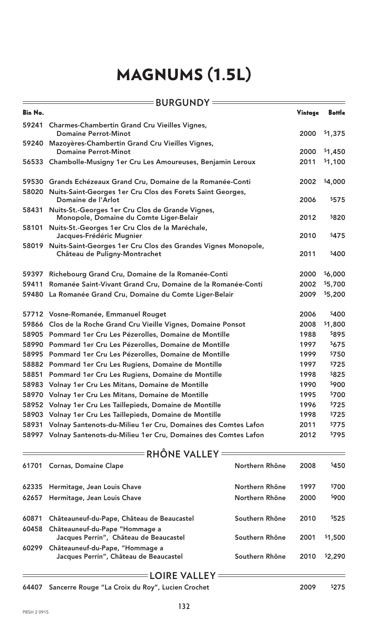|                | <b>BURGUNDY=</b>                                                                                                                                  |                |              |                  |
|----------------|---------------------------------------------------------------------------------------------------------------------------------------------------|----------------|--------------|------------------|
| <b>Bin No.</b> |                                                                                                                                                   |                | Vintage      | <b>Bottle</b>    |
| 59241          | <b>Charmes-Chambertin Grand Cru Vieilles Vignes,</b><br><b>Domaine Perrot-Minot</b>                                                               |                | 2000         | \$1,375          |
| 59240          | Mazoyères-Chambertin Grand Cru Vieilles Vignes,<br><b>Domaine Perrot-Minot</b>                                                                    |                | 2000         | \$1,450          |
|                | 56533 Chambolle-Musigny 1er Cru Les Amoureuses, Benjamin Leroux                                                                                   |                | 2011         | \$1,100          |
| 58020          | 59530 Grands Echézeaux Grand Cru, Domaine de la Romanée-Conti<br>Nuits-Saint-Georges 1er Cru Clos des Forets Saint Georges,<br>Domaine de l'Arlot |                | 2002<br>2006 | \$4,000<br>\$575 |
| 58431          | Nuits-St.-Georges 1er Cru Clos de Grande Vignes,<br>Monopole, Domaine du Comte Liger-Belair                                                       |                | 2012         | \$820            |
| 58101          | Nuits-St.-Georges 1er Cru Clos de la Maréchale,<br>Jacques-Frédéric Mugnier                                                                       |                | 2010         | \$475            |
|                | 58019 Nuits-Saint-Georges 1er Cru Clos des Grandes Vignes Monopole,<br>Château de Puligny-Montrachet                                              |                | 2011         | \$400            |
|                | 59397 Richebourg Grand Cru, Domaine de la Romanée-Conti                                                                                           |                | 2000         | \$6,000          |
| 59411          | Romanée Saint-Vivant Grand Cru, Domaine de la Romanée-Conti                                                                                       |                | 2002         | \$5,700          |
|                | 59480 La Romanée Grand Cru, Domaine du Comte Liger-Belair                                                                                         |                | 2009         | \$5,200          |
|                | 57712 Vosne-Romanée, Emmanuel Rouget                                                                                                              |                | 2006         | \$400            |
|                | 59866 Clos de la Roche Grand Cru Vieille Vignes, Domaine Ponsot                                                                                   |                | 2008         | \$1,800          |
|                | 58905 Pommard 1er Cru Les Pézerolles, Domaine de Montille                                                                                         |                | 1988         | \$895            |
|                | 58990 Pommard 1er Cru Les Pézerolles, Domaine de Montille                                                                                         |                | 1997         | \$675            |
|                | 58995 Pommard 1er Cru Les Pézerolles, Domaine de Montille                                                                                         |                | 1999         | \$750            |
|                | 58882 Pommard 1er Cru Les Rugiens, Domaine de Montille                                                                                            |                | 1997         | \$725            |
| 58851          | Pommard 1er Cru Les Rugiens, Domaine de Montille                                                                                                  |                | 1998         | \$825            |
|                | 58983 Volnay 1er Cru Les Mitans, Domaine de Montille                                                                                              |                | 1990         | \$900            |
| 58970          | Volnay 1er Cru Les Mitans, Domaine de Montille                                                                                                    |                | 1995         | \$700            |
|                | 58952 Volnay 1er Cru Les Taillepieds, Domaine de Montille                                                                                         |                | 1996         | \$725            |
| 58903          | Volnay 1er Cru Les Taillepieds, Domaine de Montille                                                                                               |                | 1998         | \$725            |
| 58931          | Volnay Santenots-du-Milieu 1er Cru, Domaines des Comtes Lafon                                                                                     |                | 2011         | \$775            |
| 58997          | Volnay Santenots-du-Milieu 1er Cru, Domaines des Comtes Lafon                                                                                     |                | 2012         | \$795            |
|                | $=$ RHÔNE VALLEY $=$                                                                                                                              |                |              |                  |
| 61701          | <b>Cornas, Domaine Clape</b>                                                                                                                      | Northern Rhône | 2008         | \$450            |
| 62335          | Hermitage, Jean Louis Chave                                                                                                                       | Northern Rhône | 1997         | \$700            |
| 62657          | Hermitage, Jean Louis Chave                                                                                                                       | Northern Rhône | 2000         | \$900            |
| 60871          | Châteauneuf-du-Pape, Château de Beaucastel                                                                                                        | Southern Rhône | 2010         | \$525            |
| 60458          | Châteauneuf-du-Pape "Hommage a<br>Jacques Perrin", Château de Beaucastel                                                                          | Southern Rhône | 2001         | \$1,500          |
| 60299          | Châteauneuf-du-Pape, "Hommage a<br>Jacques Perrin", Château de Beaucastel                                                                         | Southern Rhône | 2010         | \$2,290          |

#### $=$  LOIRE VALLEY  $=$

64407 Sancerre Rouge "La Croix du Roy", Lucien Crochet 2009 2009 5275

 $\equiv$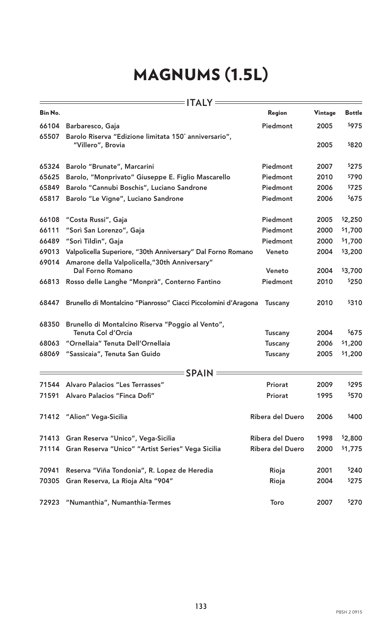|         | ITALY =                                                                    |                  |         |                     |
|---------|----------------------------------------------------------------------------|------------------|---------|---------------------|
| Bin No. |                                                                            | Region           | Vintage | <b>Bottle</b>       |
| 66104   | Barbaresco, Gaja                                                           | Piedmont         | 2005    | \$975               |
| 65507   | Barolo Riserva "Edizione limitata 150° anniversario",<br>"Villero", Brovia |                  | 2005    | \$820               |
| 65324   | Barolo "Brunate", Marcarini                                                | Piedmont         | 2007    | \$275               |
| 65625   | Barolo, "Monprivato" Giuseppe E. Figlio Mascarello                         | Piedmont         | 2010    | \$790               |
| 65849   | Barolo "Cannubi Boschis", Luciano Sandrone                                 | Piedmont         | 2006    | \$725               |
| 65817   | Barolo "Le Vigne", Luciano Sandrone                                        | Piedmont         | 2006    | \$675               |
| 66108   | "Costa Russi", Gaja                                                        | Piedmont         | 2005    | \$2,250             |
| 66111   | "Sorì San Lorenzo", Gaja                                                   | Piedmont         | 2000    | \$1,700             |
| 66489   | "Sorì Tildìn", Gaja                                                        | Piedmont         | 2000    | \$1,700             |
| 69013   | Valpolicella Superiore, "30th Anniversary" Dal Forno Romano                | Veneto           | 2004    | \$3,200             |
| 69014   | Amarone della Valpolicella, "30th Anniversary"                             |                  |         |                     |
|         | Dal Forno Romano                                                           | Veneto           | 2004    | \$3,700             |
| 66813   | Rosso delle Langhe "Monprà", Conterno Fantino                              | Piedmont         | 2010    | \$250               |
| 68447   | Brunello di Montalcino "Pianrosso" Ciacci Piccolomini d'Aragona            | <b>Tuscany</b>   | 2010    | \$310               |
| 68350   | Brunello di Montalcino Riserva "Poggio al Vento",                          |                  |         |                     |
|         | Tenuta Col d'Orcia                                                         | <b>Tuscany</b>   | 2004    | \$675               |
| 68063   | "Ornellaia" Tenuta Dell'Ornellaia                                          | <b>Tuscany</b>   | 2006    | \$1,200             |
| 68069   | "Sassicaia", Tenuta San Guido                                              | <b>Tuscany</b>   | 2005    | \$1,200             |
|         | <b>SPAIN</b>                                                               |                  |         |                     |
| 71544   | <b>Alvaro Palacios "Les Terrasses"</b>                                     | Priorat          | 2009    | \$295               |
| 71591   | <b>Alvaro Palacios "Finca Dofi"</b>                                        | Priorat          | 1995    | \$570               |
|         | 71412 "Alion" Vega-Sicilia                                                 | Ribera del Duero | 2006    | \$400               |
| 71413   | Gran Reserva "Unico", Vega-Sicilia                                         | Ribera del Duero | 1998    | \$2,800             |
| 71114   | Gran Reserva "Unico" "Artist Series" Vega Sicilia                          | Ribera del Duero | 2000    | <sup>\$</sup> 1,775 |
| 70941   | Reserva "Viña Tondonia", R. Lopez de Heredia                               | Rioja            | 2001    | \$240               |
| 70305   | Gran Reserva, La Rioja Alta "904"                                          | Rioja            | 2004    | \$275               |
| 72923   | "Numanthia", Numanthia-Termes                                              | Toro             | 2007    | \$270               |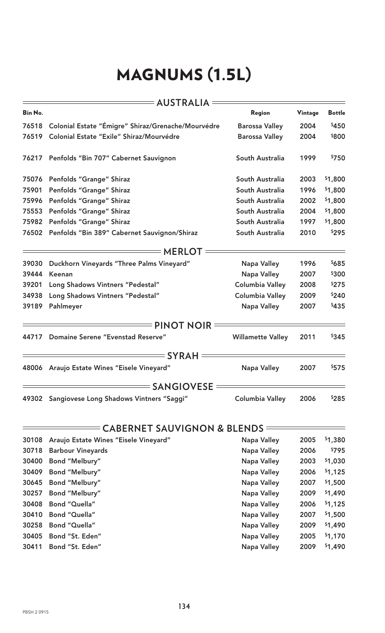|         | <b>AUSTRALIA</b>                                   |                          |         |               |
|---------|----------------------------------------------------|--------------------------|---------|---------------|
| Bin No. |                                                    | <b>Region</b>            | Vintage | <b>Bottle</b> |
| 76518   | Colonial Estate "Émigre" Shiraz/Grenache/Mourvédre | <b>Barossa Valley</b>    | 2004    | \$450         |
| 76519   | Colonial Estate "Exile" Shiraz/Mourvédre           | <b>Barossa Valley</b>    | 2004    | \$800         |
| 76217   | Penfolds "Bin 707" Cabernet Sauvignon              | South Australia          | 1999    | \$750         |
| 75076   | Penfolds "Grange" Shiraz                           | South Australia          | 2003    | \$1,800       |
| 75901   | Penfolds "Grange" Shiraz                           | South Australia          | 1996    | \$1,800       |
| 75996   | <b>Penfolds "Grange" Shiraz</b>                    | South Australia          | 2002    | \$1,800       |
| 75553   | Penfolds "Grange" Shiraz                           | South Australia          | 2004    | \$1,800       |
| 75982   | <b>Penfolds "Grange" Shiraz</b>                    | South Australia          | 1997    | \$1,800       |
| 76502   | Penfolds "Bin 389" Cabernet Sauvignon/Shiraz       | South Australia          | 2010    | \$295         |
|         | <b>= MERLOT</b>                                    |                          |         |               |
| 39030   | Duckhorn Vineyards "Three Palms Vineyard"          | <b>Napa Valley</b>       | 1996    | \$685         |
| 39444   | <b>Keenan</b>                                      | Napa Valley              | 2007    | \$300         |
| 39201   | Long Shadows Vintners "Pedestal"                   | <b>Columbia Valley</b>   | 2008    | \$275         |
| 34938   | Long Shadows Vintners "Pedestal"                   | <b>Columbia Valley</b>   | 2009    | \$240         |
| 39189   | Pahlmeyer                                          | <b>Napa Valley</b>       | 2007    | \$435         |
|         | <b>PINOT NOIR</b>                                  |                          |         |               |
| 44717   | Domaine Serene "Evenstad Reserve"                  | <b>Willamette Valley</b> | 2011    | \$345         |
|         | <b>SYRAH</b>                                       |                          |         |               |
| 48006   | Araujo Estate Wines "Eisele Vineyard"              | <b>Napa Valley</b>       | 2007    | \$575         |
|         | <b>SANGIOVESE =</b>                                |                          |         |               |
| 49302   | Sangiovese Long Shadows Vintners "Saggi"           | <b>Columbia Valley</b>   | 2006    | \$285         |
|         | <b>CABERNET SAUVIGNON &amp; BLENDS =</b>           |                          |         |               |
| 30108   | Araujo Estate Wines "Eisele Vineyard"              | <b>Napa Valley</b>       | 2005    | \$1,380       |
| 30718   | <b>Barbour Vineyards</b>                           | <b>Napa Valley</b>       | 2006    | \$795         |
| 30400   | Bond "Melbury"                                     | <b>Napa Valley</b>       | 2003    | \$1,030       |
| 30409   | Bond "Melbury"                                     | <b>Napa Valley</b>       | 2006    | \$1,125       |
| 30645   | Bond "Melbury"                                     | <b>Napa Valley</b>       | 2007    | \$1,500       |
| 30257   | Bond "Melbury"                                     | <b>Napa Valley</b>       | 2009    | \$1,490       |
| 30408   | Bond "Quella"                                      | <b>Napa Valley</b>       | 2006    | \$1,125       |

- 30410 Bond "Quella" Napa Valley 2007 \$1,500 30258 Bond "Quella" Napa Valley 2009 \$1,490
- 30405 Bond "St. Eden" Napa Valley 2005 \$1,170 30411 Bond "St. Eden" Napa Valley 2009 \$1,490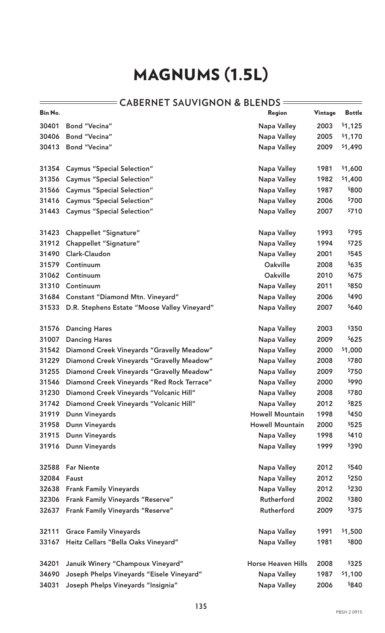#### **CABERNET SAUVIGNON & BLENDS**

| Bin No. |                                              | Region                    | Vintage | <b>Bottle</b> |
|---------|----------------------------------------------|---------------------------|---------|---------------|
| 30401   | Bond "Vecina"                                | <b>Napa Valley</b>        | 2003    | \$1,125       |
| 30406   | Bond "Vecina"                                | <b>Napa Valley</b>        | 2005    | \$1,170       |
| 30413   | Bond "Vecina"                                | <b>Napa Valley</b>        | 2009    | \$1,490       |
|         |                                              |                           |         |               |
| 31354   | <b>Caymus "Special Selection"</b>            | <b>Napa Valley</b>        | 1981    | \$1,600       |
| 31356   | <b>Caymus "Special Selection"</b>            | <b>Napa Valley</b>        | 1982    | \$1,400       |
| 31566   | <b>Caymus "Special Selection"</b>            | <b>Napa Valley</b>        | 1987    | \$800         |
| 31416   | <b>Caymus "Special Selection"</b>            | Napa Valley               | 2006    | \$700         |
| 31443   | <b>Caymus "Special Selection"</b>            | <b>Napa Valley</b>        | 2007    | \$710         |
|         |                                              |                           |         |               |
| 31423   | <b>Chappellet "Signature"</b>                | <b>Napa Valley</b>        | 1993    | \$795         |
| 31912   | Chappellet "Signature"                       | <b>Napa Valley</b>        | 1994    | \$725         |
| 31490   | <b>Clark-Claudon</b>                         | <b>Napa Valley</b>        | 2001    | \$545         |
| 31579   | Continuum                                    | <b>Oakville</b>           | 2008    | \$635         |
| 31062   | Continuum                                    | <b>Oakville</b>           | 2010    | \$675         |
| 31310   | Continuum                                    | Napa Valley               | 2011    | \$850         |
| 31684   | <b>Constant "Diamond Mtn. Vineyard"</b>      | <b>Napa Valley</b>        | 2006    | \$490         |
| 31533   | D.R. Stephens Estate "Moose Valley Vineyard" | <b>Napa Valley</b>        | 2007    | \$640         |
|         |                                              |                           |         |               |
| 31576   | <b>Dancing Hares</b>                         | <b>Napa Valley</b>        | 2003    | \$350         |
| 31007   | <b>Dancing Hares</b>                         | <b>Napa Valley</b>        | 2009    | \$625         |
| 31542   | Diamond Creek Vineyards "Gravelly Meadow"    | Napa Valley               | 2000    | \$1,000       |
| 31229   | Diamond Creek Vineyards "Gravelly Meadow"    | <b>Napa Valley</b>        | 2008    | \$780         |
| 31255   | Diamond Creek Vineyards "Gravelly Meadow"    | <b>Napa Valley</b>        | 2009    | \$750         |
| 31546   | Diamond Creek Vineyards "Red Rock Terrace"   | <b>Napa Valley</b>        | 2000    | \$990         |
| 31230   | Diamond Creek Vineyards "Volcanic Hill"      | <b>Napa Valley</b>        | 2008    | \$780         |
| 31742   | Diamond Creek Vineyards "Volcanic Hill"      | <b>Napa Valley</b>        | 2012    | \$825         |
| 31919   | <b>Dunn Vineyards</b>                        | <b>Howell Mountain</b>    | 1998    | \$450         |
| 31958   | <b>Dunn Vineyards</b>                        | <b>Howell Mountain</b>    | 2000    | \$525         |
| 31915   | <b>Dunn Vineyards</b>                        | <b>Napa Valley</b>        | 1998    | \$410         |
| 31916   | <b>Dunn Vineyards</b>                        | Napa Valley               | 1999    | \$390         |
|         |                                              |                           |         |               |
| 32588   | <b>Far Niente</b>                            | <b>Napa Valley</b>        | 2012    | \$540         |
| 32084   | Faust                                        | <b>Napa Valley</b>        | 2012    | \$250         |
| 32638   | <b>Frank Family Vineyards</b>                | <b>Napa Valley</b>        | 2012    | \$230         |
| 32306   | <b>Frank Family Vineyards "Reserve"</b>      | Rutherford                | 2002    | \$380         |
| 32637   | <b>Frank Family Vineyards "Reserve"</b>      | Rutherford                | 2009    | \$375         |
| 32111   | <b>Grace Family Vineyards</b>                | <b>Napa Valley</b>        | 1991    | \$1,500       |
| 33167   | Heitz Cellars "Bella Oaks Vineyard"          | <b>Napa Valley</b>        | 1981    | \$800         |
|         |                                              |                           |         |               |
| 34201   | Januik Winery "Champoux Vineyard"            | <b>Horse Heaven Hills</b> | 2008    | \$325         |
| 34690   | Joseph Phelps Vineyards "Eisele Vineyard"    | <b>Napa Valley</b>        | 1987    | \$1,100       |
| 34031   | Joseph Phelps Vineyards "Insignia"           | <b>Napa Valley</b>        | 2006    | \$840         |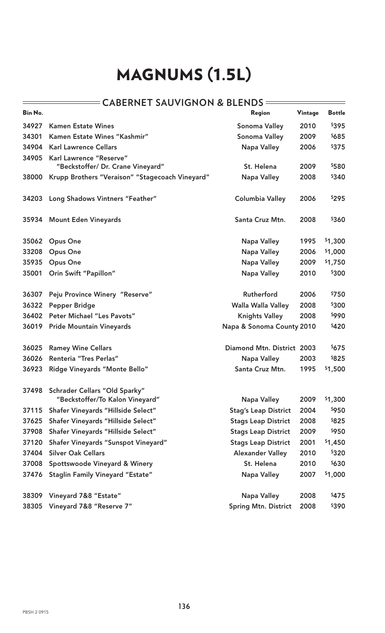#### **CABERNET SAUVIGNON & BLENDS**

| Bin No. |                                                 | Region                      | <b>Vintage</b> | <b>Bottle</b> |
|---------|-------------------------------------------------|-----------------------------|----------------|---------------|
| 34927   | <b>Kamen Estate Wines</b>                       | Sonoma Valley               | 2010           | \$395         |
| 34301   | Kamen Estate Wines "Kashmir"                    | Sonoma Valley               | 2009           | \$685         |
| 34904   | <b>Karl Lawrence Cellars</b>                    | <b>Napa Valley</b>          | 2006           | \$375         |
| 34905   | Karl Lawrence "Reserve"                         |                             |                |               |
|         | "Beckstoffer/ Dr. Crane Vineyard"               | St. Helena                  | 2009           | \$580         |
| 38000   | Krupp Brothers "Veraison" "Stagecoach Vineyard" | <b>Napa Valley</b>          | 2008           | \$340         |
|         | 34203 Long Shadows Vintners "Feather"           | <b>Columbia Valley</b>      | 2006           | \$295         |
| 35934   | <b>Mount Eden Vineyards</b>                     | Santa Cruz Mtn.             | 2008           | \$360         |
| 35062   | <b>Opus One</b>                                 | Napa Valley                 | 1995           | \$1,300       |
| 33208   | <b>Opus One</b>                                 | <b>Napa Valley</b>          | 2006           | \$1,000       |
| 35935   | <b>Opus One</b>                                 | <b>Napa Valley</b>          | 2009           | \$1,750       |
| 35001   | Orin Swift "Papillon"                           | <b>Napa Valley</b>          | 2010           | \$300         |
| 36307   | Peju Province Winery "Reserve"                  | Rutherford                  | 2006           | \$750         |
| 36322   | <b>Pepper Bridge</b>                            | Walla Walla Valley          | 2008           | \$300         |
| 36402   | <b>Peter Michael "Les Pavots"</b>               | <b>Knights Valley</b>       | 2008           | \$990         |
| 36019   | <b>Pride Mountain Vineyards</b>                 | Napa & Sonoma County 2010   |                | \$420         |
| 36025   | <b>Ramey Wine Cellars</b>                       | Diamond Mtn. District 2003  |                | \$675         |
| 36026   | Renteria "Tres Perlas"                          | Napa Valley                 | 2003           | \$825         |
| 36923   | Ridge Vineyards "Monte Bello"                   | Santa Cruz Mtn.             | 1995           | \$1,500       |
|         | 37498 Schrader Cellars "Old Sparky"             |                             |                |               |
|         | "Beckstoffer/To Kalon Vineyard"                 | <b>Napa Valley</b>          | 2009           | \$1,300       |
| 37115   | Shafer Vineyards "Hillside Select"              | <b>Stag's Leap District</b> | 2004           | \$950         |
| 37625   | Shafer Vineyards "Hillside Select"              | <b>Stags Leap District</b>  | 2008           | \$825         |
| 37908   | Shafer Vineyards "Hillside Select"              | <b>Stags Leap District</b>  | 2009           | \$950         |
| 37120   | Shafer Vineyards "Sunspot Vineyard"             | <b>Stags Leap District</b>  | 2001           | \$1,450       |
| 37404   | <b>Silver Oak Cellars</b>                       | <b>Alexander Valley</b>     | 2010           | \$320         |
| 37008   | Spottswoode Vineyard & Winery                   | St. Helena                  | 2010           | \$630         |
| 37476   | <b>Staglin Family Vineyard "Estate"</b>         | <b>Napa Valley</b>          | 2007           | \$1,000       |
| 38309   | Vineyard 7&8 "Estate"                           | <b>Napa Valley</b>          | 2008           | \$475         |
| 38305   | Vineyard 7&8 "Reserve 7"                        | <b>Spring Mtn. District</b> | 2008           | \$390         |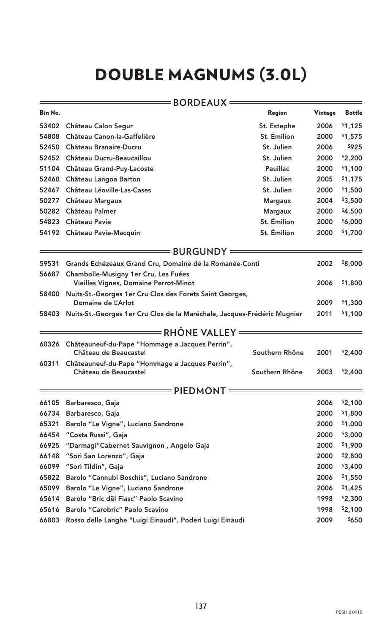# DOUBLE MAGNUMS (3.0L)

|         | <b>BORDEAUX</b>                                                               |                 |         |               |
|---------|-------------------------------------------------------------------------------|-----------------|---------|---------------|
| Bin No. |                                                                               | Region          | Vintage | <b>Bottle</b> |
| 53402   | Château Calon Segur                                                           | St. Estephe     | 2006    | \$1,125       |
| 54808   | Château Canon-la-Gaffelière                                                   | St. Émilion     | 2000    | \$1,575       |
| 52450   | Château Branaire-Ducru                                                        | St. Julien      | 2006    | \$925         |
| 52452   | Château Ducru-Beaucaillou                                                     | St. Julien      | 2000    | \$2,200       |
| 51104   | Château Grand-Puy-Lacoste                                                     | <b>Pauillac</b> | 2000    | \$1,100       |
| 52460   | Château Langoa Barton                                                         | St. Julien      | 2005    | \$1,175       |
| 52467   | <b>Château Léoville-Las-Cases</b>                                             | St. Julien      | 2000    | \$1,500       |
| 50277   | Château Margaux                                                               | <b>Margaux</b>  | 2004    | \$3,500       |
| 50282   | <b>Château Palmer</b>                                                         | <b>Margaux</b>  | 2000    | \$4,500       |
| 54823   | <b>Château Pavie</b>                                                          | St. Émilion     | 2000    | \$6,000       |
| 54192   | Château Pavie-Macquin                                                         | St. Émilion     | 2000    | \$1,700       |
|         | <b>BURGUNDY</b>                                                               |                 |         |               |
| 59531   | Grands Echézeaux Grand Cru, Domaine de la Romanée-Conti                       |                 | 2002    | \$8,000       |
| 56687   | Chambolle-Musigny 1er Cru, Les Fuées<br>Vieilles Vignes, Domaine Perrot-Minot |                 | 2006    | \$1,800       |
| 58400   | Nuits-St.-Georges 1er Cru Clos des Forets Saint Georges,                      |                 |         |               |
|         | Domaine de L'Arlot                                                            |                 | 2009    | \$1,300       |
| 58403   | Nuits-St.-Georges 1er Cru Clos de la Maréchale, Jacques-Frédéric Mugnier      |                 | 2011    | \$1,100       |
|         | $\overline{\ }$ RHÔNE VALLEY $=$                                              |                 |         |               |
| 60326   | Châteauneuf-du-Pape "Hommage a Jacques Perrin",                               |                 |         |               |
|         | Château de Beaucastel                                                         | Southern Rhône  | 2001    | \$2,400       |
| 60311   | Châteauneuf-du-Pape "Hommage a Jacques Perrin",<br>Château de Beaucastel      | Southern Rhône  | 2003    | \$2,400       |
|         |                                                                               |                 |         |               |
|         | = PIEDMONT                                                                    |                 |         |               |
| 66105   | Barbaresco, Gaja                                                              |                 | 2006    | \$2,100       |
| 66734   | Barbaresco, Gaja                                                              |                 | 2000    | \$1,800       |
| 65321   | Barolo "Le Vigne", Luciano Sandrone                                           |                 | 2000    | \$1,000       |
| 66454   | "Costa Russi", Gaja                                                           |                 | 2000    | \$3,000       |
| 66925   | "Darmagi" Cabernet Sauvignon, Angelo Gaja                                     |                 | 2000    | \$1,900       |
| 66148   | "Sorì San Lorenzo", Gaja                                                      |                 | 2000    | \$2,800       |
| 66099   | "Sorì Tildìn", Gaja                                                           |                 | 2000    | \$3,400       |
| 65822   | Barolo "Cannubi Boschis", Luciano Sandrone                                    |                 | 2006    | \$1,550       |
| 65099   | Barolo "Le Vigne", Luciano Sandrone                                           |                 | 2006    | \$1,425       |
| 65614   | Barolo "Bric dël Fiasc" Paolo Scavino                                         |                 | 1998    | \$2,300       |
| 65616   | Barolo "Carobric" Paolo Scavino                                               |                 | 1998    | \$2,100       |
| 66803   | Rosso delle Langhe "Luigi Einaudi", Poderi Luigi Einaudi                      |                 | 2009    | \$650         |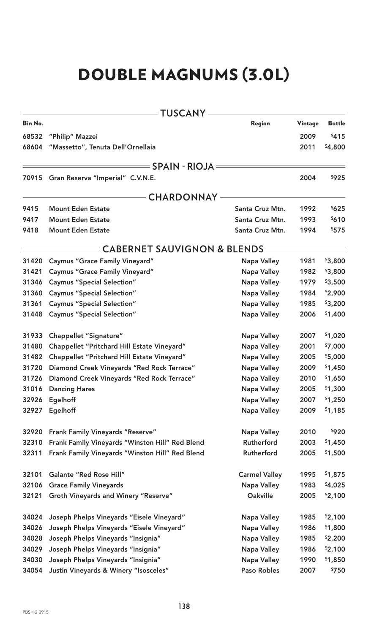# DOUBLE MAGNUMS (3.0L)

| $= {\bf TUSCANY}$ $=$ |                                                    |                      |         |               |
|-----------------------|----------------------------------------------------|----------------------|---------|---------------|
| Bin No.               |                                                    | Region               | Vintage | <b>Bottle</b> |
| 68532                 | "Philip" Mazzei                                    |                      | 2009    | \$415         |
| 68604                 | "Massetto", Tenuta Dell'Ornellaia                  |                      | 2011    | \$4,800       |
|                       | $=$ SPAIN - RIOJA $=$                              |                      |         |               |
|                       | 70915 Gran Reserva "Imperial" C.V.N.E.             |                      | 2004    | \$925         |
|                       | <b>CHARDONNAY=</b>                                 |                      |         |               |
| 9415                  | <b>Mount Eden Estate</b>                           | Santa Cruz Mtn.      | 1992    | \$625         |
| 9417                  | <b>Mount Eden Estate</b>                           | Santa Cruz Mtn.      | 1993    | \$610         |
| 9418                  | <b>Mount Eden Estate</b>                           | Santa Cruz Mtn.      | 1994    | \$575         |
|                       | = CABERNET SAUVIGNON & BLENDS $=$                  |                      |         |               |
| 31420                 | <b>Caymus "Grace Family Vineyard"</b>              | Napa Valley          | 1981    | \$3,800       |
| 31421                 | <b>Caymus "Grace Family Vineyard"</b>              | Napa Valley          | 1982    | \$3,800       |
| 31346                 | <b>Caymus "Special Selection"</b>                  | Napa Valley          | 1979    | \$3,500       |
| 31360                 | <b>Caymus "Special Selection"</b>                  | <b>Napa Valley</b>   | 1984    | \$2,900       |
| 31361                 | <b>Caymus "Special Selection"</b>                  | <b>Napa Valley</b>   | 1985    | \$3,200       |
| 31448                 | <b>Caymus "Special Selection"</b>                  | <b>Napa Valley</b>   | 2006    | \$1,400       |
| 31933                 | <b>Chappellet "Signature"</b>                      | Napa Valley          | 2007    | \$1,020       |
| 31480                 | Chappellet "Pritchard Hill Estate Vineyard"        | <b>Napa Valley</b>   | 2001    | \$7,000       |
| 31482                 | <b>Chappellet "Pritchard Hill Estate Vineyard"</b> | <b>Napa Valley</b>   | 2005    | \$5,000       |
| 31720                 | Diamond Creek Vineyards "Red Rock Terrace"         | <b>Napa Valley</b>   | 2009    | \$1,450       |
| 31726                 | Diamond Creek Vineyards "Red Rock Terrace"         | <b>Napa Valley</b>   | 2010    | \$1,650       |
|                       | 31016 Dancing Hares                                | Napa Valley          | 2005    | \$1,300       |
| 32926                 | Egelhoff                                           | Napa Valley          | 2007    | \$1,250       |
| 32927                 | Egelhoff                                           | <b>Napa Valley</b>   | 2009    | \$1,185       |
| 32920                 | <b>Frank Family Vineyards "Reserve"</b>            | <b>Napa Valley</b>   | 2010    | \$920         |
| 32310                 | Frank Family Vineyards "Winston Hill" Red Blend    | Rutherford           | 2003    | \$1,450       |
| 32311                 | Frank Family Vineyards "Winston Hill" Red Blend    | Rutherford           | 2005    | \$1,500       |
| 32101                 | <b>Galante "Red Rose Hill"</b>                     | <b>Carmel Valley</b> | 1995    | \$1,875       |
| 32106                 | <b>Grace Family Vineyards</b>                      | <b>Napa Valley</b>   | 1983    | \$4,025       |
| 32121                 | <b>Groth Vineyards and Winery "Reserve"</b>        | <b>Oakville</b>      | 2005    | \$2,100       |
| 34024                 | Joseph Phelps Vineyards "Eisele Vineyard"          | <b>Napa Valley</b>   | 1985    | \$2,100       |
| 34026                 | Joseph Phelps Vineyards "Eisele Vineyard"          | <b>Napa Valley</b>   | 1986    | \$1,800       |
| 34028                 | Joseph Phelps Vineyards "Insignia"                 | <b>Napa Valley</b>   | 1985    | \$2,200       |
| 34029                 | Joseph Phelps Vineyards "Insignia"                 | <b>Napa Valley</b>   | 1986    | \$2,100       |
| 34030                 | Joseph Phelps Vineyards "Insignia"                 | <b>Napa Valley</b>   | 1990    | \$1,850       |
| 34054                 | Justin Vineyards & Winery "Isosceles"              | Paso Robles          | 2007    | \$750         |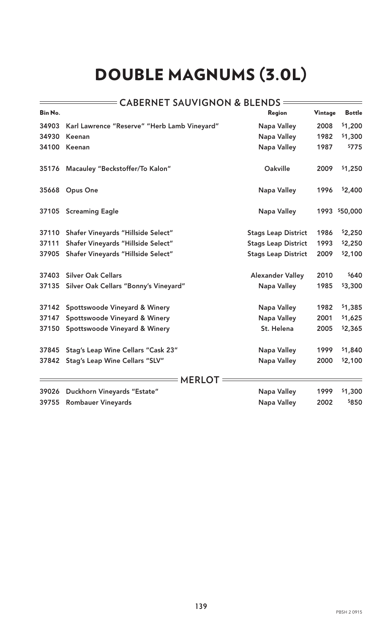# DOUBLE MAGNUMS (3.0L)

#### **CABERNET SAUVIGNON & BLENDS**

 $\equiv$ 

| Bin No. |                                              | Region                     | Vintage | <b>Bottle</b> |
|---------|----------------------------------------------|----------------------------|---------|---------------|
| 34903   | Karl Lawrence "Reserve" "Herb Lamb Vineyard" | <b>Napa Valley</b>         | 2008    | \$1,200       |
| 34930   | Keenan                                       | Napa Valley                | 1982    | \$1,300       |
| 34100   | Keenan                                       | <b>Napa Valley</b>         | 1987    | \$775         |
| 35176   | Macauley "Beckstoffer/To Kalon"              | <b>Oakville</b>            | 2009    | \$1,250       |
| 35668   | <b>Opus One</b>                              | <b>Napa Valley</b>         | 1996    | \$2,400       |
| 37105   | <b>Screaming Eagle</b>                       | <b>Napa Valley</b>         |         | 1993 \$50,000 |
| 37110   | Shafer Vineyards "Hillside Select"           | <b>Stags Leap District</b> | 1986    | \$2,250       |
| 37111   | Shafer Vineyards "Hillside Select"           | <b>Stags Leap District</b> | 1993    | \$2,250       |
| 37905   | Shafer Vineyards "Hillside Select"           | <b>Stags Leap District</b> | 2009    | \$2,100       |
| 37403   | <b>Silver Oak Cellars</b>                    | <b>Alexander Valley</b>    | 2010    | \$640         |
| 37135   | Silver Oak Cellars "Bonny's Vineyard"        | <b>Napa Valley</b>         | 1985    | \$3,300       |
| 37142   | Spottswoode Vineyard & Winery                | <b>Napa Valley</b>         | 1982    | \$1,385       |
| 37147   | Spottswoode Vineyard & Winery                | <b>Napa Valley</b>         | 2001    | \$1,625       |
| 37150   | Spottswoode Vineyard & Winery                | St. Helena                 | 2005    | \$2,365       |
| 37845   | <b>Stag's Leap Wine Cellars "Cask 23"</b>    | <b>Napa Valley</b>         | 1999    | \$1,840       |
| 37842   | <b>Stag's Leap Wine Cellars "SLV"</b>        | <b>Napa Valley</b>         | 2000    | \$2,100       |
|         | = MERLOT                                     |                            |         |               |
| 39026   | Duckhorn Vineyards "Estate"                  | <b>Napa Valley</b>         | 1999    | \$1,300       |
| 39755   | <b>Rombauer Vineyards</b>                    | <b>Napa Valley</b>         | 2002    | \$850         |

**-**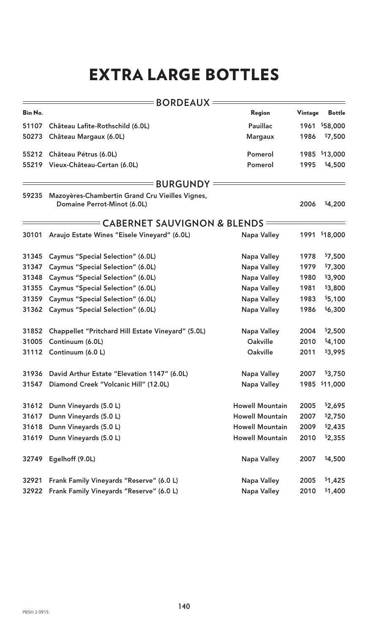# EXTRA LARGE BOTTLES

|         | <b>= BORDEAUX =</b>                                                            |                        |         |               |
|---------|--------------------------------------------------------------------------------|------------------------|---------|---------------|
| Bin No. |                                                                                | Region                 | Vintage | <b>Bottle</b> |
| 51107   | Château Lafite-Rothschild (6.0L)                                               | <b>Pauillac</b>        | 1961    | \$58,000      |
| 50273   | Château Margaux (6.0L)                                                         | <b>Margaux</b>         | 1986    | \$7,500       |
| 55212   | Château Pétrus (6.0L)                                                          | Pomerol                | 1985    | \$13,000      |
| 55219   | Vieux-Château-Certan (6.0L)                                                    | Pomerol                | 1995    | \$4,500       |
|         | <b>BURGUNDY</b>                                                                |                        |         |               |
| 59235   | Mazoyères-Chambertin Grand Cru Vieilles Vignes,<br>Domaine Perrot-Minot (6.0L) |                        | 2006    | \$4,200       |
|         | <b>= CABERNET SAUVIGNON &amp; BLENDS</b>                                       |                        |         |               |
| 30101   | Araujo Estate Wines "Eisele Vineyard" (6.0L)                                   | <b>Napa Valley</b>     | 1991    | \$18,000      |
| 31345   | <b>Caymus "Special Selection" (6.0L)</b>                                       | Napa Valley            | 1978    | \$7,500       |
| 31347   | <b>Caymus "Special Selection" (6.0L)</b>                                       | <b>Napa Valley</b>     | 1979    | \$7,300       |
| 31348   | <b>Caymus "Special Selection" (6.0L)</b>                                       | <b>Napa Valley</b>     | 1980    | \$3,900       |
| 31355   | <b>Caymus "Special Selection" (6.0L)</b>                                       | <b>Napa Valley</b>     | 1981    | \$3,800       |
| 31359   | <b>Caymus "Special Selection" (6.0L)</b>                                       | <b>Napa Valley</b>     | 1983    | \$5,100       |
| 31362   | <b>Caymus "Special Selection" (6.0L)</b>                                       | <b>Napa Valley</b>     | 1986    | \$6,300       |
| 31852   | Chappellet "Pritchard Hill Estate Vineyard" (5.0L)                             | <b>Napa Valley</b>     | 2004    | \$2,500       |
| 31005   | Continuum (6.0L)                                                               | Oakville               | 2010    | \$4,100       |
| 31112   | Continuum (6.0 L)                                                              | <b>Oakville</b>        | 2011    | \$3,995       |
| 31936   | David Arthur Estate "Elevation 1147" (6.0L)                                    | <b>Napa Valley</b>     | 2007    | \$3,750       |
| 31547   | Diamond Creek "Volcanic Hill" (12.0L)                                          | <b>Napa Valley</b>     |         | 1985 \$11,000 |
| 31612   | Dunn Vineyards (5.0 L)                                                         | <b>Howell Mountain</b> | 2005    | \$2,695       |
| 31617   | Dunn Vineyards (5.0 L)                                                         | <b>Howell Mountain</b> | 2007    | \$2,750       |
| 31618   | Dunn Vineyards (5.0 L)                                                         | <b>Howell Mountain</b> | 2009    | \$2,435       |
| 31619   | Dunn Vineyards (5.0 L)                                                         | <b>Howell Mountain</b> | 2010    | \$2,355       |
| 32749   | Egelhoff (9.0L)                                                                | <b>Napa Valley</b>     | 2007    | \$4,500       |
| 32921   | Frank Family Vineyards "Reserve" (6.0 L)                                       | <b>Napa Valley</b>     | 2005    | \$1,425       |
| 32922   | Frank Family Vineyards "Reserve" (6.0 L)                                       | <b>Napa Valley</b>     | 2010    | \$1,400       |